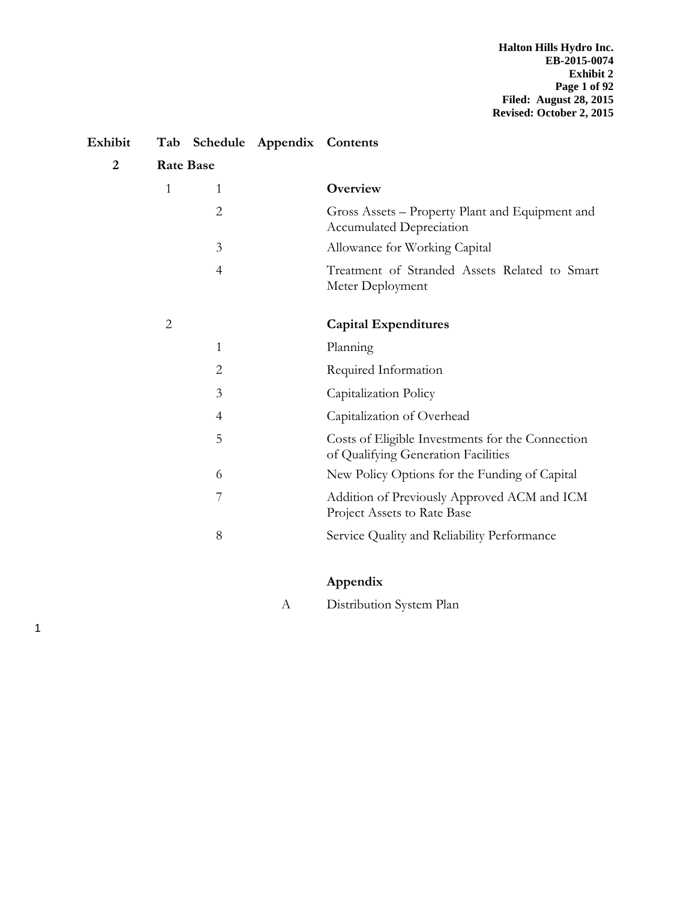| Exhibit        | Tab              |                | Schedule Appendix Contents |                                                                                         |
|----------------|------------------|----------------|----------------------------|-----------------------------------------------------------------------------------------|
| $\overline{2}$ | <b>Rate Base</b> |                |                            |                                                                                         |
|                | $\mathbf{1}$     | 1              |                            | Overview                                                                                |
|                |                  | $\overline{2}$ |                            | Gross Assets – Property Plant and Equipment and<br><b>Accumulated Depreciation</b>      |
|                |                  | 3              |                            | Allowance for Working Capital                                                           |
|                |                  | 4              |                            | Treatment of Stranded Assets Related to Smart<br>Meter Deployment                       |
|                | $\overline{2}$   |                |                            | <b>Capital Expenditures</b>                                                             |
|                |                  | 1              |                            | Planning                                                                                |
|                |                  | $\overline{2}$ |                            | Required Information                                                                    |
|                |                  | 3              |                            | Capitalization Policy                                                                   |
|                |                  | $\overline{4}$ |                            | Capitalization of Overhead                                                              |
|                |                  | 5              |                            | Costs of Eligible Investments for the Connection<br>of Qualifying Generation Facilities |
|                |                  | 6              |                            | New Policy Options for the Funding of Capital                                           |
|                |                  | 7              |                            | Addition of Previously Approved ACM and ICM<br>Project Assets to Rate Base              |
|                |                  | 8              |                            | Service Quality and Reliability Performance                                             |

# **Appendix**

A Distribution System Plan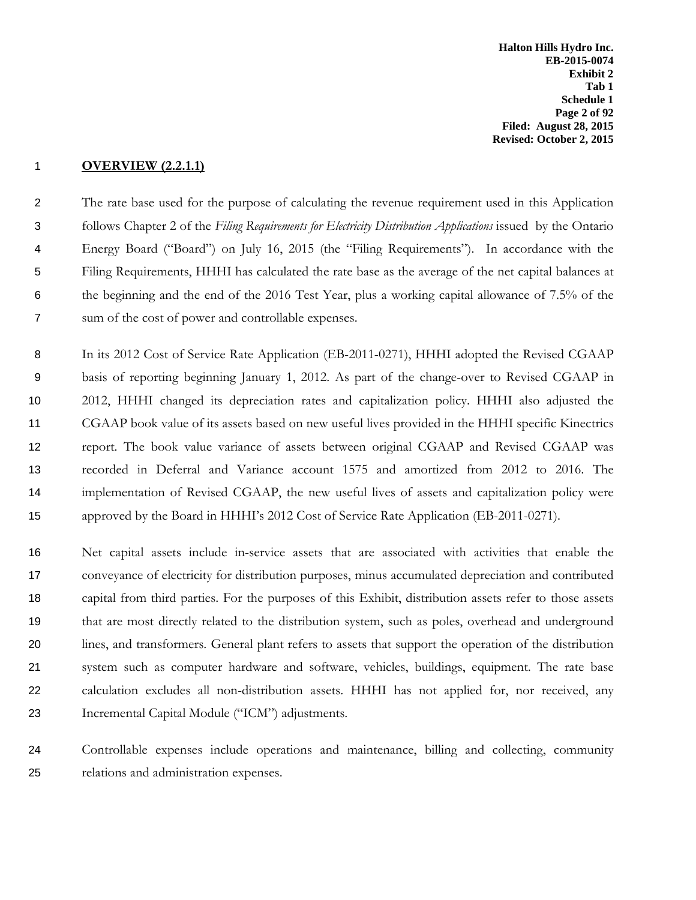**Halton Hills Hydro Inc. EB-2015-0074 Exhibit 2 Tab 1 Schedule 1 Page 2 of 92 Filed: August 28, 2015 Revised: October 2, 2015**

## **OVERVIEW (2.2.1.1)**

 The rate base used for the purpose of calculating the revenue requirement used in this Application follows Chapter 2 of the *Filing Requirements for Electricity Distribution Applications* issued by the Ontario Energy Board ("Board") on July 16, 2015 (the "Filing Requirements"). In accordance with the Filing Requirements, HHHI has calculated the rate base as the average of the net capital balances at the beginning and the end of the 2016 Test Year, plus a working capital allowance of 7.5% of the sum of the cost of power and controllable expenses.

8 In its 2012 Cost of Service Rate Application (EB-2011-0271), HHHI adopted the Revised CGAAP basis of reporting beginning January 1, 2012. As part of the change-over to Revised CGAAP in 2012, HHHI changed its depreciation rates and capitalization policy. HHHI also adjusted the CGAAP book value of its assets based on new useful lives provided in the HHHI specific Kinectrics report. The book value variance of assets between original CGAAP and Revised CGAAP was recorded in Deferral and Variance account 1575 and amortized from 2012 to 2016. The implementation of Revised CGAAP, the new useful lives of assets and capitalization policy were approved by the Board in HHHI's 2012 Cost of Service Rate Application (EB-2011-0271).

 Net capital assets include in-service assets that are associated with activities that enable the conveyance of electricity for distribution purposes, minus accumulated depreciation and contributed capital from third parties. For the purposes of this Exhibit, distribution assets refer to those assets that are most directly related to the distribution system, such as poles, overhead and underground lines, and transformers. General plant refers to assets that support the operation of the distribution system such as computer hardware and software, vehicles, buildings, equipment. The rate base calculation excludes all non-distribution assets. HHHI has not applied for, nor received, any Incremental Capital Module ("ICM") adjustments.

 Controllable expenses include operations and maintenance, billing and collecting, community relations and administration expenses.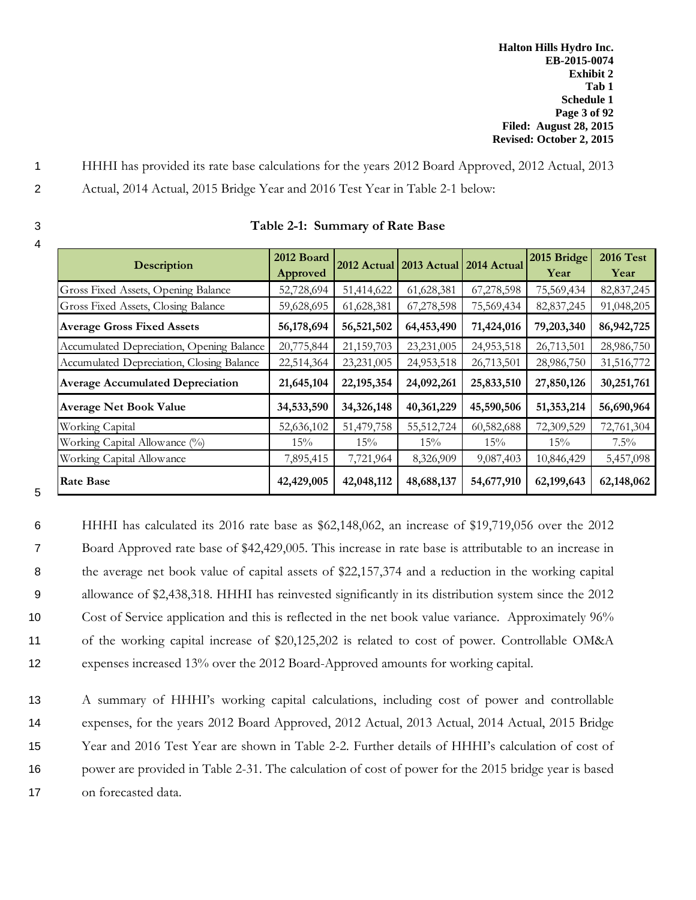- 1 HHHI has provided its rate base calculations for the years 2012 Board Approved, 2012 Actual, 2013
- 2 Actual, 2014 Actual, 2015 Bridge Year and 2016 Test Year in Table 2-1 below:
- 4

| Description                               | 2012 Board<br>Approved |              |            | 2012 Actual 2013 Actual 2014 Actual | 2015 Bridge<br>Year | <b>2016 Test</b><br>Year |
|-------------------------------------------|------------------------|--------------|------------|-------------------------------------|---------------------|--------------------------|
| Gross Fixed Assets, Opening Balance       | 52,728,694             | 51,414,622   | 61,628,381 | 67,278,598                          | 75,569,434          | 82, 837, 245             |
| Gross Fixed Assets, Closing Balance       | 59,628,695             | 61,628,381   | 67,278,598 | 75,569,434                          | 82, 837, 245        | 91,048,205               |
| <b>Average Gross Fixed Assets</b>         | 56,178,694             | 56,521,502   | 64,453,490 | 71,424,016                          | 79,203,340          | 86, 942, 725             |
| Accumulated Depreciation, Opening Balance | 20,775,844             | 21,159,703   | 23,231,005 | 24,953,518                          | 26,713,501          | 28,986,750               |
| Accumulated Depreciation, Closing Balance | 22,514,364             | 23,231,005   | 24,953,518 | 26,713,501                          | 28,986,750          | 31,516,772               |
| <b>Average Accumulated Depreciation</b>   | 21,645,104             | 22, 195, 354 | 24,092,261 | 25,833,510                          | 27,850,126          | 30,251,761               |
| <b>Average Net Book Value</b>             | 34,533,590             | 34,326,148   | 40,361,229 | 45,590,506                          | 51,353,214          | 56,690,964               |
| Working Capital                           | 52,636,102             | 51,479,758   | 55,512,724 | 60,582,688                          | 72,309,529          | 72,761,304               |
| Working Capital Allowance (%)             | 15%                    | 15%          | 15%        | 15%                                 | 15%                 | $7.5\%$                  |
| Working Capital Allowance                 | 7,895,415              | 7,721,964    | 8,326,909  | 9,087,403                           | 10,846,429          | 5,457,098                |
| <b>Rate Base</b>                          | 42,429,005             | 42,048,112   | 48,688,137 | 54,677,910                          | 62,199,643          | 62,148,062               |

## 3 **Table 2-1: Summary of Rate Base**

5

 HHHI has calculated its 2016 rate base as \$62,148,062, an increase of \$19,719,056 over the 2012 Board Approved rate base of \$42,429,005. This increase in rate base is attributable to an increase in 8 the average net book value of capital assets of \$22,157,374 and a reduction in the working capital allowance of \$2,438,318. HHHI has reinvested significantly in its distribution system since the 2012 Cost of Service application and this is reflected in the net book value variance. Approximately 96% of the working capital increase of \$20,125,202 is related to cost of power. Controllable OM&A expenses increased 13% over the 2012 Board-Approved amounts for working capital.

 A summary of HHHI's working capital calculations, including cost of power and controllable expenses, for the years 2012 Board Approved, 2012 Actual, 2013 Actual, 2014 Actual, 2015 Bridge Year and 2016 Test Year are shown in Table 2-2. Further details of HHHI's calculation of cost of power are provided in Table 2-31. The calculation of cost of power for the 2015 bridge year is based on forecasted data.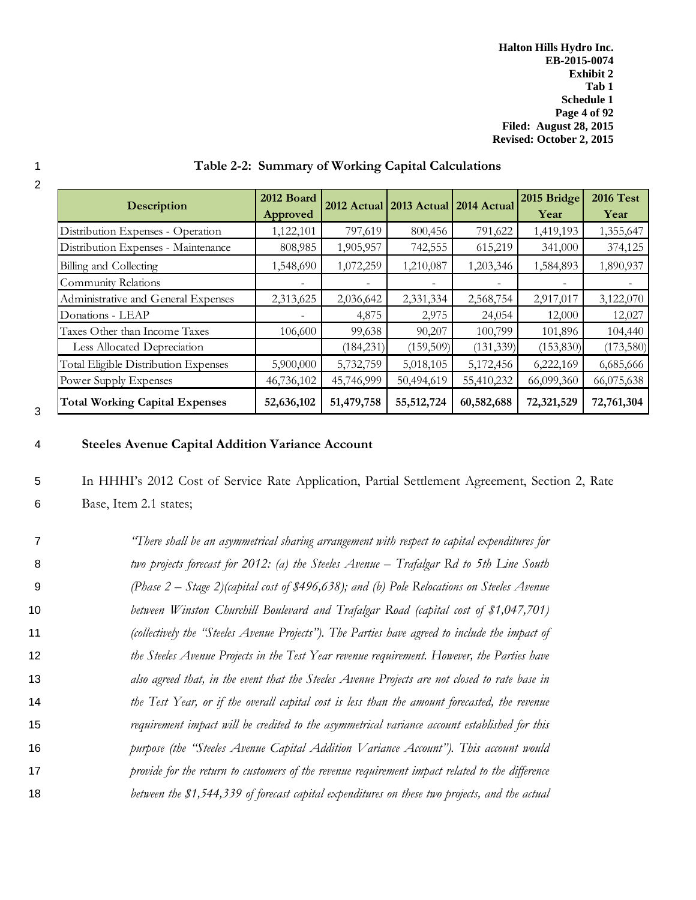| Description                           | 2012 Board<br>Approved |            | 2012 Actual 2013 Actual 2014 Actual |            | 2015 Bridge<br>Year | <b>2016 Test</b><br>Year |
|---------------------------------------|------------------------|------------|-------------------------------------|------------|---------------------|--------------------------|
| Distribution Expenses - Operation     | 1,122,101              | 797,619    | 800,456                             | 791,622    | 1,419,193           | 1,355,647                |
| Distribution Expenses - Maintenance   | 808,985                | 1,905,957  | 742,555                             | 615,219    | 341,000             | 374,125                  |
| Billing and Collecting                | 1,548,690              | 1,072,259  | 1,210,087                           | 1,203,346  | 1,584,893           | 1,890,937                |
| Community Relations                   |                        |            |                                     |            |                     |                          |
| Administrative and General Expenses   | 2,313,625              | 2,036,642  | 2,331,334                           | 2,568,754  | 2,917,017           | 3,122,070                |
| Donations - LEAP                      |                        | 4,875      | 2,975                               | 24,054     | 12,000              | 12,027                   |
| Taxes Other than Income Taxes         | 106,600                | 99,638     | 90,207                              | 100,799    | 101,896             | 104,440                  |
| Less Allocated Depreciation           |                        | (184, 231) | (159,509)                           | (131, 339) | (153, 830)          | (173,580)                |
| Total Eligible Distribution Expenses  | 5,900,000              | 5,732,759  | 5,018,105                           | 5,172,456  | 6,222,169           | 6,685,666                |
| Power Supply Expenses                 | 46,736,102             | 45,746,999 | 50,494,619                          | 55,410,232 | 66,099,360          | 66,075,638               |
| <b>Total Working Capital Expenses</b> | 52,636,102             | 51,479,758 | 55, 512, 724                        | 60,582,688 | 72,321,529          | 72,761,304               |

# 1 **Table 2-2: Summary of Working Capital Calculations**

# 2

# 3

# 4 **Steeles Avenue Capital Addition Variance Account**

5 In HHHI's 2012 Cost of Service Rate Application, Partial Settlement Agreement, Section 2, Rate

6 Base, Item 2.1 states;

|    | "There shall be an asymmetrical sharing arrangement with respect to capital expenditures for    |
|----|-------------------------------------------------------------------------------------------------|
| 8  | two projects forecast for 2012: (a) the Steeles Avenue – Trafalgar Rd to 5th Line South         |
| 9  | (Phase $2$ – Stage 2)(capital cost of \$496,638); and (b) Pole Relocations on Steeles Avenue    |
| 10 | between Winston Churchill Boulevard and Trafalgar Road (capital cost of \$1,047,701)            |
| 11 | (collectively the "Steeles Avenue Projects"). The Parties have agreed to include the impact of  |
| 12 | the Steeles Avenue Projects in the Test Year revenue requirement. However, the Parties have     |
| 13 | also agreed that, in the event that the Steeles Avenue Projects are not closed to rate base in  |
| 14 | the Test Year, or if the overall capital cost is less than the amount forecasted, the revenue   |
| 15 | requirement impact will be credited to the asymmetrical variance account established for this   |
| 16 | purpose (the "Steeles Avenue Capital Addition Variance Account"). This account would            |
| 17 | provide for the return to customers of the revenue requirement impact related to the difference |
| 18 | between the \$1,544,339 of forecast capital expenditures on these two projects, and the actual  |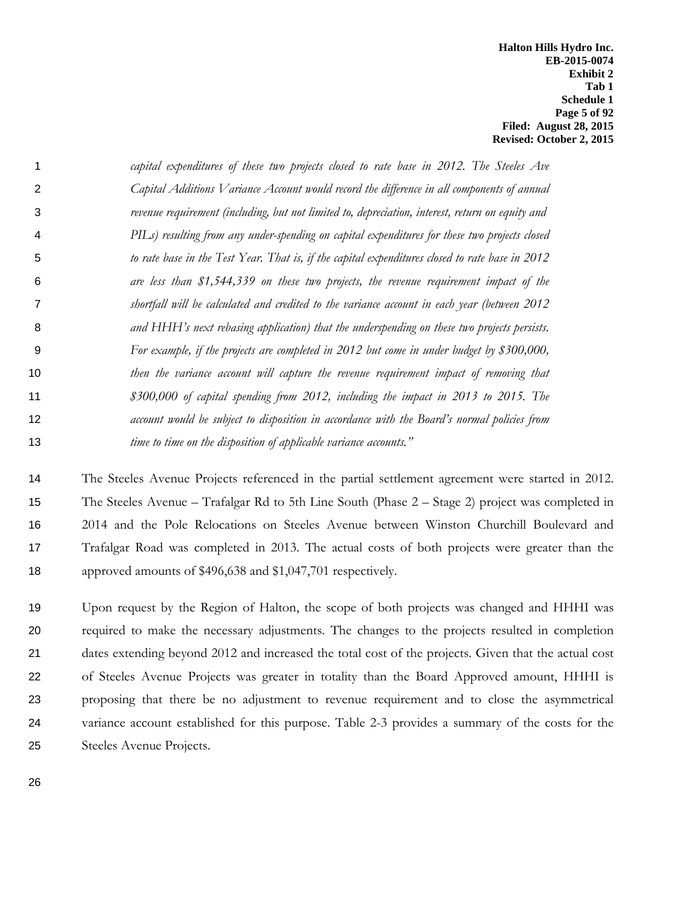**Halton Hills Hydro Inc. EB-2015-0074 Exhibit 2 Tab 1 Schedule 1 Page 5 of 92 Filed: August 28, 2015 Revised: October 2, 2015**

|    | capital expenditures of these two projects closed to rate base in 2012. The Steeles Ave          |
|----|--------------------------------------------------------------------------------------------------|
| 2  | Capital Additions V ariance Account would record the difference in all components of annual      |
| 3  | revenue requirement (including, but not limited to, depreciation, interest, return on equity and |
| 4  | PILs) resulting from any under-spending on capital expenditures for these two projects closed    |
| 5  | to rate base in the Test Year. That is, if the capital expenditures closed to rate base in 2012  |
| 6  | are less than \$1,544,339 on these two projects, the revenue requirement impact of the           |
|    | shortfall will be calculated and credited to the variance account in each year (between 2012     |
| 8  | and HHH's next rebasing application) that the underspending on these two projects persists.      |
| 9  | For example, if the projects are completed in 2012 but come in under budget by \$300,000,        |
| 10 | then the variance account will capture the revenue requirement impact of removing that           |
| 11 | \$300,000 of capital spending from 2012, including the impact in 2013 to 2015. The               |
| 12 | account would be subject to disposition in accordance with the Board's normal policies from      |
| 13 | time to time on the disposition of applicable variance accounts."                                |

 The Steeles Avenue Projects referenced in the partial settlement agreement were started in 2012. The Steeles Avenue – Trafalgar Rd to 5th Line South (Phase 2 – Stage 2) project was completed in 2014 and the Pole Relocations on Steeles Avenue between Winston Churchill Boulevard and Trafalgar Road was completed in 2013. The actual costs of both projects were greater than the approved amounts of \$496,638 and \$1,047,701 respectively.

 Upon request by the Region of Halton, the scope of both projects was changed and HHHI was required to make the necessary adjustments. The changes to the projects resulted in completion dates extending beyond 2012 and increased the total cost of the projects. Given that the actual cost of Steeles Avenue Projects was greater in totality than the Board Approved amount, HHHI is proposing that there be no adjustment to revenue requirement and to close the asymmetrical variance account established for this purpose. Table 2-3 provides a summary of the costs for the Steeles Avenue Projects.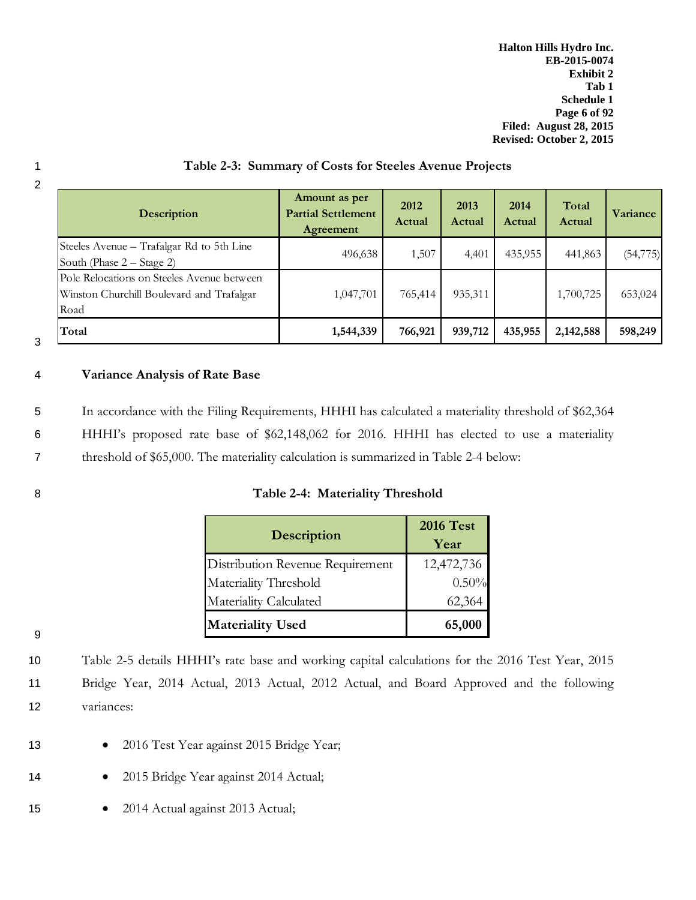**Halton Hills Hydro Inc. EB-2015-0074 Exhibit 2 Tab 1 Schedule 1 Page 6 of 92 Filed: August 28, 2015 Revised: October 2, 2015**

| 2 |                                                                                                 |                                                         |                |                |                |                 |                 |
|---|-------------------------------------------------------------------------------------------------|---------------------------------------------------------|----------------|----------------|----------------|-----------------|-----------------|
|   | <b>Description</b>                                                                              | Amount as per<br><b>Partial Settlement</b><br>Agreement | 2012<br>Actual | 2013<br>Actual | 2014<br>Actual | Total<br>Actual | <b>Variance</b> |
|   | Steeles Avenue – Trafalgar Rd to 5th Line<br>South (Phase 2 – Stage 2)                          | 496,638                                                 | 1,507          | 4,401          | 435,955        | 441,863         | (54, 775)       |
|   | Pole Relocations on Steeles Avenue between<br>Winston Churchill Boulevard and Trafalgar<br>Road | 1,047,701                                               | 765,414        | 935,311        |                | 1,700,725       | 653,024         |
| 3 | Total                                                                                           | 1,544,339                                               | 766,921        | 939,712        | 435,955        | 2,142,588       | 598,249         |

## 4 **Variance Analysis of Rate Base**

- 5 In accordance with the Filing Requirements, HHHI has calculated a materiality threshold of \$62,364
- 6 HHHI's proposed rate base of \$62,148,062 for 2016. HHHI has elected to use a materiality
- 7 threshold of \$65,000. The materiality calculation is summarized in Table 2-4 below:

|  | Table 2-4: Materiality Threshold |  |
|--|----------------------------------|--|
|  |                                  |  |

|                                  | <b>2016 Test</b> |
|----------------------------------|------------------|
| <b>Description</b>               | Year             |
| Distribution Revenue Requirement | 12,472,736       |
| Materiality Threshold            | 0.50%            |
| Materiality Calculated           | 62,364           |
| <b>Materiality Used</b>          | 65,000           |

9

10 Table 2-5 details HHHI's rate base and working capital calculations for the 2016 Test Year, 2015 11 Bridge Year, 2014 Actual, 2013 Actual, 2012 Actual, and Board Approved and the following 12 variances:

- 13 2016 Test Year against 2015 Bridge Year;
- 14 2015 Bridge Year against 2014 Actual;
- 15 2014 Actual against 2013 Actual;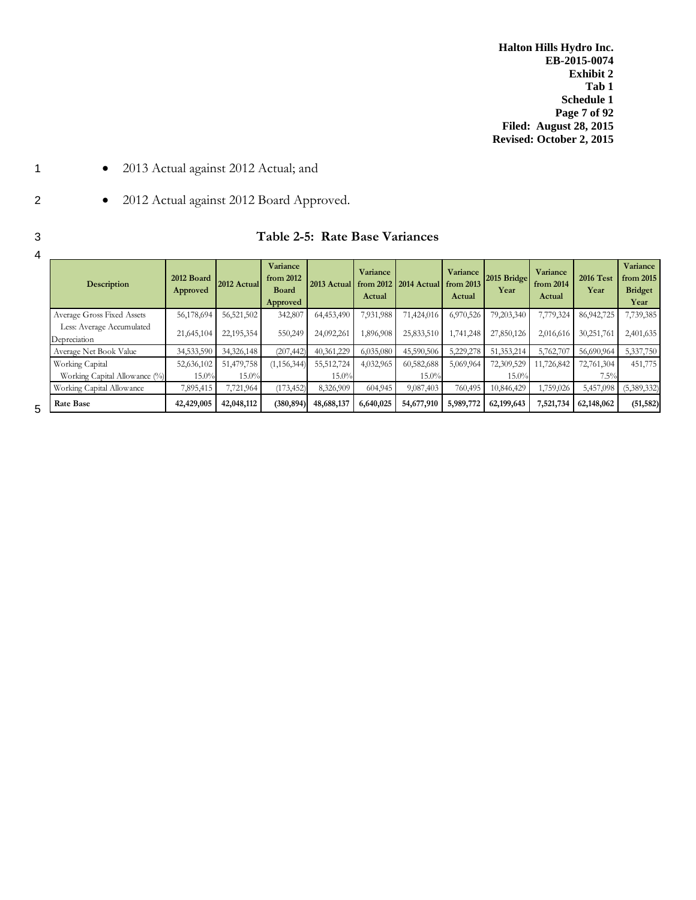**Halton Hills Hydro Inc. EB-2015-0074 Exhibit 2 Tab 1 Schedule 1 Page 7 of 92 Filed: August 28, 2015 Revised: October 2, 2015**

- 1 2013 Actual against 2012 Actual; and
- 2 2012 Actual against 2012 Board Approved.

| Table 2-5: Rate Base Variances |  |
|--------------------------------|--|
|                                |  |

| $\mathbf{r}$ | Description                               | 2012 Board<br>Approved | 2012 Actual | Variance<br>from 2012<br><b>Board</b><br>Approved | 2013 Actual | Variance<br>Actual | from $2012$   $2014$ Actual | Variance<br>from 2013<br>Actual | 2015 Bridge<br>Year | Variance<br>from 2014<br>Actual | <b>2016 Test</b><br>Year | Variance<br>from 2015<br><b>Bridget</b><br>Year |
|--------------|-------------------------------------------|------------------------|-------------|---------------------------------------------------|-------------|--------------------|-----------------------------|---------------------------------|---------------------|---------------------------------|--------------------------|-------------------------------------------------|
|              | Average Gross Fixed Assets                | 56,178,694             | 56,521,502  | 342,807                                           | 64,453,490  | 7,931,988          | 71,424,016                  | 6,970,526                       | 79,203,340          | 7,779,324                       | 86,942,725               | 7,739,385                                       |
|              | Less: Average Accumulated<br>Depreciation | 21,645,104             | 22,195,354  | 550,249                                           | 24,092,261  | 1,896,908          | 25,833,510                  | 1,741,248                       | 27,850,126          | 2,016,616                       | 30,251,761               | 2,401,635                                       |
|              | Average Net Book Value                    | 34,533,590             | 34,326,148  | (207, 442)                                        | 40,361,229  | 6,035,080          | 45,590,506                  | 5,229,278                       | 51,353,214          | 5,762,707                       | 56,690,964               | 5,337,750                                       |
|              | Working Capital                           | 52,636,102             | 51,479,758  | (1, 156, 344)                                     | 55,512,724  | 4,032,965          | 60,582,688                  | 5,069,964                       | 72,309,529          | 11,726,842                      | 72,761,304               | 451,775                                         |
|              | Working Capital Allowance (%)             | $15.0\%$               | 15.0%       |                                                   | 15.0%       |                    | 15.0%                       |                                 | 15.0%               |                                 | 7.5%                     |                                                 |
|              | Working Capital Allowance                 | 7,895,415              | 7,721,964   | (173, 452)                                        | 8,326,909   | 604,945            | 9,087,403                   | 760,495                         | 10,846,429          | 1,759,026                       | 5,457,098                | (5,389,332)                                     |
| 5            | Rate Base                                 | 42,429,005             | 42,048,112  | (380, 894)                                        | 48,688,137  | 6,640,025          | 54,677,910                  | 5,989,772                       | 62,199,643          | 7,521,734                       | 62,148,062               | (51, 582)                                       |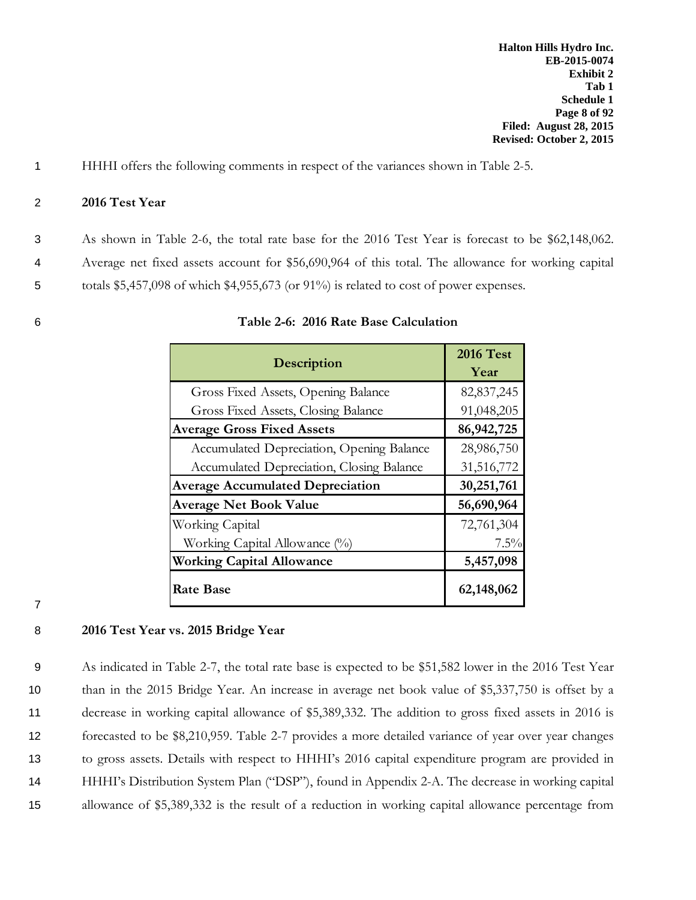1 HHHI offers the following comments in respect of the variances shown in Table 2-5.

## 2 **2016 Test Year**

3 As shown in Table 2-6, the total rate base for the 2016 Test Year is forecast to be \$62,148,062.

4 Average net fixed assets account for \$56,690,964 of this total. The allowance for working capital

5 totals \$5,457,098 of which \$4,955,673 (or 91%) is related to cost of power expenses.

| Description                               | <b>2016 Test</b><br>Year |
|-------------------------------------------|--------------------------|
| Gross Fixed Assets, Opening Balance       | 82, 837, 245             |
| Gross Fixed Assets, Closing Balance       | 91,048,205               |
| <b>Average Gross Fixed Assets</b>         | 86, 942, 725             |
| Accumulated Depreciation, Opening Balance | 28,986,750               |
| Accumulated Depreciation, Closing Balance | 31,516,772               |
| <b>Average Accumulated Depreciation</b>   | 30,251,761               |
| <b>Average Net Book Value</b>             | 56,690,964               |
| Working Capital                           | 72,761,304               |
| Working Capital Allowance (%)             | $7.5\%$                  |
| <b>Working Capital Allowance</b>          | 5,457,098                |
| <b>Rate Base</b>                          | 62,148,062               |

## 6 **Table 2-6: 2016 Rate Base Calculation**

7

## 8 **2016 Test Year vs. 2015 Bridge Year**

 As indicated in Table 2-7, the total rate base is expected to be \$51,582 lower in the 2016 Test Year than in the 2015 Bridge Year. An increase in average net book value of \$5,337,750 is offset by a decrease in working capital allowance of \$5,389,332. The addition to gross fixed assets in 2016 is forecasted to be \$8,210,959. Table 2-7 provides a more detailed variance of year over year changes to gross assets. Details with respect to HHHI's 2016 capital expenditure program are provided in HHHI's Distribution System Plan ("DSP"), found in Appendix 2-A. The decrease in working capital allowance of \$5,389,332 is the result of a reduction in working capital allowance percentage from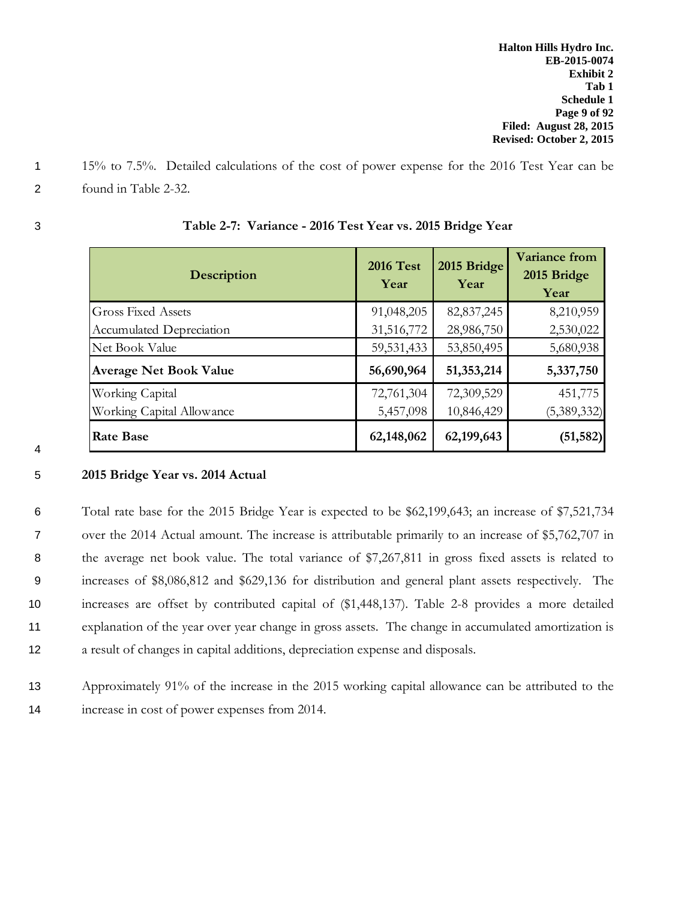- 1 15% to 7.5%. Detailed calculations of the cost of power expense for the 2016 Test Year can be
- 2 found in Table 2-32.

| I                      |
|------------------------|
| ۹<br>¢<br>۰.<br>×<br>v |
|                        |

4

| <b>Description</b>              | <b>2016 Test</b><br>Year | 2015 Bridge<br>Year | <b>Variance from</b><br>2015 Bridge<br>Year |
|---------------------------------|--------------------------|---------------------|---------------------------------------------|
| <b>Gross Fixed Assets</b>       | 91,048,205               | 82, 837, 245        | 8,210,959                                   |
| <b>Accumulated Depreciation</b> | 31,516,772               | 28,986,750          | 2,530,022                                   |
| Net Book Value                  | 59, 531, 433             | 53,850,495          | 5,680,938                                   |
| <b>Average Net Book Value</b>   | 56,690,964               | 51,353,214          | 5,337,750                                   |
| Working Capital                 | 72,761,304               | 72,309,529          | 451,775                                     |
| Working Capital Allowance       | 5,457,098                | 10,846,429          | (5,389,332)                                 |
| <b>Rate Base</b>                | 62,148,062               | 62,199,643          | (51, 582)                                   |

# 3 **Table 2-7: Variance - 2016 Test Year vs. 2015 Bridge Year**

# 5 **2015 Bridge Year vs. 2014 Actual**

 Total rate base for the 2015 Bridge Year is expected to be \$62,199,643; an increase of \$7,521,734 over the 2014 Actual amount. The increase is attributable primarily to an increase of \$5,762,707 in 8 the average net book value. The total variance of \$7,267,811 in gross fixed assets is related to increases of \$8,086,812 and \$629,136 for distribution and general plant assets respectively. The increases are offset by contributed capital of (\$1,448,137). Table 2-8 provides a more detailed explanation of the year over year change in gross assets. The change in accumulated amortization is a result of changes in capital additions, depreciation expense and disposals.

13 Approximately 91% of the increase in the 2015 working capital allowance can be attributed to the 14 increase in cost of power expenses from 2014.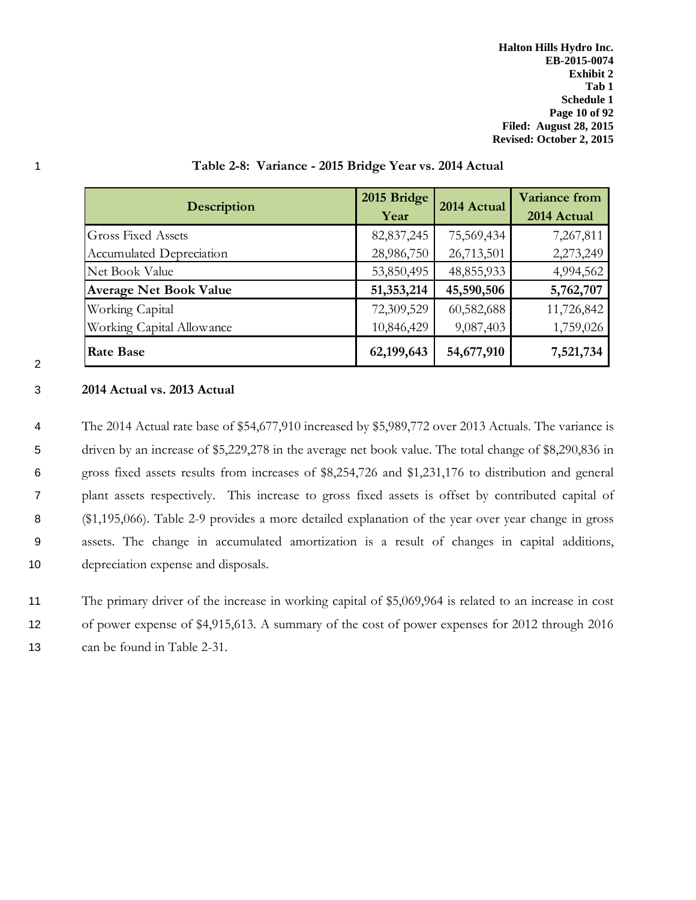| <b>Description</b>            | 2015 Bridge<br>Year | 2014 Actual | <b>Variance from</b><br>2014 Actual |
|-------------------------------|---------------------|-------------|-------------------------------------|
| <b>Gross Fixed Assets</b>     | 82, 837, 245        | 75,569,434  | 7,267,811                           |
| Accumulated Depreciation      | 28,986,750          | 26,713,501  | 2,273,249                           |
| Net Book Value                | 53,850,495          | 48,855,933  | 4,994,562                           |
| <b>Average Net Book Value</b> | 51,353,214          | 45,590,506  | 5,762,707                           |
| Working Capital               | 72,309,529          | 60,582,688  | 11,726,842                          |
| Working Capital Allowance     | 10,846,429          | 9,087,403   | 1,759,026                           |
| <b>Rate Base</b>              | 62,199,643          | 54,677,910  | 7,521,734                           |

## 1 **Table 2-8: Variance - 2015 Bridge Year vs. 2014 Actual**

## 2

## 3 **2014 Actual vs. 2013 Actual**

 The 2014 Actual rate base of \$54,677,910 increased by \$5,989,772 over 2013 Actuals. The variance is 5 driven by an increase of \$5,229,278 in the average net book value. The total change of \$8,290,836 in gross fixed assets results from increases of \$8,254,726 and \$1,231,176 to distribution and general plant assets respectively. This increase to gross fixed assets is offset by contributed capital of (\$1,195,066). Table 2-9 provides a more detailed explanation of the year over year change in gross assets. The change in accumulated amortization is a result of changes in capital additions, depreciation expense and disposals.

# 11 The primary driver of the increase in working capital of \$5,069,964 is related to an increase in cost 12 of power expense of \$4,915,613. A summary of the cost of power expenses for 2012 through 2016

13 can be found in Table 2-31.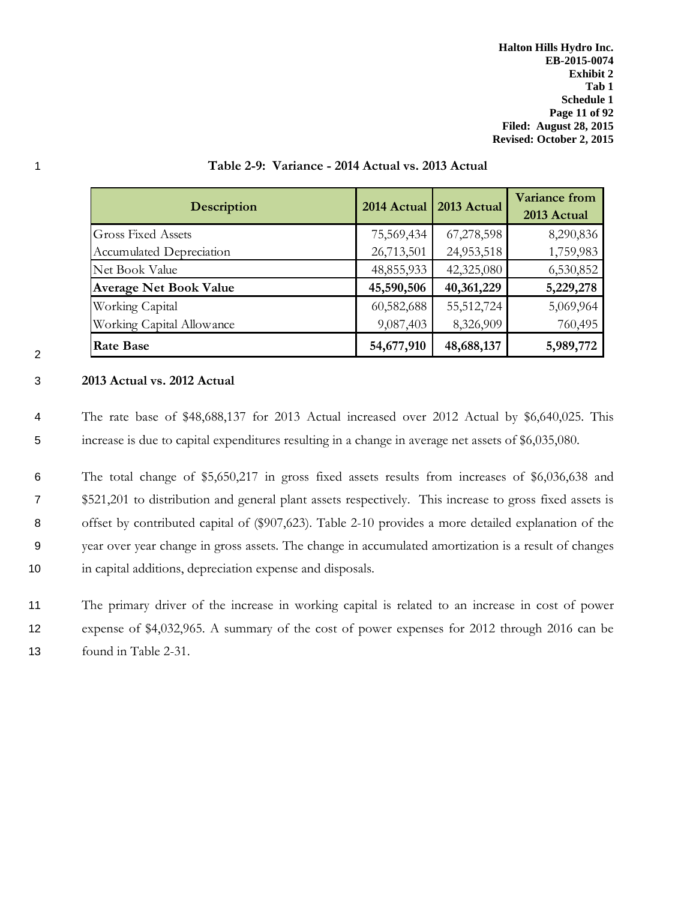**Halton Hills Hydro Inc. EB-2015-0074 Exhibit 2 Tab 1 Schedule 1 Page 11 of 92 Filed: August 28, 2015 Revised: October 2, 2015**

| <b>Description</b>            | 2014 Actual | 2013 Actual | <b>Variance from</b><br>2013 Actual |
|-------------------------------|-------------|-------------|-------------------------------------|
| <b>Gross Fixed Assets</b>     | 75,569,434  | 67,278,598  | 8,290,836                           |
| Accumulated Depreciation      | 26,713,501  | 24,953,518  | 1,759,983                           |
| Net Book Value                | 48,855,933  | 42,325,080  | 6,530,852                           |
| <b>Average Net Book Value</b> | 45,590,506  | 40,361,229  | 5,229,278                           |
| Working Capital               | 60,582,688  | 55,512,724  | 5,069,964                           |
| Working Capital Allowance     | 9,087,403   | 8,326,909   | 760,495                             |
| <b>Rate Base</b>              | 54,677,910  | 48,688,137  | 5,989,772                           |

## 1 **Table 2-9: Variance - 2014 Actual vs. 2013 Actual**

## 3 **2013 Actual vs. 2012 Actual**

2

4 The rate base of \$48,688,137 for 2013 Actual increased over 2012 Actual by \$6,640,025. This 5 increase is due to capital expenditures resulting in a change in average net assets of \$6,035,080.

 The total change of \$5,650,217 in gross fixed assets results from increases of \$6,036,638 and \$521,201 to distribution and general plant assets respectively. This increase to gross fixed assets is 8 offset by contributed capital of (\$907,623). Table 2-10 provides a more detailed explanation of the year over year change in gross assets. The change in accumulated amortization is a result of changes in capital additions, depreciation expense and disposals.

11 The primary driver of the increase in working capital is related to an increase in cost of power 12 expense of \$4,032,965. A summary of the cost of power expenses for 2012 through 2016 can be 13 found in Table 2-31.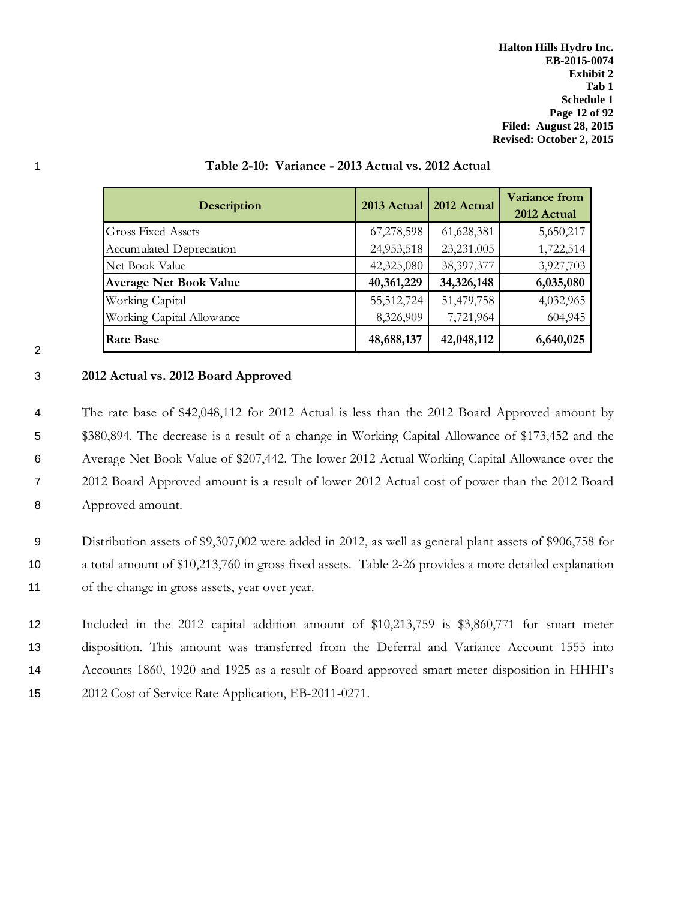**Halton Hills Hydro Inc. EB-2015-0074 Exhibit 2 Tab 1 Schedule 1 Page 12 of 92 Filed: August 28, 2015 Revised: October 2, 2015**

| <b>Description</b>            | 2013 Actual | 2012 Actual  | <b>Variance from</b><br>2012 Actual |
|-------------------------------|-------------|--------------|-------------------------------------|
| <b>Gross Fixed Assets</b>     | 67,278,598  | 61,628,381   | 5,650,217                           |
| Accumulated Depreciation      | 24,953,518  | 23,231,005   | 1,722,514                           |
| Net Book Value                | 42,325,080  | 38, 397, 377 | 3,927,703                           |
| <b>Average Net Book Value</b> | 40,361,229  | 34,326,148   | 6,035,080                           |
| Working Capital               | 55,512,724  | 51,479,758   | 4,032,965                           |
| Working Capital Allowance     | 8,326,909   | 7,721,964    | 604,945                             |
| <b>Rate Base</b>              | 48,688,137  | 42,048,112   | 6,640,025                           |

## 1 **Table 2-10: Variance - 2013 Actual vs. 2012 Actual**

## 3 **2012 Actual vs. 2012 Board Approved**

 The rate base of \$42,048,112 for 2012 Actual is less than the 2012 Board Approved amount by 5 \$380,894. The decrease is a result of a change in Working Capital Allowance of \$173,452 and the Average Net Book Value of \$207,442. The lower 2012 Actual Working Capital Allowance over the 2012 Board Approved amount is a result of lower 2012 Actual cost of power than the 2012 Board Approved amount.

9 Distribution assets of \$9,307,002 were added in 2012, as well as general plant assets of \$906,758 for 10 a total amount of \$10,213,760 in gross fixed assets. Table 2-26 provides a more detailed explanation 11 of the change in gross assets, year over year.

 Included in the 2012 capital addition amount of \$10,213,759 is \$3,860,771 for smart meter disposition. This amount was transferred from the Deferral and Variance Account 1555 into Accounts 1860, 1920 and 1925 as a result of Board approved smart meter disposition in HHHI's 2012 Cost of Service Rate Application, EB-2011-0271.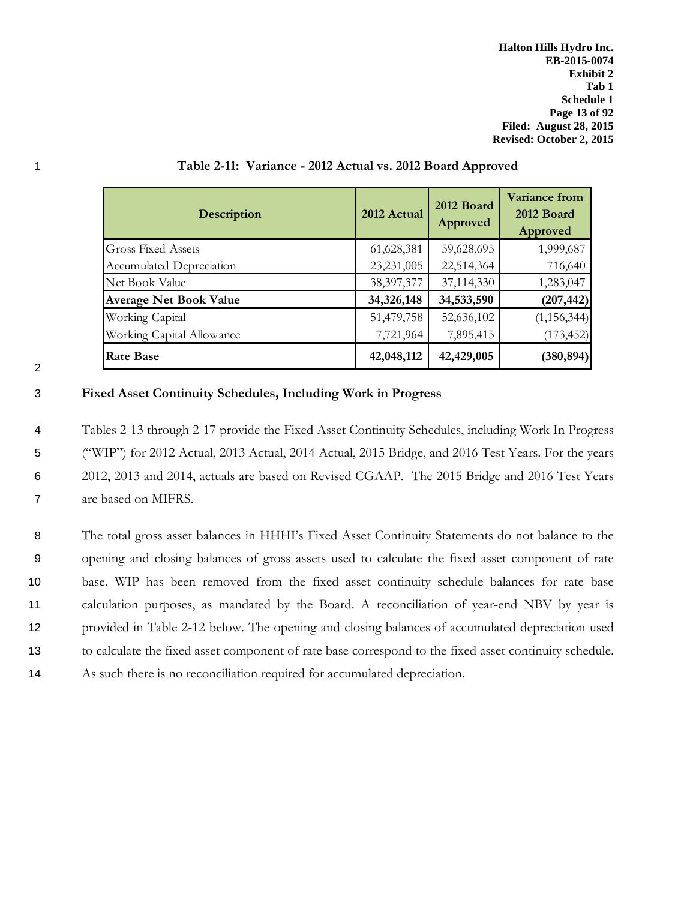**Halton Hills Hydro Inc. EB-2015-0074 Exhibit 2 Tab 1 Schedule 1 Page 13 of 92 Filed: August 28, 2015 Revised: October 2, 2015**

| <b>Description</b>            | 2012 Actual  | 2012 Board<br>Approved | Variance from<br>2012 Board<br>Approved |
|-------------------------------|--------------|------------------------|-----------------------------------------|
| <b>Gross Fixed Assets</b>     | 61,628,381   | 59,628,695             | 1,999,687                               |
| Accumulated Depreciation      | 23,231,005   | 22,514,364             | 716,640                                 |
| Net Book Value                | 38, 397, 377 | 37,114,330             | 1,283,047                               |
| <b>Average Net Book Value</b> | 34,326,148   | 34,533,590             | (207, 442)                              |
| Working Capital               | 51,479,758   | 52,636,102             | (1, 156, 344)                           |
| Working Capital Allowance     | 7,721,964    | 7,895,415              | (173, 452)                              |
| <b>Rate Base</b>              | 42,048,112   | 42,429,005             | (380, 894)                              |

## 1 **Table 2-11: Variance - 2012 Actual vs. 2012 Board Approved**

| I<br>I           |
|------------------|
| ٦<br>I<br>٠<br>I |
|                  |

## 3 **Fixed Asset Continuity Schedules, Including Work in Progress**

 Tables 2-13 through 2-17 provide the Fixed Asset Continuity Schedules, including Work In Progress ("WIP") for 2012 Actual, 2013 Actual, 2014 Actual, 2015 Bridge, and 2016 Test Years. For the years 2012, 2013 and 2014, actuals are based on Revised CGAAP. The 2015 Bridge and 2016 Test Years are based on MIFRS.

 The total gross asset balances in HHHI's Fixed Asset Continuity Statements do not balance to the opening and closing balances of gross assets used to calculate the fixed asset component of rate base. WIP has been removed from the fixed asset continuity schedule balances for rate base calculation purposes, as mandated by the Board. A reconciliation of year-end NBV by year is provided in Table 2-12 below. The opening and closing balances of accumulated depreciation used to calculate the fixed asset component of rate base correspond to the fixed asset continuity schedule. As such there is no reconciliation required for accumulated depreciation.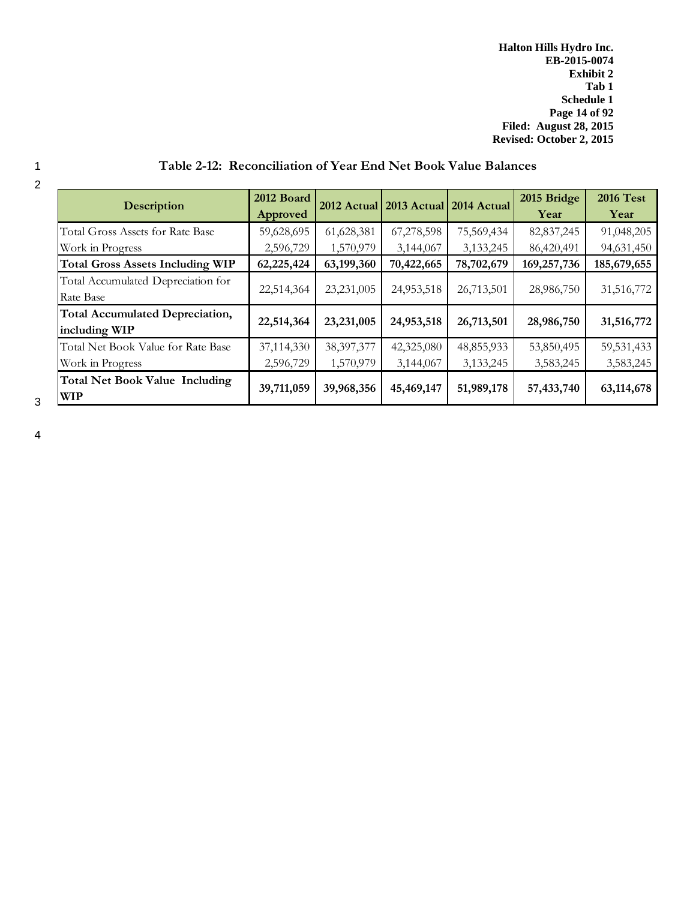**Halton Hills Hydro Inc. EB-2015-0074 Exhibit 2 Tab 1 Schedule 1 Page 14 of 92 Filed: August 28, 2015 Revised: October 2, 2015**

| <b>Description</b>                                      | 2012 Board<br>Approved |              | 2012 Actual 2013 Actual 2014 Actual |            | 2015 Bridge<br>Year | <b>2016 Test</b><br>Year |
|---------------------------------------------------------|------------------------|--------------|-------------------------------------|------------|---------------------|--------------------------|
| Total Gross Assets for Rate Base                        | 59,628,695             | 61,628,381   | 67,278,598                          | 75,569,434 | 82, 837, 245        | 91,048,205               |
| Work in Progress                                        | 2,596,729              | 1,570,979    | 3,144,067                           | 3,133,245  | 86,420,491          | 94,631,450               |
| <b>Total Gross Assets Including WIP</b>                 | 62,225,424             | 63,199,360   | 70,422,665                          | 78,702,679 | 169,257,736         | 185,679,655              |
| Total Accumulated Depreciation for<br>Rate Base         | 22,514,364             | 23,231,005   | 24,953,518                          | 26,713,501 | 28,986,750          | 31,516,772               |
| <b>Total Accumulated Depreciation,</b><br>including WIP | 22,514,364             | 23,231,005   | 24,953,518                          | 26,713,501 | 28,986,750          | 31,516,772               |
| Total Net Book Value for Rate Base                      | 37,114,330             | 38, 397, 377 | 42,325,080                          | 48,855,933 | 53,850,495          | 59,531,433               |
| Work in Progress                                        | 2,596,729              | 1,570,979    | 3,144,067                           | 3,133,245  | 3,583,245           | 3,583,245                |
| <b>Total Net Book Value Including</b><br><b>WIP</b>     | 39,711,059             | 39,968,356   | 45,469,147                          | 51,989,178 | 57,433,740          | 63,114,678               |

# 1 **Table 2-12: Reconciliation of Year End Net Book Value Balances**

2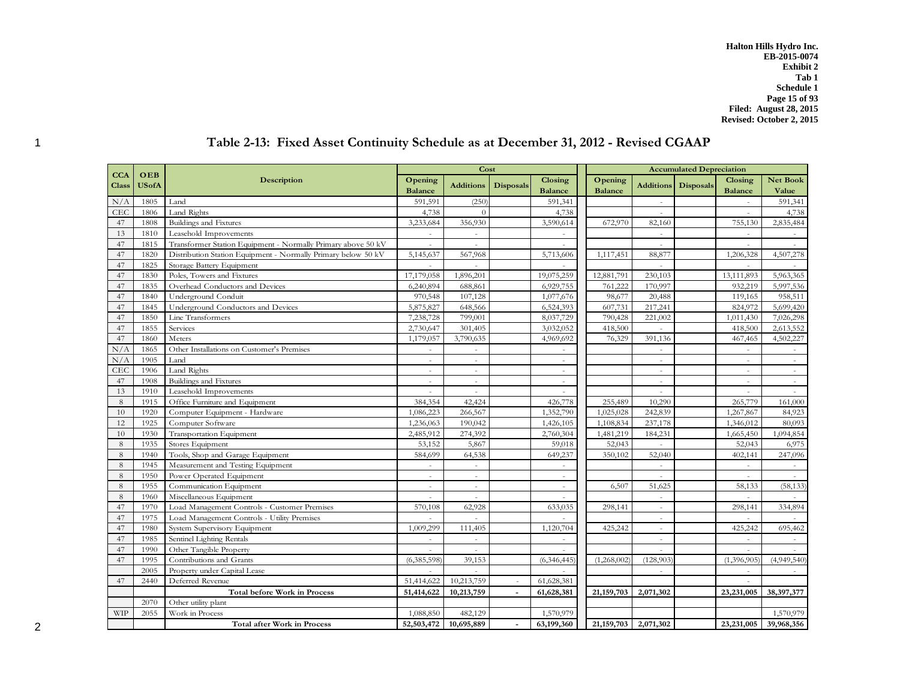**Halton Hills Hydro Inc. EB-2015-0074 Exhibit 2 Tab 1 Schedule 1 Page 15 of 93 Filed: August 28, 2015 Revised: October 2, 2015**

|              |              |                                                               |                |                  | Cost             |                |                |           | <b>Accumulated Depreciation</b> |                |                 |
|--------------|--------------|---------------------------------------------------------------|----------------|------------------|------------------|----------------|----------------|-----------|---------------------------------|----------------|-----------------|
| <b>CCA</b>   | OEB          | Description                                                   | Opening        |                  |                  | Closing        | Opening        |           |                                 | Closing        | <b>Net Book</b> |
| <b>Class</b> | <b>USofA</b> |                                                               | <b>Balance</b> | <b>Additions</b> | <b>Disposals</b> | <b>Balance</b> | <b>Balance</b> |           | <b>Additions</b> Disposals      | <b>Balance</b> | Value           |
| N/A          | 1805         | Land                                                          | 591,591        | (250)            |                  | 591,341        |                | $\sim$    |                                 | $\sim$         | 591,341         |
| CEC          | 1806         | Land Rights                                                   | 4,738          | $\theta$         |                  | 4,738          |                |           |                                 |                | 4,738           |
| 47           | 1808         | Buildings and Fixtures                                        | 3,233,684      | 356,930          |                  | 3,590,614      | 672,970        | 82,160    |                                 | 755,130        | 2,835,484       |
| 13           | 1810         | Leasehold Improvements                                        | $\sim$         | $\sim$           |                  |                |                | $\sim$    |                                 | $\sim$         |                 |
| 47           | 1815         | Transformer Station Equipment - Normally Primary above 50 kV  | $\overline{a}$ | $\sim$           |                  | ÷,             |                | $\sim$    |                                 | $\sim$         |                 |
| 47           | 1820         | Distribution Station Equipment - Normally Primary below 50 kV | 5,145,637      | 567,968          |                  | 5,713,606      | 1,117,451      | 88,877    |                                 | 1,206,328      | 4,507,278       |
| 47           | 1825         | Storage Battery Equipment                                     | $\overline{a}$ | $\overline{a}$   |                  |                |                | $\sim$    |                                 | $\sim$         |                 |
| 47           | 1830         | Poles, Towers and Fixtures                                    | 17,179,058     | 1,896,201        |                  | 19,075,259     | 12,881,791     | 230,103   |                                 | 13,111,893     | 5,963,365       |
| 47           | 1835         | Overhead Conductors and Devices                               | 6,240,894      | 688,861          |                  | 6,929,755      | 761,222        | 170,997   |                                 | 932,219        | 5,997,536       |
| 47           | 1840         | Underground Conduit                                           | 970,548        | 107,128          |                  | 1,077,676      | 98,677         | 20,488    |                                 | 119,165        | 958,511         |
| 47           | 1845         | Underground Conductors and Devices                            | 5,875,827      | 648,566          |                  | 6,524,393      | 607,731        | 217,241   |                                 | 824,972        | 5,699,420       |
| 47           | 1850         | Line Transformers                                             | 7,238,728      | 799,001          |                  | 8,037,729      | 790,428        | 221,002   |                                 | 1,011,430      | 7,026,298       |
| 47           | 1855         | Services                                                      | 2,730,647      | 301,405          |                  | 3,032,052      | 418,500        |           |                                 | 418,500        | 2,613,552       |
| 47           | 1860         | Meters                                                        | 1,179,057      | 3,790,635        |                  | 4,969,692      | 76,329         | 391,136   |                                 | 467,465        | 4,502,227       |
| N/A          | 1865         | Other Installations on Customer's Premises                    | ÷.             | $\sim$           |                  | L,             |                | $\sim$    |                                 | $\sim$         | $\sim$          |
| N/A          | 1905         | Land                                                          |                | $\sim$           |                  |                |                |           |                                 | $\sim$         |                 |
| CEC          | 1906         | Land Rights                                                   | ÷              | $\sim$           |                  | ÷,             |                | $\sim$    |                                 | $\sim$         | $\sim$          |
| 47           | 1908         | Buildings and Fixtures                                        | ÷              | $\sim$           |                  | ÷,             |                | $\sim$    |                                 | $\sim$         | $\sim$          |
| 13           | 1910         | Leasehold Improvements                                        |                |                  |                  |                |                |           |                                 |                |                 |
| 8            | 1915         | Office Furniture and Equipment                                | 384,354        | 42,424           |                  | 426,778        | 255,489        | 10,290    |                                 | 265,779        | 161,000         |
| 10           | 1920         | Computer Equipment - Hardware                                 | 1,086,223      | 266,567          |                  | 1,352,790      | 1,025,028      | 242,839   |                                 | 1,267,867      | 84,923          |
| 12           | 1925         | Computer Software                                             | 1,236,063      | 190,042          |                  | 1,426,105      | 1,108,834      | 237,178   |                                 | 1,346,012      | 80,093          |
| 10           | 1930         | Transportation Equipment                                      | 2,485,912      | 274,392          |                  | 2,760,304      | 1,481,219      | 184,231   |                                 | 1,665,450      | 1,094,854       |
| 8            | 1935         | Stores Equipment                                              | 53,152         | 5,867            |                  | 59,018         | 52,043         |           |                                 | 52,043         | 6,975           |
| 8            | 1940         | Tools, Shop and Garage Equipment                              | 584,699        | 64,538           |                  | 649,237        | 350,102        | 52,040    |                                 | 402,141        | 247,096         |
| 8            | 1945         | Measurement and Testing Equipment                             | $\sim$         | $\sim$           |                  | ÷              |                | $\sim$    |                                 | $\sim$         | $\sim$          |
| 8            | 1950         | Power Operated Equipment                                      | $\sim$         | $\sim$           |                  |                |                |           |                                 | $\sim$         |                 |
| 8            | 1955         | Communication Equipment                                       | $\sim$         | $\sim$           |                  | ÷,             | 6,507          | 51,625    |                                 | 58,133         | (58, 133)       |
| 8            | 1960         | Miscellaneous Equipment                                       |                |                  |                  |                |                |           |                                 |                |                 |
| 47           | 1970         | Load Management Controls - Customer Premises                  | 570,108        | 62,928           |                  | 633,035        | 298,141        | $\sim$    |                                 | 298,141        | 334,894         |
| 47           | 1975         | Load Management Controls - Utility Premises                   | $\overline{a}$ |                  |                  |                |                | $\sim$    |                                 | $\sim$         |                 |
| 47           | 1980         | System Supervisory Equipment                                  | 1,009,299      | 111,405          |                  | 1,120,704      | 425,242        | $\sim$    |                                 | 425,242        | 695,462         |
| 47           | 1985         | Sentinel Lighting Rentals                                     | $\sim$         |                  |                  |                |                | $\sim$    |                                 | $\sim$         |                 |
| 47           | 1990         | Other Tangible Property                                       | ÷.             | ÷.               |                  | $\overline{a}$ |                | $\sim$    |                                 | $\sim$         |                 |
| 47           | 1995         | Contributions and Grants                                      | (6,385,598)    | 39,153           |                  | (6,346,445)    | (1,268,002)    | (128,903) |                                 | (1,396,905)    | (4,949,540)     |
|              | 2005         | Property under Capital Lease                                  | ÷              |                  |                  |                |                | $\sim$    |                                 | $\sim$         |                 |
| 47           | 2440         | Deferred Revenue                                              | 51,414,622     | 10,213,759       |                  | 61,628,381     |                |           |                                 |                |                 |
|              |              | <b>Total before Work in Process</b>                           | 51,414,622     | 10,213,759       |                  | 61,628,381     | 21, 159, 703   | 2,071,302 |                                 | 23,231,005     | 38,397,377      |
|              | 2070         | Other utility plant                                           |                |                  |                  |                |                |           |                                 |                |                 |
| <b>WIP</b>   | 2055         | Work in Process                                               | 1,088,850      | 482,129          |                  | 1,570,979      |                |           |                                 |                | 1,570,979       |
|              |              | <b>Total after Work in Process</b>                            | 52,503,472     | 10,695,889       |                  | 63,199,360     | 21, 159, 703   | 2,071,302 |                                 | 23,231,005     | 39,968,356      |

# 1 **Table 2-13: Fixed Asset Continuity Schedule as at December 31, 2012 - Revised CGAAP**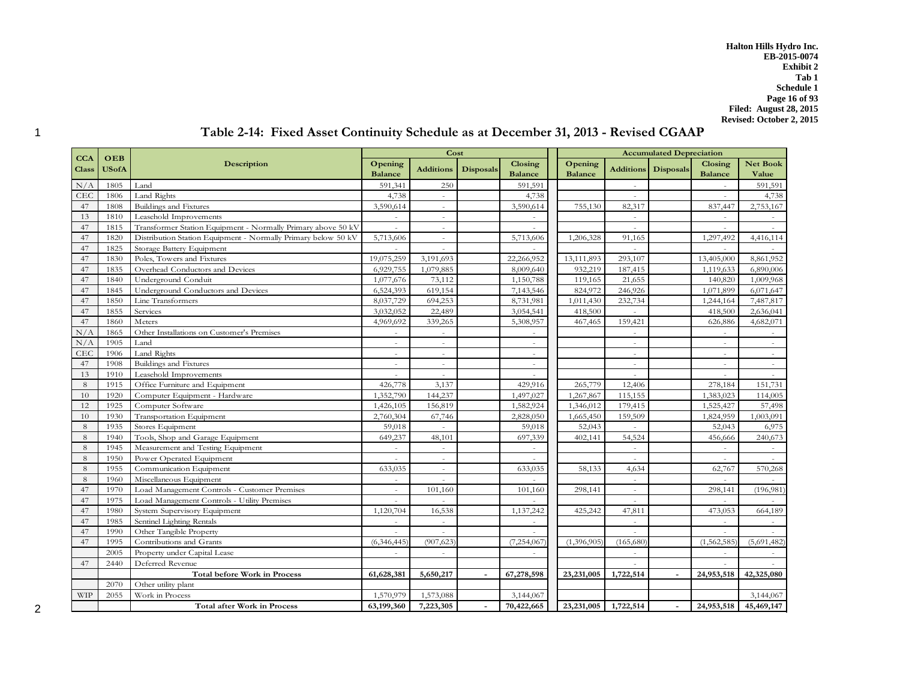**Halton Hills Hydro Inc. EB-2015-0074 Exhibit 2 Tab 1 Schedule 1 Page 16 of 93 Filed: August 28, 2015 Revised: October 2, 2015**

|                            |                     |                                                               |                           | Cost                     |                  |                                  |                           | <b>Accumulated Depreciation</b> |                  |                           |                   |  |
|----------------------------|---------------------|---------------------------------------------------------------|---------------------------|--------------------------|------------------|----------------------------------|---------------------------|---------------------------------|------------------|---------------------------|-------------------|--|
| <b>CCA</b><br><b>Class</b> | OEB<br><b>USofA</b> | Description                                                   | Opening<br><b>Balance</b> | <b>Additions</b>         | <b>Disposals</b> | <b>Closing</b><br><b>Balance</b> | Opening<br><b>Balance</b> | <b>Additions</b>                | <b>Disposals</b> | Closing<br><b>Balance</b> | Net Book<br>Value |  |
| N/A                        | 1805                | Land                                                          | 591,341                   | 250                      |                  | 591,591                          |                           |                                 |                  |                           | 591,591           |  |
| CEC                        | 1806                | Land Rights                                                   | 4,738                     | $\sim$                   |                  | 4,738                            |                           | $\sim$                          |                  | $\sim$                    | 4,738             |  |
| 47                         | 1808                | Buildings and Fixtures                                        | 3,590,614                 | $\sim$                   |                  | 3,590,614                        | 755,130                   | 82,317                          |                  | 837,447                   | 2,753,167         |  |
| 13                         | 1810                | Leasehold Improvements                                        |                           | ÷.                       |                  |                                  |                           | ÷.                              |                  |                           |                   |  |
| 47                         | 1815                | Transformer Station Equipment - Normally Primary above 50 kV  | $\sim$                    | ÷.                       |                  | $\sim$                           |                           | $\sim$                          |                  | $\sim$                    | $\sim$            |  |
| 47                         | 1820                | Distribution Station Equipment - Normally Primary below 50 kV | 5,713,606                 | $\sim$                   |                  | 5,713,606                        | 1,206,328                 | 91,165                          |                  | 1,297,492                 | 4,416,114         |  |
| 47                         | 1825                | Storage Battery Equipment                                     |                           | $\sim$                   |                  |                                  |                           |                                 |                  |                           |                   |  |
| 47                         | 1830                | Poles, Towers and Fixtures                                    | 19,075,259                | 3,191,693                |                  | 22,266,952                       | 13,111,893                | 293,107                         |                  | 13,405,000                | 8,861,952         |  |
| 47                         | 1835                | Overhead Conductors and Devices                               | 6,929,755                 | 1,079,885                |                  | 8,009,640                        | 932,219                   | 187,415                         |                  | 1,119,633                 | 6,890,006         |  |
| 47                         | 1840                | Underground Conduit                                           | 1,077,676                 | 73,112                   |                  | 1,150,788                        | 119,165                   | 21,655                          |                  | 140,820                   | 1,009,968         |  |
| 47                         | 1845                | Underground Conductors and Devices                            | 6,524,393                 | 619,154                  |                  | 7,143,546                        | 824,972                   | 246,926                         |                  | 1,071,899                 | 6,071,647         |  |
| 47                         | 1850                | Line Transformers                                             | 8,037,729                 | 694,253                  |                  | 8,731,981                        | 1,011,430                 | 232,734                         |                  | 1,244,164                 | 7,487,817         |  |
| 47                         | 1855                | Services                                                      | 3,032,052                 | 22,489                   |                  | 3,054,541                        | 418,500                   | $\sim$                          |                  | 418,500                   | 2,636,041         |  |
| 47                         | 1860                | Meters                                                        | 4,969,692                 | 339,265                  |                  | 5,308,957                        | 467,465                   | 159,421                         |                  | 626,886                   | 4,682,071         |  |
| N/A                        | 1865                | Other Installations on Customer's Premises                    | $\sim$                    | $\sim$                   |                  |                                  |                           | $\sim$                          |                  | $\sim$                    |                   |  |
| N/A                        | 1905                | Land                                                          | $\sim$                    | $\sim$                   |                  | $\sim$                           |                           | $\sim$                          |                  | $\sim$                    | $\sim$            |  |
| <b>CEC</b>                 | 1906                | Land Rights                                                   | $\sim$                    | ÷                        |                  | $\sim$                           |                           | $\sim$                          |                  |                           |                   |  |
| 47                         | 1908                | Buildings and Fixtures                                        | $\sim$                    | $\overline{\phantom{a}}$ |                  | ÷,                               |                           | $\sim$                          |                  | $\sim$                    | $\sim$            |  |
| 13                         | 1910                | Leasehold Improvements                                        | $\sim$                    | $\sim$                   |                  | ÷,                               |                           | $\sim$                          |                  | $\sim$                    | $\sim$            |  |
| 8                          | 1915                | Office Furniture and Equipment                                | 426,778                   | 3,137                    |                  | 429,916                          | 265,779                   | 12,406                          |                  | 278,184                   | 151,731           |  |
| 10                         | 1920                | Computer Equipment - Hardware                                 | 1,352,790                 | 144,237                  |                  | 1,497,027                        | 1,267,867                 | 115,155                         |                  | 1,383,023                 | 114,005           |  |
| 12                         | 1925                | Computer Software                                             | 1,426,105                 | 156,819                  |                  | 1,582,924                        | 1,346,012                 | 179,415                         |                  | 1,525,427                 | 57,498            |  |
| 10                         | 1930                | Transportation Equipment                                      | 2,760,304                 | 67,746                   |                  | 2,828,050                        | 1,665,450                 | 159,509                         |                  | 1,824,959                 | 1,003,091         |  |
| 8                          | 1935                | Stores Equipment                                              | 59,018                    |                          |                  | 59,018                           | 52,043                    |                                 |                  | 52,043                    | 6,975             |  |
| 8                          | 1940                | Tools, Shop and Garage Equipment                              | 649,237                   | 48,101                   |                  | 697,339                          | 402,141                   | 54,524                          |                  | 456,666                   | 240,673           |  |
| 8                          | 1945                | Measurement and Testing Equipment                             |                           |                          |                  |                                  |                           |                                 |                  |                           |                   |  |
| 8                          | 1950                | Power Operated Equipment                                      | $\sim$                    | $\sim$                   |                  | $\sim$                           |                           | $\sim$                          |                  | $\sim$                    | $\sim$            |  |
| 8                          | 1955                | Communication Equipment                                       | 633,035                   | $\sim$                   |                  | 633,035                          | 58,133                    | 4,634                           |                  | 62,767                    | 570,268           |  |
| 8                          | 1960                | Miscellaneous Equipment                                       |                           |                          |                  |                                  |                           | $\sim$                          |                  |                           |                   |  |
| 47                         | 1970                | Load Management Controls - Customer Premises                  | $\sim$                    | 101,160                  |                  | 101,160                          | 298,141                   | $\sim$                          |                  | 298,141                   | (196, 981)        |  |
| 47                         | 1975                | Load Management Controls - Utility Premises                   | $\sim$                    |                          |                  |                                  |                           | $\overline{a}$                  |                  |                           |                   |  |
| 47                         | 1980                | System Supervisory Equipment                                  | 1,120,704                 | 16,538                   |                  | 1,137,242                        | 425,242                   | 47,811                          |                  | 473,053                   | 664,189           |  |
| 47                         | 1985                | Sentinel Lighting Rentals                                     | $\sim$                    | $\sim$                   |                  | $\overline{\phantom{a}}$         |                           | $\sim$                          |                  | $\sim$                    | $\sim$            |  |
| 47                         | 1990                | Other Tangible Property                                       | $\sim$                    |                          |                  |                                  |                           |                                 |                  |                           |                   |  |
| 47                         | 1995                | Contributions and Grants                                      | (6,346,445)               | (907, 623)               |                  | (7,254,067)                      | (1,396,905)               | (165,680)                       |                  | (1,562,585)               | (5,691,482)       |  |
|                            | 2005                | Property under Capital Lease                                  | $\sim$                    | $\sim$                   |                  | $\sim$                           |                           | $\sim$                          |                  | $\sim$                    | $\sim$            |  |
| 47                         | 2440                | Deferred Revenue                                              |                           |                          |                  |                                  |                           |                                 |                  |                           |                   |  |
|                            |                     | <b>Total before Work in Process</b>                           | 61,628,381                | 5,650,217                |                  | 67,278,598                       | 23,231,005                | 1,722,514                       |                  | 24,953,518                | 42,325,080        |  |
|                            | 2070                | Other utility plant                                           |                           |                          |                  |                                  |                           |                                 |                  |                           |                   |  |
| <b>WIP</b>                 | 2055                | Work in Process                                               | 1,570,979                 | 1,573,088                |                  | 3,144,067                        |                           |                                 |                  |                           | 3,144,067         |  |
|                            |                     | <b>Total after Work in Process</b>                            | 63,199,360                | 7,223,305                |                  | 70,422,665                       | 23,231,005                | 1,722,514                       |                  | 24,953,518                | 45,469,147        |  |

# 1 **Table 2-14: Fixed Asset Continuity Schedule as at December 31, 2013 - Revised CGAAP**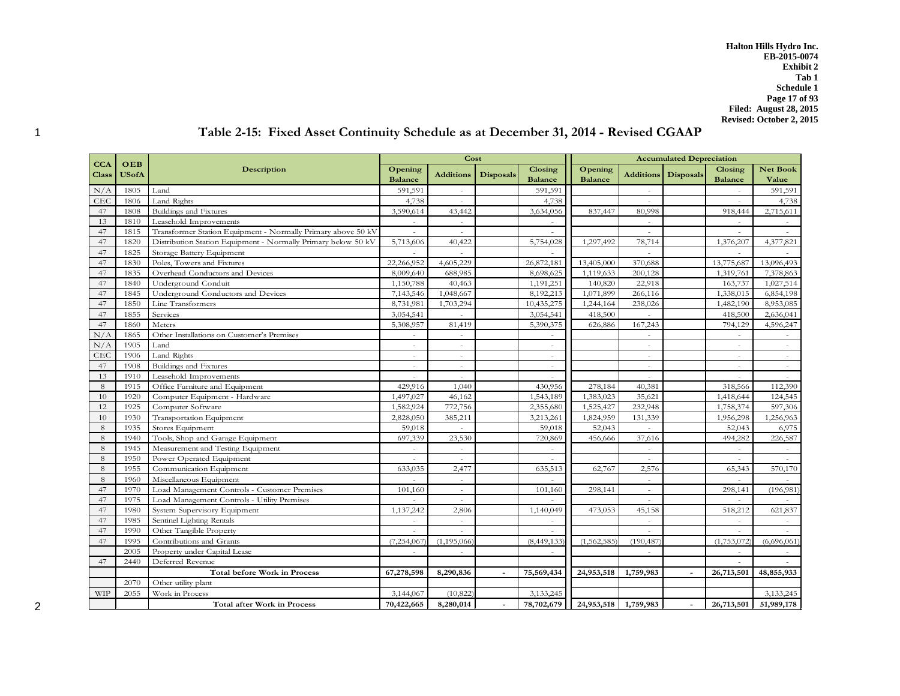**Halton Hills Hydro Inc. EB-2015-0074 Exhibit 2 Tab 1 Schedule 1 Page 17 of 93 Filed: August 28, 2015 Revised: October 2, 2015**

# 1 **Table 2-15: Fixed Asset Continuity Schedule as at December 31, 2014 - Revised CGAAP**

|              |              |                                                               |                | Cost             |                  |                |                |                  | <b>Accumulated Depreciation</b> |                          |                 |
|--------------|--------------|---------------------------------------------------------------|----------------|------------------|------------------|----------------|----------------|------------------|---------------------------------|--------------------------|-----------------|
| <b>CCA</b>   | OEB          | Description                                                   | Opening        |                  |                  | Closing        | Opening        |                  |                                 | Closing                  | <b>Net Book</b> |
| <b>Class</b> | <b>USofA</b> |                                                               | <b>Balance</b> | <b>Additions</b> | <b>Disposals</b> | <b>Balance</b> | <b>Balance</b> | <b>Additions</b> | <b>Disposals</b>                | <b>Balance</b>           | Value           |
| N/A          | 1805         | Land                                                          | 591,591        | $\sim$           |                  | 591,591        |                | $\sim$           |                                 | $\sim$                   | 591,591         |
| CEC          | 1806         | Land Rights                                                   | 4,738          | $\sim$           |                  | 4,738          |                |                  |                                 | ÷.                       | 4,738           |
| 47           | 1808         | Buildings and Fixtures                                        | 3,590,614      | 43,442           |                  | 3,634,056      | 837,447        | 80,998           |                                 | 918,444                  | 2,715,611       |
| 13           | 1810         | Leasehold Improvements                                        | $\sim$         | $\mathbf{r}$     |                  |                |                |                  |                                 | ÷.                       |                 |
| 47           | 1815         | Transformer Station Equipment - Normally Primary above 50 kV  | $\sim$         | $\sim$           |                  |                |                | $\sim$           |                                 | ÷.                       |                 |
| 47           | 1820         | Distribution Station Equipment - Normally Primary below 50 kV | 5,713,606      | 40,422           |                  | 5,754,028      | 1,297,492      | 78,714           |                                 | 1,376,207                | 4,377,821       |
| 47           | 1825         | Storage Battery Equipment                                     | $\overline{a}$ | $\sim$           |                  |                |                |                  |                                 |                          |                 |
| 47           | 1830         | Poles, Towers and Fixtures                                    | 22,266,952     | 4,605,229        |                  | 26,872,181     | 13,405,000     | 370,688          |                                 | 13,775,687               | 13,096,493      |
| 47           | 1835         | Overhead Conductors and Devices                               | 8,009,640      | 688,985          |                  | 8,698,625      | 1,119,633      | 200,128          |                                 | 1,319,761                | 7,378,863       |
| 47           | 1840         | Underground Conduit                                           | 1,150,788      | 40,463           |                  | 1,191,251      | 140,820        | 22,918           |                                 | 163,737                  | 1,027,514       |
| 47           | 1845         | Underground Conductors and Devices                            | 7,143,546      | 1,048,667        |                  | 8,192,213      | 1,071,899      | 266,116          |                                 | 1,338,015                | 6,854,198       |
| 47           | 1850         | Line Transformers                                             | 8,731,981      | 1,703,294        |                  | 10,435,275     | 1,244,164      | 238,026          |                                 | 1,482,190                | 8,953,085       |
| 47           | 1855         | Services                                                      | 3,054,541      |                  |                  | 3,054,541      | 418,500        |                  |                                 | 418,500                  | 2,636,041       |
| 47           | 1860         | Meters                                                        | 5,308,957      | 81,419           |                  | 5,390,375      | 626,886        | 167,243          |                                 | 794,129                  | 4,596,247       |
| N/A          | 1865         | Other Installations on Customer's Premises                    | $\sim$         | $\sim$           |                  | $\sim$         |                | ÷.               |                                 | $\sim$                   | $\sim$          |
| $\rm N/A$    | 1905         | Land                                                          | $\sim$         |                  |                  |                |                |                  |                                 | ÷                        |                 |
| CEC          | 1906         | Land Rights                                                   | $\sim$         | $\sim$           |                  | $\sim$         |                | $\sim$           |                                 | $\sim$                   | $\sim$          |
| 47           | 1908         | Buildings and Fixtures                                        | $\sim$         | $\sim$           |                  | $\overline{a}$ |                |                  |                                 | $\sim$                   | $\sim$          |
| 13           | 1910         | Leasehold Improvements                                        | ÷.             | $\sim$           |                  |                |                |                  |                                 | $\overline{a}$           |                 |
| 8            | 1915         | Office Furniture and Equipment                                | 429.916        | 1.040            |                  | 430,956        | 278,184        | 40,381           |                                 | 318,566                  | 112,390         |
| 10           | 1920         | Computer Equipment - Hardware                                 | 1,497,027      | 46,162           |                  | 1,543,189      | 1,383,023      | 35,621           |                                 | 1,418,644                | 124,545         |
| 12           | 1925         | Computer Software                                             | 1,582,924      | 772,756          |                  | 2,355,680      | 1,525,427      | 232,948          |                                 | 1,758,374                | 597,306         |
| 10           | 1930         | <b>Transportation Equipment</b>                               | 2,828,050      | 385,211          |                  | 3,213,261      | 1,824,959      | 131,339          |                                 | 1,956,298                | 1,256,963       |
| 8            | 1935         | Stores Equipment                                              | 59,018         |                  |                  | 59,018         | 52,043         |                  |                                 | 52,043                   | 6,975           |
| 8            | 1940         | Tools, Shop and Garage Equipment                              | 697,339        | 23,530           |                  | 720,869        | 456,666        | 37,616           |                                 | 494,282                  | 226,587         |
| 8            | 1945         | Measurement and Testing Equipment                             | $\sim$         | $\omega$         |                  | $\omega$       |                | $\sim$           |                                 | $\sim$                   | $\omega$        |
| 8            | 1950         | Power Operated Equipment                                      | $\sim$         | $\sim$           |                  | $\sim$         |                | $\sim$           |                                 | $\overline{\phantom{a}}$ |                 |
| 8            | 1955         | Communication Equipment                                       | 633,035        | 2,477            |                  | 635,513        | 62,767         | 2,576            |                                 | 65,343                   | 570,170         |
| 8            | 1960         | Miscellaneous Equipment                                       | $\sim$         | $\sim$           |                  | $\sim$         |                | $\sim$           |                                 | ÷.                       |                 |
| 47           | 1970         | Load Management Controls - Customer Premises                  | 101,160        | $\sim$           |                  | 101,160        | 298,141        | $\sim$           |                                 | 298,141                  | (196, 981)      |
| 47           | 1975         | Load Management Controls - Utility Premises                   | $\sim$         | $\sim$           |                  |                |                | ÷.               |                                 | ÷.                       |                 |
| 47           | 1980         | System Supervisory Equipment                                  | 1,137,242      | 2,806            |                  | 1,140,049      | 473,053        | 45,158           |                                 | 518,212                  | 621,837         |
| 47           | 1985         | Sentinel Lighting Rentals                                     | $\sim$         | $\sim$           |                  | $\sim$         |                | $\sim$           |                                 | $\sim$                   |                 |
| 47           | 1990         | Other Tangible Property                                       | $\sim$         | $\sim$           |                  | $\sim$         |                | $\sim$           |                                 | ÷.                       |                 |
| 47           | 1995         | Contributions and Grants                                      | (7,254,067)    | (1, 195, 066)    |                  | (8,449,133)    | (1,562,585)    | (190, 487)       |                                 | (1,753,072)              | (6,696,061)     |
|              | 2005         | Property under Capital Lease                                  | $\sim$         | $\sim$           |                  | $\sim$         |                | ÷.               |                                 | $\sim$                   |                 |
| 47           | 2440         | Deferred Revenue                                              |                |                  |                  |                |                |                  |                                 | $\sim$                   |                 |
|              |              | <b>Total before Work in Process</b>                           | 67,278,598     | 8,290,836        |                  | 75,569,434     | 24,953,518     | 1,759,983        |                                 | 26,713,501               | 48,855,933      |
|              | 2070         | Other utility plant                                           |                |                  |                  |                |                |                  |                                 |                          |                 |
| <b>WIP</b>   | 2055         | Work in Process                                               | 3,144,067      | (10, 822)        |                  | 3,133,245      |                |                  |                                 |                          | 3,133,245       |
|              |              | <b>Total after Work in Process</b>                            | 70,422,665     | 8,280,014        |                  | 78,702,679     | 24,953,518     | 1,759,983        | $\overline{\phantom{a}}$        | 26,713,501               | 51,989,178      |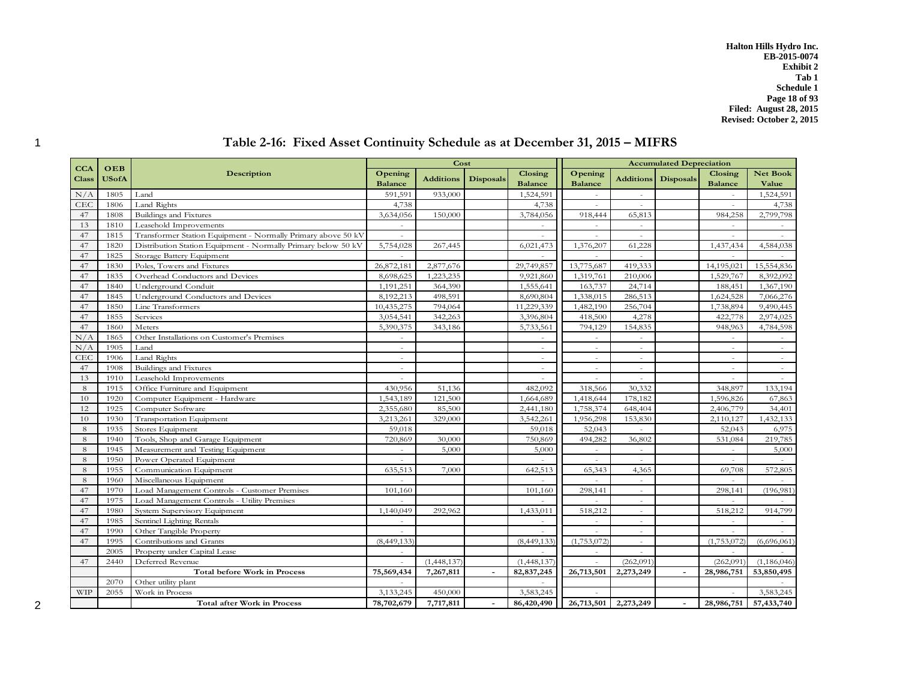**Halton Hills Hydro Inc. EB-2015-0074 Exhibit 2 Tab 1 Schedule 1 Page 18 of 93 Filed: August 28, 2015 Revised: October 2, 2015**

|              |              |                                                               |                | Cost             |                  |                |                |                          | <b>Accumulated Depreciation</b> |                |                 |
|--------------|--------------|---------------------------------------------------------------|----------------|------------------|------------------|----------------|----------------|--------------------------|---------------------------------|----------------|-----------------|
| <b>CCA</b>   | OEB          | <b>Description</b>                                            | Opening        |                  |                  | <b>Closing</b> | Opening        |                          |                                 | Closing        | <b>Net Book</b> |
| <b>Class</b> | <b>USofA</b> |                                                               | <b>Balance</b> | <b>Additions</b> | <b>Disposals</b> | <b>Balance</b> | <b>Balance</b> | <b>Additions</b>         | <b>Disposals</b>                | <b>Balance</b> | Value           |
| N/A          | 1805         | Land                                                          | 591,591        | 933,000          |                  | 1,524,591      | $\sim$         | $\overline{a}$           |                                 | $\sim$         | 1,524,591       |
| <b>CEC</b>   | 1806         | Land Rights                                                   | 4,738          |                  |                  | 4,738          | ÷              |                          |                                 | $\sim$         | 4,738           |
| 47           | 1808         | Buildings and Fixtures                                        | 3,634,056      | 150,000          |                  | 3,784,056      | 918,444        | 65,813                   |                                 | 984,258        | 2,799,798       |
| 13           | 1810         | Leasehold Improvements                                        | $\sim$         |                  |                  |                | $\sim$         |                          |                                 | $\sim$         | $\sim$          |
| 47           | 1815         | Transformer Station Equipment - Normally Primary above 50 kV  | $\sim$         |                  |                  | ÷.             | $\sim$         | ä,                       |                                 | $\sim$         |                 |
| 47           | 1820         | Distribution Station Equipment - Normally Primary below 50 kV | 5,754,028      | 267,445          |                  | 6,021,473      | 1,376,207      | 61,228                   |                                 | 1,437,434      | 4,584,038       |
| 47           | 1825         | Storage Battery Equipment                                     |                |                  |                  |                |                |                          |                                 |                |                 |
| 47           | 1830         | Poles, Towers and Fixtures                                    | 26,872,181     | 2,877,676        |                  | 29,749,857     | 13,775,687     | 419,333                  |                                 | 14,195,021     | 15,554,836      |
| 47           | 1835         | Overhead Conductors and Devices                               | 8,698,625      | 1,223,235        |                  | 9,921,860      | 1,319,761      | 210,006                  |                                 | 1,529,767      | 8,392,092       |
| 47           | 1840         | Underground Conduit                                           | 1,191,251      | 364,390          |                  | 1,555,641      | 163,737        | 24,714                   |                                 | 188,451        | 1,367,190       |
| 47           | 1845         | Underground Conductors and Devices                            | 8,192,213      | 498,591          |                  | 8,690,804      | 1,338,015      | 286,513                  |                                 | 1,624,528      | 7,066,276       |
| 47           | 1850         | Line Transformers                                             | 10,435,275     | 794,064          |                  | 11,229,339     | 1,482,190      | 256,704                  |                                 | 1,738,894      | 9,490,445       |
| 47           | 1855         | Services                                                      | 3,054,541      | 342,263          |                  | 3,396,804      | 418,500        | 4,278                    |                                 | 422,778        | 2,974,025       |
| 47           | 1860         | Meters                                                        | 5,390,375      | 343,186          |                  | 5,733,561      | 794,129        | 154,835                  |                                 | 948,963        | 4,784,598       |
| N/A          | 1865         | Other Installations on Customer's Premises                    | $\sim$         |                  |                  | $\sim$         | $\sim$         | $\overline{a}$           |                                 | $\sim$         | $\sim$          |
| N/A          | 1905         | Land                                                          | $\sim$         |                  |                  |                | $\sim$         |                          |                                 |                |                 |
| <b>CEC</b>   | 1906         | Land Rights                                                   | $\sim$         |                  |                  | $\sim$         | $\sim$         | $\sim$                   |                                 | $\sim$         | $\sim$          |
| 47           | 1908         | Buildings and Fixtures                                        | $\sim$         |                  |                  | $\overline{a}$ | $\sim$         | ÷                        |                                 | $\sim$         | $\sim$          |
| 13           | 1910         | Leasehold Improvements                                        | $\sim$         |                  |                  |                | $\sim$         |                          |                                 | $\sim$         |                 |
| 8            | 1915         | Office Furniture and Equipment                                | 430,956        | 51,136           |                  | 482,092        | 318,566        | 30,332                   |                                 | 348,897        | 133,194         |
| 10           | 1920         | Computer Equipment - Hardware                                 | 1,543,189      | 121,500          |                  | 1,664,689      | 1,418,644      | 178,182                  |                                 | 1,596,826      | 67,863          |
| 12           | 1925         | Computer Software                                             | 2,355,680      | 85,500           |                  | 2,441,180      | 1,758,374      | 648,404                  |                                 | 2,406,779      | 34,401          |
| 10           | 1930         | Transportation Equipment                                      | 3,213,261      | 329,000          |                  | 3,542,261      | 1,956,298      | 153,830                  |                                 | 2,110,127      | 1,432,133       |
| 8            | 1935         | Stores Equipment                                              | 59,018         |                  |                  | 59,018         | 52,043         |                          |                                 | 52,043         | 6,975           |
| 8            | 1940         | Tools, Shop and Garage Equipment                              | 720,869        | 30,000           |                  | 750,869        | 494,282        | 36,802                   |                                 | 531,084        | 219,785         |
| 8            | 1945         | Measurement and Testing Equipment                             | $\sim$         | 5,000            |                  | 5,000          | $\sim$         | $\overline{a}$           |                                 | $\sim$         | 5,000           |
| 8            | 1950         | Power Operated Equipment                                      | $\sim$         |                  |                  |                | $\sim$         | L.                       |                                 | $\sim$         |                 |
| 8            | 1955         | Communication Equipment                                       | 635,513        | 7,000            |                  | 642,513        | 65,343         | 4,365                    |                                 | 69,708         | 572,805         |
| 8            | 1960         | Miscellaneous Equipment                                       | $\sim$         |                  |                  |                |                | $\sim$                   |                                 | $\sim$         |                 |
| 47           | 1970         | Load Management Controls - Customer Premises                  | 101,160        |                  |                  | 101,160        | 298,141        | ÷                        |                                 | 298,141        | (196, 981)      |
| 47           | 1975         | Load Management Controls - Utility Premises                   | $\sim$         |                  |                  |                |                | $\overline{\phantom{a}}$ |                                 | $\sim$         |                 |
| 47           | 1980         | System Supervisory Equipment                                  | 1,140,049      | 292,962          |                  | 1,433,011      | 518,212        | $\overline{a}$           |                                 | 518,212        | 914,799         |
| 47           | 1985         | Sentinel Lighting Rentals                                     | $\sim$         |                  |                  | $\sim$         | $\sim$         | L.                       |                                 | $\sim$         |                 |
| 47           | 1990         | Other Tangible Property                                       | $\sim$         |                  |                  | ÷.             | $\sim$         | ÷.                       |                                 | $\sim$         | $\sim$          |
| 47           | 1995         | Contributions and Grants                                      | (8,449,133)    |                  |                  | (8,449,133)    | (1,753,072)    | $\sim$                   |                                 | (1,753,072)    | (6,696,061)     |
|              | 2005         | Property under Capital Lease                                  | $\sim$         |                  |                  |                | $\sim$         |                          |                                 |                |                 |
| 47           | 2440         | Deferred Revenue                                              | $\sim$         | (1,448,137)      |                  | (1,448,137)    | $\sim$         | (262, 091)               |                                 | (262,091)      | (1, 186, 046)   |
|              |              | <b>Total before Work in Process</b>                           | 75,569,434     | 7,267,811        |                  | 82,837,245     | 26,713,501     | 2,273,249                |                                 | 28,986,751     | 53,850,495      |
|              | 2070         | Other utility plant                                           | $\sim$         |                  |                  |                |                |                          |                                 |                |                 |
| <b>WIP</b>   | 2055         | Work in Process                                               | 3,133,245      | 450,000          |                  | 3,583,245      |                |                          |                                 |                | 3,583,245       |
|              |              | <b>Total after Work in Process</b>                            | 78,702,679     | 7,717,811        |                  | 86,420,490     | 26,713,501     | 2,273,249                | $\sim$                          | 28,986,751     | 57,433,740      |

# 1 **Table 2-16: Fixed Asset Continuity Schedule as at December 31, 2015 – MIFRS**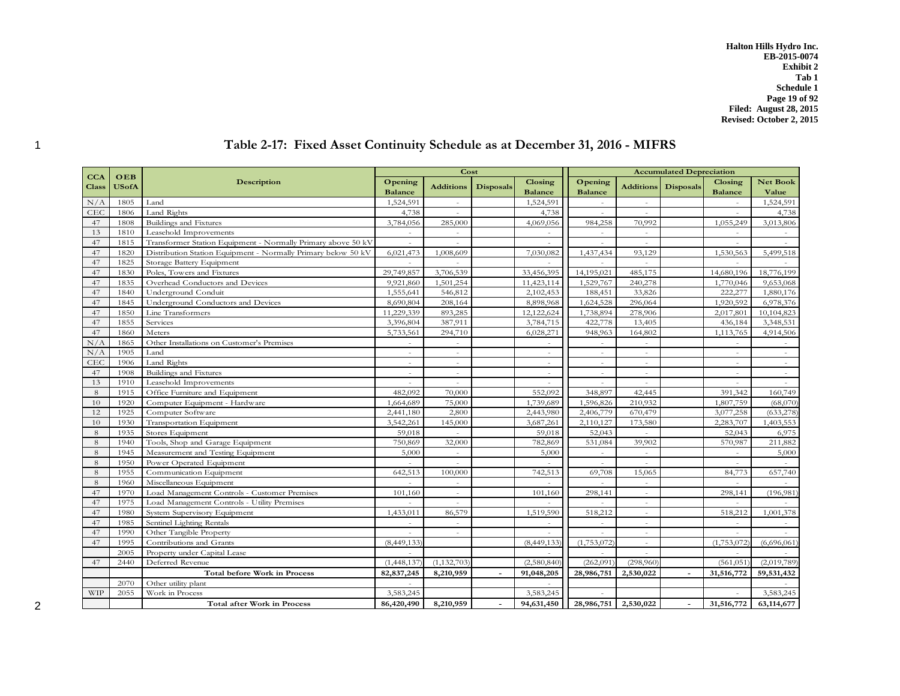**Halton Hills Hydro Inc. EB-2015-0074 Exhibit 2 Tab 1 Schedule 1 Page 19 of 92 Filed: August 28, 2015 Revised: October 2, 2015**

|              |                     |                                                               |                | Cost             |                  |                |                |                          | <b>Accumulated Depreciation</b> |                |                 |
|--------------|---------------------|---------------------------------------------------------------|----------------|------------------|------------------|----------------|----------------|--------------------------|---------------------------------|----------------|-----------------|
| <b>CCA</b>   | OEB<br><b>USofA</b> | <b>Description</b>                                            | Opening        |                  |                  | Closing        | Opening        |                          |                                 | Closing        | <b>Net Book</b> |
| <b>Class</b> |                     |                                                               | <b>Balance</b> | <b>Additions</b> | <b>Disposals</b> | <b>Balance</b> | <b>Balance</b> | <b>Additions</b>         | <b>Disposals</b>                | <b>Balance</b> | Value           |
| N/A          | 1805                | Land                                                          | 1,524,591      | $\sim$           |                  | 1,524,591      | $\sim$         | $\sim$                   |                                 | $\sim$         | 1,524,591       |
| <b>CEC</b>   | 1806                | Land Rights                                                   | 4,738          |                  |                  | 4,738          | $\sim$         | $\overline{a}$           |                                 | $\overline{a}$ | 4,738           |
| 47           | 1808                | Buildings and Fixtures                                        | 3,784,056      | 285,000          |                  | 4,069,056      | 984,258        | 70.992                   |                                 | 1,055,249      | 3,013,806       |
| 13           | 1810                | Leasehold Improvements                                        | $\sim$         | $\sim$           |                  | $\sim$         | $\sim$         | $\sim$                   |                                 | $\sim$         | $\sim$          |
| 47           | 1815                | Transformer Station Equipment - Normally Primary above 50 kV  | $\omega$       | $\sim$           |                  | $\sim$         | $\sim$         | $\sim$                   |                                 | $\sim$         |                 |
| 47           | 1820                | Distribution Station Equipment - Normally Primary below 50 kV | 6,021,473      | 1,008,609        |                  | 7,030,082      | 1,437,434      | 93,129                   |                                 | 1,530,563      | 5,499,518       |
| 47           | 1825                | Storage Battery Equipment                                     | $\sim$         | $\sim$           |                  | $\sim$         | $\sim$         | $\sim$                   |                                 | $\sim$         |                 |
| 47           | 1830                | Poles, Towers and Fixtures                                    | 29,749,857     | 3,706,539        |                  | 33,456,395     | 14,195,021     | 485,175                  |                                 | 14,680,196     | 18,776,199      |
| 47           | 1835                | Overhead Conductors and Devices                               | 9,921,860      | 1,501,254        |                  | 11,423,114     | 1,529,767      | 240,278                  |                                 | 1,770,046      | 9,653,068       |
| 47           | 1840                | Underground Conduit                                           | 1,555,641      | 546,812          |                  | 2,102,453      | 188,451        | 33,826                   |                                 | 222,277        | 1,880,176       |
| 47           | 1845                | Underground Conductors and Devices                            | 8,690,804      | 208,164          |                  | 8,898,968      | 1,624,528      | 296,064                  |                                 | 1,920,592      | 6,978,376       |
| 47           | 1850                | Line Transformers                                             | 11,229,339     | 893,285          |                  | 12,122,624     | 1,738,894      | 278,906                  |                                 | 2,017,801      | 10,104,823      |
| 47           | 1855                | Services                                                      | 3,396,804      | 387,911          |                  | 3,784,715      | 422,778        | 13,405                   |                                 | 436,184        | 3,348,531       |
| 47           | 1860                | Meters                                                        | 5,733,561      | 294,710          |                  | 6,028,271      | 948,963        | 164,802                  |                                 | 1,113,765      | 4,914,506       |
| N/A          | 1865                | Other Installations on Customer's Premises                    | $\sim$         | $\sim$           |                  | $\sim$         | $\sim$         | $\sim$                   |                                 | $\sim$         | $\sim$          |
| N/A          | 1905                | Land                                                          | $\sim$         | $\sim$           |                  | $\sim$         | $\sim$         | $\sim$                   |                                 | $\sim$         | $\sim$          |
| CEC          | 1906                | Land Rights                                                   | $\sim$         | $\sim$           |                  | $\sim$         | $\sim$         | $\sim$                   |                                 | $\sim$         | $\sim$          |
| 47           | 1908                | Buildings and Fixtures                                        | $\sim$         | $\sim$           |                  | $\sim$         | $\sim$         | $\sim$                   |                                 | ÷.             | $\sim$          |
| 13           | 1910                | Leasehold Improvements                                        | $\sim$         |                  |                  |                |                |                          |                                 |                |                 |
| 8            | 1915                | Office Furniture and Equipment                                | 482.092        | 70,000           |                  | 552,092        | 348,897        | 42,445                   |                                 | 391,342        | 160,749         |
| 10           | 1920                | Computer Equipment - Hardware                                 | 1,664,689      | 75,000           |                  | 1,739,689      | 1,596,826      | 210,932                  |                                 | 1,807,759      | (68,070)        |
| 12           | 1925                | Computer Software                                             | 2,441,180      | 2,800            |                  | 2,443,980      | 2,406,779      | 670,479                  |                                 | 3,077,258      | (633, 278)      |
| 10           | 1930                | Transportation Equipment                                      | 3,542,261      | 145,000          |                  | 3,687,261      | 2,110,127      | 173,580                  |                                 | 2,283,707      | 1,403,553       |
| 8            | 1935                | Stores Equipment                                              | 59,018         |                  |                  | 59,018         | 52,043         | $\overline{a}$           |                                 | 52,043         | 6,975           |
| 8            | 1940                | Tools, Shop and Garage Equipment                              | 750,869        | 32,000           |                  | 782,869        | 531,084        | 39,902                   |                                 | 570,987        | 211,882         |
| 8            | 1945                | Measurement and Testing Equipment                             | 5,000          | $\sim$           |                  | 5,000          | $\sim$         | $\sim$                   |                                 | $\sim$         | 5,000           |
| 8            | 1950                | Power Operated Equipment                                      | $\sim$         |                  |                  | $\sim$         | $\sim$         | $\overline{a}$           |                                 | ÷.             | $\sim$          |
| 8            | 1955                | Communication Equipment                                       | 642,513        | 100,000          |                  | 742,513        | 69,708         | 15,065                   |                                 | 84,773         | 657,740         |
| 8            | 1960                | Miscellaneous Equipment                                       | $\sim$         | $\sim$           |                  | $\sim$         | $\sim$         | ÷,                       |                                 | $\sim$         |                 |
| 47           | 1970                | Load Management Controls - Customer Premises                  | 101,160        | $\sim$           |                  | 101,160        | 298,141        | $\sim$                   |                                 | 298,141        | (196,981)       |
| 47           | 1975                | Load Management Controls - Utility Premises                   |                | $\sim$           |                  |                |                | $\overline{a}$           |                                 |                |                 |
| 47           | 1980                | System Supervisory Equipment                                  | 1,433,011      | 86,579           |                  | 1,519,590      | 518,212        | $\sim$                   |                                 | 518,212        | 1,001,378       |
| 47           | 1985                | Sentinel Lighting Rentals                                     | ÷.             |                  |                  |                | $\sim$         | $\overline{\phantom{a}}$ |                                 | $\sim$         |                 |
| 47           | 1990                | Other Tangible Property                                       | $\sim$         | $\sim$           |                  |                |                |                          |                                 |                |                 |
| 47           | 1995                | Contributions and Grants                                      | (8,449,133)    |                  |                  | (8,449,133)    | (1,753,072)    | $\sim$                   |                                 | (1,753,072)    | (6,696,061)     |
|              | 2005                | Property under Capital Lease                                  |                |                  |                  |                |                | $\overline{\phantom{a}}$ |                                 |                |                 |
| 47           | 2440                | Deferred Revenue                                              | (1,448,137)    | (1, 132, 703)    |                  | (2,580,840)    | (262,091)      | (298,960)                |                                 | (561, 051)     | (2,019,789)     |
|              |                     | <b>Total before Work in Process</b>                           | 82, 837, 245   | 8,210,959        |                  | 91,048,205     | 28,986,751     | 2,530,022                |                                 | 31,516,772     | 59,531,432      |
|              | 2070                | Other utility plant                                           |                |                  |                  |                |                |                          |                                 |                |                 |
| <b>WIP</b>   | 2055                | Work in Process                                               | 3,583,245      |                  |                  | 3,583,245      |                |                          |                                 |                | 3,583,245       |
|              |                     | Total after Work in Process                                   | 86,420,490     | 8,210,959        |                  | 94,631,450     | 28,986,751     | 2,530,022                |                                 | 31,516,772     | 63,114,677      |

# 1 **Table 2-17: Fixed Asset Continuity Schedule as at December 31, 2016 - MIFRS**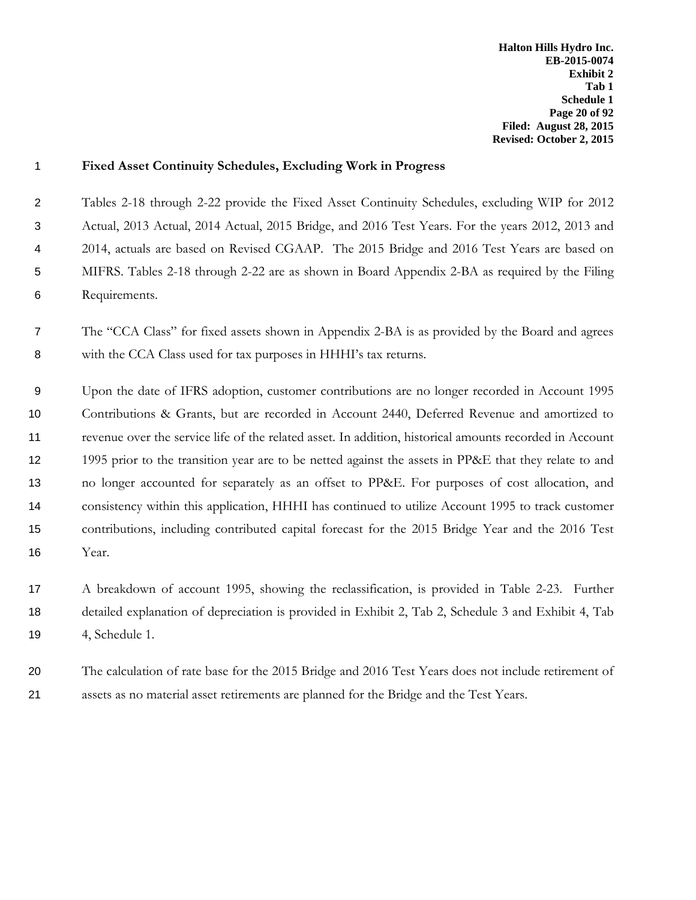**Halton Hills Hydro Inc. EB-2015-0074 Exhibit 2 Tab 1 Schedule 1 Page 20 of 92 Filed: August 28, 2015 Revised: October 2, 2015**

| $\mathbf{1}$   | <b>Fixed Asset Continuity Schedules, Excluding Work in Progress</b>                                     |
|----------------|---------------------------------------------------------------------------------------------------------|
| $\overline{2}$ | Tables 2-18 through 2-22 provide the Fixed Asset Continuity Schedules, excluding WIP for 2012           |
| 3              | Actual, 2013 Actual, 2014 Actual, 2015 Bridge, and 2016 Test Years. For the years 2012, 2013 and        |
| 4              | 2014, actuals are based on Revised CGAAP. The 2015 Bridge and 2016 Test Years are based on              |
| 5              | MIFRS. Tables 2-18 through 2-22 are as shown in Board Appendix 2-BA as required by the Filing           |
| 6              | Requirements.                                                                                           |
| $\overline{7}$ | The "CCA Class" for fixed assets shown in Appendix 2-BA is as provided by the Board and agrees          |
| 8              | with the CCA Class used for tax purposes in HHHI's tax returns.                                         |
| 9              | Upon the date of IFRS adoption, customer contributions are no longer recorded in Account 1995           |
| 10             | Contributions & Grants, but are recorded in Account 2440, Deferred Revenue and amortized to             |
| 11             | revenue over the service life of the related asset. In addition, historical amounts recorded in Account |
| 12             | 1995 prior to the transition year are to be netted against the assets in PP&E that they relate to and   |
| 13             | no longer accounted for separately as an offset to PP&E. For purposes of cost allocation, and           |
| 14             | consistency within this application, HHHI has continued to utilize Account 1995 to track customer       |
| 15             | contributions, including contributed capital forecast for the 2015 Bridge Year and the 2016 Test        |
| 16             | Year.                                                                                                   |
| 17             | A breakdown of account 1995, showing the reclassification, is provided in Table 2-23. Further           |
| 18             | detailed explanation of depreciation is provided in Exhibit 2, Tab 2, Schedule 3 and Exhibit 4, Tab     |
| 19             | 4, Schedule 1.                                                                                          |
| 20             | The calculation of rate base for the 2015 Bridge and 2016 Test Years does not include retirement of     |
| 21             | assets as no material asset retirements are planned for the Bridge and the Test Years.                  |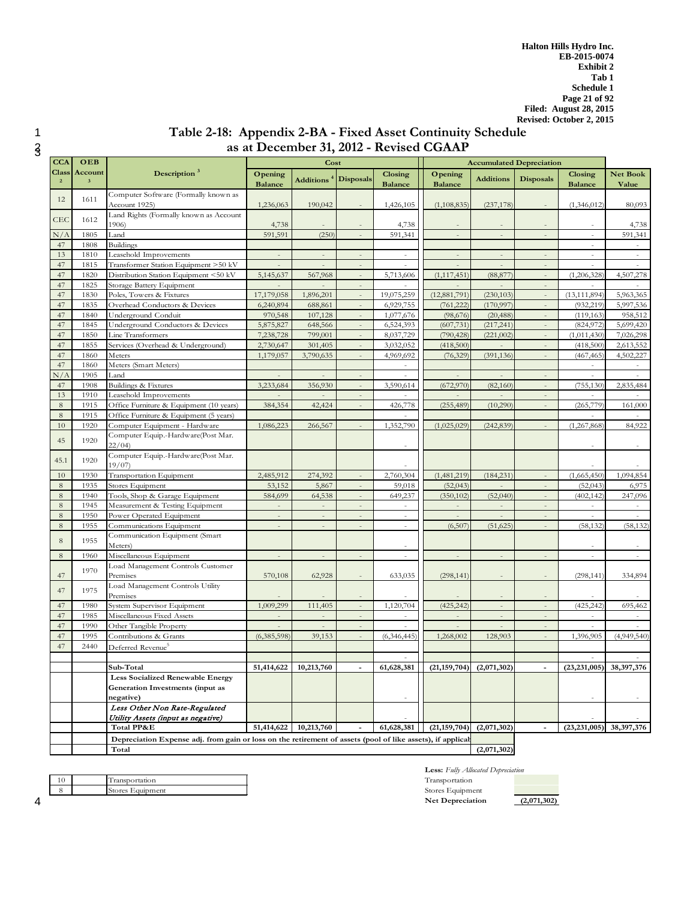# 1 **Table 2-18: Appendix 2-BA - Fixed Asset Continuity Schedule**  as at December 31, 2012 - Revised CGAAP

| <b>CCA</b>              | OEB                                |                                                                                                            |                           | Cost                             |                          |                           |                                  | <b>Accumulated Depreciation</b> |                          |                           |                               |
|-------------------------|------------------------------------|------------------------------------------------------------------------------------------------------------|---------------------------|----------------------------------|--------------------------|---------------------------|----------------------------------|---------------------------------|--------------------------|---------------------------|-------------------------------|
| Class<br>$\overline{2}$ | Account<br>$\overline{\mathbf{3}}$ | Description $3$                                                                                            | Opening<br><b>Balance</b> | Additions <sup>4</sup> Disposals |                          | Closing<br><b>Balance</b> | Opening<br><b>Balance</b>        | <b>Additions</b>                | <b>Disposals</b>         | Closing<br><b>Balance</b> | Net Book<br>Value             |
| 12                      | 1611                               | Computer Software (Formally known as<br>Account 1925)                                                      | 1,236,063                 | 190,042                          |                          | 1,426,105                 | (1, 108, 835)                    | (237, 178)                      |                          | (1,346,012)               | 80,093                        |
| CEC                     | 1612                               | Land Rights (Formally known as Account<br>1906)                                                            | 4,738                     |                                  |                          | 4,738                     |                                  |                                 |                          |                           | 4,738                         |
| N/A                     | 1805                               | Land                                                                                                       | 591,591                   | (250)                            | $\overline{\phantom{a}}$ | 591,341                   | $\overline{\phantom{a}}$         | $\sim$                          | $\sim$                   | $\sim$                    | 591,341                       |
| 47                      | 1808                               | <b>Buildings</b>                                                                                           |                           |                                  |                          |                           |                                  |                                 |                          |                           |                               |
| 13                      | 1810                               | Leasehold Improvements                                                                                     |                           |                                  |                          |                           |                                  | $\bar{a}$                       |                          |                           | $\sim$                        |
| 47                      | 1815                               |                                                                                                            |                           |                                  |                          |                           |                                  |                                 |                          |                           |                               |
| 47                      | 1820                               | Transformer Station Equipment >50 kV<br>Distribution Station Equipment <50 kV                              |                           |                                  |                          |                           |                                  |                                 | ÷,                       | (1,206,328)               |                               |
|                         |                                    |                                                                                                            | 5,145,637                 | 567,968                          | $\overline{\phantom{a}}$ | 5,713,606                 | (1, 117, 451)                    | (88, 877)                       |                          |                           | 4,507,278                     |
| 47                      | 1825                               | Storage Battery Equipment                                                                                  |                           |                                  |                          |                           |                                  |                                 |                          |                           |                               |
| 47                      | 1830                               | Poles, Towers & Fixtures                                                                                   | 17,179,058                | 1,896,201                        | $\sim$                   | 19,075,259                | (12,881,791)                     | (230, 103)                      |                          | (13, 111, 894)            | 5,963,365                     |
| 47                      | 1835                               | Overhead Conductors & Devices                                                                              | 6,240,894                 | 688,861                          | $\sim$                   | 6,929,755                 | (761, 222)                       | (170, 997)                      | $\sim$                   | (932, 219)                | 5,997,536                     |
| 47                      | 1840                               | Underground Conduit                                                                                        | 970,548                   | 107,128                          | $\sim$                   | 1,077,676                 | (98, 676)                        | (20, 488)                       | ÷,                       | (119, 163)                | 958,512                       |
| 47                      | 1845                               | Underground Conductors & Devices                                                                           | 5,875,827                 | 648,566                          | $\overline{\phantom{a}}$ | 6,524,393                 | (607, 731)                       | (217, 241)                      | $\sim$                   | (824, 972)                | 5,699,420                     |
| 47                      | 1850                               | Line Transformers                                                                                          | 7,238,728                 | 799,001                          |                          | 8,037,729                 | (790, 428)                       | (221,002)                       |                          | (1,011,430)               | 7,026,298                     |
| 47                      | 1855                               | Services (Overhead & Underground)                                                                          | 2,730,647                 | 301,405                          | $\overline{\phantom{a}}$ | 3,032,052                 | (418,500)                        |                                 | $\overline{\phantom{a}}$ | (418,500)                 | 2,613,552                     |
| 47                      | 1860                               | Meters                                                                                                     | 1,179,057                 | 3,790,635                        |                          | 4,969,692                 | (76, 329)                        | (391, 136)                      |                          | (467, 465)                | 4,502,227                     |
| 47                      | 1860                               | Meters (Smart Meters)                                                                                      |                           |                                  |                          | $\equiv$                  |                                  |                                 |                          | $\overline{\phantom{a}}$  | $\sim$                        |
| N/A                     | 1905                               | Land                                                                                                       |                           |                                  |                          |                           |                                  | $\overline{a}$                  |                          | $\sim$                    |                               |
| 47                      | 1908                               | <b>Buildings &amp; Fixtures</b>                                                                            | 3,233,684                 | 356,930                          | $\overline{\phantom{a}}$ | 3,590,614                 | (672,970)                        | (82,160)                        | $\overline{a}$           | (755, 130)                | 2,835,484                     |
| 13                      | 1910                               | Leasehold Improvements                                                                                     |                           |                                  | $\overline{\phantom{a}}$ |                           |                                  |                                 | $\overline{\phantom{a}}$ | $\sim$                    |                               |
| $\,$ 8 $\,$             | 1915                               | Office Furniture & Equipment (10 years)                                                                    | 384,354                   | 42,424                           | $\overline{\phantom{a}}$ | 426,778                   | (255, 489)                       | (10,290)                        | $\overline{\phantom{a}}$ | (265, 779)                | 161,000                       |
| $\,$ 8 $\,$             | 1915                               | Office Furniture & Equipment (5 years)                                                                     |                           |                                  |                          |                           |                                  |                                 |                          |                           |                               |
| 10                      | 1920                               | Computer Equipment - Hardware                                                                              | 1,086,223                 | 266,567                          |                          | 1,352,790                 | (1,025,029)                      | (242, 839)                      |                          | (1,267,868)               | 84,922                        |
| 45                      | 1920                               | Computer Equip.-Hardware(Post Mar.<br>22/04                                                                |                           |                                  |                          |                           |                                  |                                 |                          |                           |                               |
| 45.1                    | 1920                               | Computer Equip.-Hardware(Post Mar.<br>19/07                                                                |                           |                                  |                          |                           |                                  |                                 |                          |                           |                               |
| 10                      | 1930                               | Transportation Equipment                                                                                   | 2,485,912                 | 274,392                          | $\bar{\phantom{a}}$      | 2,760,304                 | (1,481,219)                      | (184, 231)                      | $\sim$                   | (1,665,450)               | 1,094,854                     |
| 8                       | 1935                               | Stores Equipment                                                                                           | 53,152                    | 5,867                            | $\overline{a}$           | 59,018                    | (52, 043)                        |                                 | ÷.                       | (52, 043)                 | 6,975                         |
| 8                       | 1940                               | Tools, Shop & Garage Equipment                                                                             | 584,699                   | 64,538                           | $\overline{\phantom{a}}$ | 649,237                   | (350, 102)                       | (52,040)                        | $\sim$                   | (402, 142)                | 247,096                       |
| 8                       | 1945                               | Measurement & Testing Equipment                                                                            |                           |                                  |                          |                           |                                  |                                 | ÷,                       | ÷.                        |                               |
| $8\phantom{.}$          | 1950                               | Power Operated Equipment                                                                                   |                           | $\bar{a}$                        | $\bar{a}$                | $\sim$                    | $\bar{a}$                        | $\bar{a}$                       | $\bar{a}$                | $\overline{\phantom{a}}$  | $\omega$                      |
| 8                       | 1955                               | Communications Equipment                                                                                   |                           |                                  |                          | $\sim$                    | (6,507)                          | (51, 625)                       |                          | (58, 132)                 | (58, 132)                     |
| $\,$ 8 $\,$             | 1955                               | Communication Equipment (Smart<br>Meters)                                                                  |                           |                                  |                          |                           |                                  |                                 |                          |                           |                               |
| $\,$ 8 $\,$             | 1960                               | Miscellaneous Equipment                                                                                    |                           | $\overline{\phantom{a}}$         | $\overline{\phantom{a}}$ | $\sim$                    | $\overline{a}$                   | $\sim$                          | $\overline{a}$           | $\sim$                    |                               |
| 47                      | 1970                               | Load Management Controls Customer<br>Premises                                                              | 570,108                   | 62,928                           |                          | 633,035                   | (298, 141)                       | $\sim$                          |                          | (298, 141)                | 334,894                       |
| 47                      | 1975                               | Load Management Controls Utility<br>Premises                                                               |                           |                                  |                          |                           |                                  |                                 |                          |                           |                               |
| 47                      | 1980                               | System Supervisor Equipment                                                                                | 1,009,299                 | 111,405                          |                          | 1,120,704                 | (425, 242)                       |                                 |                          | (425, 242)                | 695,462                       |
|                         |                                    |                                                                                                            |                           |                                  |                          |                           |                                  |                                 |                          |                           |                               |
| 47<br>47                | 1985<br>1990                       | Miscellaneous Fixed Assets<br>Other Tangible Property                                                      |                           | $\equiv$<br>$\sim$               | $\overline{\phantom{a}}$ | ÷.                        |                                  | $\overline{\phantom{a}}$        |                          |                           |                               |
| 47                      |                                    |                                                                                                            |                           |                                  |                          |                           |                                  |                                 |                          |                           |                               |
|                         | 1995                               | Contributions & Grants                                                                                     | (6,385,598)               | 39,153                           |                          | (6,346,445)               | 1,268,002                        | 128,903                         | ÷,                       | 1,396,905                 | (4,949,540)                   |
| 47                      | 2440                               | Deferred Revenue <sup>5</sup>                                                                              |                           |                                  |                          |                           |                                  |                                 |                          |                           |                               |
|                         |                                    |                                                                                                            |                           |                                  |                          |                           |                                  |                                 |                          |                           |                               |
|                         |                                    | Sub-Total                                                                                                  | 51,414,622                | 10,213,760                       |                          | 61,628,381                | $(21, 159, 704)$ $(2, 071, 302)$ |                                 |                          |                           | $(23, 231, 005)$ 38, 397, 376 |
|                         |                                    | <b>Less Socialized Renewable Energy</b><br>Generation Investments (input as                                |                           |                                  |                          |                           |                                  |                                 |                          |                           |                               |
|                         |                                    | negative)                                                                                                  |                           |                                  |                          |                           |                                  |                                 |                          |                           |                               |
|                         |                                    | Less Other Non Rate-Regulated                                                                              |                           |                                  |                          |                           |                                  |                                 |                          |                           |                               |
|                         |                                    | Utility Assets (input as negative)                                                                         |                           |                                  |                          |                           |                                  |                                 |                          |                           |                               |
|                         |                                    | Total PP&E                                                                                                 | 51,414,622                | 10,213,760                       |                          | 61,628,381                | (21, 159, 704)                   | (2,071,302)                     |                          | (23, 231, 005)            | 38,397,376                    |
|                         |                                    | Depreciation Expense adj. from gain or loss on the retirement of assets (pool of like assets), if applical |                           |                                  |                          |                           |                                  |                                 |                          |                           |                               |
|                         |                                    | Total                                                                                                      |                           |                                  |                          |                           |                                  | (2,071,302)                     |                          |                           |                               |

|  | ransportation    |
|--|------------------|
|  | Stores Equipment |
|  |                  |

**Less:** *Fully Allocated Depreciation* 10 Transportation Transportation  $\rm\thinspace Stores$  Equipment **Net Depreciation (2,071,302)**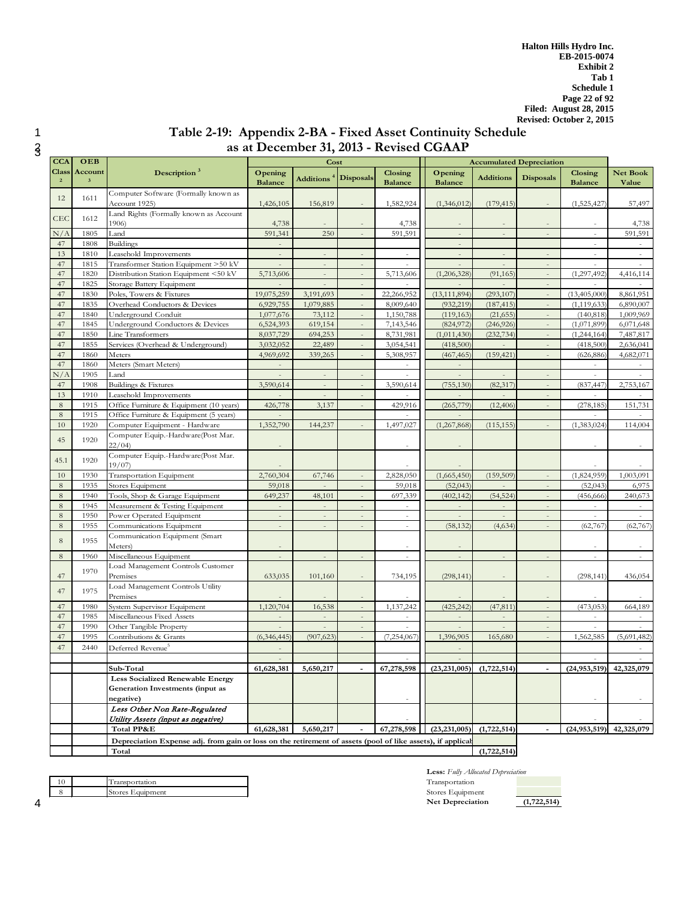# 1 **Table 2-19: Appendix 2-BA - Fixed Asset Continuity Schedule**  as at December 31, 2013 - Revised CGAAP

| <b>CCA</b>                     | OEB                                |                                                                                                            | Cost                      |                                  |                          |                           |                                           |                          | <b>Accumulated Depreciation</b> |                           |                   |
|--------------------------------|------------------------------------|------------------------------------------------------------------------------------------------------------|---------------------------|----------------------------------|--------------------------|---------------------------|-------------------------------------------|--------------------------|---------------------------------|---------------------------|-------------------|
| <b>Class</b><br>$\overline{2}$ | Account<br>$\overline{\mathbf{3}}$ | Description <sup>3</sup>                                                                                   | Opening<br><b>Balance</b> | Additions <sup>4</sup> Disposals |                          | Closing<br><b>Balance</b> | Opening<br><b>Balance</b>                 | <b>Additions</b>         | <b>Disposals</b>                | Closing<br><b>Balance</b> | Net Book<br>Value |
|                                |                                    | Computer Software (Formally known as                                                                       |                           |                                  |                          |                           |                                           |                          |                                 |                           |                   |
| 12                             | 1611                               | Account 1925)                                                                                              | 1,426,105                 | 156,819                          |                          | 1,582,924                 | (1,346,012)                               | (179, 415)               |                                 | (1,525,427)               | 57,497            |
|                                |                                    | Land Rights (Formally known as Account                                                                     |                           |                                  |                          |                           |                                           |                          |                                 |                           |                   |
| <b>CEC</b>                     | 1612                               | 1906)                                                                                                      | 4,738                     |                                  |                          | 4,738                     |                                           |                          |                                 |                           | 4,738             |
| N/A                            | 1805                               | Land                                                                                                       | 591,341                   | 250                              | ä,                       | 591,591                   |                                           | $\overline{a}$           | $\sim$                          | ÷.                        | 591,591           |
| 47                             | 1808                               | <b>Buildings</b>                                                                                           |                           |                                  |                          |                           | $\sim$                                    |                          |                                 |                           |                   |
| 13                             | 1810                               | Leasehold Improvements                                                                                     | $\sim$                    | $\sim$                           |                          | $\sim$                    | $\sim$                                    | $\sim$                   |                                 | ÷.                        |                   |
| 47                             | 1815                               | Transformer Station Equipment >50 kV                                                                       |                           | $\sim$                           | $\overline{\phantom{a}}$ | $\sim$                    | $\sim$                                    |                          |                                 | $\sim$                    |                   |
| 47                             | 1820                               | Distribution Station Equipment <50 kV                                                                      | 5,713,606                 |                                  | ÷,                       | 5,713,606                 | (1,206,328)                               | (91, 165)                |                                 | (1,297,492)               | 4,416,114         |
| 47                             | 1825                               | Storage Battery Equipment                                                                                  | $\sim$                    | $\sim$                           | $\frac{1}{2}$            | $\sim$                    | $\sim$                                    | $\sim$                   | $\bar{a}$                       | $\sim$                    |                   |
| 47                             | 1830                               | Poles, Towers & Fixtures                                                                                   | 19,075,259                | 3,191,693                        | $\sim$                   | 22,266,952                | (13, 111, 894)                            | (293, 107)               | $\overline{a}$                  | (13,405,000)              | 8,861,951         |
| 47                             | 1835                               | Overhead Conductors & Devices                                                                              | 6,929,755                 | 1,079,885                        | $\overline{\phantom{a}}$ | 8,009,640                 | (932.219)                                 | (187, 415)               | $\overline{\phantom{a}}$        | (1, 119, 633)             | 6,890,007         |
| 47                             | 1840                               | Underground Conduit                                                                                        | 1,077,676                 | 73,112                           | $\overline{a}$           | 1,150,788                 | (119, 163)                                | (21, 655)                |                                 | (140, 818)                | 1,009,969         |
| 47                             | 1845                               | Underground Conductors & Devices                                                                           | 6,524,393                 | 619,154                          | $\overline{\phantom{a}}$ | 7,143,546                 | (824, 972)                                | (246, 926)               | $\sim$                          | (1,071,899)               | 6,071,648         |
| 47                             | 1850                               | Line Transformers                                                                                          | 8,037,729                 | 694,253                          | $\overline{\phantom{a}}$ | 8,731,981                 | (1,011,430)                               | (232, 734)               | $\overline{a}$                  | (1,244,164)               | 7,487,817         |
| 47                             | 1855                               | Services (Overhead & Underground)                                                                          | 3,032,052                 | 22,489                           | $\overline{\phantom{a}}$ | 3,054,541                 | (418,500)                                 |                          | $\sim$                          | (418,500)                 | 2,636,041         |
| 47                             | 1860                               | Meters                                                                                                     | 4,969,692                 | 339,265                          |                          | 5,308,957                 | (467, 465)                                | (159, 421)               |                                 | (626, 886)                | 4,682,071         |
| 47                             | 1860                               | Meters (Smart Meters)                                                                                      | $\overline{\phantom{a}}$  |                                  |                          |                           | $\overline{\phantom{a}}$                  |                          |                                 | $\sim$                    |                   |
| N/A                            | 1905                               | Land                                                                                                       |                           |                                  |                          |                           |                                           |                          |                                 |                           |                   |
| 47                             | 1908                               | Buildings & Fixtures                                                                                       | 3,590,614                 |                                  |                          | 3,590,614                 | (755, 130)                                | (82, 317)                |                                 | (837, 447)                | 2,753,167         |
| 13                             | 1910                               | Leasehold Improvements                                                                                     |                           |                                  | ÷,                       |                           |                                           |                          |                                 |                           |                   |
| $\,8\,$                        | 1915                               | Office Furniture & Equipment (10 years)                                                                    | 426,778                   | 3,137                            |                          | 429,916                   | (265, 779)                                | (12, 406)                |                                 | (278, 185)                | 151,731           |
| $\,8\,$                        | 1915                               | Office Furniture & Equipment (5 years)                                                                     |                           |                                  |                          |                           |                                           |                          |                                 |                           |                   |
| $10\,$                         | 1920                               | Computer Equipment - Hardware                                                                              | 1,352,790                 | 144,237                          |                          | 1,497,027                 | (1,267,868)                               | (115, 155)               |                                 | (1,383,024)               | 114,004           |
| 45                             | 1920                               | Computer Equip.-Hardware(Post Mar.                                                                         |                           |                                  |                          |                           |                                           |                          |                                 |                           |                   |
|                                |                                    | 22/04                                                                                                      |                           |                                  |                          | ÷.                        |                                           |                          |                                 |                           |                   |
| 45.1                           | 1920                               | Computer Equip.-Hardware(Post Mar.                                                                         |                           |                                  |                          |                           |                                           |                          |                                 |                           |                   |
|                                |                                    | 19/07                                                                                                      |                           |                                  |                          |                           |                                           |                          |                                 |                           |                   |
| 10                             | 1930                               | Transportation Equipment                                                                                   | 2,760,304                 | 67,746                           | $\bar{a}$                | 2,828,050                 | (1,665,450)                               | (159,509)                | $\sim$                          | (1,824,959)               | 1,003,091         |
| 8                              | 1935                               | Stores Equipment                                                                                           | 59,018                    |                                  |                          | 59,018                    | (52, 043)                                 |                          |                                 | (52, 043)                 | 6,975             |
| 8                              | 1940                               | Tools, Shop & Garage Equipment                                                                             | 649,237                   | 48,101                           | $\sim$                   | 697,339                   | (402, 142)                                | (54, 524)                |                                 | (456, 666)                | 240,673           |
| 8                              | 1945                               | Measurement & Testing Equipment                                                                            |                           | $\sim$                           |                          | $\sim$                    |                                           |                          |                                 | $\sim$                    | ÷.                |
| $\,8\,$                        | 1950                               | Power Operated Equipment                                                                                   |                           | $\equiv$                         | ÷,                       | $\sim$                    | $\bar{a}$                                 | $\bar{a}$                |                                 | $\overline{\phantom{a}}$  |                   |
| 8                              | 1955                               | Communications Equipment                                                                                   |                           |                                  |                          | $\sim$                    | (58, 132)                                 | (4,634)                  |                                 | (62, 767)                 | (62, 767)         |
| 8                              | 1955                               | Communication Equipment (Smart                                                                             |                           |                                  |                          |                           |                                           |                          |                                 |                           |                   |
|                                |                                    | Meters)                                                                                                    |                           |                                  |                          |                           |                                           |                          |                                 |                           |                   |
| $\,8\,$                        | 1960                               | Miscellaneous Equipment<br>Load Management Controls Customer                                               |                           | $\overline{a}$                   | $\overline{a}$           | $\sim$                    | $\overline{a}$                            | $\overline{\phantom{a}}$ | $\overline{a}$                  | ÷.                        |                   |
|                                | 1970                               |                                                                                                            |                           |                                  |                          |                           |                                           |                          |                                 |                           |                   |
| 47                             |                                    | Premises<br>Load Management Controls Utility                                                               | 633,035                   | 101,160                          | $\overline{a}$           | 734,195                   | (298, 141)                                | $\overline{\phantom{a}}$ |                                 | (298, 141)                | 436,054           |
| 47                             | 1975                               | Premises                                                                                                   |                           |                                  |                          |                           |                                           |                          |                                 |                           |                   |
| 47                             | 1980                               | System Supervisor Equipment                                                                                | 1,120,704                 | 16,538                           |                          | 1,137,242                 | (425, 242)                                | (47, 811)                |                                 | (473, 053)                | 664,189           |
| 47                             | 1985                               | Miscellaneous Fixed Assets                                                                                 |                           | $\sim$                           |                          | $\sim$                    | $\sim$                                    |                          |                                 |                           |                   |
| 47                             | 1990                               | Other Tangible Property                                                                                    |                           |                                  | $\qquad \qquad -$        |                           |                                           |                          |                                 |                           |                   |
| 47                             | 1995                               | Contributions & Grants                                                                                     | (6,346,445)               | (907, 623)                       |                          | (7,254,067)               | 1,396,905                                 | 165,680                  |                                 | 1,562,585                 | (5,691,482)       |
|                                |                                    |                                                                                                            |                           |                                  |                          |                           |                                           |                          |                                 |                           |                   |
| 47                             | 2440                               | Deferred Revenue <sup>5</sup>                                                                              | ÷.                        |                                  |                          |                           |                                           |                          |                                 | $\overline{a}$            |                   |
|                                |                                    | Sub-Total                                                                                                  | 61,628,381                | 5,650,217                        |                          |                           | $(7,278,598$ $(23,231,005)$ $(1,722,514)$ |                          |                                 | (24, 953, 519)            | 42,325,079        |
|                                |                                    | <b>Less Socialized Renewable Energy</b>                                                                    |                           |                                  |                          |                           |                                           |                          |                                 |                           |                   |
|                                |                                    | Generation Investments (input as                                                                           |                           |                                  |                          |                           |                                           |                          |                                 |                           |                   |
|                                |                                    | negative)                                                                                                  |                           |                                  |                          | $\sim$                    |                                           |                          |                                 |                           |                   |
|                                |                                    | Less Other Non Rate-Regulated                                                                              |                           |                                  |                          |                           |                                           |                          |                                 |                           |                   |
|                                |                                    | Utility Assets (input as negative)                                                                         |                           |                                  |                          |                           |                                           |                          |                                 |                           |                   |
|                                |                                    | Total PP&E                                                                                                 | 61,628,381                | 5,650,217                        |                          | 67,278,598                | (23, 231, 005)                            | (1,722,514)              |                                 | (24, 953, 519)            | 42,325,079        |
|                                |                                    | Depreciation Expense adj. from gain or loss on the retirement of assets (pool of like assets), if applical |                           |                                  |                          |                           |                                           |                          |                                 |                           |                   |
|                                |                                    | Total                                                                                                      |                           |                                  |                          |                           |                                           | (1,722,514)              |                                 |                           |                   |
|                                |                                    |                                                                                                            |                           |                                  |                          |                           |                                           |                          |                                 |                           |                   |

|  | Transportation   |
|--|------------------|
|  | Stores Equipment |
|  |                  |

**Less:** *Fully Allocated Depreciation* Transportation Stores Equipment Stores Equipment **Net Depreciation (1,722,514)**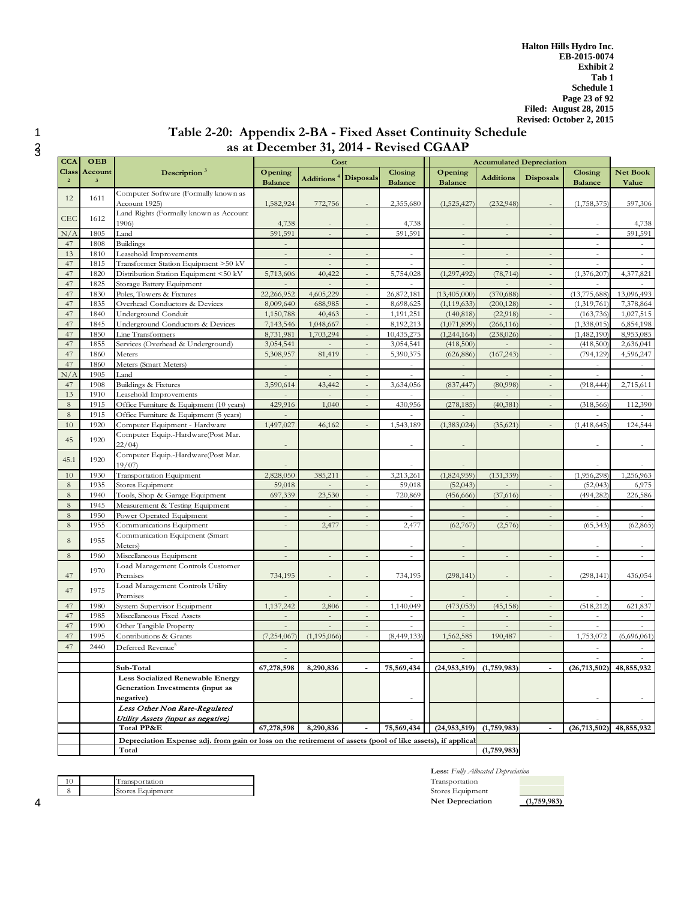# 1 **Table 2-20: Appendix 2-BA - Fixed Asset Continuity Schedule**  as at December 31, 2014 - Revised CGAAP

| <b>CCA</b>                   | OEB                                |                                                                                                            | Cost                      |                                  |                          |                           |                           |                          | <b>Accumulated Depreciation</b> |                           |                          |
|------------------------------|------------------------------------|------------------------------------------------------------------------------------------------------------|---------------------------|----------------------------------|--------------------------|---------------------------|---------------------------|--------------------------|---------------------------------|---------------------------|--------------------------|
| <b>Class</b><br>$\mathbf{2}$ | Account<br>$\overline{\mathbf{3}}$ | Description $3$                                                                                            | Opening<br><b>Balance</b> | Additions <sup>4</sup> Disposals |                          | Closing<br><b>Balance</b> | Opening<br><b>Balance</b> | <b>Additions</b>         | <b>Disposals</b>                | Closing<br><b>Balance</b> | <b>Net Book</b><br>Value |
| 12                           | 1611                               | Computer Software (Formally known as<br>Account 1925)                                                      | 1,582,924                 | 772,756                          |                          | 2,355,680                 | (1,525,427)               | (232,948)                |                                 | (1,758,375)               | 597,306                  |
| CEC                          | 1612                               | Land Rights (Formally known as Account<br>1906)                                                            | 4,738                     |                                  |                          | 4,738                     |                           |                          |                                 |                           | 4,738                    |
| N/A                          | 1805                               | Land                                                                                                       | 591,591                   | $\sim$                           | $\overline{\phantom{a}}$ | 591,591                   | $\overline{\phantom{a}}$  | $\overline{\phantom{a}}$ | $\sim$                          | $\overline{a}$            | 591,591                  |
| 47                           | 1808                               | <b>Buildings</b>                                                                                           |                           |                                  |                          |                           | $\overline{\phantom{a}}$  |                          |                                 |                           |                          |
| 13                           | 1810                               | Leasehold Improvements                                                                                     |                           |                                  |                          |                           |                           | $\qquad \qquad =$        |                                 |                           |                          |
| 47                           | 1815                               | Transformer Station Equipment >50 kV                                                                       |                           |                                  |                          |                           |                           |                          |                                 |                           |                          |
| 47                           | 1820                               | Distribution Station Equipment <50 kV                                                                      | 5,713,606                 | 40,422                           |                          | 5,754,028                 | (1,297,492)               | (78, 714)                |                                 | (1,376,207)               | 4,377,821                |
| 47                           | 1825                               | Storage Battery Equipment                                                                                  |                           |                                  |                          |                           |                           |                          |                                 |                           |                          |
| 47                           | 1830                               | Poles, Towers & Fixtures                                                                                   | 22,266,952                | 4,605,229                        | $\overline{a}$           | 26,872,181                | (13,405,000)              | (370, 688)               |                                 | (13,775,688)              | 13,096,493               |
| 47                           | 1835                               | Overhead Conductors & Devices                                                                              | 8,009,640                 | 688,985                          |                          | 8,698,625                 | (1, 119, 633)             | (200, 128)               |                                 | (1,319,761)               | 7,378,864                |
| 47                           | 1840                               | Underground Conduit                                                                                        | 1,150,788                 | 40,463                           | $\overline{a}$           | 1,191,251                 | (140, 818)                | (22,918)                 | $\overline{a}$                  | (163, 736)                | 1,027,515                |
| 47                           | 1845                               | Underground Conductors & Devices                                                                           | 7,143,546                 | 1,048,667                        | $\bar{a}$                | 8,192,213                 | (1,071,899)               | (266, 116)               | $\sim$                          | (1,338,015)               | 6,854,198                |
| 47                           | 1850                               | Line Transformers                                                                                          | 8,731,981                 | 1,703,294                        | $\overline{a}$           | 10,435,275                | (1,244,164)               | (238, 026)               | $\sim$                          | (1,482,190)               | 8,953,085                |
| 47                           | 1855                               | Services (Overhead & Underground)                                                                          | 3,054,541                 |                                  | $\sim$                   | 3,054,541                 | (418,500)                 |                          | $\sim$                          | (418,500)                 | 2,636,041                |
| 47                           | 1860                               | Meters                                                                                                     | 5,308,957                 | 81,419                           |                          | 5,390,375                 | (626, 886)                | (167, 243)               |                                 | (794, 129)                | 4,596,247                |
| 47                           | 1860                               | Meters (Smart Meters)                                                                                      | $\overline{\phantom{a}}$  |                                  |                          |                           | $\sim$                    |                          |                                 | $\sim$                    |                          |
| N/A                          | 1905                               | Land                                                                                                       |                           |                                  |                          | ÷.                        | $\overline{\phantom{a}}$  |                          |                                 | $\sim$                    |                          |
| 47                           | 1908                               | <b>Buildings &amp; Fixtures</b>                                                                            | 3,590,614                 | 43,442                           | $\bar{z}$                | 3,634,056                 | (837, 447)                | (80,998)                 | $\sim$                          | (918, 444)                | 2,715,611                |
| 13                           | 1910                               | Leasehold Improvements                                                                                     | $\sim$                    | $\sim$                           | $\overline{a}$           | $\sim$                    | $\sim$                    | $\sim$                   | $\sim$                          | $\sim$                    |                          |
| $\,8\,$                      | 1915                               | Office Furniture & Equipment (10 years)                                                                    | 429,916                   | 1,040                            | $\omega$                 | 430,956                   | (278, 185)                | (40, 381)                | $\sim$                          | (318, 566)                | 112,390                  |
| 8                            | 1915                               | Office Furniture & Equipment (5 years)                                                                     | $\overline{a}$            |                                  |                          | $\overline{a}$            |                           |                          |                                 | $\overline{a}$            |                          |
| 10                           | 1920                               | Computer Equipment - Hardware                                                                              | 1,497,027                 | 46,162                           |                          | 1,543,189                 | (1,383,024)               | (35, 621)                |                                 | (1,418,645)               | 124,544                  |
| 45                           | 1920                               | Computer Equip.-Hardware(Post Mar.<br>22/04                                                                |                           |                                  |                          | $\overline{\phantom{m}}$  |                           |                          |                                 |                           |                          |
| 45.1                         | 1920                               | Computer Equip.-Hardware(Post Mar.<br>19/07                                                                |                           |                                  |                          |                           |                           |                          |                                 |                           |                          |
| 10                           | 1930                               | Transportation Equipment                                                                                   | 2,828,050                 | 385,211                          |                          | 3,213,261                 | (1,824,959)               | (131, 339)               |                                 | (1,956,298)               | 1,256,963                |
| 8                            | 1935                               | Stores Equipment                                                                                           | 59,018                    |                                  |                          | 59,018                    | (52,043)                  |                          |                                 | (52, 043)                 | 6,975                    |
| 8                            | 1940                               | Tools, Shop & Garage Equipment                                                                             | 697,339                   | 23,530                           |                          | 720,869                   | (456, 666)                | (37,616)                 |                                 | (494, 282)                | 226,586                  |
| 8                            | 1945                               | Measurement & Testing Equipment                                                                            |                           | $\overline{\phantom{a}}$         |                          | $\overline{\phantom{a}}$  |                           | $\overline{\phantom{a}}$ |                                 |                           |                          |
| 8                            | 1950                               | Power Operated Equipment                                                                                   | $\sim$                    | $\overline{a}$                   | $\sim$                   | $\sim$                    | $\overline{a}$            | $\overline{a}$           | $\sim$                          | $\sim$                    |                          |
| $\,8\,$                      | 1955                               | Communications Equipment                                                                                   | $\overline{a}$            | 2,477                            |                          | 2,477                     | (62, 767)                 | (2,576)                  |                                 | (65, 343)                 | (62, 865)                |
| $\,8\,$                      | 1955                               | Communication Equipment (Smart<br>Meters)                                                                  |                           |                                  |                          |                           |                           |                          |                                 |                           |                          |
| 8                            | 1960                               | Miscellaneous Equipment                                                                                    | $\sim$                    | $\omega$                         | $\sim$                   | $\sim$                    | $\sim$                    | $\sim$                   | $\sim$                          | $\sim$                    |                          |
|                              | 1970                               | Load Management Controls Customer                                                                          |                           |                                  |                          |                           |                           |                          |                                 |                           |                          |
| 47<br>47                     | 1975                               | Premises<br>Load Management Controls Utility                                                               | 734,195                   |                                  |                          | 734,195                   | (298, 141)                | $\sim$                   |                                 | (298, 141)                | 436,054                  |
|                              |                                    | Premises                                                                                                   |                           |                                  |                          |                           |                           |                          |                                 |                           |                          |
| 47                           | 1980                               | System Supervisor Equipment                                                                                | 1,137,242                 | 2,806                            | $\sim$                   | 1,140,049                 | (473,053)                 | (45, 158)                |                                 | (518, 212)                | 621,837                  |
| 47                           | 1985                               | Miscellaneous Fixed Assets                                                                                 | $\bar{a}$                 | $\sim$                           | $\omega$                 | $\sim$                    | $\sim$                    | $\omega$                 | $\bar{ }$                       | $\sim$                    | $\sim$                   |
| 47                           | 1990                               | Other Tangible Property                                                                                    |                           |                                  | $\overline{a}$           | $\sim$                    | $\overline{a}$            | $\overline{a}$           | $\sim$                          | ÷,                        |                          |
| 47                           | 1995                               | Contributions & Grants                                                                                     | (7, 254, 067)             | (1, 195, 066)                    | $\sim$                   | (8,449,133)               | 1,562,585                 | 190,487                  |                                 | 1,753,072                 | (6,696,061)              |
| 47                           | 2440                               | Deferred Revenue <sup>3</sup>                                                                              |                           |                                  |                          |                           |                           |                          |                                 |                           |                          |
|                              |                                    |                                                                                                            |                           |                                  |                          |                           |                           |                          |                                 |                           |                          |
|                              |                                    | Sub-Total                                                                                                  | 67,278,598                | 8,290,836                        |                          | 75,569,434                | (24, 953, 519)            | (1,759,983)              |                                 | (26,713,502)              | 48,855,932               |
|                              |                                    | <b>Less Socialized Renewable Energy</b>                                                                    |                           |                                  |                          |                           |                           |                          |                                 |                           |                          |
|                              |                                    | Generation Investments (input as                                                                           |                           |                                  |                          |                           |                           |                          |                                 |                           |                          |
|                              |                                    | negative)                                                                                                  |                           |                                  |                          |                           |                           |                          |                                 |                           |                          |
|                              |                                    | Less Other Non Rate-Regulated                                                                              |                           |                                  |                          |                           |                           |                          |                                 |                           |                          |
|                              |                                    | Utility Assets (input as negative)                                                                         |                           |                                  |                          |                           |                           |                          |                                 |                           |                          |
|                              |                                    | Total PP&E                                                                                                 | 67,278,598                | 8,290,836                        |                          | 75,569,434                | (24, 953, 519)            | (1,759,983)              |                                 | (26, 713, 502)            | 48,855,932               |
|                              |                                    | Depreciation Expense adj. from gain or loss on the retirement of assets (pool of like assets), if applical |                           |                                  |                          |                           |                           |                          |                                 |                           |                          |
|                              |                                    | Total                                                                                                      |                           |                                  |                          |                           |                           | (1,759,983)              |                                 |                           |                          |

|  | Transportation   |
|--|------------------|
|  | Stores Equipment |
|  |                  |

**Less:** *Fully Allocated Depreciation* Transportation Stores Equipme Stores Equipment

**Net Depreciation (1,759,983)**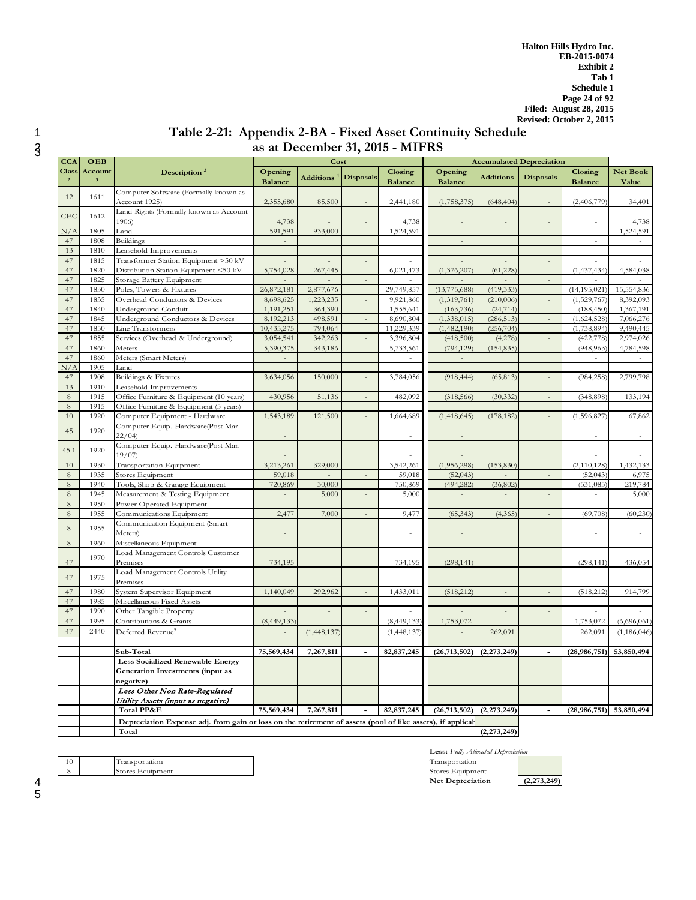# 1 **Table 2-21: Appendix 2-BA - Fixed Asset Continuity Schedule**  <sup>2</sup> **as at December 31, 2015 - MIFRS** <sup>3</sup>

| <b>CCA</b>                     | OEB                                |                                                                                                            |                           | Cost             |                          |                           |                           | <b>Accumulated Depreciation</b> |                          |                           |                          |
|--------------------------------|------------------------------------|------------------------------------------------------------------------------------------------------------|---------------------------|------------------|--------------------------|---------------------------|---------------------------|---------------------------------|--------------------------|---------------------------|--------------------------|
| <b>Class</b><br>$\overline{2}$ | Account<br>$\overline{\mathbf{3}}$ | Description <sup>3</sup>                                                                                   | Opening<br><b>Balance</b> | <b>Additions</b> | <b>Disposals</b>         | Closing<br><b>Balance</b> | Opening<br><b>Balance</b> | <b>Additions</b>                | <b>Disposals</b>         | Closing<br><b>Balance</b> | <b>Net Book</b><br>Value |
| 12                             | 1611                               | Computer Software (Formally known as<br>Account 1925)                                                      | 2,355,680                 | 85,500           |                          | 2,441,180                 | (1,758,375)               | (648, 404)                      |                          | (2,406,779)               | 34,401                   |
| CEC                            | 1612                               | Land Rights (Formally known as Account<br>1906)                                                            | 4,738                     |                  |                          | 4,738                     |                           |                                 |                          |                           | 4,738                    |
| N/A                            | 1805                               | Land                                                                                                       | 591,591                   | 933,000          | $\sim$                   | 1,524,591                 | $\Box$                    | $\bar{z}$                       | $\bar{z}$                | $\omega$                  | 1,524,591                |
| 47                             | 1808                               | <b>Buildings</b>                                                                                           |                           |                  |                          |                           |                           |                                 |                          |                           |                          |
| 13                             | 1810                               | Leasehold Improvements                                                                                     |                           |                  |                          |                           |                           | $\frac{1}{2}$                   |                          |                           |                          |
| 47                             | 1815                               | Transformer Station Equipment >50 kV                                                                       |                           |                  |                          |                           |                           |                                 |                          |                           |                          |
| 47                             | 1820                               | Distribution Station Equipment <50 kV                                                                      | 5,754,028                 | 267,445          | $\frac{1}{2}$            | 6,021,473                 | (1,376,207)               | (61,228)                        | $\overline{a}$           | (1,437,434)               | 4,584,038                |
| 47                             | 1825                               | Storage Battery Equipment                                                                                  |                           |                  |                          |                           |                           |                                 |                          |                           |                          |
| 47                             | 1830                               | Poles, Towers & Fixtures                                                                                   | 26,872,181                | 2,877,676        | $\overline{\phantom{a}}$ | 29,749,857                | (13, 775, 688)            | (419, 333)                      |                          | (14, 195, 021)            | 15,554,836               |
| 47                             | 1835                               | Overhead Conductors & Devices                                                                              | 8,698,625                 | 1,223,235        |                          | 9,921,860                 | (1, 319, 761)             | (210,006)                       |                          | (1,529,767)               | 8,392,093                |
| 47                             | 1840                               | Underground Conduit                                                                                        | 1,191,251                 | 364,390          | $\Box$                   | 1,555,641                 | (163, 736)                | (24, 714)                       | $\Box$                   | (188, 450)                | 1,367,191                |
| 47                             | 1845                               | Underground Conductors & Devices                                                                           | 8,192,213                 | 498,591          |                          | 8,690,804                 | (1,338,015)               | (286, 513)                      |                          | (1,624,528)               | 7,066,276                |
| 47                             | 1850                               | Line Transformers                                                                                          | 10,435,275                | 794,064          | $\bar{a}$                | 11,229,339                | (1,482,190)               | (256, 704)                      | $\equiv$                 | (1,738,894)               | 9,490,445                |
| 47                             | 1855                               | Services (Overhead & Underground)                                                                          | 3,054,541                 | 342,263          |                          | 3,396,804                 | (418,500)                 | (4,278)                         |                          | (422, 778)                | 2,974,026                |
| 47                             | 1860                               | Meters                                                                                                     | 5,390,375                 | 343,186          | $\overline{\phantom{a}}$ | 5,733,561                 | (794, 129)                | (154, 835)                      |                          | (948, 963)                | 4,784,598                |
| 47                             | 1860                               | Meters (Smart Meters)                                                                                      |                           |                  |                          |                           |                           |                                 |                          |                           |                          |
| N/A                            | 1905                               | Land                                                                                                       | $\overline{\phantom{a}}$  |                  | $\overline{\phantom{a}}$ | à.                        | $\overline{\phantom{a}}$  | $\sim$                          |                          | $\sim$                    | à.                       |
| 47                             | 1908                               | <b>Buildings &amp; Fixtures</b>                                                                            | 3,634,056                 | 150,000          | $\overline{a}$           | 3,784,056                 | (918, 444)                | (65, 813)                       |                          | (984, 258)                | 2,799,798                |
| 13                             | 1910                               | Leasehold Improvements                                                                                     |                           |                  | $\overline{a}$           |                           |                           |                                 | $\sim$                   |                           |                          |
| 8                              | 1915                               | Office Furniture & Equipment (10 years)                                                                    | 430,956                   | 51,136           |                          | 482,092                   | (318, 566)                | (30, 332)                       |                          | (348, 898)                | 133,194                  |
| 8                              | 1915                               | Office Furniture & Equipment (5 years)                                                                     |                           |                  |                          |                           |                           |                                 |                          |                           |                          |
| 10                             | 1920                               | Computer Equipment - Hardware                                                                              | 1,543,189                 | 121,500          |                          | 1,664,689                 | (1, 418, 645)             | (178, 182)                      |                          | (1,596,827)               | 67,862                   |
| 45                             | 1920                               | Computer Equip.-Hardware(Post Mar.<br>22/04                                                                |                           |                  |                          |                           |                           |                                 |                          |                           |                          |
| 45.1                           | 1920                               | Computer Equip.-Hardware(Post Mar.<br>19/07                                                                |                           |                  |                          |                           |                           |                                 |                          |                           |                          |
| 10                             | 1930                               | Transportation Equipment                                                                                   | 3,213,261                 | 329,000          | $\sim$                   | 3,542,261                 | (1,956,298)               | (153, 830)                      | $\sim$                   | (2,110,128)               | 1,432,133                |
| 8                              | 1935                               | Stores Equipment                                                                                           | 59,018                    |                  |                          | 59,018                    | (52,043)                  |                                 |                          | (52, 043)                 | 6,975                    |
| 8                              | 1940                               | Tools, Shop & Garage Equipment                                                                             | 720,869                   | 30,000           | $\equiv$                 | 750,869                   | (494, 282)                | (36, 802)                       | $\bar{\phantom{a}}$      | (531, 085)                | 219,784                  |
| 8                              | 1945                               | Measurement & Testing Equipment                                                                            |                           | 5,000            |                          | 5,000                     |                           |                                 |                          |                           | 5,000                    |
| 8                              | 1950                               | Power Operated Equipment                                                                                   | $\overline{\phantom{a}}$  | ÷,               | $\overline{\phantom{a}}$ | à.                        | $\overline{\phantom{a}}$  | $\overline{\phantom{a}}$        | $\bar{a}$                | $\bar{\phantom{a}}$       | $\sim$                   |
| 8                              | 1955                               | Communications Equipment                                                                                   | 2,477                     | 7,000            |                          | 9,477                     | (65, 343)                 | (4, 365)                        |                          | (69,708)                  | (60, 230)                |
| 8                              | 1955                               | Communication Equipment (Smart<br>Meters)                                                                  |                           |                  |                          |                           |                           |                                 |                          |                           |                          |
| $\,8\,$                        | 1960                               | Miscellaneous Equipment                                                                                    | $\mathcal{L}$             | $\equiv$         | $\overline{\phantom{a}}$ | $\mathbb{L}$              | $\bar{z}$                 | $\bar{\phantom{a}}$             | $\sim$                   | $\sim$                    | $\bar{a}$                |
| 47                             | 1970                               | Load Management Controls Customer<br>Premises                                                              | 734,195                   |                  |                          | 734,195                   | (298, 141)                |                                 |                          | (298, 141)                | 436,054                  |
| 47                             | 1975                               | Load Management Controls Utility<br>Premises                                                               |                           |                  |                          |                           |                           |                                 |                          |                           |                          |
| 47                             | 1980                               | System Supervisor Equipment                                                                                | 1,140,049                 | 292,962          | $\frac{1}{2}$            | 1,433,011                 | (518, 212)                |                                 |                          | (518, 212)                | 914,799                  |
| 47                             | 1985                               | Miscellaneous Fixed Assets                                                                                 |                           |                  | $\sim$                   | $\sim$                    |                           | $\sim$                          | $\overline{a}$           | $\sim$                    |                          |
| 47                             | 1990                               | Other Tangible Property                                                                                    |                           |                  | $\frac{1}{2}$            |                           |                           | $\overline{a}$                  | $\bar{\phantom{a}}$      | $\overline{a}$            |                          |
| 47                             | 1995                               | Contributions & Grants                                                                                     | (8,449,133)               |                  | $\sim$                   | (8,449,133)               | 1,753,072                 |                                 | $\sim$                   | 1,753,072                 | (6,696,061)              |
| 47                             | 2440                               | Deferred Revenue <sup>5</sup>                                                                              |                           | (1,448,137)      |                          | (1,448,137)               |                           | 262,091                         |                          | 262,091                   | (1, 186, 046)            |
|                                |                                    | Sub-Total                                                                                                  | 75,569,434                | 7,267,811        | $\blacksquare$           | 82, 837, 245              | (26, 713, 502)            | (2,273,249)                     | $\overline{\phantom{a}}$ | (28, 986, 751)            | 53,850,494               |
|                                |                                    | <b>Less Socialized Renewable Energy</b><br>Generation Investments (input as<br>negative)                   |                           |                  |                          |                           |                           |                                 |                          |                           |                          |
|                                |                                    | Less Other Non Rate-Regulated                                                                              |                           |                  |                          |                           |                           |                                 |                          |                           |                          |
|                                |                                    | Utility Assets (input as negative)                                                                         |                           |                  |                          |                           |                           |                                 |                          |                           |                          |
|                                |                                    | Total PP&E                                                                                                 | 75,569,434                | 7,267,811        |                          | 82, 837, 245              | (26, 713, 502)            | (2,273,249)                     |                          | (28, 986, 751)            | 53,850,494               |
|                                |                                    | Depreciation Expense adj. from gain or loss on the retirement of assets (pool of like assets), if applical |                           |                  |                          |                           |                           |                                 |                          |                           |                          |
|                                |                                    | Total                                                                                                      |                           |                  |                          |                           |                           | (2,273,249)                     |                          |                           |                          |
|                                |                                    |                                                                                                            |                           |                  |                          |                           |                           |                                 |                          |                           |                          |

10 Transportation<br>8 Stores Equipment Stores Equipment

| Less: Fully Allocated Depreciation |  |
|------------------------------------|--|
| Transportation                     |  |
| Stores Equipment                   |  |
| <b>Net Depreciation</b>            |  |

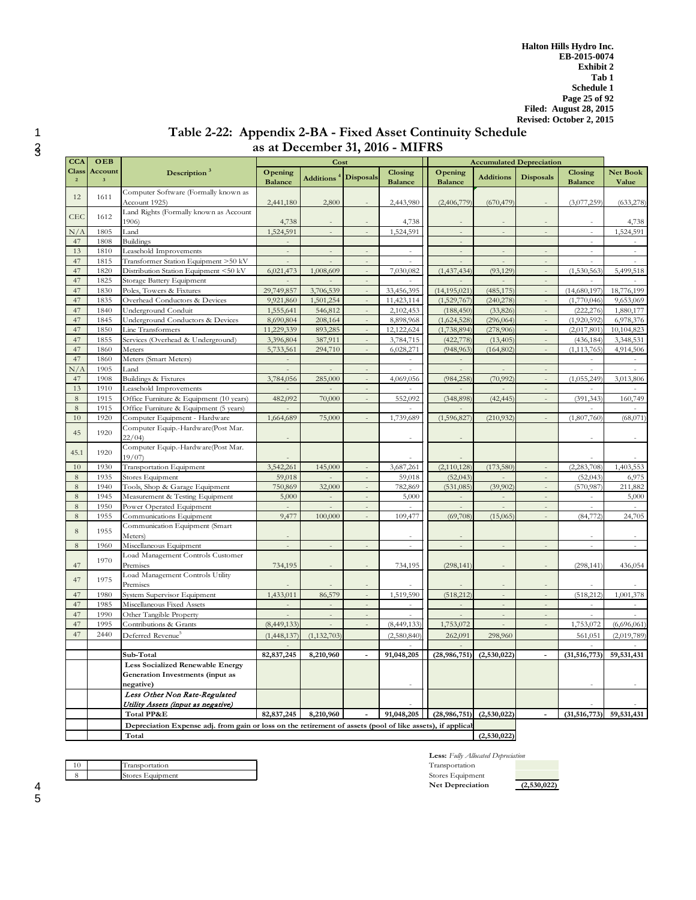# 1 **Table 2-22: Appendix 2-BA - Fixed Asset Continuity Schedule**  <sup>2</sup> **as at December 31, 2016 - MIFRS** <sup>3</sup>

| <b>CCA</b>                     | OEB                                |                                                                                                            |                           | Cost                |                          |                           |                           | <b>Accumulated Depreciation</b> |                          |                           |                          |
|--------------------------------|------------------------------------|------------------------------------------------------------------------------------------------------------|---------------------------|---------------------|--------------------------|---------------------------|---------------------------|---------------------------------|--------------------------|---------------------------|--------------------------|
| <b>Class</b><br>$\overline{2}$ | Account<br>$\overline{\mathbf{3}}$ | Description <sup>3</sup>                                                                                   | Opening<br><b>Balance</b> | <b>Additions</b>    | <b>Disposals</b>         | Closing<br><b>Balance</b> | Opening<br><b>Balance</b> | <b>Additions</b>                | <b>Disposals</b>         | Closing<br><b>Balance</b> | <b>Net Book</b><br>Value |
| 12                             | 1611                               | Computer Software (Formally known as                                                                       |                           |                     |                          |                           |                           |                                 |                          |                           |                          |
|                                |                                    | Account 1925)                                                                                              | 2,441,180                 | 2,800               |                          | 2,443,980                 | (2,406,779)               | (670, 479)                      |                          | (3,077,259)               | (633, 278)               |
| CEC                            | 1612                               | Land Rights (Formally known as Account<br>1906)                                                            |                           |                     |                          |                           |                           |                                 |                          |                           |                          |
| N/A                            | 1805                               | Land                                                                                                       | 4,738<br>1,524,591        | $\bar{\phantom{a}}$ | $\bar{ }$                | 4,738<br>1,524,591        | $\bar{a}$                 | $\equiv$                        | ÷,                       | $\sim$                    | 4,738<br>1,524,591       |
| 47                             | 1808                               | <b>Buildings</b>                                                                                           |                           |                     |                          |                           |                           |                                 |                          |                           |                          |
| 13                             | 1810                               | Leasehold Improvements                                                                                     |                           |                     |                          |                           |                           |                                 |                          |                           |                          |
| 47                             | 1815                               | Transformer Station Equipment >50 kV                                                                       |                           |                     |                          |                           |                           |                                 |                          |                           |                          |
| 47                             | 1820                               | Distribution Station Equipment <50 kV                                                                      | 6,021,473                 | 1,008,609           | ÷,                       | 7,030,082                 | (1, 437, 434)             | (93, 129)                       |                          | (1,530,563)               | 5,499,518                |
| 47                             | 1825                               | Storage Battery Equipment                                                                                  |                           |                     |                          |                           |                           |                                 |                          |                           |                          |
| 47                             | 1830                               | Poles, Towers & Fixtures                                                                                   | 29,749,857                | 3,706,539           |                          | 33,456,395                | (14, 195, 021)            | (485, 175)                      |                          | (14,680,197)              | 18,776,199               |
| 47                             | 1835                               | Overhead Conductors & Devices                                                                              | 9,921,860                 | 1,501,254           |                          | 11,423,114                | (1,529,767)               | (240, 278)                      |                          | (1,770,046)               | 9,653,069                |
| 47                             | 1840                               | Underground Conduit                                                                                        | 1,555,641                 | 546,812             |                          | 2,102,453                 | (188, 450)                | (33,826)                        |                          | (222, 276)                | 1,880,177                |
| 47                             | 1845                               | Underground Conductors & Devices                                                                           | 8,690,804                 | 208,164             |                          | 8,898,968                 | (1,624,528)               | (296, 064)                      |                          | (1,920,592)               | 6,978,376                |
| 47                             | 1850                               | Line Transformers                                                                                          | 11,229,339                | 893,285             |                          | 12,122,624                | (1,738,894)               | (278,906)                       |                          | (2,017,801)               | 10,104,823               |
| 47                             | 1855                               | Services (Overhead & Underground)                                                                          | 3,396,804                 | 387,911             |                          | 3,784,715                 | (422, 778)                | (13, 405)                       |                          | (436, 184)                | 3,348,531                |
| 47                             | 1860                               | Meters                                                                                                     | 5,733,561                 | 294,710             | ÷,                       | 6,028,271                 | (948, 963)                | (164, 802)                      |                          | (1, 113, 765)             | 4,914,506                |
| 47                             | 1860                               | Meters (Smart Meters)                                                                                      |                           |                     |                          |                           |                           |                                 |                          |                           |                          |
| N/A                            | 1905                               | Land                                                                                                       |                           |                     |                          |                           |                           |                                 |                          |                           |                          |
| 47                             | 1908                               | Buildings & Fixtures                                                                                       | 3,784,056                 | 285,000             |                          | 4,069,056                 | (984, 258)                | (70, 992)                       |                          | (1,055,249)               | 3,013,806                |
| 13                             | 1910                               | Leasehold Improvements                                                                                     |                           |                     | $\overline{\phantom{a}}$ |                           |                           |                                 | $\overline{\phantom{a}}$ |                           |                          |
| $\,8\,$<br>$\,8\,$             | 1915                               | Office Furniture & Equipment (10 years)                                                                    | 482,092                   | 70,000              |                          | 552,092                   | (348, 898)                | (42, 445)                       |                          | (391, 343)                | 160,749                  |
| 10                             | 1915<br>1920                       | Office Furniture & Equipment (5 years)<br>Computer Equipment - Hardware                                    | 1,664,689                 | 75,000              |                          | 1,739,689                 | (1,596,827)               | (210, 932)                      |                          | (1,807,760)               | (68,071)                 |
|                                |                                    | Computer Equip.-Hardware(Post Mar.                                                                         |                           |                     |                          |                           |                           |                                 |                          |                           |                          |
| 45                             | 1920                               | 22/04                                                                                                      |                           |                     |                          |                           |                           |                                 |                          |                           |                          |
| 45.1                           | 1920                               | Computer Equip.-Hardware(Post Mar.                                                                         |                           |                     |                          |                           |                           |                                 |                          |                           |                          |
|                                |                                    | 19/07                                                                                                      |                           |                     |                          |                           |                           |                                 |                          |                           |                          |
| 10                             | 1930                               | Transportation Equipment                                                                                   | 3,542,261                 | 145,000             | $\overline{a}$           | 3,687,261                 | (2,110,128)               | (173,580)                       |                          | (2.283.708)               | 1,403,553                |
| $\,$ 8 $\,$                    | 1935                               | Stores Equipment                                                                                           | 59,018                    |                     | $\overline{\phantom{a}}$ | 59,018                    | (52, 043)                 |                                 | $\overline{\phantom{a}}$ | (52, 043)                 | 6,975                    |
| $\,8\,$                        | 1940                               | Tools, Shop & Garage Equipment                                                                             | 750,869                   | 32,000              | $\overline{\phantom{a}}$ | 782,869                   | (531, 085)                | (39,902)                        | $\overline{\phantom{a}}$ | (570, 987)                | 211,882                  |
| $\,8\,$<br>$\,8\,$             | 1945<br>1950                       | Measurement & Testing Equipment<br>Power Operated Equipment                                                | 5,000                     | $\Box$              | $\bar{ }$<br>÷,          | 5,000                     | $\equiv$                  | $\overline{\phantom{a}}$        | $\Box$<br>$\sim$         | $\sim$<br>$\overline{a}$  | 5,000                    |
| $\,8\,$                        | 1955                               | Communications Equipment                                                                                   | 9,477                     | 100,000             | $\overline{a}$           | 109,477                   | (69,708)                  | (15,065)                        | $\sim$                   | (84, 772)                 | 24,705                   |
|                                |                                    | Communication Equipment (Smart                                                                             |                           |                     |                          |                           |                           |                                 |                          |                           |                          |
| $\,8\,$                        | 1955                               | Meters)                                                                                                    | $\overline{\phantom{a}}$  |                     |                          |                           |                           |                                 |                          |                           |                          |
| $\,$ 8 $\,$                    | 1960                               | Miscellaneous Equipment                                                                                    | $\bar{z}$                 | $\mathcal{L}$       | $\overline{a}$           | $\omega$                  | $\overline{a}$            | $\overline{a}$                  | $\overline{a}$           | $\bar{a}$                 | $\overline{a}$           |
|                                |                                    | Load Management Controls Customer                                                                          |                           |                     |                          |                           |                           |                                 |                          |                           |                          |
| 47                             | 1970                               | Premises                                                                                                   | 734,195                   |                     |                          | 734,195                   | (298, 141)                |                                 |                          | (298, 141)                | 436,054                  |
|                                |                                    | Load Management Controls Utility                                                                           |                           |                     |                          |                           |                           |                                 |                          |                           |                          |
| 47                             | 1975                               | Premises                                                                                                   |                           |                     |                          |                           |                           |                                 |                          |                           |                          |
| 47                             | 1980                               | System Supervisor Equipment                                                                                | 1,433,011                 | 86,579              | ÷,                       | 1,519,590                 | (518, 212)                | L.                              | $\sim$                   | (518, 212)                | 1,001,378                |
| 47                             | 1985                               | Miscellaneous Fixed Assets                                                                                 |                           |                     | $\overline{a}$           |                           |                           | $\overline{a}$                  | $\overline{a}$           |                           |                          |
| 47                             | 1990                               | Other Tangible Property                                                                                    |                           | $\bar{a}$           | $\bar{a}$                | ÷.                        |                           | $\bar{a}$                       | $\sim$                   |                           |                          |
| 47                             | 1995                               | Contributions & Grants                                                                                     | (8,449,133)               |                     |                          | (8,449,133)               | 1,753,072                 |                                 |                          | 1,753,072                 | (6,696,061)              |
| 47                             | 2440                               | Deferred Revenue <sup>5</sup>                                                                              | (1,448,137)               | (1, 132, 703)       |                          | (2,580,840)               | 262,091                   | 298,960                         |                          | 561,051                   | (2,019,789)              |
|                                |                                    | Sub-Total                                                                                                  | 82, 837, 245              | 8,210,960           | $\overline{a}$           | 91,048,205                | (28, 986, 751)            | (2,530,022)                     |                          | (31, 516, 773)            | 59,531,431               |
|                                |                                    | <b>Less Socialized Renewable Energy</b>                                                                    |                           |                     |                          |                           |                           |                                 |                          |                           |                          |
|                                |                                    | Generation Investments (input as                                                                           |                           |                     |                          |                           |                           |                                 |                          |                           |                          |
|                                |                                    | negative)                                                                                                  |                           |                     |                          |                           |                           |                                 |                          |                           |                          |
|                                |                                    | Less Other Non Rate-Regulated                                                                              |                           |                     |                          |                           |                           |                                 |                          |                           |                          |
|                                |                                    | Utility Assets (input as negative)                                                                         |                           |                     |                          |                           |                           |                                 |                          |                           |                          |
|                                |                                    | Total PP&E                                                                                                 | 82, 837, 245              | 8,210,960           | $\overline{a}$           | 91,048,205                | (28,986,751)              | (2,530,022)                     |                          | (31, 516, 773)            | 59,531,431               |
|                                |                                    | Depreciation Expense adj. from gain or loss on the retirement of assets (pool of like assets), if applical |                           |                     |                          |                           |                           |                                 |                          |                           |                          |
|                                |                                    | Total                                                                                                      |                           |                     |                          |                           |                           | (2,530,022)                     |                          |                           |                          |
|                                |                                    |                                                                                                            |                           |                     |                          |                           |                           |                                 |                          |                           |                          |

**Less:** *Fully Allocated Depreciation* **Net Depreciation (2,530,022)**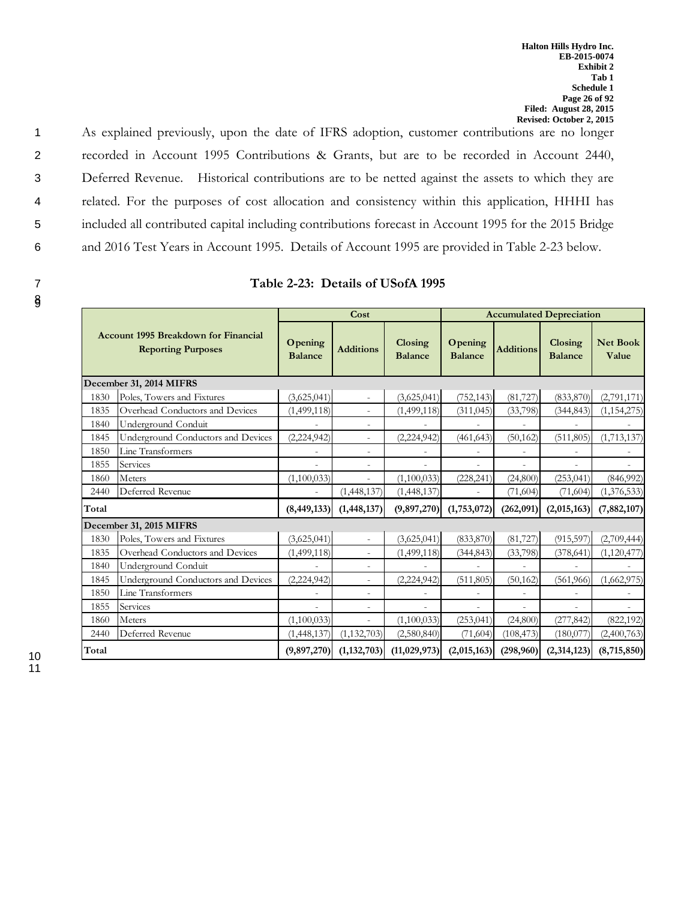89

|       |                                                                          |                           | Cost                     |                           |                           |                  | <b>Accumulated Depreciation</b> |                          |
|-------|--------------------------------------------------------------------------|---------------------------|--------------------------|---------------------------|---------------------------|------------------|---------------------------------|--------------------------|
|       | <b>Account 1995 Breakdown for Financial</b><br><b>Reporting Purposes</b> | Opening<br><b>Balance</b> | <b>Additions</b>         | Closing<br><b>Balance</b> | Opening<br><b>Balance</b> | <b>Additions</b> | Closing<br><b>Balance</b>       | <b>Net Book</b><br>Value |
|       | December 31, 2014 MIFRS                                                  |                           |                          |                           |                           |                  |                                 |                          |
| 1830  | Poles, Towers and Fixtures                                               | (3,625,041)               | $\sim$                   | (3,625,041)               | (752, 143)                | (81, 727)        | (833, 870)                      | (2,791,171)              |
| 1835  | Overhead Conductors and Devices                                          | (1,499,118)               | $\overline{\phantom{a}}$ | (1,499,118)               | (311, 045)                | (33,798)         | (344, 843)                      | (1, 154, 275)            |
| 1840  | Underground Conduit                                                      |                           | $\overline{a}$           |                           |                           |                  |                                 |                          |
| 1845  | Underground Conductors and Devices                                       | (2,224,942)               | $\sim$                   | (2,224,942)               | (461, 643)                | (50, 162)        | (511, 805)                      | (1,713,137)              |
| 1850  | Line Transformers                                                        |                           | $\overline{\phantom{a}}$ |                           |                           |                  |                                 |                          |
| 1855  | Services                                                                 |                           | $\sim$                   |                           |                           | ÷                |                                 |                          |
| 1860  | Meters                                                                   | (1,100,033)               | $\overline{\phantom{a}}$ | (1,100,033)               | (228, 241)                | (24, 800)        | (253, 041)                      | (846,992)                |
| 2440  | Deferred Revenue                                                         |                           | (1,448,137)              | (1,448,137)               |                           | (71, 604)        | (71,604)                        | (1,376,533)              |
| Total |                                                                          | (8, 449, 133)             | (1, 448, 137)            | (9,897,270)               | (1,753,072)               | (262,091)        | (2,015,163)                     | (7,882,107)              |
|       | December 31, 2015 MIFRS                                                  |                           |                          |                           |                           |                  |                                 |                          |
| 1830  | Poles, Towers and Fixtures                                               | (3,625,041)               |                          | (3,625,041)               | (833, 870)                | (81, 727)        | (915, 597)                      | (2,709,444)              |
| 1835  | Overhead Conductors and Devices                                          | (1,499,118)               | $\overline{\phantom{a}}$ | (1,499,118)               | (344, 843)                | (33, 798)        | (378, 641)                      | (1,120,477)              |
| 1840  | Underground Conduit                                                      |                           | $\overline{\phantom{a}}$ |                           |                           |                  |                                 |                          |
| 1845  | Underground Conductors and Devices                                       | (2,224,942)               | $\overline{\phantom{a}}$ | (2,224,942)               | (511, 805)                | (50, 162)        | (561, 966)                      | (1,662,975)              |
| 1850  | Line Transformers                                                        |                           | $\overline{\phantom{a}}$ |                           |                           |                  |                                 |                          |
| 1855  | Services                                                                 |                           | $\overline{a}$           |                           |                           |                  |                                 |                          |
| 1860  | Meters                                                                   | (1,100,033)               | $\overline{\phantom{a}}$ | (1,100,033)               | (253, 041)                | (24, 800)        | (277, 842)                      | (822, 192)               |
| 2440  | Deferred Revenue                                                         | (1,448,137)               | (1, 132, 703)            | (2,580,840)               | (71, 604)                 | (108, 473)       | (180,077)                       | (2,400,763)              |
| Total |                                                                          | (9,897,270)               | (1, 132, 703)            | (11, 029, 973)            | (2,015,163)               | (298,960)        | (2,314,123)                     | (8,715,850)              |

| Table 2-23: Details of USofA 1995 |  |  |
|-----------------------------------|--|--|
|                                   |  |  |

1 As explained previously, upon the date of IFRS adoption, customer contributions are no longer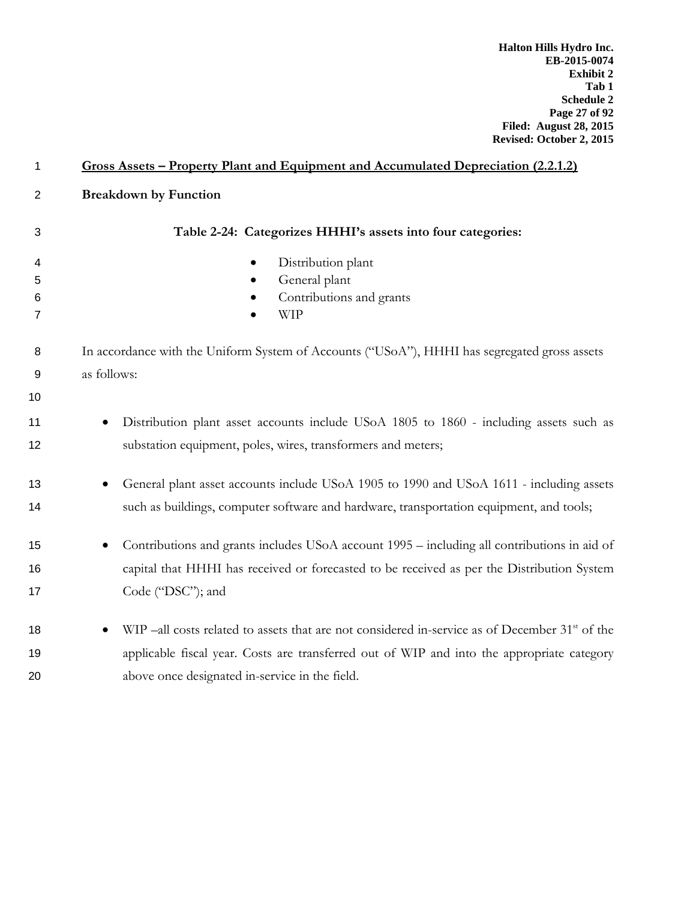| 1            | <u><b>Gross Assets – Property Plant and Equipment and Accumulated Depreciation (2.2.1.2)</b></u>            |
|--------------|-------------------------------------------------------------------------------------------------------------|
| $\mathbf{2}$ | <b>Breakdown by Function</b>                                                                                |
| 3            | Table 2-24: Categorizes HHHI's assets into four categories:                                                 |
| 4            | Distribution plant                                                                                          |
| 5            | General plant                                                                                               |
| 6            | Contributions and grants                                                                                    |
| 7            | <b>WIP</b>                                                                                                  |
| 8<br>9<br>10 | In accordance with the Uniform System of Accounts ("USoA"), HHHI has segregated gross assets<br>as follows: |
| 11           | Distribution plant asset accounts include USoA 1805 to 1860 - including assets such as                      |
| 12           | substation equipment, poles, wires, transformers and meters;                                                |
| 13           | General plant asset accounts include USoA 1905 to 1990 and USoA 1611 - including assets                     |
| 14           | such as buildings, computer software and hardware, transportation equipment, and tools;                     |
| 15           | Contributions and grants includes USoA account 1995 – including all contributions in aid of                 |
| 16           | capital that HHHI has received or forecasted to be received as per the Distribution System                  |
| 17           | Code ("DSC"); and                                                                                           |
| 18           | WIP -all costs related to assets that are not considered in-service as of December 31 <sup>st</sup> of the  |
| 19           | applicable fiscal year. Costs are transferred out of WIP and into the appropriate category                  |
| 20           | above once designated in-service in the field.                                                              |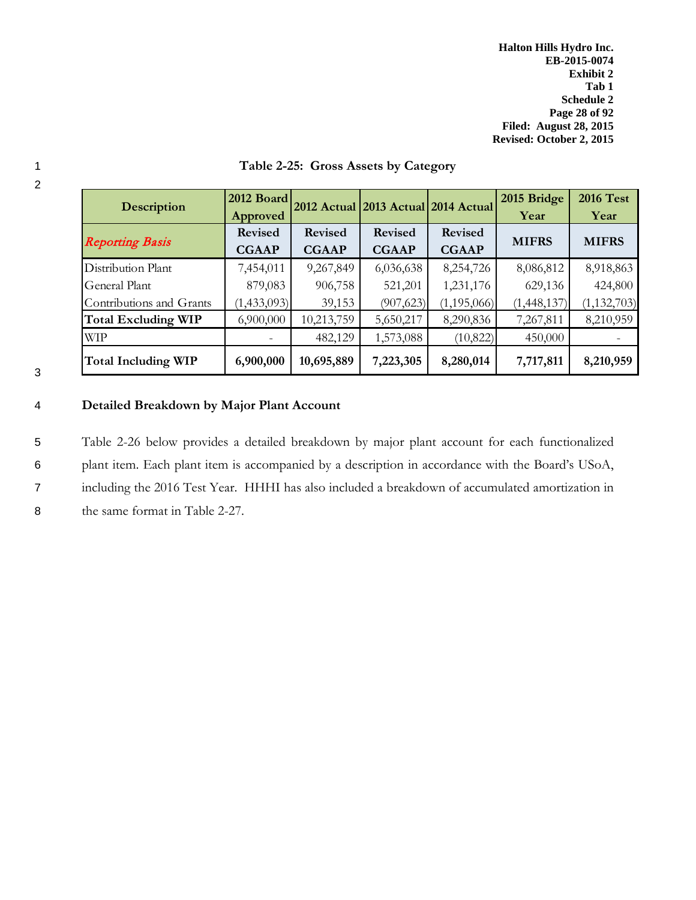| <b>Description</b>         | 2012 Board     |                | 2012 Actual 2013 Actual 2014 Actual |                | 2015 Bridge  | <b>2016 Test</b> |  |
|----------------------------|----------------|----------------|-------------------------------------|----------------|--------------|------------------|--|
|                            | Approved       |                |                                     |                | Year         | Year             |  |
|                            | <b>Revised</b> | <b>Revised</b> | <b>Revised</b>                      | <b>Revised</b> |              |                  |  |
| <b>Reporting Basis</b>     | <b>CGAAP</b>   | <b>CGAAP</b>   | <b>CGAAP</b>                        | <b>CGAAP</b>   | <b>MIFRS</b> | <b>MIFRS</b>     |  |
| Distribution Plant         | 7,454,011      | 9,267,849      | 6,036,638                           | 8,254,726      | 8,086,812    | 8,918,863        |  |
| <b>General Plant</b>       | 879,083        | 906,758        | 521,201                             | 1,231,176      | 629,136      | 424,800          |  |
| Contributions and Grants   | (1,433,093)    | 39,153         | (907, 623)                          | (1, 195, 066)  | (1,448,137)  | (1, 132, 703)    |  |
| <b>Total Excluding WIP</b> | 6,900,000      | 10,213,759     | 5,650,217                           | 8,290,836      | 7,267,811    | 8,210,959        |  |
| <b>WIP</b>                 |                | 482,129        | 1,573,088                           | (10,822)       | 450,000      |                  |  |
| Total Including WIP        | 6,900,000      | 10,695,889     | 7,223,305                           | 8,280,014      | 7,717,811    | 8,210,959        |  |

## 1 **Table 2-25: Gross Assets by Category**

3

2

## 4 **Detailed Breakdown by Major Plant Account**

 Table 2-26 below provides a detailed breakdown by major plant account for each functionalized plant item. Each plant item is accompanied by a description in accordance with the Board's USoA, including the 2016 Test Year. HHHI has also included a breakdown of accumulated amortization in the same format in Table 2-27.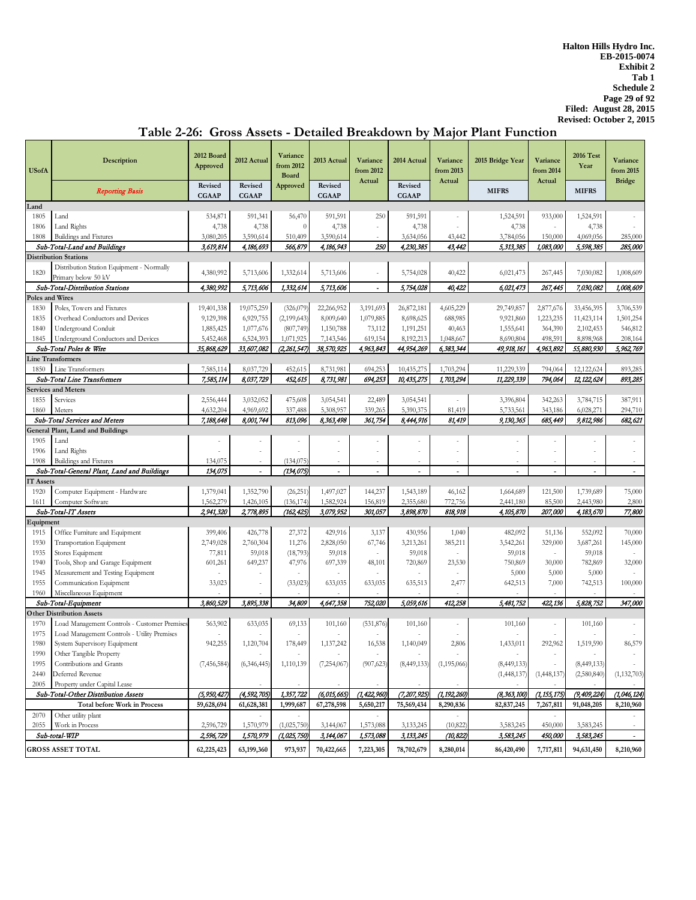| <b>USofA</b>    | Description                                  | 2012 Board<br>Approved  | 2012 Actual             | Variance<br>from 2012<br><b>Board</b> | 2013 Actual             | Variance<br>from 2012    | 2014 Actual              | Variance<br>from 2013 | 2015 Bridge Year | Variance<br>from 2014 | <b>2016 Test</b><br>Year | Variance<br>from 2015 |
|-----------------|----------------------------------------------|-------------------------|-------------------------|---------------------------------------|-------------------------|--------------------------|--------------------------|-----------------------|------------------|-----------------------|--------------------------|-----------------------|
|                 | <b>Reporting Basis</b>                       | Revised<br><b>CGAAP</b> | Revised<br><b>CGAAP</b> | Approved                              | Revised<br><b>CGAAP</b> | Actual                   | Revised<br><b>CGAAP</b>  | Actual                | <b>MIFRS</b>     | Actual                | <b>MIFRS</b>             | <b>Bridge</b>         |
| Land            |                                              |                         |                         |                                       |                         |                          |                          |                       |                  |                       |                          |                       |
| 1805            | Land                                         | 534,871                 | 591,341                 | 56,470                                | 591,591                 | 250                      | 591,591                  |                       | 1,524,591        | 933,000               | 1,524,591                |                       |
| 1806            | Land Rights                                  | 4,738                   | 4,738                   | $\theta$                              | 4,738                   |                          | 4,738                    |                       | 4,738            |                       | 4,738                    |                       |
| 1808            | Buildings and Fixtures                       | 3,080,205               | 3,590,614               | 510,409                               | 3,590,614               |                          | 3,634,056                | 43,442                | 3,784,056        | 150,000               | 4,069,056                | 285,000               |
|                 | Sub-Total-Land and Buildings                 | 3,619,814               | 4,186,693               | 566,879                               | 4,186,943               | 250                      | 4,230,385                | 43,442                | 5,313,385        | 1,083,000             | 5,598,385                | 285,000               |
|                 |                                              |                         |                         |                                       |                         |                          |                          |                       |                  |                       |                          |                       |
|                 | <b>Distribution Stations</b>                 |                         |                         |                                       |                         |                          |                          |                       |                  |                       |                          |                       |
| 1820            | Distribution Station Equipment - Normally    | 4,380,992               | 5,713,606               | 1,332,614                             | 5,713,606               | $\sim$                   | 5,754,028                | 40,422                | 6,021,473        | 267,445               | 7,030,082                | 1,008,609             |
|                 | Primary below 50 kV                          |                         |                         |                                       |                         |                          |                          |                       |                  |                       |                          |                       |
|                 | Sub-Total-Distribution Stations              | 4,380,992               | 5,713,606               | 1,332,614                             | 5,713,606               | $\overline{\phantom{a}}$ | 5,754,028                | 40,422                | 6,021,473        | 267,445               | 7,030,082                | 1,008,609             |
| Poles and Wires |                                              |                         |                         |                                       |                         |                          |                          |                       |                  |                       |                          |                       |
| 1830            | Poles, Towers and Fixtures                   | 19,401,338              | 19,075,259              | (326,079)                             | 22,266,952              | 3,191,693                | 26,872,181               | 4,605,229             | 29,749,857       | 2,877,676             | 33,456,395               | 3,706,539             |
| 1835            | Overhead Conductors and Devices              | 9,129,398               | 6,929,755               | (2,199,643)                           | 8,009,640               | 1,079,885                | 8,698,625                | 688,985               | 9,921,860        | 1,223,235             | 11,423,114               | 1,501,254             |
| 1840            | Underground Conduit                          | 1,885,425               | 1,077,676               | (807,749)                             | 1,150,788               | 73,112                   | 1,191,251                | 40,463                | 1,555,641        | 364,390               | 2,102,453                | 546,812               |
| 1845            | Underground Conductors and Devices           | 5,452,468               | 6,524,393               | 1,071,925                             | 7,143,546               | 619,154                  | 8,192,213                | 1,048,667             | 8,690,804        | 498,591               | 8,898,968                | 208,164               |
|                 | Sub-Total Poles & Wire                       | 35,868,629              | 33,607,082              | (2,261,547)                           | 38,570,925              | 4,963,843                | 44,954,269               | 6,383,344             | 49,918,161       | 4,963,892             | 55,880,930               | 5,962,769             |
|                 | <b>Line Transformers</b>                     |                         |                         |                                       |                         |                          |                          |                       |                  |                       |                          |                       |
| 1850            | Line Transformers                            | 7,585,114               | 8,037,729               | 452,615                               | 8,731,981               | 694,253                  | 10,435,275               | 1,703,294             | 11,229,339       | 794,064               | 12,122,624               | 893,285               |
|                 | Sub-Total Line Transformers                  | 7,585,114               | 8,037,729               | 452,615                               | 8,731,981               | 694,253                  | 10,435,275               | 1,703,294             | 11,229,339       | 794,064               | 12, 122, 624             | 893,285               |
|                 | <b>Services and Meters</b>                   |                         |                         |                                       |                         |                          |                          |                       |                  |                       |                          |                       |
|                 |                                              |                         |                         |                                       |                         |                          |                          |                       |                  |                       |                          |                       |
| 1855            | Services                                     | 2,556,444               | 3,032,052               | 475,608                               | 3,054,541               | 22,489                   | 3,054,541                | ÷.                    | 3,396,804        | 342,263               | 3,784,715                | 387,911               |
| 1860            | Meters                                       | 4,632,204               | 4,969,692               | 337,488                               | 5,308,957               | 339,265                  | 5,390,375                | 81,419                | 5,733,561        | 343,186               | 6,028,271                | 294,710               |
|                 | Sub-Total Services and Meters                | 7,188,648               | 8,001,744               | 813,096                               | 8,363,498               | 361,754                  | 8,444,916                | 81,419                | 9,130,365        | 685,449               | 9,812,986                | 682,621               |
|                 | <b>General Plant, Land and Buildings</b>     |                         |                         |                                       |                         |                          |                          |                       |                  |                       |                          |                       |
| 1905            | Land                                         |                         | $\sim$                  | $\sim$                                |                         |                          | $\overline{\phantom{a}}$ | ٠                     |                  |                       |                          |                       |
| 1906            | Land Rights                                  |                         | $\sim$                  |                                       |                         |                          |                          |                       |                  |                       |                          |                       |
| 1908            | Buildings and Fixtures                       | 134,075                 | $\sim$                  | (134, 075)                            |                         |                          |                          | $\sim$                |                  |                       |                          |                       |
|                 | Sub-Total-General Plant, Land and Buildings  | 134,075                 | $\overline{a}$          | (134,075)                             |                         | $\overline{a}$           | $\overline{a}$           | $\ddot{\phantom{1}}$  | $\overline{a}$   | $\overline{a}$        | $\overline{a}$           | $\sim$                |
| T Assets        |                                              |                         |                         |                                       |                         |                          |                          |                       |                  |                       |                          |                       |
| 1920            | Computer Equipment - Hardware                | 1,379,041               | 1,352,790               | (26, 251)                             | 1,497,027               | 144,237                  | 1,543,189                | 46,162                | 1,664,689        | 121,500               | 1,739,689                | 75,000                |
| 1611            | Computer Software                            | 1,562,279               | 1,426,105               | (136, 174)                            | 1,582,924               | 156,819                  | 2,355,680                | 772,756               | 2,441,180        | 85,500                | 2,443,980                | 2,800                 |
|                 | Sub-Total-IT Assets                          | 2,941,320               | 2,778,895               | (162,425)                             | 3,079,952               | 301,057                  | 3,898,870                | 818,918               | 4,105,870        | <i><b>207,000</b></i> | 4,183,670                | 77,800                |
| Equipment       |                                              |                         |                         |                                       |                         |                          |                          |                       |                  |                       |                          |                       |
| 1915            | Office Furniture and Equipment               | 399,406                 | 426,778                 | 27,372                                | 429,916                 | 3,137                    | 430,956                  | 1,040                 | 482,092          | 51,136                | 552,092                  | 70,000                |
| 1930            | Transportation Equipment                     | 2,749,028               | 2,760,304               | 11,276                                | 2,828,050               | 67,746                   | 3,213,261                | 385,211               | 3,542,261        | 329,000               | 3,687,261                | 145,000               |
| 1935            | Stores Equipment                             | 77,811                  | 59,018                  | (18, 793)                             | 59,018                  |                          | 59,018                   |                       | 59,018           | ÷,                    | 59,018                   |                       |
| 1940            | Tools, Shop and Garage Equipment             | 601,261                 | 649,237                 | 47,976                                | 697,339                 | 48,101                   | 720,869                  | 23,530                | 750,869          | 30,000                | 782,869                  | 32,000                |
| 1945            | Measurement and Testing Equipment            |                         |                         |                                       |                         |                          |                          |                       | 5,000            | 5,000                 | 5,000                    |                       |
| 1955            | Communication Equipment                      | 33,023                  |                         |                                       | 633,035                 |                          |                          | 2,477                 |                  | 7,000                 | 742,513                  | 100,000               |
|                 |                                              |                         |                         | (33,023)                              |                         | 633,035                  | 635,513                  |                       | 642,513          |                       |                          |                       |
| 1960            | Miscellaneous Equipment                      |                         |                         |                                       |                         |                          |                          |                       |                  |                       |                          |                       |
|                 | Sub-Total-Equipment                          | 3,860,529               | 3,895,338               | 34,809                                | 4,647,358               | 752,020                  | 5,059,616                | 412,258               | 5,481,752        | 422,136               | 5,828,752                | 347,000               |
|                 | <b>Other Distribution Assets</b>             |                         |                         |                                       |                         |                          |                          |                       |                  |                       |                          |                       |
| 1970            | Load Management Controls - Customer Premises | 563,902                 | 633,035                 | 69,133                                | 101,160                 | (531, 876)               | 101,160                  |                       | 101,160          |                       | 101,160                  |                       |
| 1975            | Load Management Controls - Utility Premises  |                         |                         |                                       |                         |                          |                          | $\sim$                |                  |                       |                          |                       |
| 1980            | System Supervisory Equipment                 | 942,255                 | 1,120,704               | 178,449                               | 1,137,242               | 16,538                   | 1,140,049                | 2,806                 | 1,433,011        | 292,962               | 1,519,590                | 86,579                |
| 1990            | Other Tangible Property                      |                         |                         |                                       |                         |                          |                          |                       |                  |                       |                          |                       |
| 1995            | Contributions and Grants                     | (7,456,584)             | (6,346,445)             | 1,110,139                             | (7,254,067)             | (907, 623)               | (8,449,133)              | (1,195,066)           | (8,449,133)      | $\sim$                | (8,449,133)              |                       |
| 2440            | Deferred Revenue                             |                         |                         |                                       |                         |                          |                          |                       | (1,448,137)      | (1,448,137)           | (2,580,840)              | (1, 132, 703)         |
| 2005            | Property under Capital Lease                 |                         |                         |                                       |                         |                          |                          |                       |                  |                       |                          |                       |
|                 | Sub-Total-Other Distribution Assets          | (5, 950, 427)           | (4, 592, 705)           | 1,357,722                             | (6,015,665)             | (1, 422, 960)            | (7, 207, 925)            | (1, 192, 260)         | (8, 363, 100)    | (1, 155, 175)         | (9,409,224)              | (1,046,124)           |
|                 | Total before Work in Process                 | 59,628,694              | 61,628,381              | 1,999,687                             | 67,278,598              | 5,650,217                | 75,569,434               | 8,290,836             | 82,837,245       | 7,267,811             | 91,048,205               | 8,210,960             |
| 2070            | Other utility plant                          |                         |                         |                                       |                         |                          |                          |                       |                  |                       |                          |                       |
| 2055            | Work in Process                              | 2,596,729               | 1,570,979               | (1,025,750)                           | 3,144,067               | 1,573,088                | 3,133,245                | (10, 822)             | 3,583,245        | 450,000               | 3,583,245                |                       |
|                 | Sub-total-WIP                                | 2,596,729               | 1,570,979               | (1,025,750)                           | 3,144,067               | 1,573,088                | 3,133,245                | (10, 822)             | 3,583,245        | 450,000               | 3,583,245                | $\sim$                |
|                 |                                              |                         |                         |                                       |                         |                          |                          |                       |                  |                       |                          |                       |
|                 | <b>GROSS ASSET TOTAL</b>                     | 62,225,423              | 63,199,360              | 973,937                               | 70,422,665              | 7,223,305                | 78,702,679               | 8,280,014             | 86,420,490       | 7,717,811             | 94,631,450               | 8,210,960             |

# **Table 2-26: Gross Assets - Detailed Breakdown by Major Plant Function**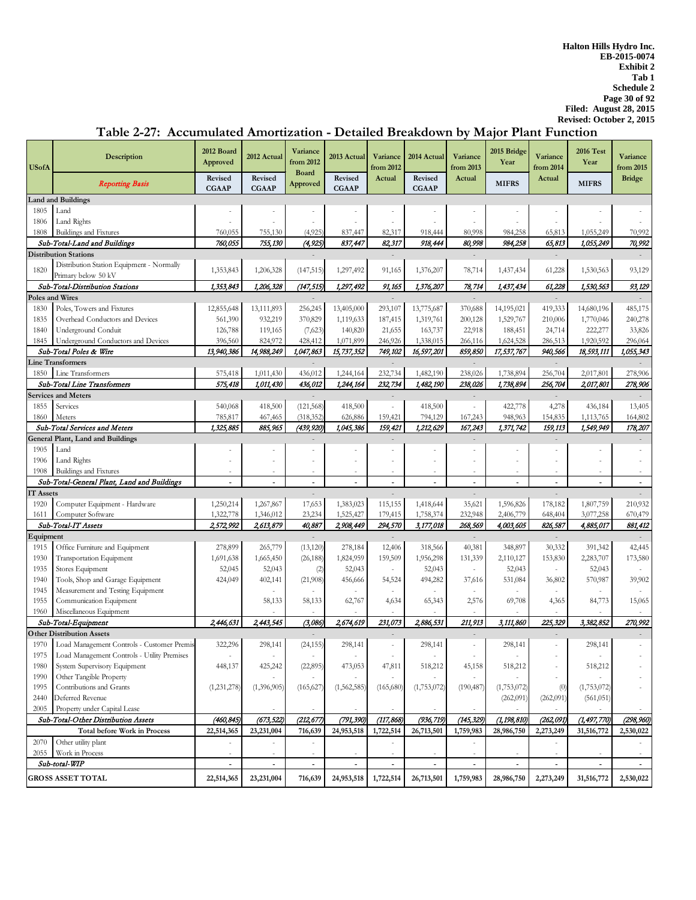### **Description 2012 Board Approved**  2012 Actual **Variance** 2013 Actual **Variance** 2014 Actual **Variance** 2015 Bridge **Year 2016 Test Year**  Reporting Basis **Revised CGAAP Revised CGAAP Revised CGAAP Revised CGAAP** MIFRS **MIFRS Land and Buildings** 1805 Land - - - - - - - - - - - 1806 Land Rights - - - - - - - - - - - 1808 Buildings and Fixtures 760,055 755,130 (4,925) 837,447 82,317 918,444 80,998 984,258 65,813 1,055,249 70,992 Sub-Total-Land and Buildings 760,055 755,130 (4,925) 837,447 82,317 918,444 80,998 984,258 65,813 1,055,249 70,992 **Distribution Stations** - - - - - 1820 Distribution Station Equipment - Normally<br>Primary below 50 kV Primary below 50 kV 1,353,843 1,353,843 1,206,328 (147,515) 1,297,492 91,165 1,376,207 78,714 1,437,434 61,228 1,530,563 93,129 Sub-Total-Distribution Stations 1,353,843 1,206,328 (147,515) 1,297,492 91,165 1,376,207 78,714 1,437,434 61,228 1,530,563 93,129 **Poles and Wires** - - - - - 1830 Poles, Towers and Fixtures 12,855,648 13,111,893 256,245 13,405,000 293,107 13,775,687 370,688 14,195,021 419,333 14,680,196 485,175 1835 Overhead Conductors and Devices 561,390 932,219 370,829 1,119,633 187,415 1,319,761 200,128 1,529,767 210,006 1,770,046 240,278 1840 Underground Conduit 126,788 119,165 (7,623) 140,820 21,655 163,737 22,918 188,451 24,714 222,277 33,826 1845 Underground Conductors and Devices 396,560 824,972 428,412 1,071,899 246,926 1,338,015 266,116 1,624,528 286,513 1,920,592 296,064 Sub-Total Poles & Wire 13,940,386 14,988,249 1,047,863 15,737,352 749,102 16,597,201 859,850 17,537,767 940,566 18,593,111 1,055,343 **Line Transformers** - - - - - 1850 Line Transformers 575,418 1,011,430 436,012 1,244,164 232,734 1,482,190 238,026 1,738,894 256,704 2,017,801 278,906 Sub-Total Line Transformers 575,418 1,011,430 436,012 1,244,164 232,734 1,482,190 238,026 1,738,894 256,704 2,017,801 278,906 **Services and Meters** - - - - - 1855 Services 540,068 418,500 (121,568) 418,500 - 418,500 - 422,778 4,278 436,184 13,405 1860 Meters 785,817 467,465 (318,352) 626,886 159,421 794,129 167,243 948,963 154,835 1,113,765 164,802 Sub-Total Services and Meters **1,325,885** 885,965 (439,920) 1,045,386 159,421 1,212,629 167,243 1,371,742 159,113 1,549,949 178,207 **General Plant, Land and Buildings** 1905 Land - - - - - - - - - - - 1906 Land Rights - - - - - - - - - - - 1908 Buildings and Fixtures - - - - - - - - - - - Sub-Total-General Plant, Land and Buildings - - - - - - - - - - - **IT Assets** - - - - - 1920 Computer Equipment - Hardware 1,250,214 1,267,867 17,653 1,383,023 115,155 1,418,644 35,621 1,596,826 178,182 1,807,759 210,932<br>1,345,021 1,596,826 1,596,826 178,182 1,596,826 178,182 1,596,826 178,182 1,596,826 178,1 1611 Computer Software 1,322,778 1,346,012 23,234 1,525,427 179,415 1,758,374 232,948 2,406,779 648,404 3,077,258 670,479 Sub-Total-IT Assets 2,572,992 2,613,879 40,887 2,908,449 294,570 3,177,018 268,569 4,003,605 826,587 4,885,017 881,412 **Equipment** - - - - - 1915 Office Furniture and Equipment 278,899 265,779 (13,120) 278,184 12,406 318,566 40,381 348,897 30,332 391,342 42,445 1930 Transportation Equipment 1,691,638 1,665,450 (26,188) 1,824,959 159,509 1,956,298 131,339 2,110,127 153,830 2,283,707 173,580 1935 Stores Equipment 1910 1920 1932,045 (2) 52,043 (2) 52,043 - 52,043 - 52,043 - 52,043 - 52,043 - 52,043 - 52,043 1940 Tools, Shop and Garage Equipment 424,049 402,141 (21,908) 456,666 54,524 494,282 37,616 531,084 36,802 570,987 39,902 1945 Measurement and Testing Equipment 1955 Communication Equipment 58,133 58,133 62,767 4,634 65,343 2,576 69,708 4,365 84,773 15,065 1960 Miscellaneous Equipment 1960 Miscellaneous Equipment 1960 Miscellaneous Equipment 1960 Miscellaneous Equipment 2446,631 2443,545 (3,086) 2,674,619 231,073 2,886,531 211,913 3,111,860 225,329 3,382,852 270,992 Sub-Total-Equipment 2,446,631 2,443,545 (3,086) 2,674,619 231,073 2,886,531 211,913 3,111,860 225,329 3,382,852 **Other Distribution Assets**<br>1970 Load Management Controls - Customer Premis 322,296 298,141 24,155 298,141 - 298,141 - 298,141 - 298,141 1970 Load Management Controls - Customer Premis 322,296 298,141 (24,155) 298,141 - 298,141 - 298,141 - 298,141 - 298,141 - 298,141 - 298,141 - 298,141 - 298,141 - 298,141 - 298,141 - 298,141 - 298,141 - 298,141 - 298,141 -1975 Load Management Controls - Utility Premises - - - - - - - - - - - 1980 System Supervisory Equipment 448,137 425,242 (22,895) 473,053 47,811 518,212 45,158 518,212 - 518,212 - 1990 Other Tangible Property<br>
1995 Contributions and Grants (1.231.278) (1.231.278) (1.396.905) (1.562.585) (1.55.627) (1.753.072) (1.753.072) (1.753.072) (1.753.072) (1.753.072) 1995 Contributions and Grants (1,231,278) (1,396,905) (165,627) (1,562,585) (165,680) (1,753,072) (190,487) (1,753,072) (1,753,072) (1,753,072) 2440 Deferred Revenue (262,091) (262,091) (561,051) 2005 Property under Capital Lease Sub-Total-Other Distribution Assets (460,845) (673,522) (212,677) (791,390) (117,868) (936,719) (145,329) (1,198,810) (262,091) (1,497,770) (298,960)<br>Total before Work in Proces 22,514,365 23,231,004 716,639 24,953,518 1,7 **Total before Work in Process 22,514,365 23,231,004 716,639 24,953,518 1,722,514 26,713,501 1,759,983 28,986,750 2,273,249 31,516,772 2,530,022** 2070 | Other utility plant the second control of the second control of the second control of the second control of the second control of the second control of the second control of the second control of the second control 2055 Work in Process - - - - - - - - - - -  $Sub\text{-}total\text{-}WIP$  , and a set of the set of  $\text{Sub}\text{-}total\text{-}WIP$  , and a set of  $\text{Sub}\text{-}total\text{-}WIP$  , and a set of  $\text{Sub}\text{-}total\text{-}WIP$  , and a set of  $\text{Sub}\text{-}total\text{-}WIP$  , and a set of  $\text{Sub}\text{-}total\text{-}WIP$  , and a set of  $\text{Sub}\text{-}total\text{-}W$ **GROSS ASSET TOTAL 22,514,365 23,231,004 716,639 24,953,518 1,722,514 26,713,501 1,759,983 28,986,750 2,273,249 31,516,772 2,530,022 Variance from 2015 Bridge USofA Variance from 2012 Board Approved Variance from 2012 Actual Variance from 2013 Actual Variance from 2014 Actual**

## **Table 2-27: Accumulated Amortization - Detailed Breakdown by Major Plant Function**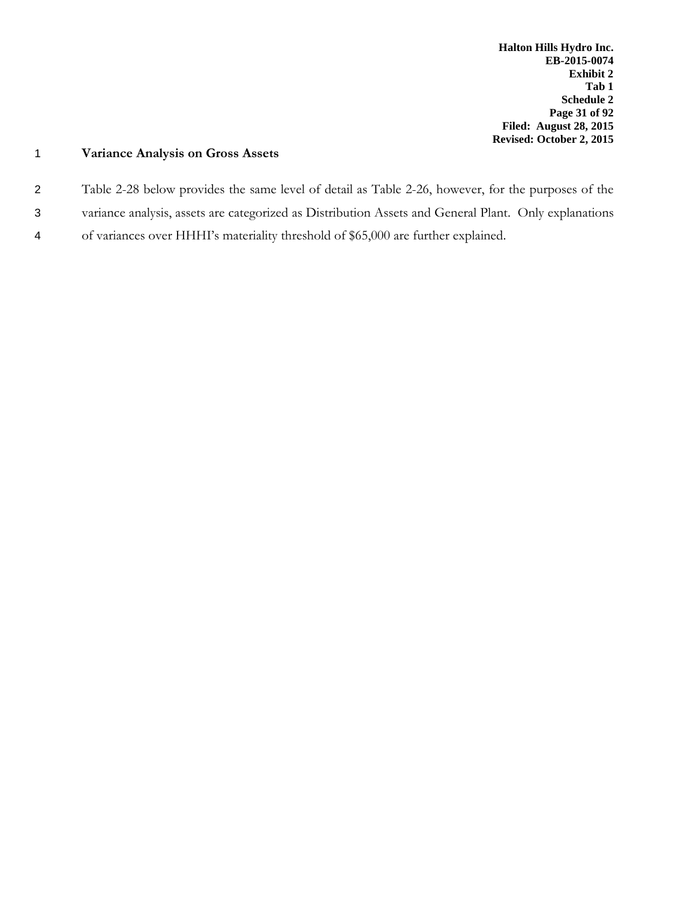## 1 **Variance Analysis on Gross Assets**

- 2 Table 2-28 below provides the same level of detail as Table 2-26, however, for the purposes of the
- 3 variance analysis, assets are categorized as Distribution Assets and General Plant. Only explanations
- 4 of variances over HHHI's materiality threshold of \$65,000 are further explained.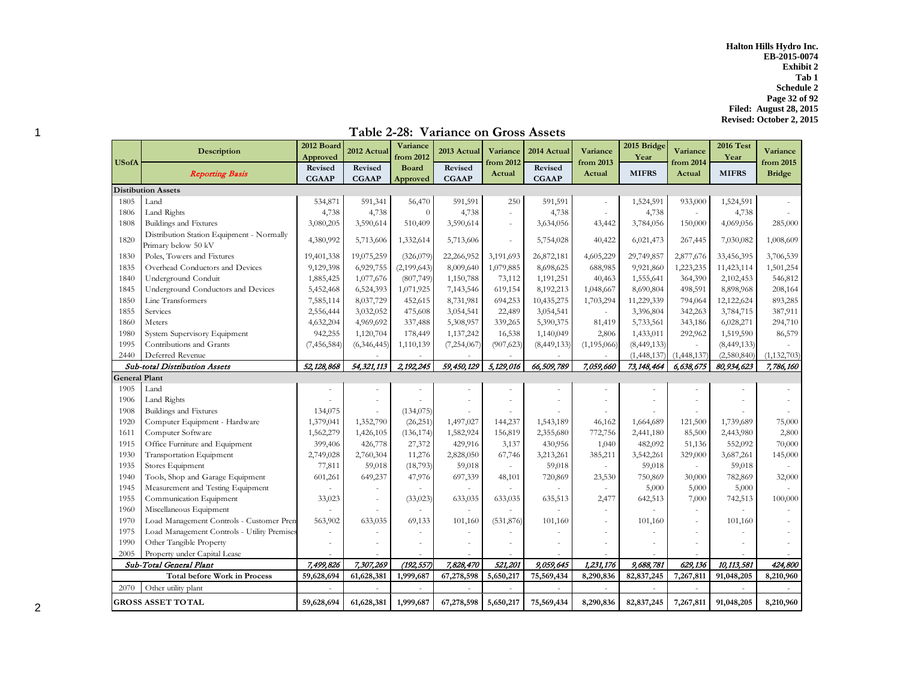**Halton Hills Hydro Inc. EB-2015-0074 Exhibit 2 Tab 1 Schedule 2 Page 32 of 92 Filed: August 28, 2015 Revised: October 2, 2015**

| <b>USofA</b>         | <b>Description</b>                                               | 2012 Board<br>Approved  | 2012 Actual              | Variance<br>from 2012    | 2013 Actual             | Variance<br>from 2012    | 2014 Actual             | Variance<br>from 2013    | 2015 Bridge<br>Year | Variance<br>from 2014    | <b>2016 Test</b><br>Year | Variance<br>from 2015 |
|----------------------|------------------------------------------------------------------|-------------------------|--------------------------|--------------------------|-------------------------|--------------------------|-------------------------|--------------------------|---------------------|--------------------------|--------------------------|-----------------------|
|                      | <b>Reporting Basis</b>                                           | Revised<br><b>CGAAP</b> | Revised<br><b>CGAAP</b>  | <b>Board</b><br>Approved | Revised<br><b>CGAAP</b> | Actual                   | Revised<br><b>CGAAP</b> | Actual                   | <b>MIFRS</b>        | Actual                   | <b>MIFRS</b>             | <b>Bridge</b>         |
|                      | <b>Distibution Assets</b>                                        |                         |                          |                          |                         |                          |                         |                          |                     |                          |                          |                       |
| 1805                 | Land                                                             | 534,871                 | 591,341                  | 56,470                   | 591,591                 | 250                      | 591,591                 | $\overline{\phantom{a}}$ | 1,524,591           | 933,000                  | 1,524,591                |                       |
| 1806                 | Land Rights                                                      | 4,738                   | 4,738                    | $\theta$                 | 4,738                   | ÷                        | 4,738                   |                          | 4,738               |                          | 4,738                    |                       |
| 1808                 | Buildings and Fixtures                                           | 3,080,205               | 3,590,614                | 510,409                  | 3,590,614               | $\sim$                   | 3,634,056               | 43,442                   | 3,784,056           | 150,000                  | 4,069,056                | 285,000               |
| 1820                 | Distribution Station Equipment - Normally<br>Primary below 50 kV | 4,380,992               | 5,713,606                | 1,332,614                | 5,713,606               |                          | 5,754,028               | 40,422                   | 6,021,473           | 267,445                  | 7,030,082                | 1,008,609             |
| 1830                 | Poles, Towers and Fixtures                                       | 19,401,338              | 19,075,259               | (326,079)                | 22,266,952              | 3,191,693                | 26,872,181              | 4,605,229                | 29,749,857          | 2,877,676                | 33,456,395               | 3,706,539             |
| 1835                 | Overhead Conductors and Devices                                  | 9,129,398               | 6,929,755                | (2,199,643)              | 8,009,640               | 1,079,885                | 8,698,625               | 688,985                  | 9,921,860           | 1,223,235                | 11,423,114               | 1,501,254             |
| 1840                 | Underground Conduit                                              | 1,885,425               | 1,077,676                | (807,749)                | 1,150,788               | 73,112                   | 1,191,251               | 40,463                   | 1,555,641           | 364,390                  | 2,102,453                | 546,812               |
| 1845                 | Underground Conductors and Devices                               | 5,452,468               | 6,524,393                | 1,071,925                | 7,143,546               | 619,154                  | 8,192,213               | 1,048,667                | 8,690,804           | 498,591                  | 8,898,968                | 208,164               |
| 1850                 | Line Transformers                                                | 7,585,114               | 8,037,729                | 452,615                  | 8,731,981               | 694,253                  | 10,435,275              | 1,703,294                | 11,229,339          | 794,064                  | 12,122,624               | 893,285               |
| 1855                 | Services                                                         | 2,556,444               | 3,032,052                | 475,608                  | 3,054,541               | 22,489                   | 3,054,541               |                          | 3,396,804           | 342,263                  | 3,784,715                | 387,911               |
| 1860                 | Meters                                                           | 4,632,204               | 4,969,692                | 337,488                  | 5,308,957               | 339,265                  | 5,390,375               | 81,419                   | 5,733,561           | 343,186                  | 6,028,271                | 294,710               |
| 1980                 | System Supervisory Equipment                                     | 942,255                 | 1,120,704                | 178,449                  | 1,137,242               | 16,538                   | 1,140,049               | 2,806                    | 1,433,011           | 292,962                  | 1,519,590                | 86,579                |
| 1995                 | Contributions and Grants                                         | (7, 456, 584)           | (6,346,445)              | 1,110,139                | (7,254,067)             | (907, 623)               | (8,449,133)             | (1,195,066)              | (8,449,133)         |                          | (8,449,133)              |                       |
| 2440                 | Deferred Revenue                                                 |                         |                          |                          |                         |                          |                         |                          | (1,448,137)         | (1,448,137)              | (2,580,840)              | (1, 132, 703)         |
|                      | <b>Sub-total Distribution Assets</b>                             | 52, 128, 868            | 54, 321, 113             | 2,192,245                | 59,450,129              | 5,129,016                | 66,509,789              | 7,059,660                | 73, 148, 464        | 6,638,675                | 80,934,623               | 7,786,160             |
| <b>General Plant</b> |                                                                  |                         |                          |                          |                         |                          |                         |                          |                     |                          |                          |                       |
| 1905                 | Land                                                             |                         |                          |                          |                         |                          |                         |                          |                     |                          |                          |                       |
| 1906                 | Land Rights                                                      |                         |                          |                          |                         |                          |                         |                          |                     |                          |                          |                       |
| 1908                 | Buildings and Fixtures                                           | 134,075                 | $\overline{\phantom{a}}$ | (134, 075)               |                         |                          |                         |                          |                     |                          |                          |                       |
| 1920                 | Computer Equipment - Hardware                                    | 1,379,041               | 1,352,790                | (26, 251)                | 1,497,027               | 144,237                  | 1,543,189               | 46,162                   | 1,664,689           | 121,500                  | 1,739,689                | 75,000                |
| 1611                 | Computer Software                                                | 1,562,279               | 1,426,105                | (136, 174)               | 1,582,924               | 156,819                  | 2,355,680               | 772,756                  | 2,441,180           | 85,500                   | 2,443,980                | 2,800                 |
| 1915                 | Office Furniture and Equipment                                   | 399,406                 | 426,778                  | 27,372                   | 429,916                 | 3,137                    | 430,956                 | 1,040                    | 482,092             | 51,136                   | 552,092                  | 70,000                |
| 1930                 | Transportation Equipment                                         | 2,749,028               | 2,760,304                | 11,276                   | 2,828,050               | 67,746                   | 3,213,261               | 385,211                  | 3,542,261           | 329,000                  | 3,687,261                | 145,000               |
| 1935                 | Stores Equipment                                                 | 77,811                  | 59,018                   | (18,793)                 | 59,018                  | $\overline{\phantom{a}}$ | 59,018                  | $\overline{a}$           | 59,018              | $\overline{\phantom{a}}$ | 59,018                   |                       |
| 1940                 | Tools, Shop and Garage Equipment                                 | 601,261                 | 649,237                  | 47,976                   | 697,339                 | 48,101                   | 720,869                 | 23,530                   | 750,869             | 30,000                   | 782,869                  | 32,000                |
| 1945                 | Measurement and Testing Equipment                                |                         |                          |                          |                         |                          |                         |                          | 5,000               | 5,000                    | 5,000                    |                       |
| 1955                 | Communication Equipment                                          | 33,023                  | $\overline{\phantom{a}}$ | (33, 023)                | 633,035                 | 633,035                  | 635,513                 | 2,477                    | 642,513             | 7,000                    | 742,513                  | 100,000               |
| 1960                 | Miscellaneous Equipment                                          |                         |                          |                          |                         |                          |                         |                          |                     |                          |                          |                       |
| 1970                 | Load Management Controls - Customer Pren                         | 563,902                 | 633,035                  | 69,133                   | 101,160                 | (531, 876)               | 101,160                 |                          | 101,160             |                          | 101,160                  |                       |
| 1975                 | Load Management Controls - Utility Premises                      |                         |                          |                          |                         |                          |                         |                          |                     |                          |                          |                       |
| 1990                 | Other Tangible Property                                          |                         |                          |                          |                         |                          |                         |                          |                     |                          |                          |                       |
| 2005                 | Property under Capital Lease                                     |                         |                          |                          |                         |                          |                         |                          |                     |                          |                          |                       |
|                      | Sub-Total General Plant                                          | 7,499,826               | 7.307.269                | (192, 557)               | 7,828,470               | 521,201                  | 9,059,645               | 1,231,176                | 9,688,781           | 629,136                  | 10,113,581               | 424,800               |
|                      | <b>Total before Work in Process</b>                              | 59,628,694              | 61,628,381               | 1,999,687                | 67,278,598              | 5,650,217                | 75,569,434              | 8,290,836                | 82,837,245          | 7,267,811                | 91,048,205               | 8,210,960             |
| 2070                 | Other utility plant                                              |                         |                          |                          |                         |                          |                         |                          |                     |                          |                          |                       |
|                      | <b>GROSS ASSET TOTAL</b>                                         | 59,628,694              | 61,628,381               | 1,999,687                | 67,278,598              | 5,650,217                | 75,569,434              | 8,290,836                | 82,837,245          | 7,267,811                | 91,048,205               | 8,210,960             |

## 1 **Table 2-28: Variance on Gross Assets**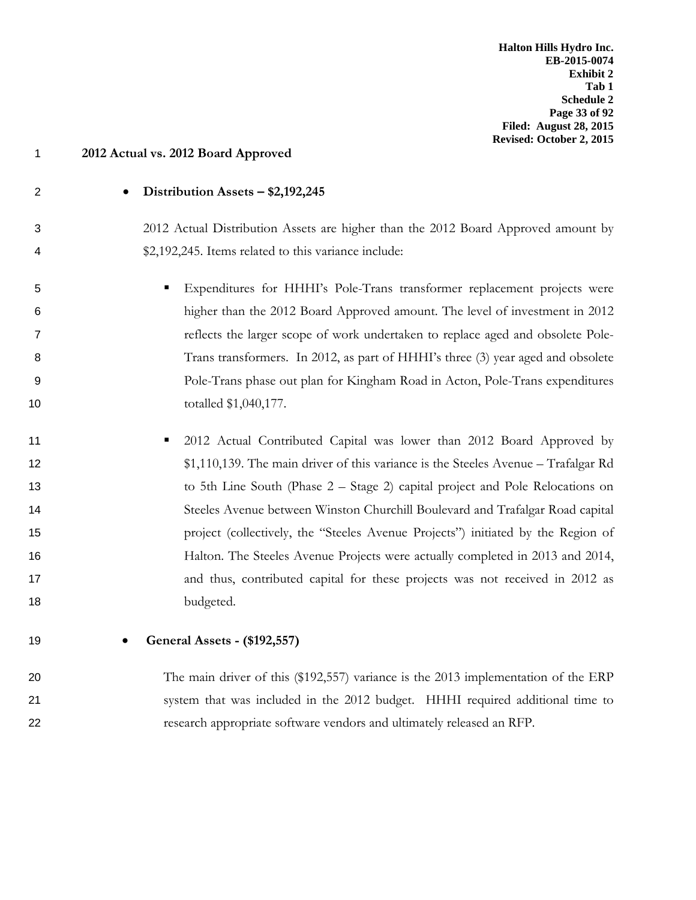2 • **Distribution Assets – \$2,192,245** 19 • **General Assets - (\$192,557)**

# 1 **2012 Actual vs. 2012 Board Approved**

- 3 2012 Actual Distribution Assets are higher than the 2012 Board Approved amount by 4 \$2,192,245. Items related to this variance include:
- 5 Expenditures for HHHI's Pole-Trans transformer replacement projects were 6 higher than the 2012 Board Approved amount. The level of investment in 2012 7 reflects the larger scope of work undertaken to replace aged and obsolete Pole-8 Trans transformers. In 2012, as part of HHHI's three (3) year aged and obsolete 9 Pole-Trans phase out plan for Kingham Road in Acton, Pole-Trans expenditures 10 totalled \$1,040,177.
- 11 **11** 2012 Actual Contributed Capital was lower than 2012 Board Approved by 12 \$1,110,139. The main driver of this variance is the Steeles Avenue – Trafalgar Rd 13 to 5th Line South (Phase 2 – Stage 2) capital project and Pole Relocations on 14 Steeles Avenue between Winston Churchill Boulevard and Trafalgar Road capital 15 project (collectively, the "Steeles Avenue Projects") initiated by the Region of 16 Halton. The Steeles Avenue Projects were actually completed in 2013 and 2014, 17 and thus, contributed capital for these projects was not received in 2012 as 18 budgeted.
- 20 The main driver of this (\$192,557) variance is the 2013 implementation of the ERP 21 system that was included in the 2012 budget. HHHI required additional time to 22 research appropriate software vendors and ultimately released an RFP.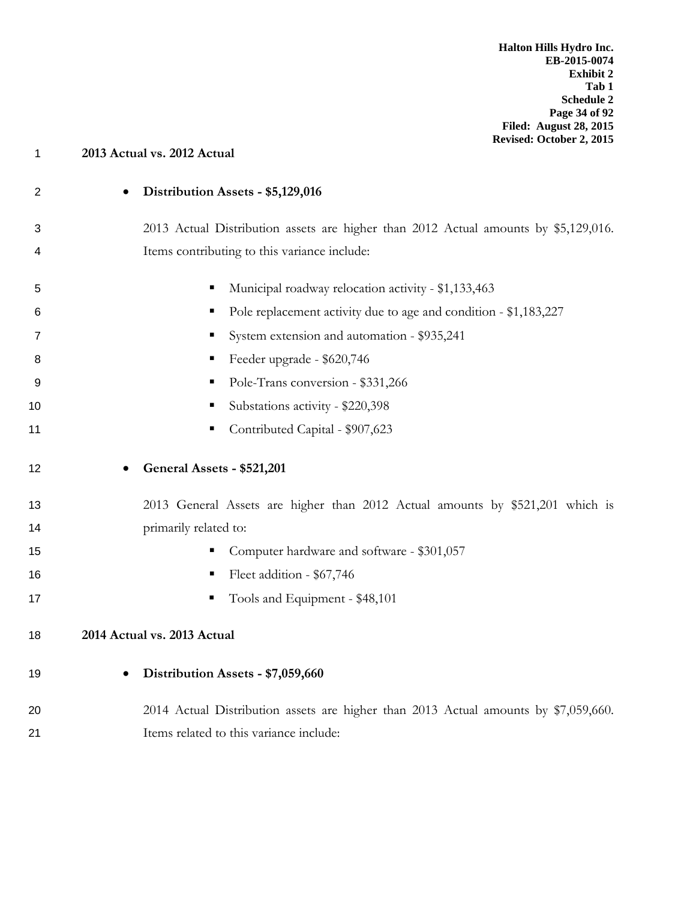| 1  | 2013 Actual vs. 2012 Actual                                                         |
|----|-------------------------------------------------------------------------------------|
| 2  | Distribution Assets - \$5,129,016<br>$\bullet$                                      |
| 3  | 2013 Actual Distribution assets are higher than 2012 Actual amounts by \$5,129,016. |
| 4  | Items contributing to this variance include:                                        |
| 5  | Municipal roadway relocation activity - \$1,133,463<br>Е                            |
| 6  | Pole replacement activity due to age and condition - \$1,183,227<br>п               |
| 7  | System extension and automation - \$935,241                                         |
| 8  | Feeder upgrade - \$620,746<br>п                                                     |
| 9  | Pole-Trans conversion - \$331,266<br>п                                              |
| 10 | Substations activity - \$220,398<br>п                                               |
| 11 | Contributed Capital - \$907,623                                                     |
| 12 | General Assets - \$521,201                                                          |
| 13 | 2013 General Assets are higher than 2012 Actual amounts by \$521,201 which is       |
| 14 | primarily related to:                                                               |
| 15 | Computer hardware and software - \$301,057                                          |
| 16 | Fleet addition - \$67,746<br>п                                                      |
| 17 | Tools and Equipment - \$48,101                                                      |
| 18 | 2014 Actual vs. 2013 Actual                                                         |
| 19 | Distribution Assets - \$7,059,660<br>$\bullet$                                      |
| 20 | 2014 Actual Distribution assets are higher than 2013 Actual amounts by \$7,059,660. |
| 21 | Items related to this variance include:                                             |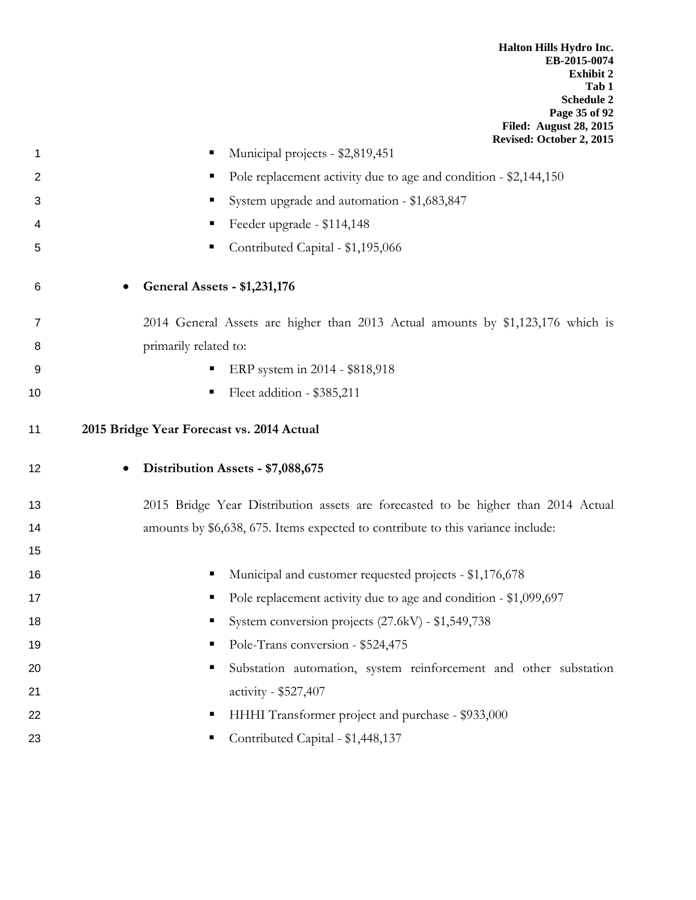**Halton Hills Hydro Inc. EB-2015-0074 Exhibit 2 Tab 1 Schedule 2 Page 35 of 92 Filed: August 28, 2015**

|                | Revised: October 2, 2015                                                          |
|----------------|-----------------------------------------------------------------------------------|
| 1              | Municipal projects - \$2,819,451                                                  |
| $\overline{2}$ | Pole replacement activity due to age and condition - \$2,144,150<br>ш             |
| 3              | System upgrade and automation - \$1,683,847<br>ш                                  |
| 4              | Feeder upgrade - \$114,148<br>п                                                   |
| 5              | Contributed Capital - \$1,195,066<br>■                                            |
| 6              | <b>General Assets - \$1,231,176</b>                                               |
| 7              | 2014 General Assets are higher than 2013 Actual amounts by \$1,123,176 which is   |
| 8              | primarily related to:                                                             |
| 9              | ERP system in 2014 - \$818,918<br>ш                                               |
| 10             | Fleet addition - \$385,211                                                        |
| 11             | 2015 Bridge Year Forecast vs. 2014 Actual                                         |
| 12             | Distribution Assets - \$7,088,675<br>$\bullet$                                    |
| 13             | 2015 Bridge Year Distribution assets are forecasted to be higher than 2014 Actual |
| 14             | amounts by \$6,638, 675. Items expected to contribute to this variance include:   |
| 15             |                                                                                   |
| 16             | Municipal and customer requested projects - \$1,176,678<br>п                      |
| 17             | Pole replacement activity due to age and condition - \$1,099,697                  |
| 18             | System conversion projects (27.6kV) - \$1,549,738                                 |
| 19             | Pole-Trans conversion - \$524,475                                                 |
| 20             | Substation automation, system reinforcement and other substation                  |
| 21             | activity - \$527,407                                                              |
| 22             | HHHI Transformer project and purchase - \$933,000<br>п                            |
| 23             | Contributed Capital - \$1,448,137<br>п                                            |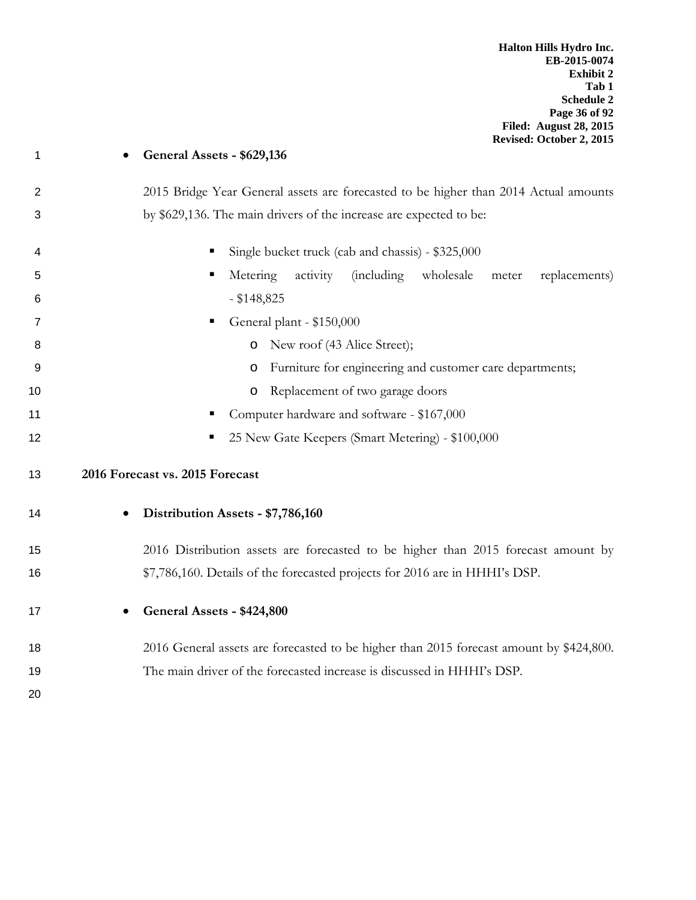## • **General Assets - \$629,136**

- 2 2015 Bridge Year General assets are forecasted to be higher than 2014 Actual amounts by \$629,136. The main drivers of the increase are expected to be:
- 4 Single bucket truck (cab and chassis) \$325,000 Metering activity (including wholesale meter replacements) - \$148,825 General plant - \$150,000 **b** O New roof (43 Alice Street);
- o Furniture for engineering and customer care departments;
- **b o** Replacement of two garage doors
- **Computer hardware and software \$167,000**
- **12** 25 New Gate Keepers (Smart Metering) \$100,000

## **2016 Forecast vs. 2015 Forecast**

## • **Distribution Assets - \$7,786,160**

- 2016 Distribution assets are forecasted to be higher than 2015 forecast amount by \$7,786,160. Details of the forecasted projects for 2016 are in HHHI's DSP.
- 

# • **General Assets - \$424,800**

- 2016 General assets are forecasted to be higher than 2015 forecast amount by \$424,800. The main driver of the forecasted increase is discussed in HHHI's DSP.
-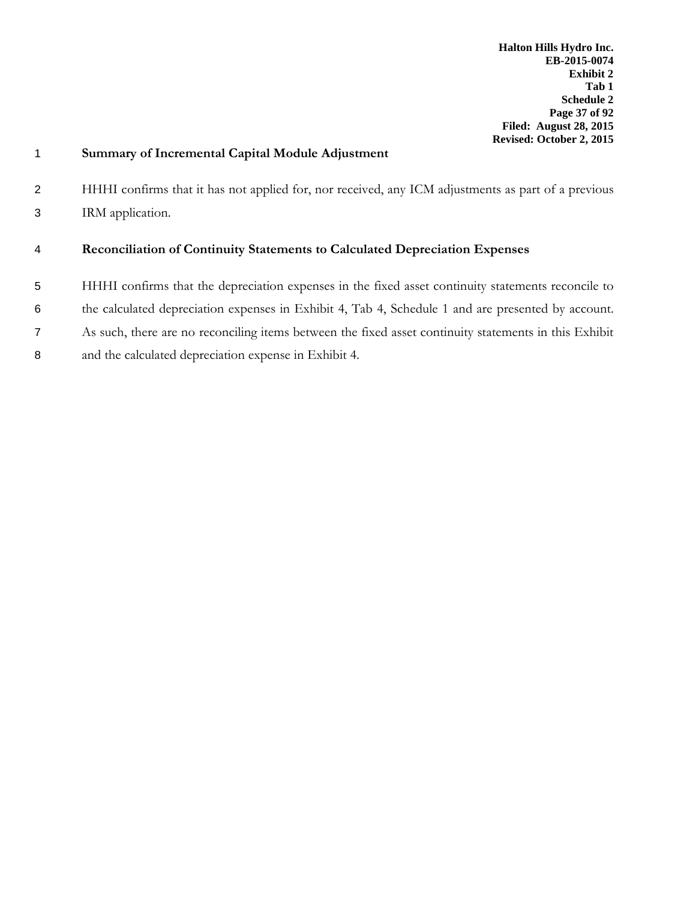| $\mathbf{1}$   | Summary of Incremental Capital Module Adjustment                                                      |
|----------------|-------------------------------------------------------------------------------------------------------|
| $\overline{2}$ | HHHI confirms that it has not applied for, nor received, any ICM adjustments as part of a previous    |
| 3              | IRM application.                                                                                      |
| 4              | Reconciliation of Continuity Statements to Calculated Depreciation Expenses                           |
| 5              | HHHI confirms that the depreciation expenses in the fixed asset continuity statements reconcile to    |
| 6              | the calculated depreciation expenses in Exhibit 4, Tab 4, Schedule 1 and are presented by account.    |
| $\overline{7}$ | As such, there are no reconciling items between the fixed asset continuity statements in this Exhibit |
| 8              | and the calculated depreciation expense in Exhibit 4.                                                 |
|                |                                                                                                       |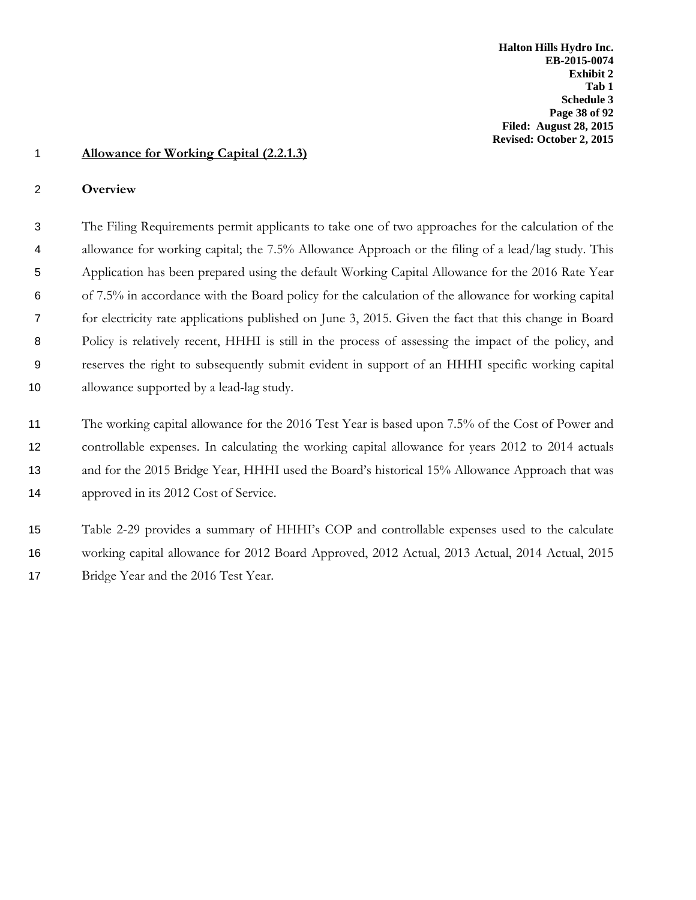### 1 **Allowance for Working Capital (2.2.1.3)**

#### 2 **Overview**

 The Filing Requirements permit applicants to take one of two approaches for the calculation of the allowance for working capital; the 7.5% Allowance Approach or the filing of a lead/lag study. This Application has been prepared using the default Working Capital Allowance for the 2016 Rate Year of 7.5% in accordance with the Board policy for the calculation of the allowance for working capital for electricity rate applications published on June 3, 2015. Given the fact that this change in Board Policy is relatively recent, HHHI is still in the process of assessing the impact of the policy, and reserves the right to subsequently submit evident in support of an HHHI specific working capital 10 allowance supported by a lead-lag study.

11 The working capital allowance for the 2016 Test Year is based upon 7.5% of the Cost of Power and 12 controllable expenses. In calculating the working capital allowance for years 2012 to 2014 actuals 13 and for the 2015 Bridge Year, HHHI used the Board's historical 15% Allowance Approach that was 14 approved in its 2012 Cost of Service.

15 Table 2-29 provides a summary of HHHI's COP and controllable expenses used to the calculate 16 working capital allowance for 2012 Board Approved, 2012 Actual, 2013 Actual, 2014 Actual, 2015 17 Bridge Year and the 2016 Test Year.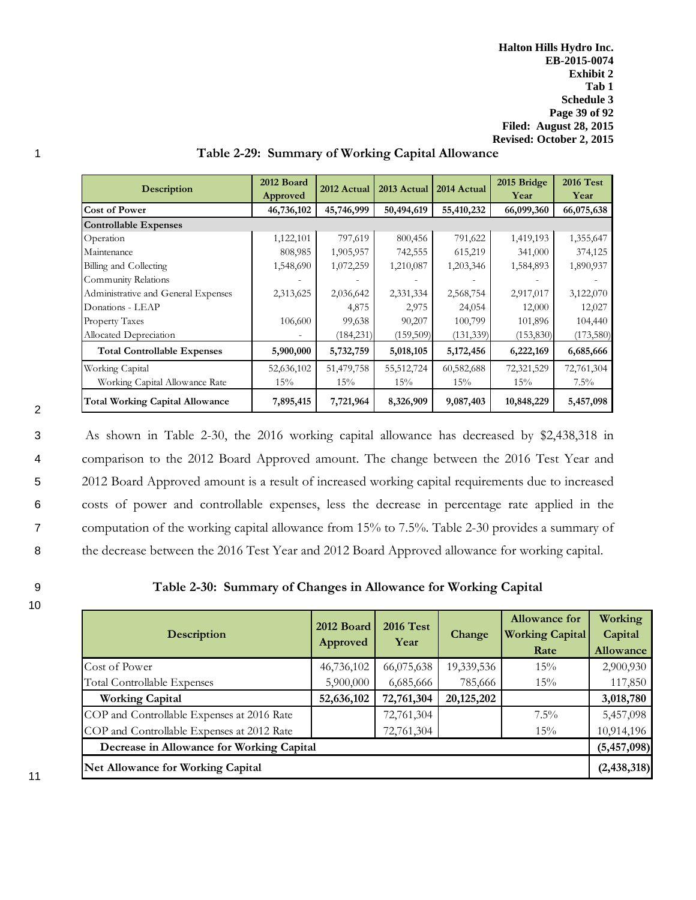**Halton Hills Hydro Inc. EB-2015-0074 Exhibit 2 Tab 1 Schedule 3 Page 39 of 92 Filed: August 28, 2015 Revised: October 2, 2015**

| <b>Description</b>                     | 2012 Board<br>Approved | 2012 Actual | 2013 Actual | 2014 Actual | 2015 Bridge<br>Year | <b>2016 Test</b><br>Year |
|----------------------------------------|------------------------|-------------|-------------|-------------|---------------------|--------------------------|
| <b>Cost of Power</b>                   | 46,736,102             | 45,746,999  | 50,494,619  | 55,410,232  | 66,099,360          | 66,075,638               |
| <b>Controllable Expenses</b>           |                        |             |             |             |                     |                          |
| Operation                              | 1,122,101              | 797,619     | 800,456     | 791,622     | 1,419,193           | 1,355,647                |
| Maintenance                            | 808,985                | 1,905,957   | 742,555     | 615,219     | 341,000             | 374,125                  |
| Billing and Collecting                 | 1,548,690              | 1,072,259   | 1,210,087   | 1,203,346   | 1,584,893           | 1,890,937                |
| Community Relations                    |                        |             |             |             |                     |                          |
| Administrative and General Expenses    | 2,313,625              | 2,036,642   | 2,331,334   | 2,568,754   | 2,917,017           | 3,122,070                |
| Donations - LEAP                       |                        | 4,875       | 2,975       | 24,054      | 12,000              | 12,027                   |
| Property Taxes                         | 106,600                | 99,638      | 90,207      | 100,799     | 101,896             | 104,440                  |
| Allocated Depreciation                 |                        | (184, 231)  | (159, 509)  | (131, 339)  | (153, 830)          | (173,580)                |
| <b>Total Controllable Expenses</b>     | 5,900,000              | 5,732,759   | 5,018,105   | 5,172,456   | 6,222,169           | 6,685,666                |
| Working Capital                        | 52,636,102             | 51,479,758  | 55,512,724  | 60,582,688  | 72,321,529          | 72,761,304               |
| Working Capital Allowance Rate         | 15%                    | 15%         | 15%         | 15%         | 15%                 | $7.5\%$                  |
| <b>Total Working Capital Allowance</b> | 7,895,415              | 7,721,964   | 8,326,909   | 9,087,403   | 10,848,229          | 5,457,098                |

#### 1 **Table 2-29: Summary of Working Capital Allowance**

2

 As shown in Table 2-30, the 2016 working capital allowance has decreased by \$2,438,318 in comparison to the 2012 Board Approved amount. The change between the 2016 Test Year and 2012 Board Approved amount is a result of increased working capital requirements due to increased costs of power and controllable expenses, less the decrease in percentage rate applied in the computation of the working capital allowance from 15% to 7.5%. Table 2-30 provides a summary of 8 the decrease between the 2016 Test Year and 2012 Board Approved allowance for working capital.

10

### 9 **Table 2-30: Summary of Changes in Allowance for Working Capital**

| Description                                | 2012 Board<br>Approved                    | <b>2016 Test</b><br>Year | Change       | <b>Allowance for</b><br><b>Working Capital</b><br>Rate | Working<br>Capital<br>Allowance |  |  |  |  |  |
|--------------------------------------------|-------------------------------------------|--------------------------|--------------|--------------------------------------------------------|---------------------------------|--|--|--|--|--|
| Cost of Power                              | 46,736,102                                | 66,075,638               | 19,339,536   | 15%                                                    | 2,900,930                       |  |  |  |  |  |
| <b>Total Controllable Expenses</b>         | 5,900,000                                 | 6,685,666                | 785,666      | 15%                                                    | 117,850                         |  |  |  |  |  |
| <b>Working Capital</b>                     | 52,636,102                                | 72,761,304               | 20, 125, 202 |                                                        | 3,018,780                       |  |  |  |  |  |
| COP and Controllable Expenses at 2016 Rate |                                           | 72,761,304               |              | $7.5\%$                                                | 5,457,098                       |  |  |  |  |  |
| COP and Controllable Expenses at 2012 Rate |                                           | 72,761,304               |              | 15%                                                    | 10,914,196                      |  |  |  |  |  |
|                                            | Decrease in Allowance for Working Capital |                          |              |                                                        |                                 |  |  |  |  |  |
| <b>Net Allowance for Working Capital</b>   |                                           |                          |              |                                                        | (2, 438, 318)                   |  |  |  |  |  |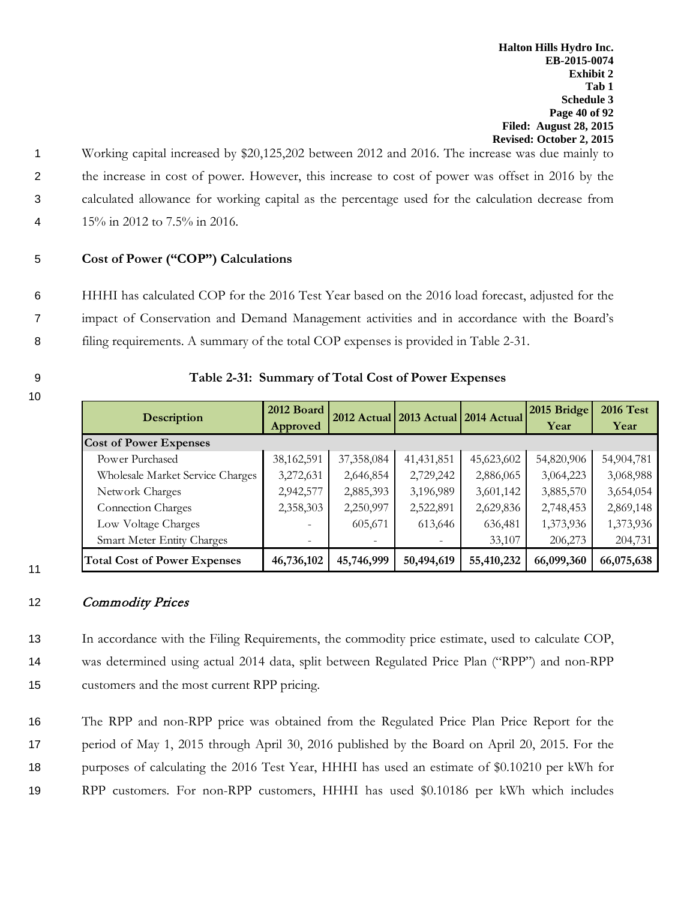Working capital increased by \$20,125,202 between 2012 and 2016. The increase was due mainly to the increase in cost of power. However, this increase to cost of power was offset in 2016 by the calculated allowance for working capital as the percentage used for the calculation decrease from 15% in 2012 to 7.5% in 2016.

## 5 **Cost of Power ("COP") Calculations**

6 HHHI has calculated COP for the 2016 Test Year based on the 2016 load forecast, adjusted for the 7 impact of Conservation and Demand Management activities and in accordance with the Board's 8 filing requirements. A summary of the total COP expenses is provided in Table 2-31.

10

11

| <b>Description</b>                  | 2012 Board | 2012 Actual 2013 Actual 2014 Actual |              |            | 2015 Bridge | <b>2016 Test</b> |
|-------------------------------------|------------|-------------------------------------|--------------|------------|-------------|------------------|
|                                     | Approved   |                                     |              |            | Year        | Year             |
| <b>Cost of Power Expenses</b>       |            |                                     |              |            |             |                  |
| Power Purchased                     | 38,162,591 | 37,358,084                          | 41, 431, 851 | 45,623,602 | 54,820,906  | 54,904,781       |
| Wholesale Market Service Charges    | 3,272,631  | 2,646,854                           | 2,729,242    | 2,886,065  | 3,064,223   | 3,068,988        |
| Network Charges                     | 2,942,577  | 2,885,393                           | 3,196,989    | 3,601,142  | 3,885,570   | 3,654,054        |
| <b>Connection Charges</b>           | 2,358,303  | 2,250,997                           | 2,522,891    | 2,629,836  | 2,748,453   | 2,869,148        |
| Low Voltage Charges                 |            | 605,671                             | 613,646      | 636,481    | 1,373,936   | 1,373,936        |
| <b>Smart Meter Entity Charges</b>   |            |                                     |              | 33,107     | 206,273     | 204,731          |
| <b>Total Cost of Power Expenses</b> | 46,736,102 | 45,746,999                          | 50,494,619   | 55,410,232 | 66,099,360  | 66,075,638       |

#### 9 **Table 2-31: Summary of Total Cost of Power Expenses**

#### 12 Commodity Prices

13 In accordance with the Filing Requirements, the commodity price estimate, used to calculate COP, 14 was determined using actual 2014 data, split between Regulated Price Plan ("RPP") and non-RPP 15 customers and the most current RPP pricing.

 The RPP and non-RPP price was obtained from the Regulated Price Plan Price Report for the period of May 1, 2015 through April 30, 2016 published by the Board on April 20, 2015. For the purposes of calculating the 2016 Test Year, HHHI has used an estimate of \$0.10210 per kWh for RPP customers. For non-RPP customers, HHHI has used \$0.10186 per kWh which includes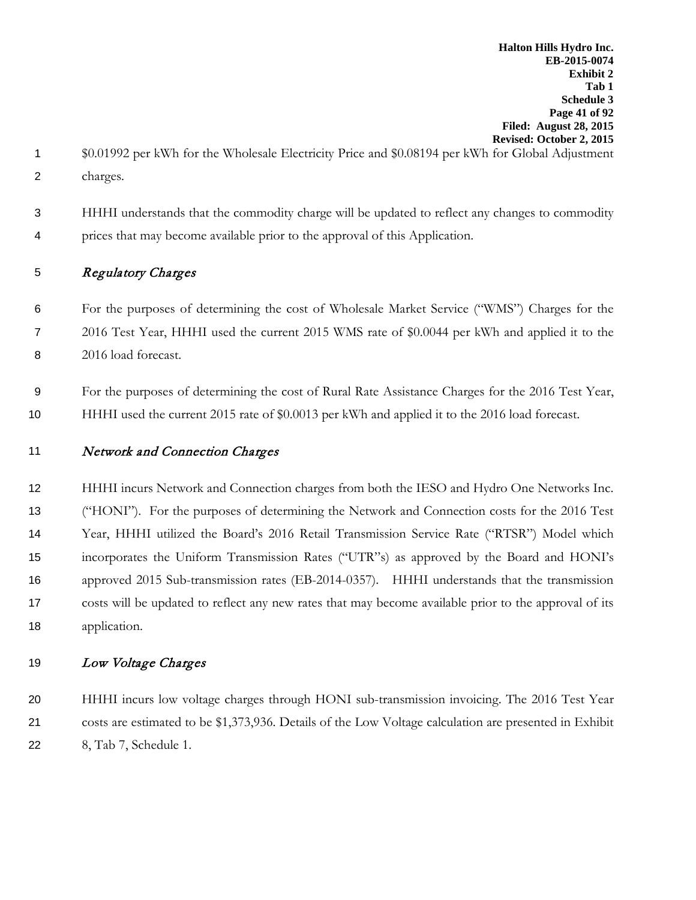- \$0.01992 per kWh for the Wholesale Electricity Price and \$0.08194 per kWh for Global Adjustment charges.
- HHHI understands that the commodity charge will be updated to reflect any changes to commodity prices that may become available prior to the approval of this Application.

# Regulatory Charges

 For the purposes of determining the cost of Wholesale Market Service ("WMS") Charges for the 2016 Test Year, HHHI used the current 2015 WMS rate of \$0.0044 per kWh and applied it to the 2016 load forecast.

 For the purposes of determining the cost of Rural Rate Assistance Charges for the 2016 Test Year, HHHI used the current 2015 rate of \$0.0013 per kWh and applied it to the 2016 load forecast.

# 11 Network and Connection Charges

 HHHI incurs Network and Connection charges from both the IESO and Hydro One Networks Inc. ("HONI"). For the purposes of determining the Network and Connection costs for the 2016 Test Year, HHHI utilized the Board's 2016 Retail Transmission Service Rate ("RTSR") Model which incorporates the Uniform Transmission Rates ("UTR"s) as approved by the Board and HONI's approved 2015 Sub-transmission rates (EB-2014-0357). HHHI understands that the transmission costs will be updated to reflect any new rates that may become available prior to the approval of its application.

# 19 Low Voltage Charges

 HHHI incurs low voltage charges through HONI sub-transmission invoicing. The 2016 Test Year costs are estimated to be \$1,373,936. Details of the Low Voltage calculation are presented in Exhibit 8, Tab 7, Schedule 1.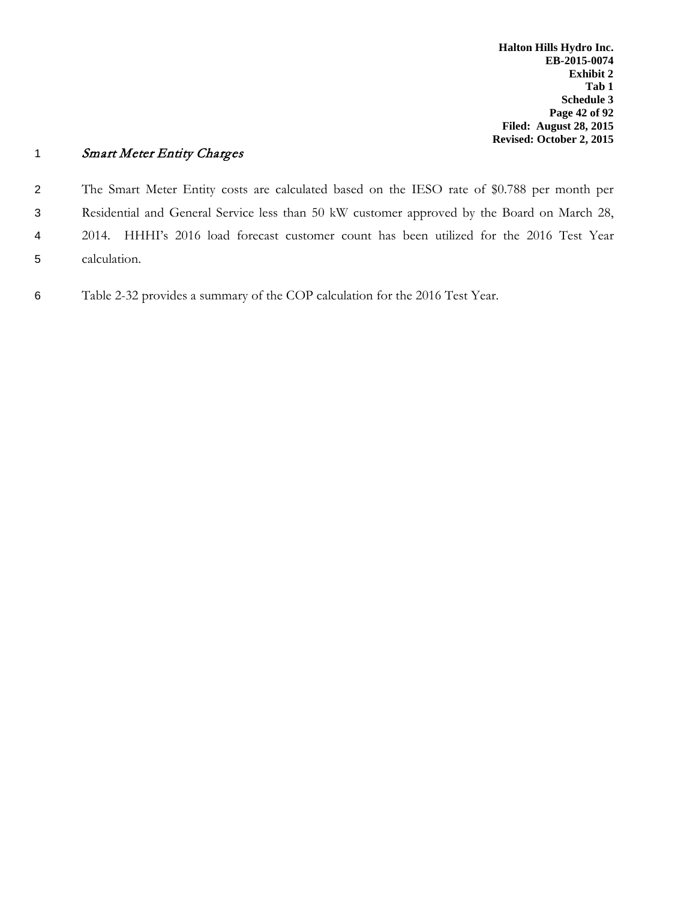# 1 Smart Meter Entity Charges

 The Smart Meter Entity costs are calculated based on the IESO rate of \$0.788 per month per Residential and General Service less than 50 kW customer approved by the Board on March 28, 2014. HHHI's 2016 load forecast customer count has been utilized for the 2016 Test Year calculation.

6 Table 2-32 provides a summary of the COP calculation for the 2016 Test Year.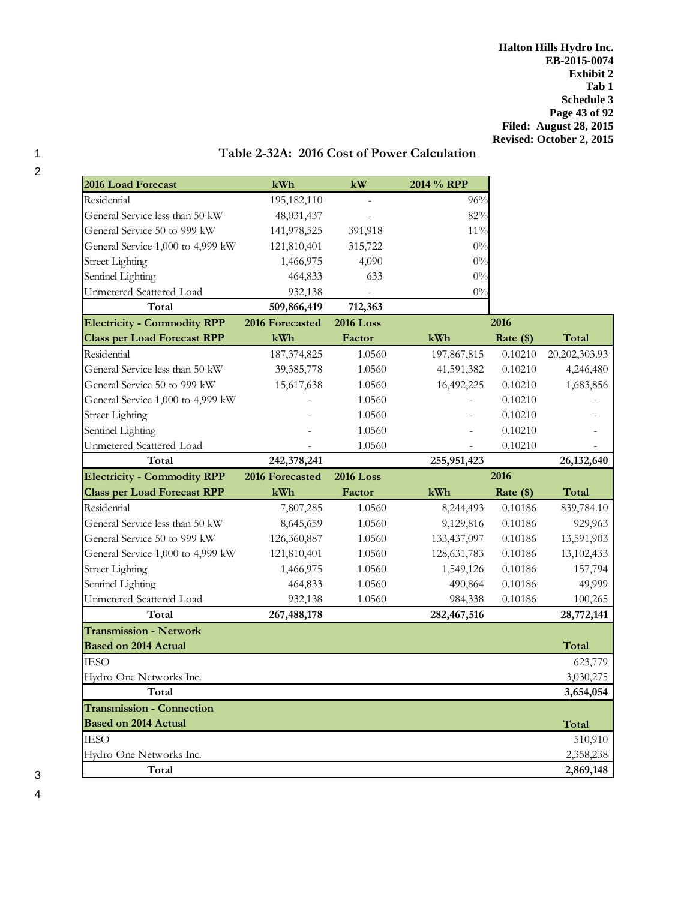| 2016 Load Forecast                                              | kWh             | kW               | 2014 % RPP    |           |               |
|-----------------------------------------------------------------|-----------------|------------------|---------------|-----------|---------------|
| Residential                                                     | 195,182,110     |                  | 96%           |           |               |
| General Service less than 50 kW                                 | 48,031,437      |                  | 82%           |           |               |
| General Service 50 to 999 kW                                    | 141,978,525     | 391,918          | $11\%$        |           |               |
| General Service 1,000 to 4,999 kW                               | 121,810,401     | 315,722          | 0%            |           |               |
| <b>Street Lighting</b>                                          | 1,466,975       | 4,090            | $0\%$         |           |               |
| Sentinel Lighting                                               | 464,833         | 633              | $0\%$         |           |               |
| Unmetered Scattered Load                                        | 932,138         |                  | $0\%$         |           |               |
| Total                                                           | 509,866,419     | 712,363          |               |           |               |
| <b>Electricity - Commodity RPP</b>                              | 2016 Forecasted | <b>2016 Loss</b> |               | 2016      |               |
| <b>Class per Load Forecast RPP</b>                              | kWh             | Factor           | kWh           | Rate (\$) | Total         |
| Residential                                                     | 187,374,825     | 1.0560           | 197,867,815   | 0.10210   | 20,202,303.93 |
| General Service less than 50 kW                                 | 39,385,778      | 1.0560           | 41,591,382    | 0.10210   | 4,246,480     |
| General Service 50 to 999 kW                                    | 15,617,638      | 1.0560           | 16,492,225    | 0.10210   | 1,683,856     |
| General Service 1,000 to 4,999 kW                               |                 | 1.0560           |               | 0.10210   |               |
| <b>Street Lighting</b>                                          |                 | 1.0560           |               | 0.10210   |               |
| Sentinel Lighting                                               |                 | 1.0560           |               | 0.10210   |               |
| Unmetered Scattered Load                                        |                 | 1.0560           |               | 0.10210   |               |
| Total                                                           | 242,378,241     |                  | 255,951,423   |           | 26,132,640    |
| <b>Electricity - Commodity RPP</b>                              | 2016 Forecasted | <b>2016 Loss</b> |               | 2016      |               |
| <b>Class per Load Forecast RPP</b>                              | kWh             | Factor           | kWh           | Rate (\$) | Total         |
| Residential                                                     | 7,807,285       | 1.0560           | 8,244,493     | 0.10186   | 839,784.10    |
| General Service less than 50 kW                                 | 8,645,659       | 1.0560           | 9,129,816     | 0.10186   | 929,963       |
| General Service 50 to 999 kW                                    | 126,360,887     | 1.0560           | 133,437,097   | 0.10186   | 13,591,903    |
| General Service 1,000 to 4,999 kW                               | 121,810,401     | 1.0560           | 128, 631, 783 | 0.10186   | 13,102,433    |
| <b>Street Lighting</b>                                          | 1,466,975       | 1.0560           | 1,549,126     | 0.10186   | 157,794       |
| Sentinel Lighting                                               | 464,833         | 1.0560           | 490,864       | 0.10186   | 49,999        |
| Unmetered Scattered Load                                        | 932,138         | 1.0560           | 984,338       | 0.10186   | 100,265       |
| Total                                                           | 267,488,178     |                  | 282,467,516   |           | 28,772,141    |
| <b>Transmission - Network</b>                                   |                 |                  |               |           |               |
| <b>Based on 2014 Actual</b>                                     |                 |                  |               |           | Total         |
| IESO                                                            |                 |                  |               |           | 623,779       |
| Hydro One Networks Inc.                                         |                 |                  |               |           | 3,030,275     |
| Total                                                           |                 |                  |               |           | 3,654,054     |
| <b>Transmission - Connection</b><br><b>Based on 2014 Actual</b> |                 |                  |               |           | Total         |
| IESO                                                            |                 |                  |               |           | 510,910       |
| Hydro One Networks Inc.                                         |                 |                  |               |           | 2,358,238     |
| Total                                                           |                 |                  |               |           | 2,869,148     |

# 1 **Table 2-32A: 2016 Cost of Power Calculation**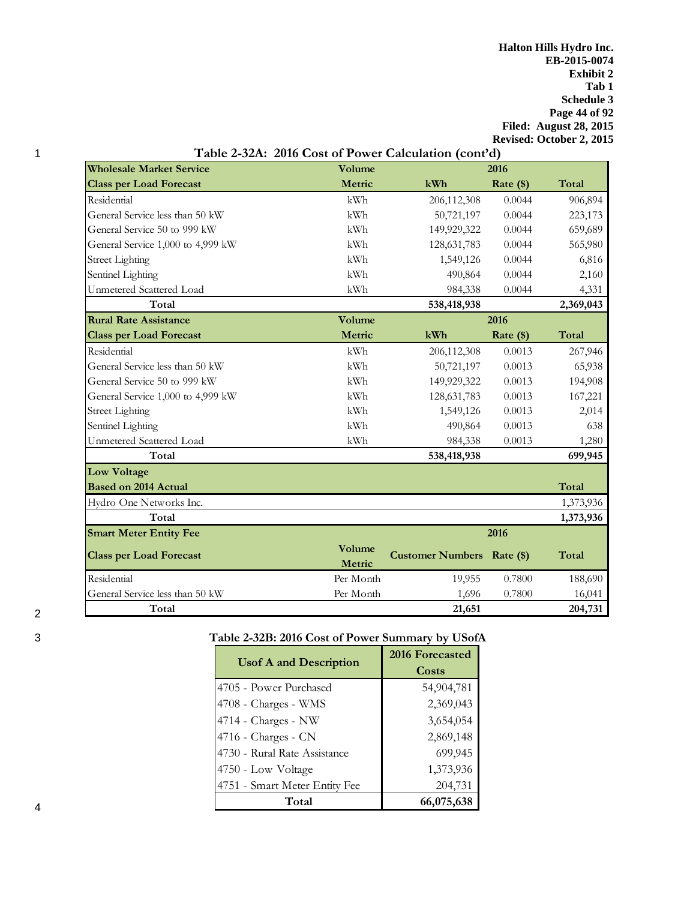**Halton Hills Hydro Inc. EB-2015-0074 Exhibit 2 Tab 1 Schedule 3 Page 44 of 92 Filed: August 28, 2015 Revised: October 2, 2015**

|                                   | Table 2-32A: 2016 Cost of Power Calculation (cont'd) |                            |             |           |  |  |
|-----------------------------------|------------------------------------------------------|----------------------------|-------------|-----------|--|--|
| <b>Wholesale Market Service</b>   | Volume                                               | 2016                       |             |           |  |  |
| <b>Class per Load Forecast</b>    | Metric                                               | kWh                        | Rate $(\$)$ | Total     |  |  |
| Residential                       | kWh                                                  | 206,112,308                | 0.0044      | 906,894   |  |  |
| General Service less than 50 kW   | kWh                                                  | 50,721,197                 | 0.0044      | 223,173   |  |  |
| General Service 50 to 999 kW      | kWh                                                  | 149,929,322                | 0.0044      | 659,689   |  |  |
| General Service 1,000 to 4,999 kW | kWh                                                  | 128, 631, 783              | 0.0044      | 565,980   |  |  |
| <b>Street Lighting</b>            | kWh                                                  | 1,549,126                  | 0.0044      | 6,816     |  |  |
| Sentinel Lighting                 | kWh                                                  | 490,864                    | 0.0044      | 2,160     |  |  |
| Unmetered Scattered Load          | kWh                                                  | 984,338                    | 0.0044      | 4,331     |  |  |
| Total                             |                                                      | 538,418,938                |             | 2,369,043 |  |  |
| <b>Rural Rate Assistance</b>      | Volume                                               |                            | 2016        |           |  |  |
| <b>Class per Load Forecast</b>    | Metric                                               | kWh                        | Rate (\$)   | Total     |  |  |
| Residential                       | kWh                                                  | 206,112,308                | 0.0013      | 267,946   |  |  |
| General Service less than 50 kW   | kWh                                                  | 50,721,197                 | 0.0013      | 65,938    |  |  |
| General Service 50 to 999 kW      | kWh                                                  | 149,929,322                | 0.0013      | 194,908   |  |  |
| General Service 1,000 to 4,999 kW | kWh                                                  | 128, 631, 783              | 0.0013      | 167,221   |  |  |
| <b>Street Lighting</b>            | kWh                                                  | 1,549,126                  | 0.0013      | 2,014     |  |  |
| Sentinel Lighting                 | kWh                                                  | 490,864                    | 0.0013      | 638       |  |  |
| Unmetered Scattered Load          | kWh                                                  | 984,338                    | 0.0013      | 1,280     |  |  |
| Total                             |                                                      | 538,418,938                |             | 699,945   |  |  |
| <b>Low Voltage</b>                |                                                      |                            |             |           |  |  |
| <b>Based on 2014 Actual</b>       |                                                      |                            |             | Total     |  |  |
| Hydro One Networks Inc.           |                                                      |                            |             | 1,373,936 |  |  |
| Total                             |                                                      |                            |             | 1,373,936 |  |  |
| <b>Smart Meter Entity Fee</b>     |                                                      |                            | 2016        |           |  |  |
| <b>Class per Load Forecast</b>    | Volume<br>Metric                                     | Customer Numbers Rate (\$) |             | Total     |  |  |
| Residential                       | Per Month                                            | 19,955                     | 0.7800      | 188,690   |  |  |
| General Service less than 50 kW   | Per Month                                            | 1,696                      | 0.7800      | 16,041    |  |  |
| Total                             |                                                      | 21,651                     |             | 204,731   |  |  |

# 3 **Table 2-32B: 2016 Cost of Power Summary by USofA**

|                               | 2016 Forecasted |
|-------------------------------|-----------------|
| <b>Usof A and Description</b> | Costs           |
| 4705 - Power Purchased        | 54,904,781      |
| 4708 - Charges - WMS          | 2,369,043       |
| 4714 - Charges - NW           | 3,654,054       |
| $4716$ - Charges - CN         | 2,869,148       |
| 4730 - Rural Rate Assistance  | 699,945         |
| 4750 - Low Voltage            | 1,373,936       |
| 4751 - Smart Meter Entity Fee | 204,731         |
| Total                         | 66,075,638      |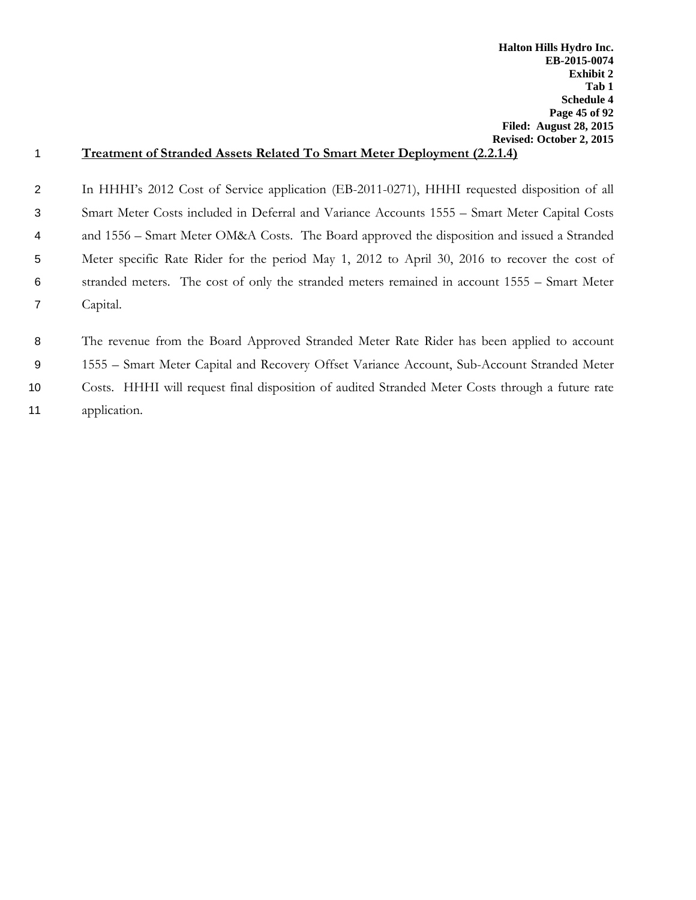# 1 **Treatment of Stranded Assets Related To Smart Meter Deployment (2.2.1.4)**

 In HHHI's 2012 Cost of Service application (EB-2011-0271), HHHI requested disposition of all Smart Meter Costs included in Deferral and Variance Accounts 1555 – Smart Meter Capital Costs and 1556 – Smart Meter OM&A Costs. The Board approved the disposition and issued a Stranded Meter specific Rate Rider for the period May 1, 2012 to April 30, 2016 to recover the cost of stranded meters. The cost of only the stranded meters remained in account 1555 – Smart Meter 7 Capital.

 The revenue from the Board Approved Stranded Meter Rate Rider has been applied to account 1555 – Smart Meter Capital and Recovery Offset Variance Account, Sub-Account Stranded Meter Costs. HHHI will request final disposition of audited Stranded Meter Costs through a future rate application.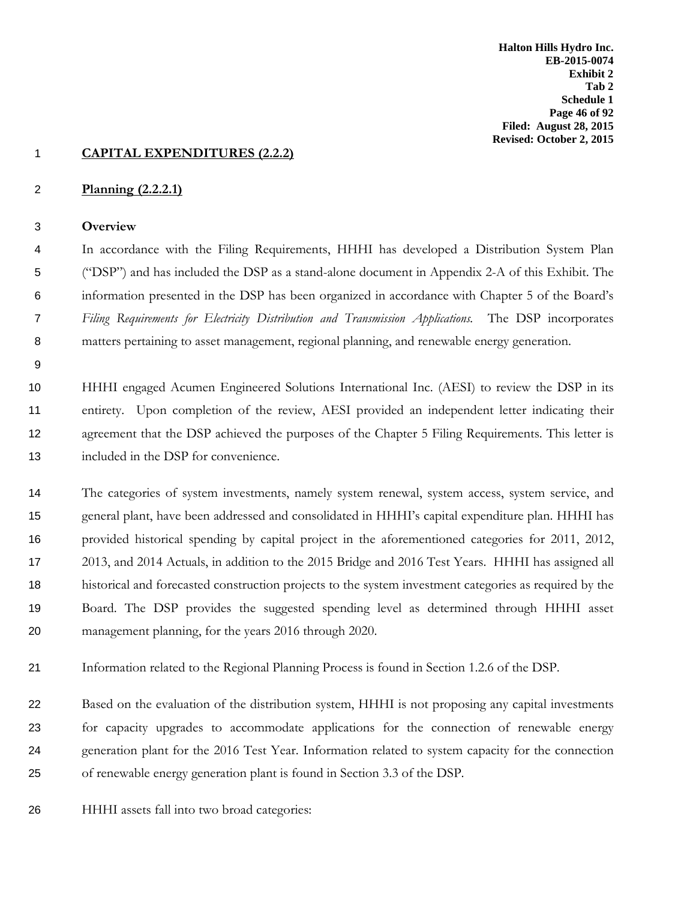#### **CAPITAL EXPENDITURES (2.2.2)**

#### **Planning (2.2.2.1)**

#### **Overview**

 In accordance with the Filing Requirements, HHHI has developed a Distribution System Plan ("DSP") and has included the DSP as a stand-alone document in Appendix 2-A of this Exhibit. The information presented in the DSP has been organized in accordance with Chapter 5 of the Board's *Filing Requirements for Electricity Distribution and Transmission Applications.* The DSP incorporates matters pertaining to asset management, regional planning, and renewable energy generation.

 HHHI engaged Acumen Engineered Solutions International Inc. (AESI) to review the DSP in its entirety. Upon completion of the review, AESI provided an independent letter indicating their 12 agreement that the DSP achieved the purposes of the Chapter 5 Filing Requirements. This letter is included in the DSP for convenience.

 The categories of system investments, namely system renewal, system access, system service, and general plant, have been addressed and consolidated in HHHI's capital expenditure plan. HHHI has provided historical spending by capital project in the aforementioned categories for 2011, 2012, 2013, and 2014 Actuals, in addition to the 2015 Bridge and 2016 Test Years. HHHI has assigned all historical and forecasted construction projects to the system investment categories as required by the Board. The DSP provides the suggested spending level as determined through HHHI asset management planning, for the years 2016 through 2020.

Information related to the Regional Planning Process is found in Section 1.2.6 of the DSP.

 Based on the evaluation of the distribution system, HHHI is not proposing any capital investments for capacity upgrades to accommodate applications for the connection of renewable energy generation plant for the 2016 Test Year. Information related to system capacity for the connection of renewable energy generation plant is found in Section 3.3 of the DSP.

HHHI assets fall into two broad categories: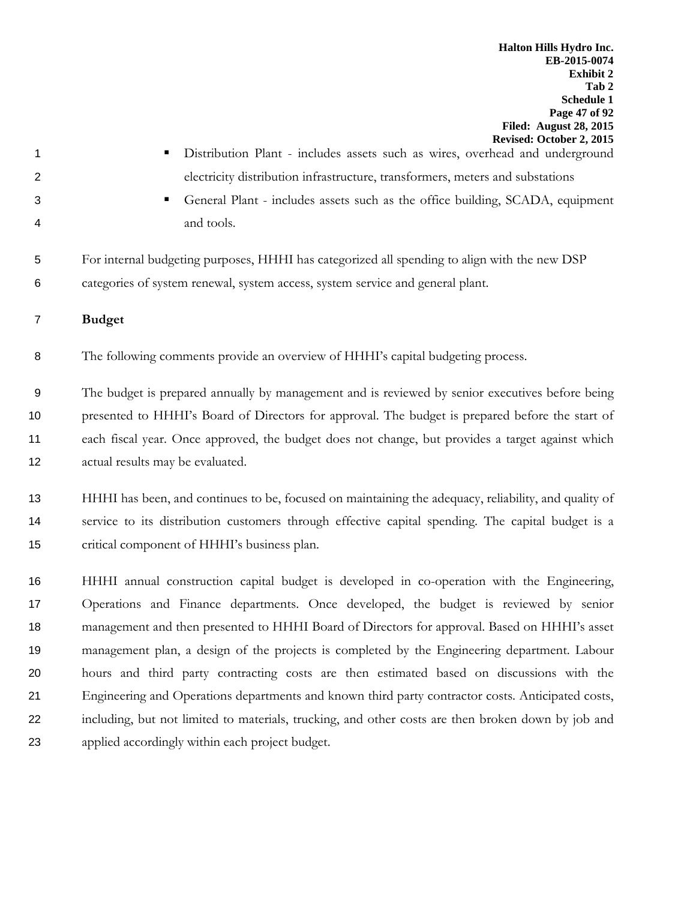- 
- 1 Distribution Plant includes assets such as wires, overhead and underground electricity distribution infrastructure, transformers, meters and substations
- 
- General Plant includes assets such as the office building, SCADA, equipment and tools.
- For internal budgeting purposes, HHHI has categorized all spending to align with the new DSP categories of system renewal, system access, system service and general plant.
- **Budget**

The following comments provide an overview of HHHI's capital budgeting process.

 The budget is prepared annually by management and is reviewed by senior executives before being presented to HHHI's Board of Directors for approval. The budget is prepared before the start of each fiscal year. Once approved, the budget does not change, but provides a target against which actual results may be evaluated.

 HHHI has been, and continues to be, focused on maintaining the adequacy, reliability, and quality of service to its distribution customers through effective capital spending. The capital budget is a critical component of HHHI's business plan.

 HHHI annual construction capital budget is developed in co-operation with the Engineering, Operations and Finance departments. Once developed, the budget is reviewed by senior management and then presented to HHHI Board of Directors for approval. Based on HHHI's asset management plan, a design of the projects is completed by the Engineering department. Labour hours and third party contracting costs are then estimated based on discussions with the Engineering and Operations departments and known third party contractor costs. Anticipated costs, including, but not limited to materials, trucking, and other costs are then broken down by job and applied accordingly within each project budget.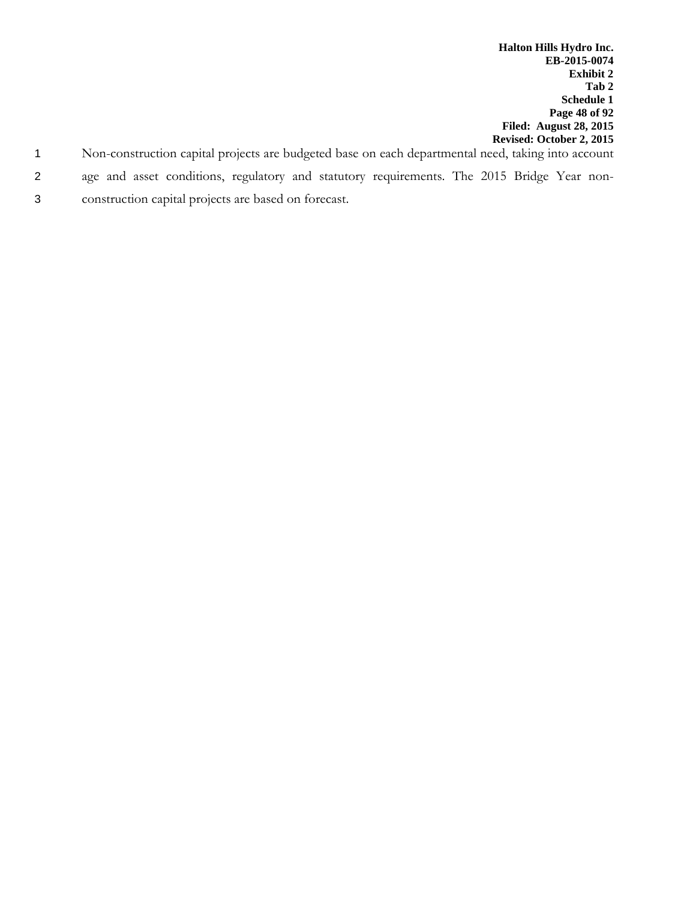- 1 Non-construction capital projects are budgeted base on each departmental need, taking into account
- 2 age and asset conditions, regulatory and statutory requirements. The 2015 Bridge Year non-
- 3 construction capital projects are based on forecast.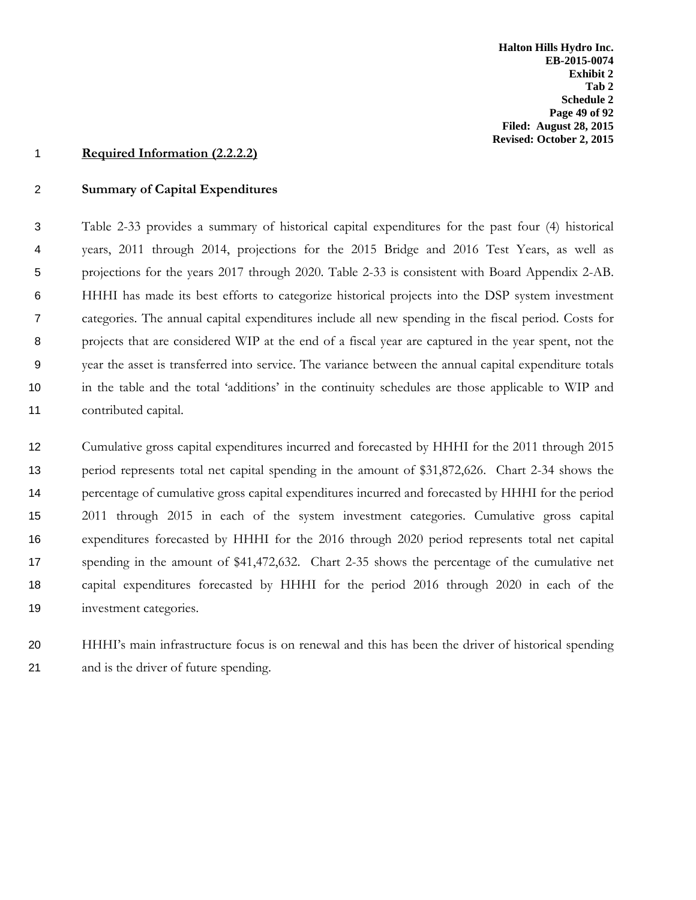#### **Required Information (2.2.2.2)**

#### **Summary of Capital Expenditures**

 Table 2-33 provides a summary of historical capital expenditures for the past four (4) historical years, 2011 through 2014, projections for the 2015 Bridge and 2016 Test Years, as well as projections for the years 2017 through 2020. Table 2-33 is consistent with Board Appendix 2-AB. HHHI has made its best efforts to categorize historical projects into the DSP system investment categories. The annual capital expenditures include all new spending in the fiscal period. Costs for projects that are considered WIP at the end of a fiscal year are captured in the year spent, not the year the asset is transferred into service. The variance between the annual capital expenditure totals in the table and the total 'additions' in the continuity schedules are those applicable to WIP and contributed capital.

 Cumulative gross capital expenditures incurred and forecasted by HHHI for the 2011 through 2015 period represents total net capital spending in the amount of \$31,872,626. Chart 2-34 shows the percentage of cumulative gross capital expenditures incurred and forecasted by HHHI for the period 2011 through 2015 in each of the system investment categories. Cumulative gross capital expenditures forecasted by HHHI for the 2016 through 2020 period represents total net capital spending in the amount of \$41,472,632. Chart 2-35 shows the percentage of the cumulative net capital expenditures forecasted by HHHI for the period 2016 through 2020 in each of the investment categories.

 HHHI's main infrastructure focus is on renewal and this has been the driver of historical spending and is the driver of future spending.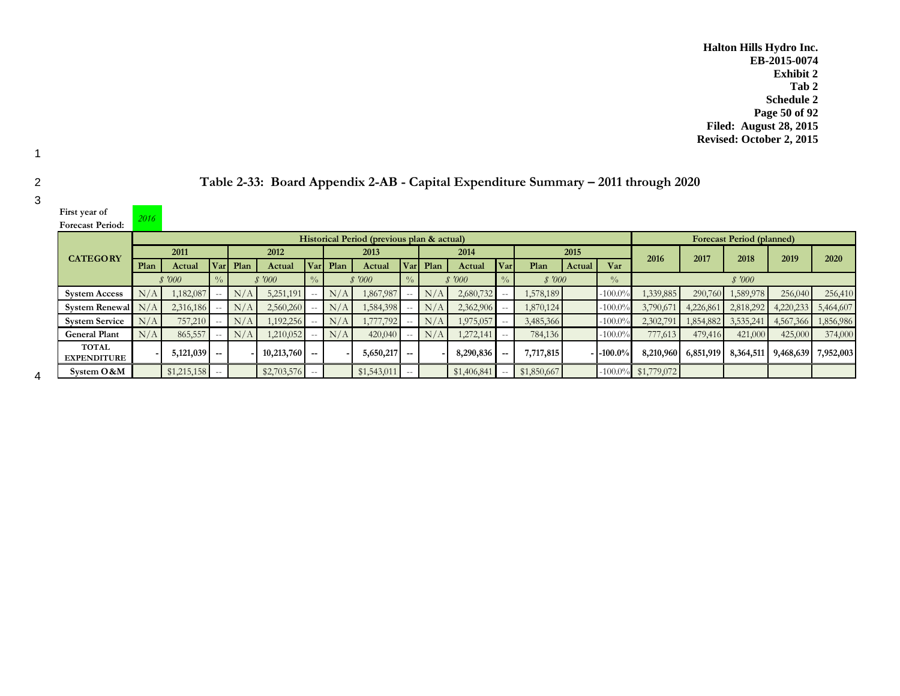**Halton Hills Hydro Inc. EB-2015-0074 Exhibit 2 Tab 2 Schedule 2 Page 50 of 92 Filed: August 28, 2015 Revised: October 2, 2015**

| First year of                      | 2016 |                                            |               |      |                 |               |      |               |               |      |             |               |                                  |        |               |             |                     |                   |                                      |             |
|------------------------------------|------|--------------------------------------------|---------------|------|-----------------|---------------|------|---------------|---------------|------|-------------|---------------|----------------------------------|--------|---------------|-------------|---------------------|-------------------|--------------------------------------|-------------|
| <b>Forecast Period:</b>            |      |                                            |               |      |                 |               |      |               |               |      |             |               |                                  |        |               |             |                     |                   |                                      |             |
|                                    |      | Historical Period (previous plan & actual) |               |      |                 |               |      |               |               |      |             |               | <b>Forecast Period (planned)</b> |        |               |             |                     |                   |                                      |             |
| <b>CATEGORY</b>                    |      | 2011                                       |               |      | 2012            |               |      | 2013          |               |      | 2014        |               |                                  | 2015   |               | 2016        | 2017                | 2018              | 2019                                 | <b>2020</b> |
|                                    | Plan | Actual                                     | Varl          | Plan | Actual          | Varl          | Plan | Actual        | <b>Var</b>    | Plan | Actual      | Varl          | Plan                             | Actual | Var           |             |                     |                   |                                      |             |
|                                    |      | \$7000                                     |               |      | \$7000          |               |      | \$7000        |               |      | \$7000      |               | \$7000                           |        | $\frac{0}{0}$ |             |                     | \$7000            |                                      |             |
| <b>System Access</b>               | N/A  | 1,182,087                                  |               | N/A  | 5,251,191       |               | N/A  | 1,867,987     | $\sim$ $\sim$ | N/A  | 2,680,732   |               | 1,578,189                        |        | $-100.0\%$    | 1,339,885   |                     | 290,760 1,589,978 | 256,040                              | 256,410     |
| System Renewal                     | N/A  | 2,316,186                                  |               | N/A  | 2,560,260       |               | N/A  | 1,584,398     |               | N/A  | 2,362,906   |               | 1,870,124                        |        | $-100.0\%$    | 3,790,671   | 4,226,861           |                   | $\mid$ 2,818,292 4,220,233           | 5,464,607   |
| <b>System Service</b>              | N/A  | 757,210                                    |               | N/A  | 1,192,256       |               | N/A  | 1,777,792     |               | N/A  | 1,975,057   |               | 3,485,366                        |        | $-100.0\%$    | 2,302,791   |                     |                   | $\mid$ 1,854,882 3,535,241 4,567,366 | 1,856,986   |
| <b>General Plant</b>               | N/A  | 865,557                                    |               | N/A  | 1,210,052       |               | N/A  | 420,040       | $- -$         | N/A  | 1,272,141   | $\sim$ $\sim$ | 784,136                          |        | $-100.0\%$    | 777,613     | 479,416             | 421,000           | 425,000                              | 374,000     |
| <b>TOTAL</b><br><b>EXPENDITURE</b> |      | $5,121,039$ -                              |               |      | $10,213,760$ -- |               |      | $5,650,217$ - |               |      | 8,290,836   |               | 7,717,815                        |        | $-1-100.0\%$  |             | 8,210,960 6,851,919 |                   | 8,364,511 9,468,639 7,952,003        |             |
| System O & M                       |      | \$1,215,158                                | $\sim$ $\sim$ |      | \$2,703,576     | $\sim$ $\sim$ |      | \$1,543,011   | $\sim$ $\sim$ |      | \$1,406,841 | $\sim$ $-$    | \$1,850,667                      |        | $-100.0\%$    | \$1,779,072 |                     |                   |                                      |             |

|  |  |  | Table 2-33: Board Appendix 2-AB - Capital Expenditure Summary – 2011 through 2020 |
|--|--|--|-----------------------------------------------------------------------------------|
|--|--|--|-----------------------------------------------------------------------------------|

1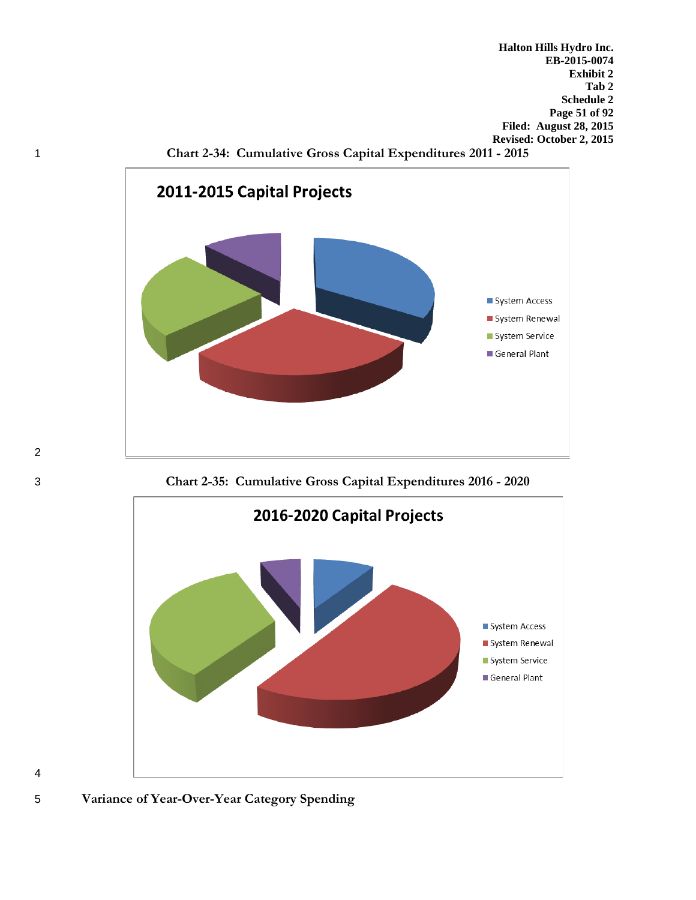**Halton Hills Hydro Inc. EB-2015-0074 Exhibit 2 Tab 2 Schedule 2 Page 51 of 92 Filed: August 28, 2015 Revised: October 2, 2015**





3 **Chart 2-35: Cumulative Gross Capital Expenditures 2016 - 2020**





2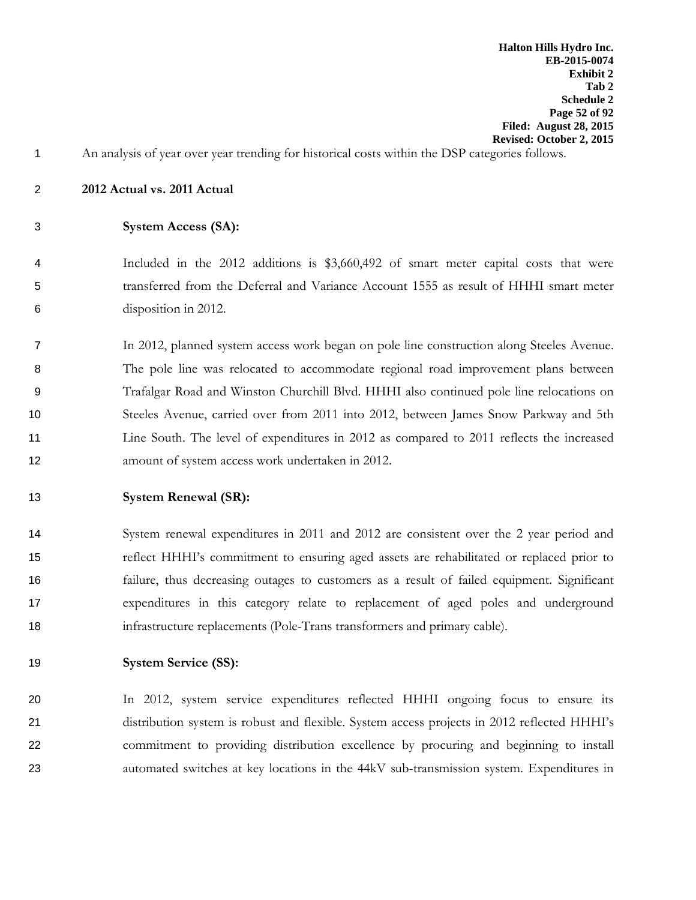- An analysis of year over year trending for historical costs within the DSP categories follows.
- **2012 Actual vs. 2011 Actual**
- **System Access (SA):**
- Included in the 2012 additions is \$3,660,492 of smart meter capital costs that were transferred from the Deferral and Variance Account 1555 as result of HHHI smart meter disposition in 2012.
- In 2012, planned system access work began on pole line construction along Steeles Avenue. The pole line was relocated to accommodate regional road improvement plans between Trafalgar Road and Winston Churchill Blvd. HHHI also continued pole line relocations on Steeles Avenue, carried over from 2011 into 2012, between James Snow Parkway and 5th Line South. The level of expenditures in 2012 as compared to 2011 reflects the increased amount of system access work undertaken in 2012.
- **System Renewal (SR):**
- System renewal expenditures in 2011 and 2012 are consistent over the 2 year period and reflect HHHI's commitment to ensuring aged assets are rehabilitated or replaced prior to failure, thus decreasing outages to customers as a result of failed equipment. Significant expenditures in this category relate to replacement of aged poles and underground infrastructure replacements (Pole-Trans transformers and primary cable).
- **System Service (SS):**
- In 2012, system service expenditures reflected HHHI ongoing focus to ensure its distribution system is robust and flexible. System access projects in 2012 reflected HHHI's commitment to providing distribution excellence by procuring and beginning to install automated switches at key locations in the 44kV sub-transmission system. Expenditures in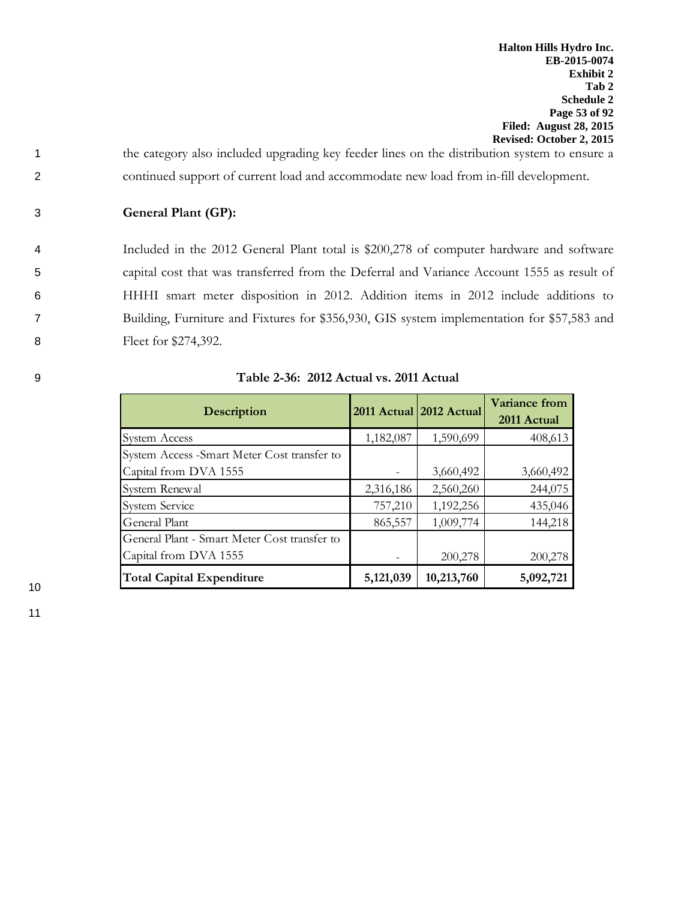1 the category also included upgrading key feeder lines on the distribution system to ensure a 2 continued support of current load and accommodate new load from in-fill development.

3 **General Plant (GP):**

 Included in the 2012 General Plant total is \$200,278 of computer hardware and software capital cost that was transferred from the Deferral and Variance Account 1555 as result of HHHI smart meter disposition in 2012. Addition items in 2012 include additions to Building, Furniture and Fixtures for \$356,930, GIS system implementation for \$57,583 and Fleet for \$274,392.

| <b>Description</b>                           |           | 2011 Actual 2012 Actual | Variance from<br>2011 Actual |
|----------------------------------------------|-----------|-------------------------|------------------------------|
| <b>System Access</b>                         | 1,182,087 | 1,590,699               | 408,613                      |
| System Access - Smart Meter Cost transfer to |           |                         |                              |
| Capital from DVA 1555                        |           | 3,660,492               | 3,660,492                    |
| System Renewal                               | 2,316,186 | 2,560,260               | 244,075                      |
| <b>System Service</b>                        | 757,210   | 1,192,256               | 435,046                      |
| General Plant                                | 865,557   | 1,009,774               | 144,218                      |
| General Plant - Smart Meter Cost transfer to |           |                         |                              |
| Capital from DVA 1555                        |           | 200,278                 | 200,278                      |
| <b>Total Capital Expenditure</b>             | 5,121,039 | 10,213,760              | 5,092,721                    |

9 **Table 2-36: 2012 Actual vs. 2011 Actual**

10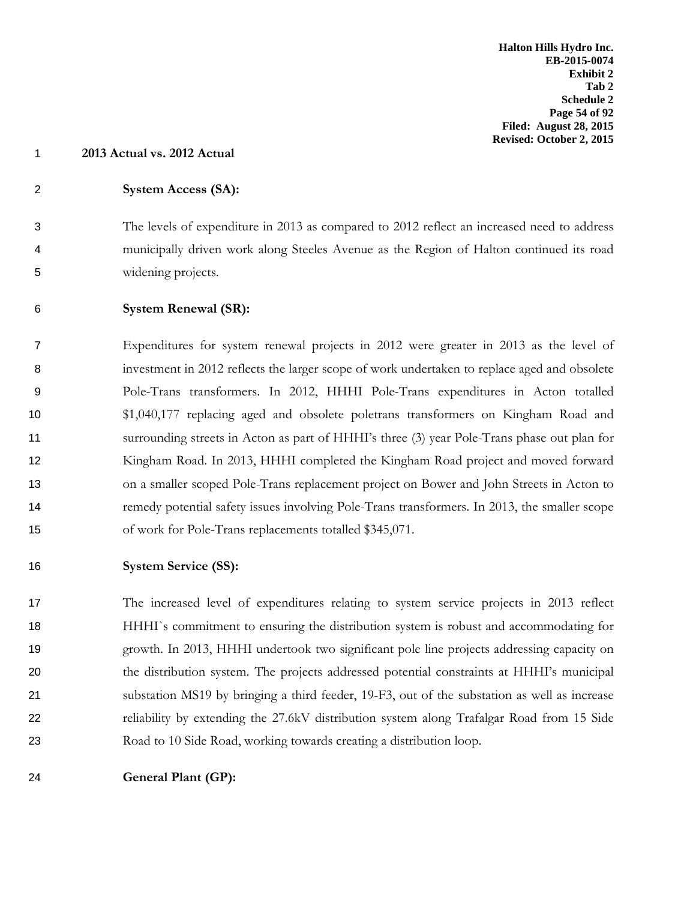- **2013 Actual vs. 2012 Actual**
- **System Access (SA):**

 The levels of expenditure in 2013 as compared to 2012 reflect an increased need to address municipally driven work along Steeles Avenue as the Region of Halton continued its road widening projects.

**System Renewal (SR):**

 Expenditures for system renewal projects in 2012 were greater in 2013 as the level of investment in 2012 reflects the larger scope of work undertaken to replace aged and obsolete Pole-Trans transformers. In 2012, HHHI Pole-Trans expenditures in Acton totalled \$1,040,177 replacing aged and obsolete poletrans transformers on Kingham Road and surrounding streets in Acton as part of HHHI's three (3) year Pole-Trans phase out plan for Kingham Road. In 2013, HHHI completed the Kingham Road project and moved forward on a smaller scoped Pole-Trans replacement project on Bower and John Streets in Acton to remedy potential safety issues involving Pole-Trans transformers. In 2013, the smaller scope of work for Pole-Trans replacements totalled \$345,071.

# **System Service (SS):**

 The increased level of expenditures relating to system service projects in 2013 reflect HHHI`s commitment to ensuring the distribution system is robust and accommodating for growth. In 2013, HHHI undertook two significant pole line projects addressing capacity on the distribution system. The projects addressed potential constraints at HHHI's municipal substation MS19 by bringing a third feeder, 19-F3, out of the substation as well as increase reliability by extending the 27.6kV distribution system along Trafalgar Road from 15 Side Road to 10 Side Road, working towards creating a distribution loop.

**General Plant (GP):**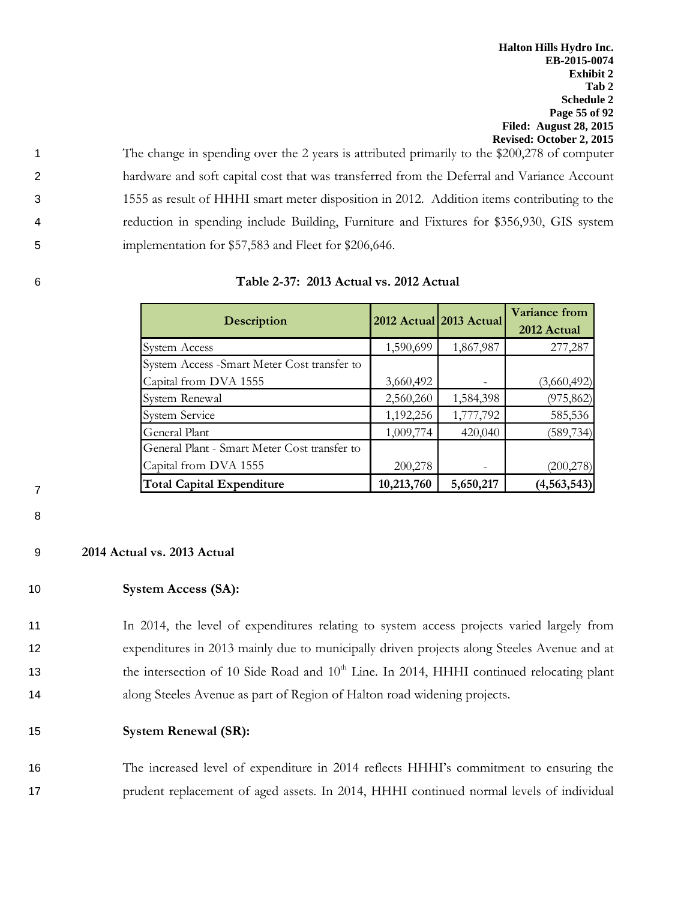The change in spending over the 2 years is attributed primarily to the \$200,278 of computer hardware and soft capital cost that was transferred from the Deferral and Variance Account 1555 as result of HHHI smart meter disposition in 2012. Addition items contributing to the reduction in spending include Building, Furniture and Fixtures for \$356,930, GIS system 5 implementation for \$57,583 and Fleet for \$206,646.

|  | Table 2-37: 2013 Actual vs. 2012 Actual |
|--|-----------------------------------------|
|  |                                         |

| <b>Description</b>                           |            | 2012 Actual 2013 Actual | <b>Variance from</b><br>2012 Actual |
|----------------------------------------------|------------|-------------------------|-------------------------------------|
| System Access                                | 1,590,699  | 1,867,987               | 277,287                             |
| System Access -Smart Meter Cost transfer to  |            |                         |                                     |
| Capital from DVA 1555                        | 3,660,492  |                         | (3,660,492)                         |
| System Renewal                               | 2,560,260  | 1,584,398               | (975, 862)                          |
| <b>System Service</b>                        | 1,192,256  | 1,777,792               | 585,536                             |
| General Plant                                | 1,009,774  | 420,040                 | (589, 734)                          |
| General Plant - Smart Meter Cost transfer to |            |                         |                                     |
| Capital from DVA 1555                        | 200,278    |                         | (200, 278)                          |
| <b>Total Capital Expenditure</b>             | 10,213,760 | 5,650,217               | (4, 563, 543)                       |

7 8

## 9 **2014 Actual vs. 2013 Actual**

# 10 **System Access (SA):**

 In 2014, the level of expenditures relating to system access projects varied largely from expenditures in 2013 mainly due to municipally driven projects along Steeles Avenue and at the intersection of 10 Side Road and 10<sup>th</sup> Line. In 2014, HHHI continued relocating plant along Steeles Avenue as part of Region of Halton road widening projects.

## 15 **System Renewal (SR):**

16 The increased level of expenditure in 2014 reflects HHHI's commitment to ensuring the 17 prudent replacement of aged assets. In 2014, HHHI continued normal levels of individual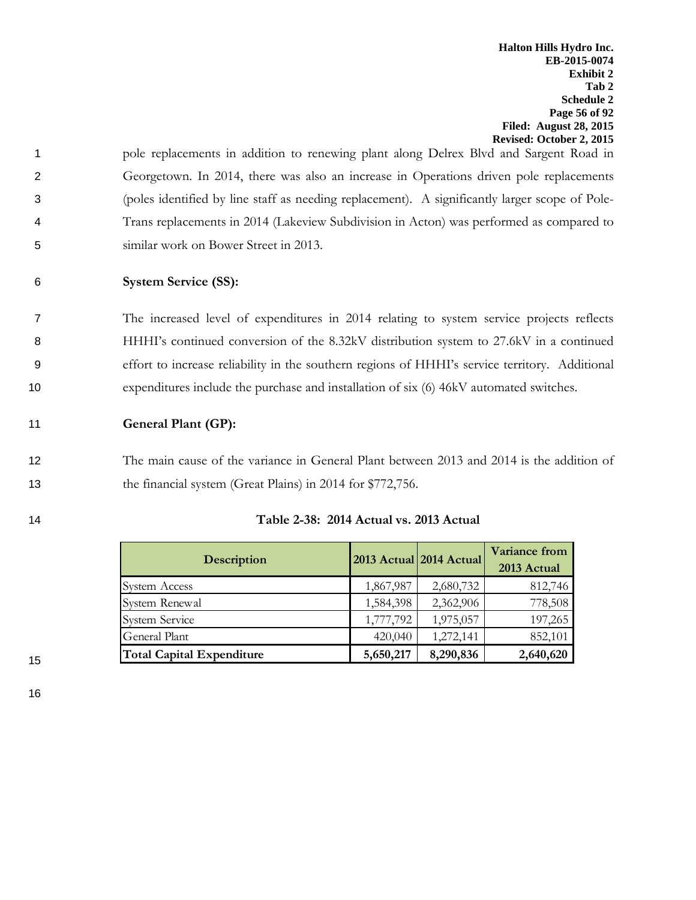pole replacements in addition to renewing plant along Delrex Blvd and Sargent Road in Georgetown. In 2014, there was also an increase in Operations driven pole replacements (poles identified by line staff as needing replacement). A significantly larger scope of Pole- Trans replacements in 2014 (Lakeview Subdivision in Acton) was performed as compared to similar work on Bower Street in 2013.

# 6 **System Service (SS):**

 The increased level of expenditures in 2014 relating to system service projects reflects HHHI's continued conversion of the 8.32kV distribution system to 27.6kV in a continued effort to increase reliability in the southern regions of HHHI's service territory. Additional expenditures include the purchase and installation of six (6) 46kV automated switches.

11 **General Plant (GP):**

12 The main cause of the variance in General Plant between 2013 and 2014 is the addition of 13 the financial system (Great Plains) in 2014 for \$772,756.

| <b>Description</b>               |           | 2013 Actual 2014 Actual | <b>Variance from</b><br>2013 Actual |
|----------------------------------|-----------|-------------------------|-------------------------------------|
| System Access                    | 1,867,987 | 2,680,732               | 812,746                             |
| System Renewal                   | 1,584,398 | 2,362,906               | 778,508                             |
| <b>System Service</b>            | 1,777,792 | 1,975,057               | 197,265                             |
| General Plant                    | 420,040   | 1,272,141               | 852,101                             |
| <b>Total Capital Expenditure</b> | 5,650,217 | 8,290,836               | 2,640,620                           |

# 14 **Table 2-38: 2014 Actual vs. 2013 Actual**

15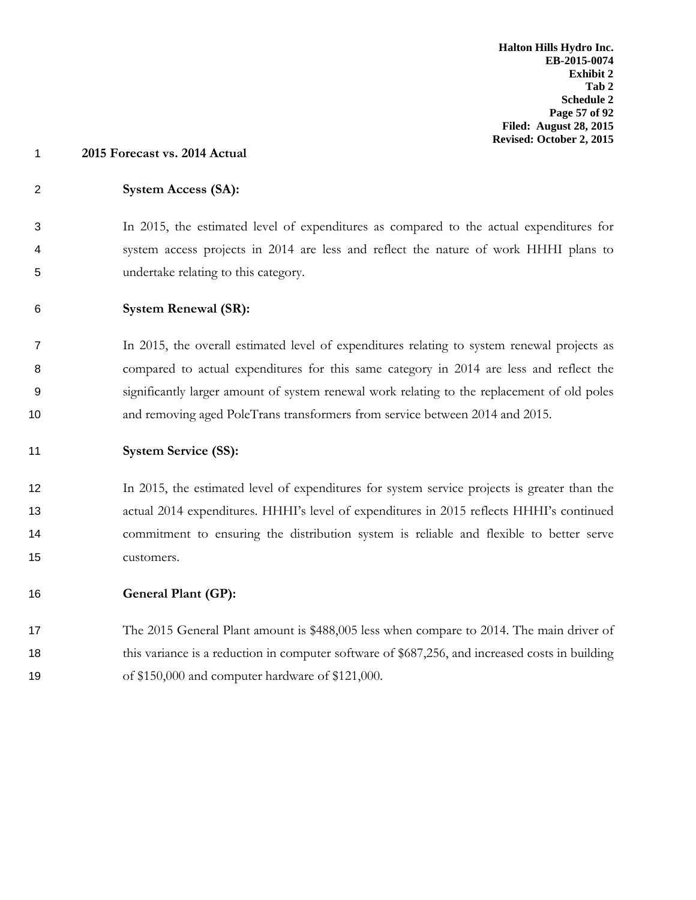# **System Access (SA):**

 In 2015, the estimated level of expenditures as compared to the actual expenditures for system access projects in 2014 are less and reflect the nature of work HHHI plans to undertake relating to this category.

**System Renewal (SR):**

 In 2015, the overall estimated level of expenditures relating to system renewal projects as compared to actual expenditures for this same category in 2014 are less and reflect the significantly larger amount of system renewal work relating to the replacement of old poles and removing aged PoleTrans transformers from service between 2014 and 2015.

**System Service (SS):**

 In 2015, the estimated level of expenditures for system service projects is greater than the actual 2014 expenditures. HHHI's level of expenditures in 2015 reflects HHHI's continued commitment to ensuring the distribution system is reliable and flexible to better serve customers.

**General Plant (GP):**

17 The 2015 General Plant amount is \$488,005 less when compare to 2014. The main driver of 18 this variance is a reduction in computer software of \$687,256, and increased costs in building of \$150,000 and computer hardware of \$121,000.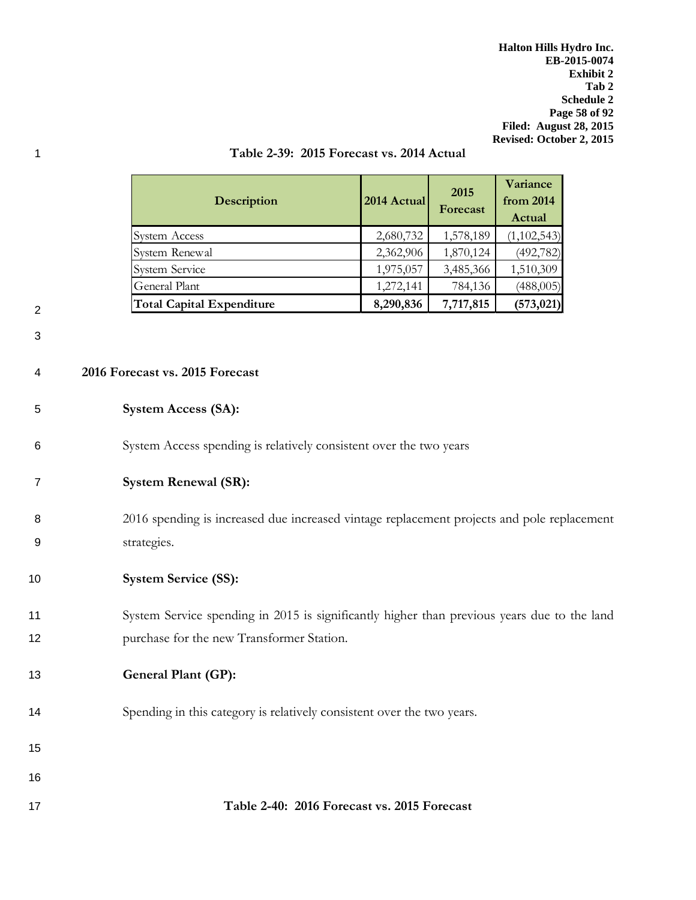**Halton Hills Hydro Inc. EB-2015-0074 Exhibit 2 Tab 2 Schedule 2 Page 58 of 92 Filed: August 28, 2015 Revised: October 2, 2015**

| <b>Description</b>               | 2014 Actual | 2015<br>Forecast | Variance<br>from 2014<br>Actual |
|----------------------------------|-------------|------------------|---------------------------------|
| <b>System Access</b>             | 2,680,732   | 1,578,189        | (1,102,543)                     |
| System Renewal                   | 2,362,906   | 1,870,124        | (492, 782)                      |
| <b>System Service</b>            | 1,975,057   | 3,485,366        | 1,510,309                       |
| General Plant                    | 1,272,141   | 784,136          | (488,005)                       |
| <b>Total Capital Expenditure</b> | 8,290,836   | 7,717,815        | (573, 021)                      |

## 1 **Table 2-39: 2015 Forecast vs. 2014 Actual**

| I | š |
|---|---|
|   |   |
|   |   |

3

#### 4 **2016 Forecast vs. 2015 Forecast**

## 5 **System Access (SA):**

- 6 System Access spending is relatively consistent over the two years
- 7 **System Renewal (SR):**

8 2016 spending is increased due increased vintage replacement projects and pole replacement 9 strategies.

# 10 **System Service (SS):**

11 System Service spending in 2015 is significantly higher than previous years due to the land 12 **purchase for the new Transformer Station.** 

# 13 **General Plant (GP):**

- 14 Spending in this category is relatively consistent over the two years.
- 15
- 16

### 17 **Table 2-40: 2016 Forecast vs. 2015 Forecast**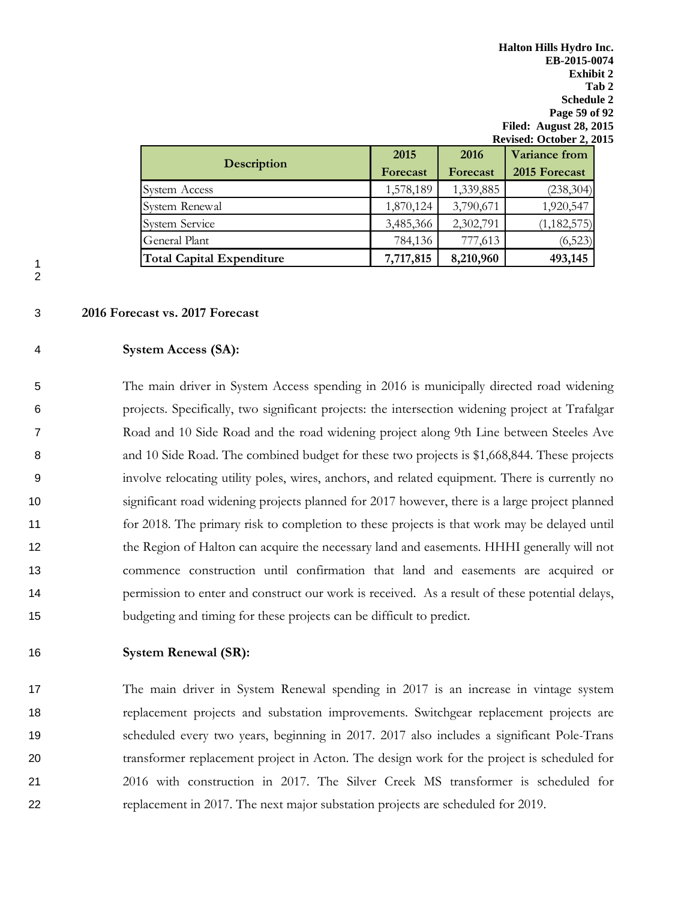|                                  | 2015      | 2016      | Variance from |
|----------------------------------|-----------|-----------|---------------|
| <b>Description</b>               | Forecast  | Forecast  | 2015 Forecast |
| System Access                    | 1,578,189 | 1,339,885 | (238, 304)    |
| System Renewal                   | 1,870,124 | 3,790,671 | 1,920,547     |
| <b>System Service</b>            | 3,485,366 | 2,302,791 | (1, 182, 575) |
| General Plant                    | 784,136   | 777,613   | (6,523)       |
| <b>Total Capital Expenditure</b> | 7,717,815 | 8,210,960 | 493,145       |

#### 3 **2016 Forecast vs. 2017 Forecast**

### 4 **System Access (SA):**

 The main driver in System Access spending in 2016 is municipally directed road widening projects. Specifically, two significant projects: the intersection widening project at Trafalgar Road and 10 Side Road and the road widening project along 9th Line between Steeles Ave and 10 Side Road. The combined budget for these two projects is \$1,668,844. These projects involve relocating utility poles, wires, anchors, and related equipment. There is currently no significant road widening projects planned for 2017 however, there is a large project planned for 2018. The primary risk to completion to these projects is that work may be delayed until the Region of Halton can acquire the necessary land and easements. HHHI generally will not commence construction until confirmation that land and easements are acquired or permission to enter and construct our work is received. As a result of these potential delays, budgeting and timing for these projects can be difficult to predict.

#### 16 **System Renewal (SR):**

 The main driver in System Renewal spending in 2017 is an increase in vintage system replacement projects and substation improvements. Switchgear replacement projects are scheduled every two years, beginning in 2017. 2017 also includes a significant Pole-Trans transformer replacement project in Acton. The design work for the project is scheduled for 2016 with construction in 2017. The Silver Creek MS transformer is scheduled for replacement in 2017. The next major substation projects are scheduled for 2019.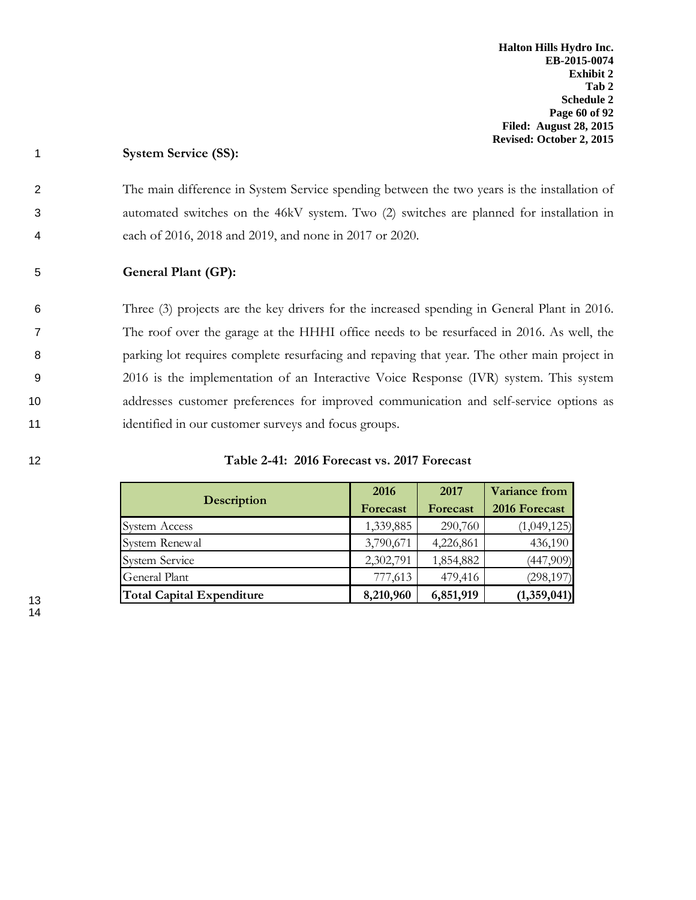## 1 **System Service (SS):**

2 The main difference in System Service spending between the two years is the installation of 3 automated switches on the 46kV system. Two (2) switches are planned for installation in 4 each of 2016, 2018 and 2019, and none in 2017 or 2020.

# 5 **General Plant (GP):**

 Three (3) projects are the key drivers for the increased spending in General Plant in 2016. The roof over the garage at the HHHI office needs to be resurfaced in 2016. As well, the parking lot requires complete resurfacing and repaving that year. The other main project in 2016 is the implementation of an Interactive Voice Response (IVR) system. This system addresses customer preferences for improved communication and self-service options as 11 identified in our customer surveys and focus groups.

| 12 | Table 2-41: 2016 Forecast vs. 2017 Forecast |  |
|----|---------------------------------------------|--|
|    |                                             |  |

|                                  | 2016      | 2017      | Variance from |
|----------------------------------|-----------|-----------|---------------|
| <b>Description</b>               | Forecast  | Forecast  | 2016 Forecast |
| <b>System Access</b>             | 1,339,885 | 290,760   | (1,049,125)   |
| System Renewal                   | 3,790,671 | 4,226,861 | 436,190       |
| <b>System Service</b>            | 2,302,791 | 1,854,882 | (447,909)     |
| General Plant                    | 777,613   | 479,416   | (298, 197)    |
| <b>Total Capital Expenditure</b> | 8,210,960 | 6,851,919 | (1,359,041)   |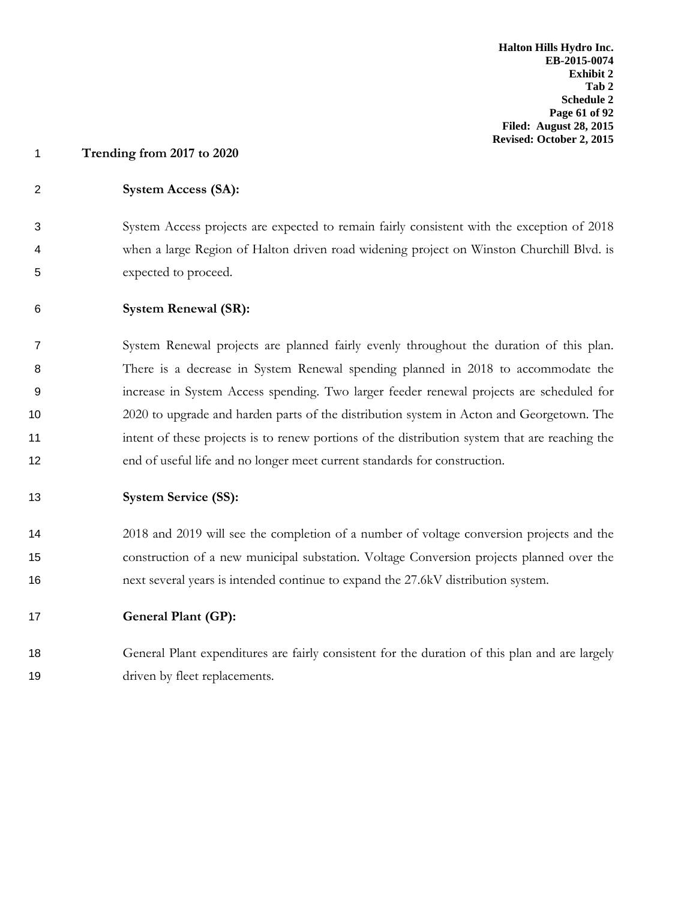# **System Access (SA):**

 System Access projects are expected to remain fairly consistent with the exception of 2018 when a large Region of Halton driven road widening project on Winston Churchill Blvd. is expected to proceed.

## **System Renewal (SR):**

 System Renewal projects are planned fairly evenly throughout the duration of this plan. There is a decrease in System Renewal spending planned in 2018 to accommodate the increase in System Access spending. Two larger feeder renewal projects are scheduled for 2020 to upgrade and harden parts of the distribution system in Acton and Georgetown. The intent of these projects is to renew portions of the distribution system that are reaching the end of useful life and no longer meet current standards for construction.

#### **System Service (SS):**

 2018 and 2019 will see the completion of a number of voltage conversion projects and the construction of a new municipal substation. Voltage Conversion projects planned over the next several years is intended continue to expand the 27.6kV distribution system.

# **General Plant (GP):**

 General Plant expenditures are fairly consistent for the duration of this plan and are largely 19 driven by fleet replacements.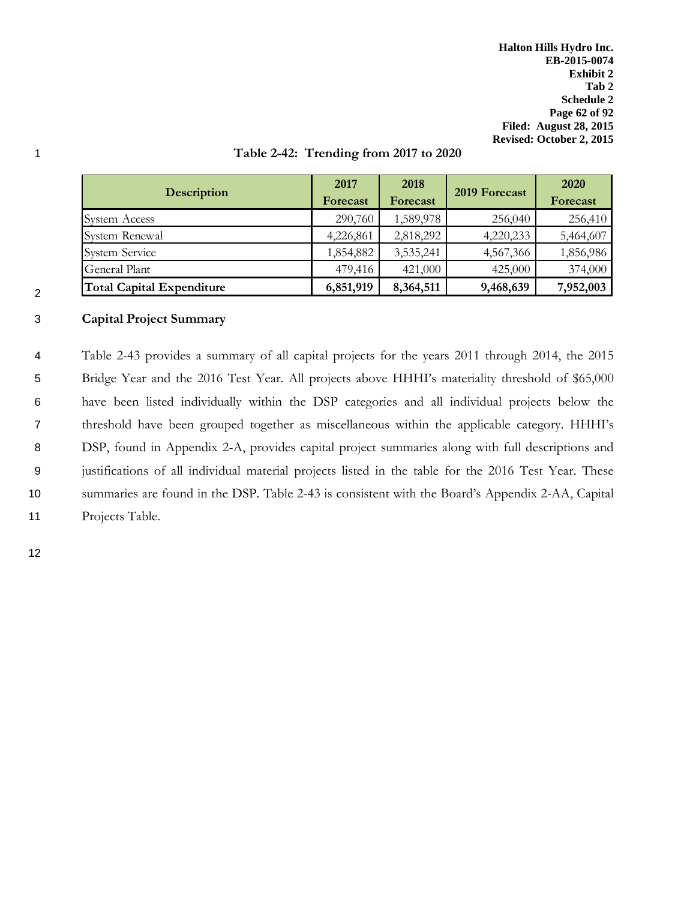**Halton Hills Hydro Inc. EB-2015-0074 Exhibit 2 Tab 2 Schedule 2 Page 62 of 92 Filed: August 28, 2015 Revised: October 2, 2015**

|                                  | 2017      | 2018      |               | <b>2020</b> |
|----------------------------------|-----------|-----------|---------------|-------------|
| <b>Description</b>               | Forecast  | Forecast  | 2019 Forecast | Forecast    |
| System Access                    | 290,760   | 1,589,978 | 256,040       | 256,410     |
| System Renewal                   | 4,226,861 | 2,818,292 | 4,220,233     | 5,464,607   |
| <b>System Service</b>            | 1,854,882 | 3,535,241 | 4,567,366     | 1,856,986   |
| General Plant                    | 479,416   | 421,000   | 425,000       | 374,000     |
| <b>Total Capital Expenditure</b> | 6,851,919 | 8,364,511 | 9,468,639     | 7,952,003   |

## 1 **Table 2-42: Trending from 2017 to 2020**

## 3 **Capital Project Summary**

 Table 2-43 provides a summary of all capital projects for the years 2011 through 2014, the 2015 Bridge Year and the 2016 Test Year. All projects above HHHI's materiality threshold of \$65,000 have been listed individually within the DSP categories and all individual projects below the threshold have been grouped together as miscellaneous within the applicable category. HHHI's 8 DSP, found in Appendix 2-A, provides capital project summaries along with full descriptions and justifications of all individual material projects listed in the table for the 2016 Test Year. These summaries are found in the DSP. Table 2-43 is consistent with the Board's Appendix 2-AA, Capital Projects Table.

12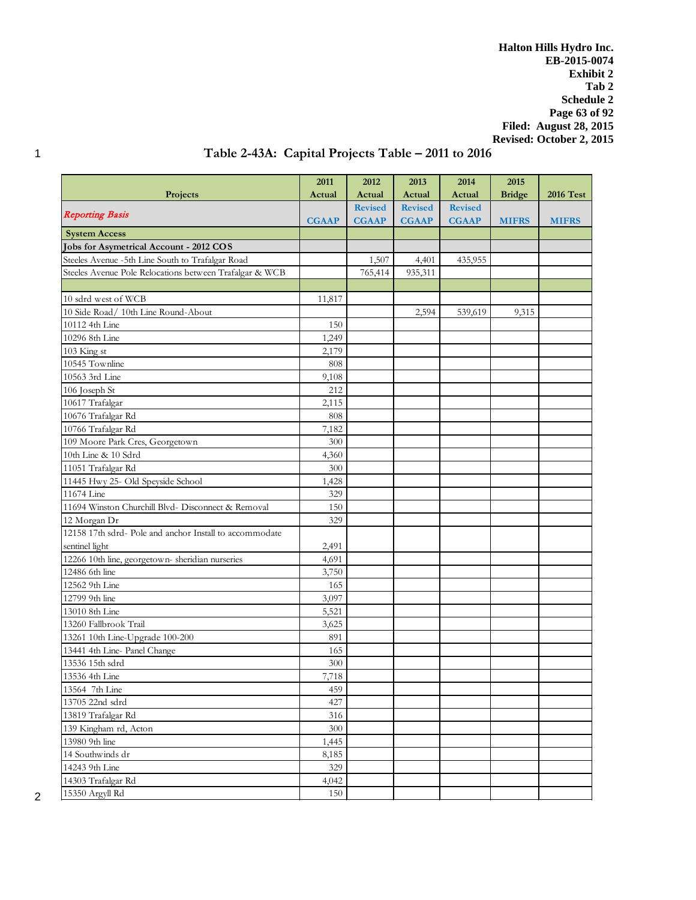**Halton Hills Hydro Inc. EB-2015-0074 Exhibit 2 Tab 2 Schedule 2 Page 63 of 92 Filed: August 28, 2015 Revised: October 2, 2015**

# 1 **Table 2-43A: Capital Projects Table – 2011 to 2016**

|                                                         | 2011         | 2012           | 2013           | 2014           | 2015          |                  |
|---------------------------------------------------------|--------------|----------------|----------------|----------------|---------------|------------------|
| Projects                                                | Actual       | Actual         | Actual         | Actual         | <b>Bridge</b> | <b>2016 Test</b> |
|                                                         |              | <b>Revised</b> | <b>Revised</b> | <b>Revised</b> |               |                  |
| <b>Reporting Basis</b>                                  | <b>CGAAP</b> | <b>CGAAP</b>   | <b>CGAAP</b>   | <b>CGAAP</b>   | <b>MIFRS</b>  | <b>MIFRS</b>     |
| <b>System Access</b>                                    |              |                |                |                |               |                  |
| Jobs for Asymetrical Account - 2012 COS                 |              |                |                |                |               |                  |
| Steeles Avenue -5th Line South to Trafalgar Road        |              | 1,507          | 4,401          | 435,955        |               |                  |
| Steeles Avenue Pole Relocations between Trafalgar & WCB |              | 765,414        | 935,311        |                |               |                  |
|                                                         |              |                |                |                |               |                  |
| 10 sdrd west of WCB                                     | 11,817       |                |                |                |               |                  |
| 10 Side Road/ 10th Line Round-About                     |              |                | 2,594          | 539,619        | 9,315         |                  |
| 10112 4th Line                                          | 150          |                |                |                |               |                  |
| 10296 8th Line                                          | 1,249        |                |                |                |               |                  |
| 103 King st                                             | 2,179        |                |                |                |               |                  |
| 10545 Townline                                          | 808          |                |                |                |               |                  |
| 10563 3rd Line                                          | 9,108        |                |                |                |               |                  |
| 106 Joseph St                                           | 212          |                |                |                |               |                  |
| 10617 Trafalgar                                         | 2,115        |                |                |                |               |                  |
| 10676 Trafalgar Rd                                      | 808          |                |                |                |               |                  |
| 10766 Trafalgar Rd                                      | 7,182        |                |                |                |               |                  |
| 109 Moore Park Cres, Georgetown                         | 300          |                |                |                |               |                  |
| 10th Line & 10 Sdrd                                     | 4,360        |                |                |                |               |                  |
| 11051 Trafalgar Rd                                      | 300          |                |                |                |               |                  |
| 11445 Hwy 25- Old Speyside School                       | 1,428        |                |                |                |               |                  |
| 11674 Line                                              | 329          |                |                |                |               |                  |
| 11694 Winston Churchill Blvd- Disconnect & Removal      | 150          |                |                |                |               |                  |
| 12 Morgan Dr                                            | 329          |                |                |                |               |                  |
| 12158 17th sdrd- Pole and anchor Install to accommodate |              |                |                |                |               |                  |
| sentinel light                                          | 2,491        |                |                |                |               |                  |
| 12266 10th line, georgetown-sheridian nurseries         | 4,691        |                |                |                |               |                  |
| 12486 6th line                                          | 3,750        |                |                |                |               |                  |
| 12562 9th Line                                          | 165          |                |                |                |               |                  |
| 12799 9th line                                          | 3,097        |                |                |                |               |                  |
| 13010 8th Line                                          | 5,521        |                |                |                |               |                  |
| 13260 Fallbrook Trail                                   | 3,625        |                |                |                |               |                  |
| 13261 10th Line-Upgrade 100-200                         | 891          |                |                |                |               |                  |
| 13441 4th Line- Panel Change                            | 165          |                |                |                |               |                  |
| 13536 15th sdrd                                         | 300          |                |                |                |               |                  |
| 13536 4th Line                                          | 7.718        |                |                |                |               |                  |
| 13564 7th Line                                          | 459          |                |                |                |               |                  |
| 13705 22nd sdrd                                         | 427          |                |                |                |               |                  |
| 13819 Trafalgar Rd                                      | 316          |                |                |                |               |                  |
| 139 Kingham rd, Acton                                   | 300          |                |                |                |               |                  |
| 13980 9th line                                          | 1,445        |                |                |                |               |                  |
| 14 Southwinds dr                                        | 8,185        |                |                |                |               |                  |
| 14243 9th Line                                          | 329          |                |                |                |               |                  |
| 14303 Trafalgar Rd                                      | 4,042        |                |                |                |               |                  |
| 15350 Argyll Rd                                         | 150          |                |                |                |               |                  |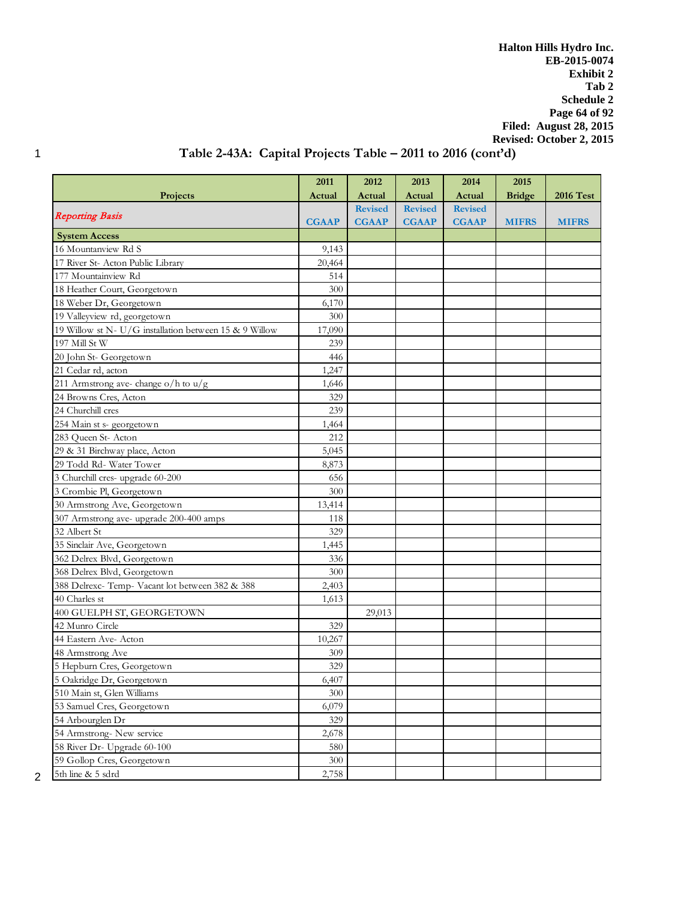**Halton Hills Hydro Inc. EB-2015-0074 Exhibit 2 Tab 2 Schedule 2 Page 64 of 92 Filed: August 28, 2015 Revised: October 2, 2015**

# 1 **Table 2-43A: Capital Projects Table – 2011 to 2016 (cont'd)**

|                                                        | 2011         | 2012           | 2013           | 2014           | 2015          |                  |
|--------------------------------------------------------|--------------|----------------|----------------|----------------|---------------|------------------|
| <b>Projects</b>                                        | Actual       | Actual         | Actual         | Actual         | <b>Bridge</b> | <b>2016 Test</b> |
|                                                        |              | <b>Revised</b> | <b>Revised</b> | <b>Revised</b> |               |                  |
| <b>Reporting Basis</b>                                 | <b>CGAAP</b> | <b>CGAAP</b>   | <b>CGAAP</b>   | <b>CGAAP</b>   | <b>MIFRS</b>  | <b>MIFRS</b>     |
| <b>System Access</b>                                   |              |                |                |                |               |                  |
| 16 Mountanview Rd S                                    | 9,143        |                |                |                |               |                  |
| 17 River St- Acton Public Library                      | 20,464       |                |                |                |               |                  |
| 177 Mountainview Rd                                    | 514          |                |                |                |               |                  |
| 18 Heather Court, Georgetown                           | 300          |                |                |                |               |                  |
| 18 Weber Dr, Georgetown                                | 6,170        |                |                |                |               |                  |
| 19 Valleyview rd, georgetown                           | 300          |                |                |                |               |                  |
| 19 Willow st N- U/G installation between 15 & 9 Willow | 17,090       |                |                |                |               |                  |
| 197 Mill St W                                          | 239          |                |                |                |               |                  |
| 20 John St- Georgetown                                 | 446          |                |                |                |               |                  |
| 21 Cedar rd, acton                                     | 1,247        |                |                |                |               |                  |
| 211 Armstrong ave-change o/h to $u/g$                  | 1,646        |                |                |                |               |                  |
| 24 Browns Cres, Acton                                  | 329          |                |                |                |               |                  |
| 24 Churchill cres                                      | 239          |                |                |                |               |                  |
| 254 Main st s- georgetown                              | 1,464        |                |                |                |               |                  |
| 283 Queen St-Acton                                     | 212          |                |                |                |               |                  |
| 29 & 31 Birchway place, Acton                          | 5,045        |                |                |                |               |                  |
| 29 Todd Rd- Water Tower                                | 8,873        |                |                |                |               |                  |
| 3 Churchill cres- upgrade 60-200                       | 656          |                |                |                |               |                  |
| 3 Crombie Pl, Georgetown                               | 300          |                |                |                |               |                  |
| 30 Armstrong Ave, Georgetown                           | 13,414       |                |                |                |               |                  |
| 307 Armstrong ave- upgrade 200-400 amps                | 118          |                |                |                |               |                  |
| 32 Albert St                                           | 329          |                |                |                |               |                  |
| 35 Sinclair Ave, Georgetown                            | 1,445        |                |                |                |               |                  |
| 362 Delrex Blvd, Georgetown                            | 336          |                |                |                |               |                  |
| 368 Delrex Blvd, Georgetown                            | 300          |                |                |                |               |                  |
| 388 Delrexc-Temp- Vacant lot between 382 & 388         | 2,403        |                |                |                |               |                  |
| 40 Charles st                                          | 1,613        |                |                |                |               |                  |
| 400 GUELPH ST, GEORGETOWN                              |              | 29,013         |                |                |               |                  |
| 42 Munro Circle                                        | 329          |                |                |                |               |                  |
| 44 Eastern Ave- Acton                                  | 10,267       |                |                |                |               |                  |
| 48 Armstrong Ave                                       | 309          |                |                |                |               |                  |
| 5 Hepburn Cres, Georgetown                             | 329          |                |                |                |               |                  |
| 5 Oakridge Dr, Georgetown                              | 6,407        |                |                |                |               |                  |
| 510 Main st, Glen Williams                             | 300          |                |                |                |               |                  |
| 53 Samuel Cres, Georgetown                             | 6,079        |                |                |                |               |                  |
| 54 Arbourglen Dr                                       | 329          |                |                |                |               |                  |
| 54 Armstrong- New service                              | 2,678        |                |                |                |               |                  |
| 58 River Dr- Upgrade 60-100                            | 580          |                |                |                |               |                  |
| 59 Gollop Cres, Georgetown                             | 300          |                |                |                |               |                  |
| 5th line & 5 sdrd                                      | 2,758        |                |                |                |               |                  |

 $2^{\frac{1}{2}}$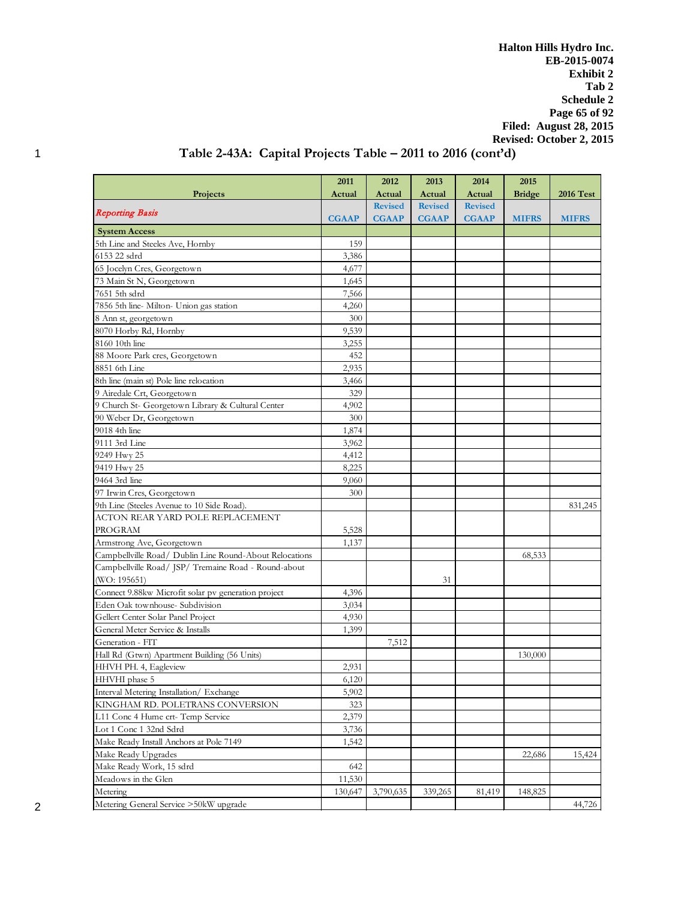**Halton Hills Hydro Inc. EB-2015-0074 Exhibit 2 Tab 2 Schedule 2 Page 65 of 92 Filed: August 28, 2015 Revised: October 2, 2015**

# 1 **Table 2-43A: Capital Projects Table – 2011 to 2016 (cont'd)**

|                                                         | 2011         | 2012           | 2013           | 2014           | 2015          |                  |
|---------------------------------------------------------|--------------|----------------|----------------|----------------|---------------|------------------|
| Projects                                                | Actual       | Actual         | Actual         | Actual         | <b>Bridge</b> | <b>2016 Test</b> |
|                                                         |              | <b>Revised</b> | <b>Revised</b> | <b>Revised</b> |               |                  |
| <b>Reporting Basis</b>                                  | <b>CGAAP</b> | <b>CGAAP</b>   | <b>CGAAP</b>   | <b>CGAAP</b>   | <b>MIFRS</b>  | <b>MIFRS</b>     |
| <b>System Access</b>                                    |              |                |                |                |               |                  |
| 5th Line and Steeles Ave, Hornby                        | 159          |                |                |                |               |                  |
| 6153 22 sdrd                                            | 3,386        |                |                |                |               |                  |
| 65 Jocelyn Cres, Georgetown                             | 4,677        |                |                |                |               |                  |
| 73 Main St N, Georgetown                                | 1,645        |                |                |                |               |                  |
| 7651 5th sdrd                                           | 7,566        |                |                |                |               |                  |
| 7856 5th line-Milton- Union gas station                 | 4,260        |                |                |                |               |                  |
| 8 Ann st, georgetown                                    | 300          |                |                |                |               |                  |
| 8070 Horby Rd, Hornby                                   | 9,539        |                |                |                |               |                  |
| 8160 10th line                                          | 3,255        |                |                |                |               |                  |
| 88 Moore Park cres, Georgetown                          | 452          |                |                |                |               |                  |
| 8851 6th Line                                           | 2,935        |                |                |                |               |                  |
| 8th line (main st) Pole line relocation                 | 3,466        |                |                |                |               |                  |
| 9 Airedale Crt, Georgetown                              | 329          |                |                |                |               |                  |
| 9 Church St- Georgetown Library & Cultural Center       | 4,902        |                |                |                |               |                  |
| 90 Weber Dr, Georgetown                                 | 300          |                |                |                |               |                  |
| 9018 4th line                                           | 1,874        |                |                |                |               |                  |
| 9111 3rd Line                                           | 3,962        |                |                |                |               |                  |
| 9249 Hwy 25                                             | 4,412        |                |                |                |               |                  |
| 9419 Hwy 25                                             | 8,225        |                |                |                |               |                  |
| 9464 3rd line                                           | 9,060        |                |                |                |               |                  |
| 97 Irwin Cres, Georgetown                               | 300          |                |                |                |               |                  |
| 9th Line (Steeles Avenue to 10 Side Road).              |              |                |                |                |               | 831,245          |
| ACTON REAR YARD POLE REPLACEMENT                        |              |                |                |                |               |                  |
| PROGRAM                                                 | 5,528        |                |                |                |               |                  |
| Armstrong Ave, Georgetown                               | 1,137        |                |                |                |               |                  |
| Campbellville Road/ Dublin Line Round-About Relocations |              |                |                |                | 68,533        |                  |
| Campbellville Road/JSP/Tremaine Road - Round-about      |              |                |                |                |               |                  |
| (WO: 195651)                                            |              |                | 31             |                |               |                  |
| Connect 9.88kw Microfit solar pv generation project     | 4,396        |                |                |                |               |                  |
| Eden Oak townhouse- Subdivision                         | 3,034        |                |                |                |               |                  |
| Gellert Center Solar Panel Project                      | 4,930        |                |                |                |               |                  |
| General Meter Service & Installs                        | 1,399        |                |                |                |               |                  |
| Generation - FIT                                        |              | 7,512          |                |                |               |                  |
| Hall Rd (Gtwn) Apartment Building (56 Units)            |              |                |                |                | 130,000       |                  |
| HHVH PH. 4, Eagleview                                   | 2,931        |                |                |                |               |                  |
| HHVHI phase 5                                           | 6,120        |                |                |                |               |                  |
| Interval Metering Installation/ Exchange                | 5,902        |                |                |                |               |                  |
| KINGHAM RD. POLETRANS CONVERSION                        | 323          |                |                |                |               |                  |
| L11 Conc 4 Hume crt-Temp Service                        | 2,379        |                |                |                |               |                  |
| Lot 1 Conc 1 32nd Sdrd                                  | 3,736        |                |                |                |               |                  |
| Make Ready Install Anchors at Pole 7149                 | 1,542        |                |                |                |               |                  |
| Make Ready Upgrades                                     |              |                |                |                | 22,686        | 15,424           |
| Make Ready Work, 15 sdrd                                | 642          |                |                |                |               |                  |
| Meadows in the Glen                                     | 11,530       |                |                |                |               |                  |
| Metering                                                | 130,647      | 3,790,635      | 339,265        | 81,419         | 148,825       |                  |
| Metering General Service >50kW upgrade                  |              |                |                |                |               | 44,726           |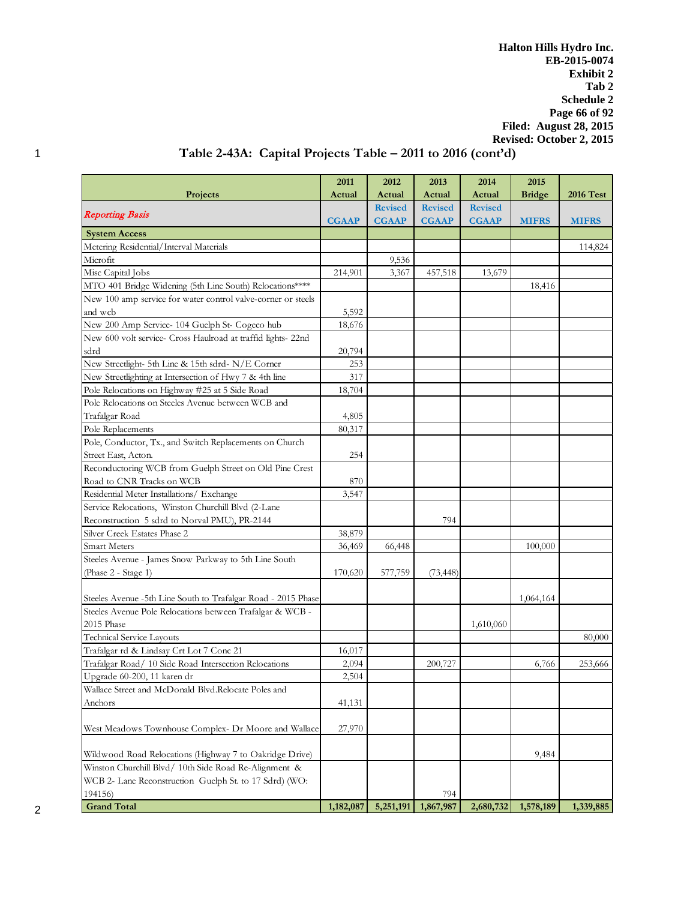**Halton Hills Hydro Inc. EB-2015-0074 Exhibit 2 Tab 2 Schedule 2 Page 66 of 92 Filed: August 28, 2015 Revised: October 2, 2015**

# 1 **Table 2-43A: Capital Projects Table – 2011 to 2016 (cont'd)**

|                                                               | 2011         | 2012           | 2013           | 2014           | 2015          |                  |
|---------------------------------------------------------------|--------------|----------------|----------------|----------------|---------------|------------------|
| <b>Projects</b>                                               | Actual       | Actual         | Actual         | Actual         | <b>Bridge</b> | <b>2016 Test</b> |
|                                                               |              | <b>Revised</b> | <b>Revised</b> | <b>Revised</b> |               |                  |
| <b>Reporting Basis</b>                                        | <b>CGAAP</b> | <b>CGAAP</b>   | <b>CGAAP</b>   | <b>CGAAP</b>   | <b>MIFRS</b>  | <b>MIFRS</b>     |
| <b>System Access</b>                                          |              |                |                |                |               |                  |
| Metering Residential/Interval Materials                       |              |                |                |                |               | 114,824          |
| Microfit                                                      |              | 9,536          |                |                |               |                  |
| Misc Capital Jobs                                             | 214,901      | 3,367          | 457,518        | 13,679         |               |                  |
| MTO 401 Bridge Widening (5th Line South) Relocations****      |              |                |                |                | 18,416        |                  |
| New 100 amp service for water control valve-corner or steels  |              |                |                |                |               |                  |
| and wcb                                                       | 5,592        |                |                |                |               |                  |
| New 200 Amp Service- 104 Guelph St- Cogeco hub                | 18,676       |                |                |                |               |                  |
| New 600 volt service- Cross Haulroad at traffid lights-22nd   |              |                |                |                |               |                  |
| sdrd                                                          | 20,794       |                |                |                |               |                  |
| New Streetlight- 5th Line & 15th sdrd-N/E Corner              | 253          |                |                |                |               |                  |
| New Streetlighting at Intersection of Hwy 7 & 4th line        | 317          |                |                |                |               |                  |
| Pole Relocations on Highway #25 at 5 Side Road                | 18,704       |                |                |                |               |                  |
| Pole Relocations on Steeles Avenue between WCB and            |              |                |                |                |               |                  |
| Trafalgar Road                                                | 4,805        |                |                |                |               |                  |
| Pole Replacements                                             | 80,317       |                |                |                |               |                  |
| Pole, Conductor, Tx., and Switch Replacements on Church       |              |                |                |                |               |                  |
| Street East, Acton.                                           | 254          |                |                |                |               |                  |
| Reconductoring WCB from Guelph Street on Old Pine Crest       |              |                |                |                |               |                  |
| Road to CNR Tracks on WCB                                     | 870          |                |                |                |               |                  |
| Residential Meter Installations/ Exchange                     | 3,547        |                |                |                |               |                  |
| Service Relocations, Winston Churchill Blvd (2-Lane           |              |                |                |                |               |                  |
| Reconstruction 5 sdrd to Norval PMU), PR-2144                 |              |                | 794            |                |               |                  |
| Silver Creek Estates Phase 2                                  | 38,879       |                |                |                |               |                  |
| <b>Smart Meters</b>                                           | 36,469       | 66,448         |                |                | 100,000       |                  |
| Steeles Avenue - James Snow Parkway to 5th Line South         |              |                |                |                |               |                  |
| (Phase 2 - Stage 1)                                           | 170,620      | 577,759        | (73, 448)      |                |               |                  |
|                                                               |              |                |                |                |               |                  |
| Steeles Avenue -5th Line South to Trafalgar Road - 2015 Phase |              |                |                |                | 1,064,164     |                  |
| Steeles Avenue Pole Relocations between Trafalgar & WCB -     |              |                |                |                |               |                  |
| 2015 Phase                                                    |              |                |                | 1,610,060      |               |                  |
| <b>Technical Service Layouts</b>                              |              |                |                |                |               | 80,000           |
| Trafalgar rd & Lindsay Crt Lot 7 Conc 21                      | 16,017       |                |                |                |               |                  |
| Trafalgar Road/ 10 Side Road Intersection Relocations         | 2,094        |                | 200,727        |                | 6,766         | 253,666          |
| Upgrade 60-200, 11 karen dr                                   | 2,504        |                |                |                |               |                  |
| Wallace Street and McDonald Blvd.Relocate Poles and           |              |                |                |                |               |                  |
| Anchors                                                       | 41,131       |                |                |                |               |                  |
|                                                               |              |                |                |                |               |                  |
| West Meadows Townhouse Complex- Dr Moore and Wallace          | 27,970       |                |                |                |               |                  |
|                                                               |              |                |                |                |               |                  |
| Wildwood Road Relocations (Highway 7 to Oakridge Drive)       |              |                |                |                | 9,484         |                  |
| Winston Churchill Blvd / 10th Side Road Re-Alignment &        |              |                |                |                |               |                  |
| WCB 2- Lane Reconstruction Guelph St. to 17 Sdrd) (WO:        |              |                |                |                |               |                  |
| 194156)                                                       |              |                | 794            |                |               |                  |
| <b>Grand Total</b>                                            | 1,182,087    | 5,251,191      | 1,867,987      | 2,680,732      | 1,578,189     | 1,339,885        |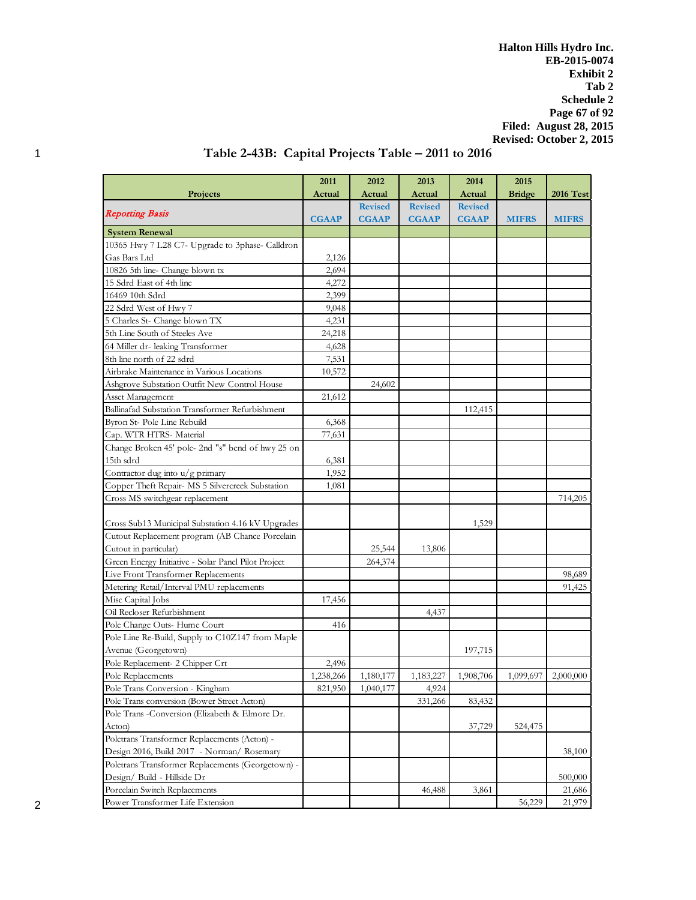**Halton Hills Hydro Inc. EB-2015-0074 Exhibit 2 Tab 2 Schedule 2 Page 67 of 92 Filed: August 28, 2015 Revised: October 2, 2015**

| Actual<br>Actual<br><b>Bridge</b><br>Projects<br>Actual<br>Actual<br><b>2016 Test</b><br><b>Revised</b><br><b>Revised</b><br><b>Revised</b><br><b>Reporting Basis</b><br><b>CGAAP</b><br><b>CGAAP</b><br><b>CGAAP</b><br><b>CGAAP</b><br><b>MIFRS</b><br><b>MIFRS</b><br><b>System Renewal</b><br>10365 Hwy 7 L28 C7- Upgrade to 3phase- Calldron<br>Gas Bars Ltd<br>2,126<br>10826 5th line- Change blown tx<br>2,694<br>15 Sdrd East of 4th line<br>4,272<br>16469 10th Sdrd<br>2,399<br>22 Sdrd West of Hwy 7<br>9,048<br>5 Charles St- Change blown TX<br>4,231<br>5th Line South of Steeles Ave<br>24,218<br>64 Miller dr- leaking Transformer<br>4,628<br>8th line north of 22 sdrd<br>7,531<br>Airbrake Maintenance in Various Locations<br>10,572<br>Ashgrove Substation Outfit New Control House<br>24,602<br>Asset Management<br>21,612<br>Ballinafad Substation Transformer Refurbishment<br>112,415<br>Byron St- Pole Line Rebuild<br>6,368<br>Cap. WTR HTRS- Material<br>77,631<br>Change Broken 45' pole- 2nd "s" bend of hwy 25 on<br>15th sdrd<br>6,381<br>Contractor dug into u/g primary<br>1,952<br>Copper Theft Repair- MS 5 Silvercreek Substation<br>1,081<br>Cross MS switchgear replacement<br>714,205<br>1,529<br>Cross Sub13 Municipal Substation 4.16 kV Upgrades<br>Cutout Replacement program (AB Chance Porcelain<br>Cutout in particular)<br>25,544<br>13,806<br>Green Energy Initiative - Solar Panel Pilot Project<br>264,374<br>Live Front Transformer Replacements<br>98,689<br>Metering Retail/Interval PMU replacements<br>91,425<br>Misc Capital Jobs<br>17,456<br>Oil Recloser Refurbishment<br>4,437<br>Pole Change Outs- Hume Court<br>416<br>Pole Line Re-Build, Supply to C10Z147 from Maple<br>Avenue (Georgetown)<br>197,715 |                                                   | 2011  | 2012 | 2013 | 2014 | 2015 |  |
|---------------------------------------------------------------------------------------------------------------------------------------------------------------------------------------------------------------------------------------------------------------------------------------------------------------------------------------------------------------------------------------------------------------------------------------------------------------------------------------------------------------------------------------------------------------------------------------------------------------------------------------------------------------------------------------------------------------------------------------------------------------------------------------------------------------------------------------------------------------------------------------------------------------------------------------------------------------------------------------------------------------------------------------------------------------------------------------------------------------------------------------------------------------------------------------------------------------------------------------------------------------------------------------------------------------------------------------------------------------------------------------------------------------------------------------------------------------------------------------------------------------------------------------------------------------------------------------------------------------------------------------------------------------------------------------------------------------------------------------------------------------------------|---------------------------------------------------|-------|------|------|------|------|--|
|                                                                                                                                                                                                                                                                                                                                                                                                                                                                                                                                                                                                                                                                                                                                                                                                                                                                                                                                                                                                                                                                                                                                                                                                                                                                                                                                                                                                                                                                                                                                                                                                                                                                                                                                                                           |                                                   |       |      |      |      |      |  |
|                                                                                                                                                                                                                                                                                                                                                                                                                                                                                                                                                                                                                                                                                                                                                                                                                                                                                                                                                                                                                                                                                                                                                                                                                                                                                                                                                                                                                                                                                                                                                                                                                                                                                                                                                                           |                                                   |       |      |      |      |      |  |
|                                                                                                                                                                                                                                                                                                                                                                                                                                                                                                                                                                                                                                                                                                                                                                                                                                                                                                                                                                                                                                                                                                                                                                                                                                                                                                                                                                                                                                                                                                                                                                                                                                                                                                                                                                           |                                                   |       |      |      |      |      |  |
|                                                                                                                                                                                                                                                                                                                                                                                                                                                                                                                                                                                                                                                                                                                                                                                                                                                                                                                                                                                                                                                                                                                                                                                                                                                                                                                                                                                                                                                                                                                                                                                                                                                                                                                                                                           |                                                   |       |      |      |      |      |  |
|                                                                                                                                                                                                                                                                                                                                                                                                                                                                                                                                                                                                                                                                                                                                                                                                                                                                                                                                                                                                                                                                                                                                                                                                                                                                                                                                                                                                                                                                                                                                                                                                                                                                                                                                                                           |                                                   |       |      |      |      |      |  |
|                                                                                                                                                                                                                                                                                                                                                                                                                                                                                                                                                                                                                                                                                                                                                                                                                                                                                                                                                                                                                                                                                                                                                                                                                                                                                                                                                                                                                                                                                                                                                                                                                                                                                                                                                                           |                                                   |       |      |      |      |      |  |
|                                                                                                                                                                                                                                                                                                                                                                                                                                                                                                                                                                                                                                                                                                                                                                                                                                                                                                                                                                                                                                                                                                                                                                                                                                                                                                                                                                                                                                                                                                                                                                                                                                                                                                                                                                           |                                                   |       |      |      |      |      |  |
|                                                                                                                                                                                                                                                                                                                                                                                                                                                                                                                                                                                                                                                                                                                                                                                                                                                                                                                                                                                                                                                                                                                                                                                                                                                                                                                                                                                                                                                                                                                                                                                                                                                                                                                                                                           |                                                   |       |      |      |      |      |  |
|                                                                                                                                                                                                                                                                                                                                                                                                                                                                                                                                                                                                                                                                                                                                                                                                                                                                                                                                                                                                                                                                                                                                                                                                                                                                                                                                                                                                                                                                                                                                                                                                                                                                                                                                                                           |                                                   |       |      |      |      |      |  |
|                                                                                                                                                                                                                                                                                                                                                                                                                                                                                                                                                                                                                                                                                                                                                                                                                                                                                                                                                                                                                                                                                                                                                                                                                                                                                                                                                                                                                                                                                                                                                                                                                                                                                                                                                                           |                                                   |       |      |      |      |      |  |
|                                                                                                                                                                                                                                                                                                                                                                                                                                                                                                                                                                                                                                                                                                                                                                                                                                                                                                                                                                                                                                                                                                                                                                                                                                                                                                                                                                                                                                                                                                                                                                                                                                                                                                                                                                           |                                                   |       |      |      |      |      |  |
|                                                                                                                                                                                                                                                                                                                                                                                                                                                                                                                                                                                                                                                                                                                                                                                                                                                                                                                                                                                                                                                                                                                                                                                                                                                                                                                                                                                                                                                                                                                                                                                                                                                                                                                                                                           |                                                   |       |      |      |      |      |  |
|                                                                                                                                                                                                                                                                                                                                                                                                                                                                                                                                                                                                                                                                                                                                                                                                                                                                                                                                                                                                                                                                                                                                                                                                                                                                                                                                                                                                                                                                                                                                                                                                                                                                                                                                                                           |                                                   |       |      |      |      |      |  |
|                                                                                                                                                                                                                                                                                                                                                                                                                                                                                                                                                                                                                                                                                                                                                                                                                                                                                                                                                                                                                                                                                                                                                                                                                                                                                                                                                                                                                                                                                                                                                                                                                                                                                                                                                                           |                                                   |       |      |      |      |      |  |
|                                                                                                                                                                                                                                                                                                                                                                                                                                                                                                                                                                                                                                                                                                                                                                                                                                                                                                                                                                                                                                                                                                                                                                                                                                                                                                                                                                                                                                                                                                                                                                                                                                                                                                                                                                           |                                                   |       |      |      |      |      |  |
|                                                                                                                                                                                                                                                                                                                                                                                                                                                                                                                                                                                                                                                                                                                                                                                                                                                                                                                                                                                                                                                                                                                                                                                                                                                                                                                                                                                                                                                                                                                                                                                                                                                                                                                                                                           |                                                   |       |      |      |      |      |  |
|                                                                                                                                                                                                                                                                                                                                                                                                                                                                                                                                                                                                                                                                                                                                                                                                                                                                                                                                                                                                                                                                                                                                                                                                                                                                                                                                                                                                                                                                                                                                                                                                                                                                                                                                                                           |                                                   |       |      |      |      |      |  |
|                                                                                                                                                                                                                                                                                                                                                                                                                                                                                                                                                                                                                                                                                                                                                                                                                                                                                                                                                                                                                                                                                                                                                                                                                                                                                                                                                                                                                                                                                                                                                                                                                                                                                                                                                                           |                                                   |       |      |      |      |      |  |
|                                                                                                                                                                                                                                                                                                                                                                                                                                                                                                                                                                                                                                                                                                                                                                                                                                                                                                                                                                                                                                                                                                                                                                                                                                                                                                                                                                                                                                                                                                                                                                                                                                                                                                                                                                           |                                                   |       |      |      |      |      |  |
|                                                                                                                                                                                                                                                                                                                                                                                                                                                                                                                                                                                                                                                                                                                                                                                                                                                                                                                                                                                                                                                                                                                                                                                                                                                                                                                                                                                                                                                                                                                                                                                                                                                                                                                                                                           |                                                   |       |      |      |      |      |  |
|                                                                                                                                                                                                                                                                                                                                                                                                                                                                                                                                                                                                                                                                                                                                                                                                                                                                                                                                                                                                                                                                                                                                                                                                                                                                                                                                                                                                                                                                                                                                                                                                                                                                                                                                                                           |                                                   |       |      |      |      |      |  |
|                                                                                                                                                                                                                                                                                                                                                                                                                                                                                                                                                                                                                                                                                                                                                                                                                                                                                                                                                                                                                                                                                                                                                                                                                                                                                                                                                                                                                                                                                                                                                                                                                                                                                                                                                                           |                                                   |       |      |      |      |      |  |
|                                                                                                                                                                                                                                                                                                                                                                                                                                                                                                                                                                                                                                                                                                                                                                                                                                                                                                                                                                                                                                                                                                                                                                                                                                                                                                                                                                                                                                                                                                                                                                                                                                                                                                                                                                           |                                                   |       |      |      |      |      |  |
|                                                                                                                                                                                                                                                                                                                                                                                                                                                                                                                                                                                                                                                                                                                                                                                                                                                                                                                                                                                                                                                                                                                                                                                                                                                                                                                                                                                                                                                                                                                                                                                                                                                                                                                                                                           |                                                   |       |      |      |      |      |  |
|                                                                                                                                                                                                                                                                                                                                                                                                                                                                                                                                                                                                                                                                                                                                                                                                                                                                                                                                                                                                                                                                                                                                                                                                                                                                                                                                                                                                                                                                                                                                                                                                                                                                                                                                                                           |                                                   |       |      |      |      |      |  |
|                                                                                                                                                                                                                                                                                                                                                                                                                                                                                                                                                                                                                                                                                                                                                                                                                                                                                                                                                                                                                                                                                                                                                                                                                                                                                                                                                                                                                                                                                                                                                                                                                                                                                                                                                                           |                                                   |       |      |      |      |      |  |
|                                                                                                                                                                                                                                                                                                                                                                                                                                                                                                                                                                                                                                                                                                                                                                                                                                                                                                                                                                                                                                                                                                                                                                                                                                                                                                                                                                                                                                                                                                                                                                                                                                                                                                                                                                           |                                                   |       |      |      |      |      |  |
|                                                                                                                                                                                                                                                                                                                                                                                                                                                                                                                                                                                                                                                                                                                                                                                                                                                                                                                                                                                                                                                                                                                                                                                                                                                                                                                                                                                                                                                                                                                                                                                                                                                                                                                                                                           |                                                   |       |      |      |      |      |  |
|                                                                                                                                                                                                                                                                                                                                                                                                                                                                                                                                                                                                                                                                                                                                                                                                                                                                                                                                                                                                                                                                                                                                                                                                                                                                                                                                                                                                                                                                                                                                                                                                                                                                                                                                                                           |                                                   |       |      |      |      |      |  |
|                                                                                                                                                                                                                                                                                                                                                                                                                                                                                                                                                                                                                                                                                                                                                                                                                                                                                                                                                                                                                                                                                                                                                                                                                                                                                                                                                                                                                                                                                                                                                                                                                                                                                                                                                                           |                                                   |       |      |      |      |      |  |
|                                                                                                                                                                                                                                                                                                                                                                                                                                                                                                                                                                                                                                                                                                                                                                                                                                                                                                                                                                                                                                                                                                                                                                                                                                                                                                                                                                                                                                                                                                                                                                                                                                                                                                                                                                           |                                                   |       |      |      |      |      |  |
|                                                                                                                                                                                                                                                                                                                                                                                                                                                                                                                                                                                                                                                                                                                                                                                                                                                                                                                                                                                                                                                                                                                                                                                                                                                                                                                                                                                                                                                                                                                                                                                                                                                                                                                                                                           |                                                   |       |      |      |      |      |  |
|                                                                                                                                                                                                                                                                                                                                                                                                                                                                                                                                                                                                                                                                                                                                                                                                                                                                                                                                                                                                                                                                                                                                                                                                                                                                                                                                                                                                                                                                                                                                                                                                                                                                                                                                                                           |                                                   |       |      |      |      |      |  |
|                                                                                                                                                                                                                                                                                                                                                                                                                                                                                                                                                                                                                                                                                                                                                                                                                                                                                                                                                                                                                                                                                                                                                                                                                                                                                                                                                                                                                                                                                                                                                                                                                                                                                                                                                                           |                                                   |       |      |      |      |      |  |
|                                                                                                                                                                                                                                                                                                                                                                                                                                                                                                                                                                                                                                                                                                                                                                                                                                                                                                                                                                                                                                                                                                                                                                                                                                                                                                                                                                                                                                                                                                                                                                                                                                                                                                                                                                           |                                                   |       |      |      |      |      |  |
|                                                                                                                                                                                                                                                                                                                                                                                                                                                                                                                                                                                                                                                                                                                                                                                                                                                                                                                                                                                                                                                                                                                                                                                                                                                                                                                                                                                                                                                                                                                                                                                                                                                                                                                                                                           |                                                   |       |      |      |      |      |  |
|                                                                                                                                                                                                                                                                                                                                                                                                                                                                                                                                                                                                                                                                                                                                                                                                                                                                                                                                                                                                                                                                                                                                                                                                                                                                                                                                                                                                                                                                                                                                                                                                                                                                                                                                                                           |                                                   |       |      |      |      |      |  |
|                                                                                                                                                                                                                                                                                                                                                                                                                                                                                                                                                                                                                                                                                                                                                                                                                                                                                                                                                                                                                                                                                                                                                                                                                                                                                                                                                                                                                                                                                                                                                                                                                                                                                                                                                                           | Pole Replacement- 2 Chipper Crt                   | 2,496 |      |      |      |      |  |
| 1,238,266<br>1,180,177<br>1,183,227<br>1,908,706<br>$1,099,697$   2,000,000                                                                                                                                                                                                                                                                                                                                                                                                                                                                                                                                                                                                                                                                                                                                                                                                                                                                                                                                                                                                                                                                                                                                                                                                                                                                                                                                                                                                                                                                                                                                                                                                                                                                                               | Pole Replacements                                 |       |      |      |      |      |  |
| 4,924<br>821,950<br>1,040,177                                                                                                                                                                                                                                                                                                                                                                                                                                                                                                                                                                                                                                                                                                                                                                                                                                                                                                                                                                                                                                                                                                                                                                                                                                                                                                                                                                                                                                                                                                                                                                                                                                                                                                                                             | Pole Trans Conversion - Kingham                   |       |      |      |      |      |  |
| 331,266<br>83,432                                                                                                                                                                                                                                                                                                                                                                                                                                                                                                                                                                                                                                                                                                                                                                                                                                                                                                                                                                                                                                                                                                                                                                                                                                                                                                                                                                                                                                                                                                                                                                                                                                                                                                                                                         | Pole Trans conversion (Bower Street Acton)        |       |      |      |      |      |  |
|                                                                                                                                                                                                                                                                                                                                                                                                                                                                                                                                                                                                                                                                                                                                                                                                                                                                                                                                                                                                                                                                                                                                                                                                                                                                                                                                                                                                                                                                                                                                                                                                                                                                                                                                                                           | Pole Trans - Conversion (Elizabeth & Elmore Dr.   |       |      |      |      |      |  |
| Acton)<br>37,729<br>524,475                                                                                                                                                                                                                                                                                                                                                                                                                                                                                                                                                                                                                                                                                                                                                                                                                                                                                                                                                                                                                                                                                                                                                                                                                                                                                                                                                                                                                                                                                                                                                                                                                                                                                                                                               |                                                   |       |      |      |      |      |  |
| Poletrans Transformer Replacements (Acton) -                                                                                                                                                                                                                                                                                                                                                                                                                                                                                                                                                                                                                                                                                                                                                                                                                                                                                                                                                                                                                                                                                                                                                                                                                                                                                                                                                                                                                                                                                                                                                                                                                                                                                                                              |                                                   |       |      |      |      |      |  |
| Design 2016, Build 2017 - Norman/ Rosemary<br>38,100                                                                                                                                                                                                                                                                                                                                                                                                                                                                                                                                                                                                                                                                                                                                                                                                                                                                                                                                                                                                                                                                                                                                                                                                                                                                                                                                                                                                                                                                                                                                                                                                                                                                                                                      |                                                   |       |      |      |      |      |  |
|                                                                                                                                                                                                                                                                                                                                                                                                                                                                                                                                                                                                                                                                                                                                                                                                                                                                                                                                                                                                                                                                                                                                                                                                                                                                                                                                                                                                                                                                                                                                                                                                                                                                                                                                                                           | Poletrans Transformer Replacements (Georgetown) - |       |      |      |      |      |  |
| Design/ Build - Hillside Dr<br>500,000                                                                                                                                                                                                                                                                                                                                                                                                                                                                                                                                                                                                                                                                                                                                                                                                                                                                                                                                                                                                                                                                                                                                                                                                                                                                                                                                                                                                                                                                                                                                                                                                                                                                                                                                    |                                                   |       |      |      |      |      |  |
| 46,488<br>3,861<br>21,686                                                                                                                                                                                                                                                                                                                                                                                                                                                                                                                                                                                                                                                                                                                                                                                                                                                                                                                                                                                                                                                                                                                                                                                                                                                                                                                                                                                                                                                                                                                                                                                                                                                                                                                                                 | Porcelain Switch Replacements                     |       |      |      |      |      |  |
| 21,979<br>56,229                                                                                                                                                                                                                                                                                                                                                                                                                                                                                                                                                                                                                                                                                                                                                                                                                                                                                                                                                                                                                                                                                                                                                                                                                                                                                                                                                                                                                                                                                                                                                                                                                                                                                                                                                          | Power Transformer Life Extension                  |       |      |      |      |      |  |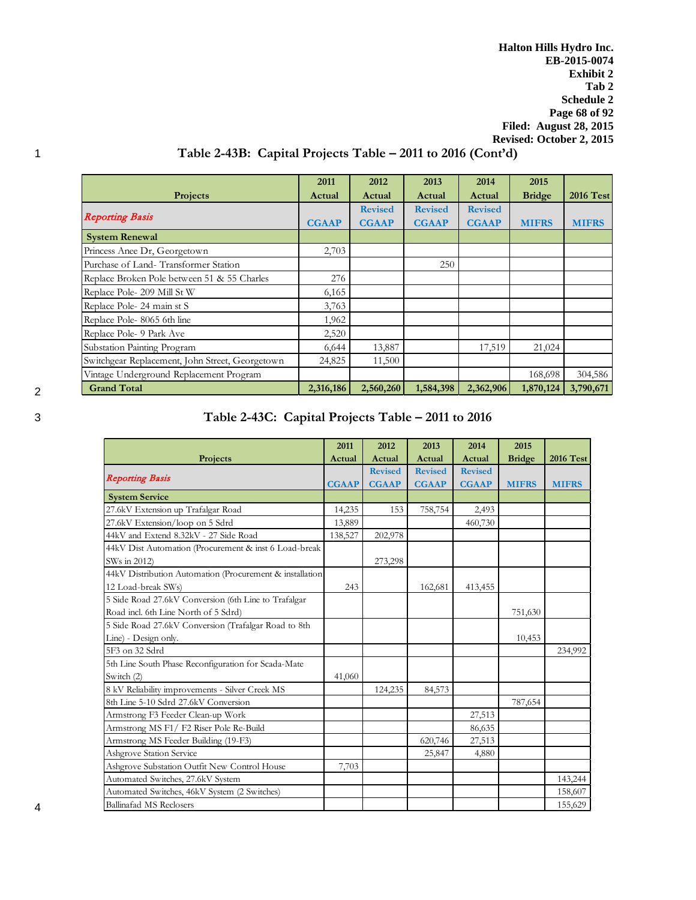**Halton Hills Hydro Inc. EB-2015-0074 Exhibit 2 Tab 2 Schedule 2 Page 68 of 92 Filed: August 28, 2015 Revised: October 2, 2015**

# 1 **Table 2-43B: Capital Projects Table – 2011 to 2016 (Cont'd)**

|                                                 | 2011         | 2012           | 2013           | 2014           | 2015          |                  |
|-------------------------------------------------|--------------|----------------|----------------|----------------|---------------|------------------|
| Projects                                        | Actual       | Actual         | Actual         | Actual         | <b>Bridge</b> | <b>2016 Test</b> |
|                                                 |              | <b>Revised</b> | <b>Revised</b> | <b>Revised</b> |               |                  |
| <b>Reporting Basis</b>                          | <b>CGAAP</b> | <b>CGAAP</b>   | <b>CGAAP</b>   | <b>CGAAP</b>   | <b>MIFRS</b>  | <b>MIFRS</b>     |
| <b>System Renewal</b>                           |              |                |                |                |               |                  |
| Princess Anee Dr, Georgetown                    | 2,703        |                |                |                |               |                  |
| Purchase of Land-Transformer Station            |              |                | 250            |                |               |                  |
| Replace Broken Pole between 51 & 55 Charles     | 276          |                |                |                |               |                  |
| Replace Pole- 209 Mill St W                     | 6,165        |                |                |                |               |                  |
| Replace Pole-24 main st S                       | 3,763        |                |                |                |               |                  |
| Replace Pole-8065 6th line                      | 1,962        |                |                |                |               |                  |
| Replace Pole- 9 Park Ave                        | 2,520        |                |                |                |               |                  |
| Substation Painting Program                     | 6,644        | 13,887         |                | 17,519         | 21,024        |                  |
| Switchgear Replacement, John Street, Georgetown | 24,825       | 11,500         |                |                |               |                  |
| Vintage Underground Replacement Program         |              |                |                |                | 168,698       | 304,586          |
| <b>Grand Total</b>                              | 2,316,186    | 2,560,260      | 1,584,398      | 2,362,906      | 1,870,124     | 3,790,671        |

# 3 **Table 2-43C: Capital Projects Table – 2011 to 2016**

|                                                          | 2011         | 2012           | 2013           | 2014           | 2015          |                  |
|----------------------------------------------------------|--------------|----------------|----------------|----------------|---------------|------------------|
| Projects                                                 | Actual       | Actual         | Actual         | Actual         | <b>Bridge</b> | <b>2016 Test</b> |
|                                                          |              | <b>Revised</b> | <b>Revised</b> | <b>Revised</b> |               |                  |
| <b>Reporting Basis</b>                                   | <b>CGAAP</b> | <b>CGAAP</b>   | <b>CGAAP</b>   | <b>CGAAP</b>   | <b>MIFRS</b>  | <b>MIFRS</b>     |
| <b>System Service</b>                                    |              |                |                |                |               |                  |
| 27.6kV Extension up Trafalgar Road                       | 14,235       | 153            | 758,754        | 2,493          |               |                  |
| 27.6kV Extension/loop on 5 Sdrd                          | 13,889       |                |                | 460,730        |               |                  |
| 44kV and Extend 8.32kV - 27 Side Road                    | 138,527      | 202,978        |                |                |               |                  |
| 44kV Dist Automation (Procurement & inst 6 Load-break    |              |                |                |                |               |                  |
| SWs in 2012)                                             |              | 273,298        |                |                |               |                  |
| 44kV Distribution Automation (Procurement & installation |              |                |                |                |               |                  |
| 12 Load-break SWs)                                       | 243          |                | 162,681        | 413,455        |               |                  |
| 5 Side Road 27.6kV Conversion (6th Line to Trafalgar     |              |                |                |                |               |                  |
| Road incl. 6th Line North of 5 Sdrd)                     |              |                |                |                | 751,630       |                  |
| 5 Side Road 27.6kV Conversion (Trafalgar Road to 8th     |              |                |                |                |               |                  |
| Line) - Design only.                                     |              |                |                |                | 10,453        |                  |
| 5F3 on 32 Sdrd                                           |              |                |                |                |               | 234,992          |
| 5th Line South Phase Reconfiguration for Scada-Mate      |              |                |                |                |               |                  |
| Switch (2)                                               | 41,060       |                |                |                |               |                  |
| 8 kV Reliability improvements - Silver Creek MS          |              | 124,235        | 84,573         |                |               |                  |
| 8th Line 5-10 Sdrd 27.6kV Conversion                     |              |                |                |                | 787,654       |                  |
| Armstrong F3 Feeder Clean-up Work                        |              |                |                | 27,513         |               |                  |
| Armstrong MS F1/F2 Riser Pole Re-Build                   |              |                |                | 86,635         |               |                  |
| Armstrong MS Feeder Building (19-F3)                     |              |                | 620,746        | 27,513         |               |                  |
| <b>Ashgrove Station Service</b>                          |              |                | 25,847         | 4,880          |               |                  |
| Ashgrove Substation Outfit New Control House             | 7,703        |                |                |                |               |                  |
| Automated Switches, 27.6kV System                        |              |                |                |                |               | 143,244          |
| Automated Switches, 46kV System (2 Switches)             |              |                |                |                |               | 158,607          |
| Ballinafad MS Reclosers                                  |              |                |                |                |               | 155,629          |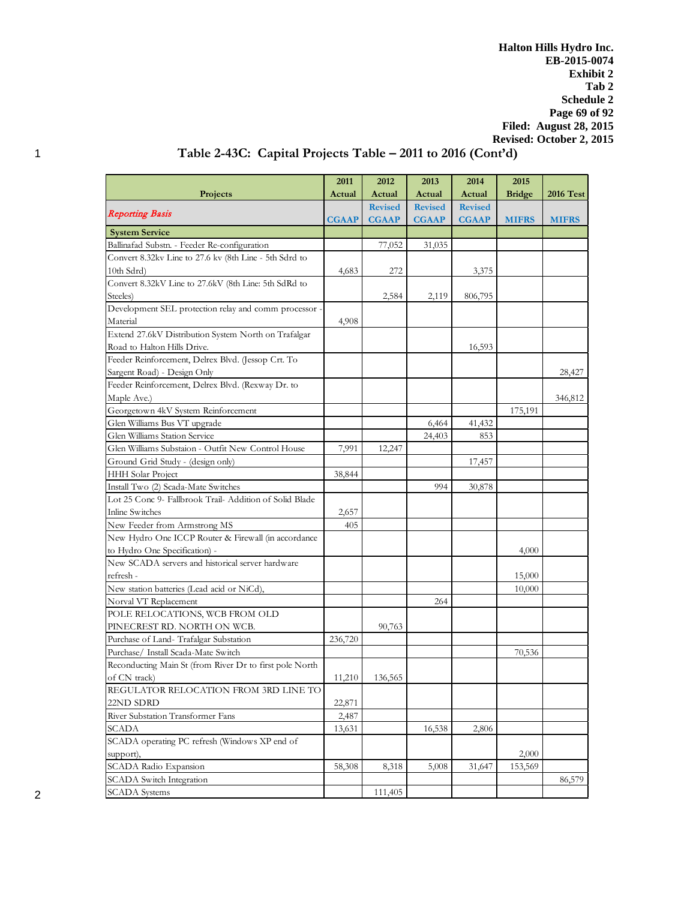**Halton Hills Hydro Inc. EB-2015-0074 Exhibit 2 Tab 2 Schedule 2 Page 69 of 92 Filed: August 28, 2015 Revised: October 2, 2015**

# 1 **Table 2-43C: Capital Projects Table – 2011 to 2016 (Cont'd)**

|                                                         | 2011         | 2012           | 2013           | 2014           | 2015          |                  |
|---------------------------------------------------------|--------------|----------------|----------------|----------------|---------------|------------------|
| Projects                                                | Actual       | Actual         | Actual         | Actual         | <b>Bridge</b> | <b>2016 Test</b> |
|                                                         |              | <b>Revised</b> | <b>Revised</b> | <b>Revised</b> |               |                  |
| <b>Reporting Basis</b>                                  | <b>CGAAP</b> | <b>CGAAP</b>   | <b>CGAAP</b>   | <b>CGAAP</b>   | <b>MIFRS</b>  | <b>MIFRS</b>     |
| <b>System Service</b>                                   |              |                |                |                |               |                  |
| Ballinafad Substn. - Feeder Re-configuration            |              | 77,052         | 31,035         |                |               |                  |
| Convert 8.32kv Line to 27.6 kv (8th Line - 5th Sdrd to  |              |                |                |                |               |                  |
| 10th Sdrd)                                              | 4,683        | 272            |                | 3,375          |               |                  |
| Convert 8.32kV Line to 27.6kV (8th Line: 5th SdRd to    |              |                |                |                |               |                  |
| Steeles)                                                |              | 2,584          | 2,119          | 806,795        |               |                  |
| Development SEL protection relay and comm processor     |              |                |                |                |               |                  |
| Material                                                | 4,908        |                |                |                |               |                  |
| Extend 27.6kV Distribution System North on Trafalgar    |              |                |                |                |               |                  |
| Road to Halton Hills Drive.                             |              |                |                | 16,593         |               |                  |
| Feeder Reinforcement, Delrex Blvd. (Jessop Crt. To      |              |                |                |                |               |                  |
| Sargent Road) - Design Only                             |              |                |                |                |               | 28,427           |
| Feeder Reinforcement, Delrex Blvd. (Rexway Dr. to       |              |                |                |                |               |                  |
| Maple Ave.)                                             |              |                |                |                |               | 346,812          |
| Georgetown 4kV System Reinforcement                     |              |                |                |                | 175,191       |                  |
| Glen Williams Bus VT upgrade                            |              |                | 6,464          | 41,432         |               |                  |
| Glen Williams Station Service                           |              |                | 24,403         | 853            |               |                  |
| Glen Williams Substaion - Outfit New Control House      | 7,991        | 12,247         |                |                |               |                  |
| Ground Grid Study - (design only)                       |              |                |                | 17,457         |               |                  |
| HHH Solar Project                                       | 38,844       |                |                |                |               |                  |
| Install Two (2) Scada-Mate Switches                     |              |                | 994            | 30,878         |               |                  |
| Lot 25 Conc 9- Fallbrook Trail-Addition of Solid Blade  |              |                |                |                |               |                  |
| Inline Switches                                         | 2,657        |                |                |                |               |                  |
| New Feeder from Armstrong MS                            | 405          |                |                |                |               |                  |
| New Hydro One ICCP Router & Firewall (in accordance     |              |                |                |                |               |                  |
| to Hydro One Specification) -                           |              |                |                |                | 4,000         |                  |
| New SCADA servers and historical server hardware        |              |                |                |                |               |                  |
| refresh-                                                |              |                |                |                | 15,000        |                  |
| New station batteries (Lead acid or NiCd),              |              |                |                |                | 10,000        |                  |
| Norval VT Replacement                                   |              |                | 264            |                |               |                  |
| POLE RELOCATIONS, WCB FROM OLD                          |              |                |                |                |               |                  |
| PINECREST RD. NORTH ON WCB.                             |              | 90,763         |                |                |               |                  |
| Purchase of Land-Trafalgar Substation                   | 236,720      |                |                |                |               |                  |
| Purchase/ Install Scada-Mate Switch                     |              |                |                |                | 70,536        |                  |
| Reconducting Main St (from River Dr to first pole North |              |                |                |                |               |                  |
| of CN track)                                            | 11,210       | 136,565        |                |                |               |                  |
| REGULATOR RELOCATION FROM 3RD LINE TO                   |              |                |                |                |               |                  |
| 22ND SDRD                                               | 22,871       |                |                |                |               |                  |
| River Substation Transformer Fans                       | 2,487        |                |                |                |               |                  |
| <b>SCADA</b>                                            | 13,631       |                | 16,538         | 2,806          |               |                  |
| SCADA operating PC refresh (Windows XP end of           |              |                |                |                |               |                  |
| support),                                               |              |                |                |                | 2,000         |                  |
| SCADA Radio Expansion                                   | 58,308       | 8,318          | 5,008          | 31,647         | 153,569       |                  |
| <b>SCADA</b> Switch Integration                         |              |                |                |                |               | 86,579           |
| <b>SCADA</b> Systems                                    |              | 111,405        |                |                |               |                  |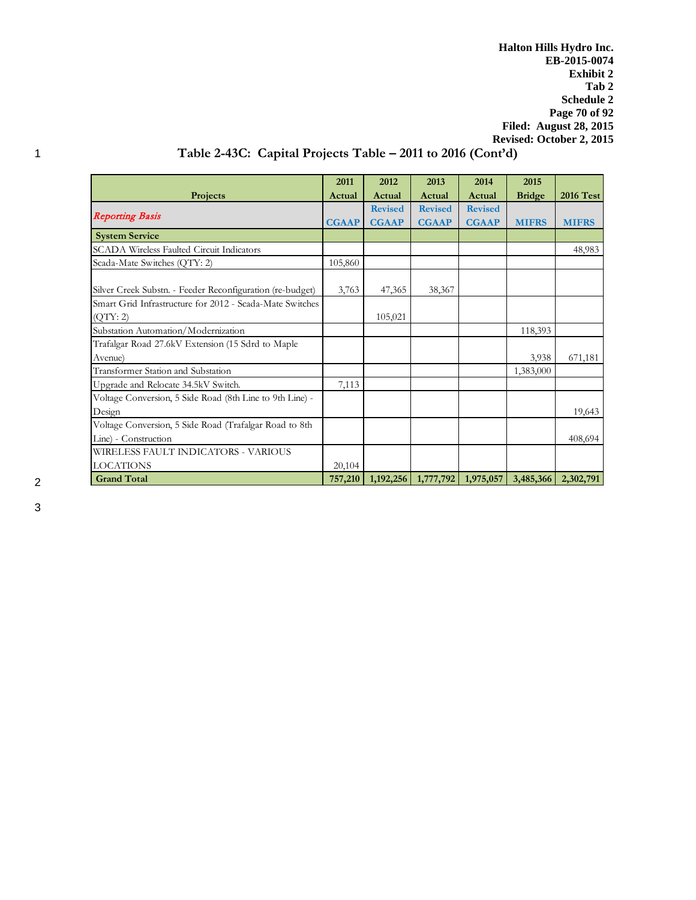**Halton Hills Hydro Inc. EB-2015-0074 Exhibit 2 Tab 2 Schedule 2 Page 70 of 92 Filed: August 28, 2015 Revised: October 2, 2015**

# 1 **Table 2-43C: Capital Projects Table – 2011 to 2016 (Cont'd)**

|                                                           | 2011         | 2012           | 2013           | 2014           | 2015          |                  |
|-----------------------------------------------------------|--------------|----------------|----------------|----------------|---------------|------------------|
| Projects                                                  | Actual       | Actual         | Actual         | Actual         | <b>Bridge</b> | <b>2016 Test</b> |
|                                                           |              | <b>Revised</b> | <b>Revised</b> | <b>Revised</b> |               |                  |
| <b>Reporting Basis</b>                                    | <b>CGAAP</b> | <b>CGAAP</b>   | <b>CGAAP</b>   | <b>CGAAP</b>   | <b>MIFRS</b>  | <b>MIFRS</b>     |
| <b>System Service</b>                                     |              |                |                |                |               |                  |
| <b>SCADA Wireless Faulted Circuit Indicators</b>          |              |                |                |                |               | 48,983           |
| Scada-Mate Switches (QTY: 2)                              | 105,860      |                |                |                |               |                  |
|                                                           |              |                |                |                |               |                  |
| Silver Creek Substn. - Feeder Reconfiguration (re-budget) | 3,763        | 47,365         | 38,367         |                |               |                  |
| Smart Grid Infrastructure for 2012 - Scada-Mate Switches  |              |                |                |                |               |                  |
| (QTY:2)                                                   |              | 105,021        |                |                |               |                  |
| Substation Automation/Modernization                       |              |                |                |                | 118,393       |                  |
| Trafalgar Road 27.6kV Extension (15 Sdrd to Maple         |              |                |                |                |               |                  |
| Avenue)                                                   |              |                |                |                | 3,938         | 671,181          |
| Transformer Station and Substation                        |              |                |                |                | 1,383,000     |                  |
| Upgrade and Relocate 34.5kV Switch.                       | 7,113        |                |                |                |               |                  |
| Voltage Conversion, 5 Side Road (8th Line to 9th Line) -  |              |                |                |                |               |                  |
| Design                                                    |              |                |                |                |               | 19,643           |
| Voltage Conversion, 5 Side Road (Trafalgar Road to 8th    |              |                |                |                |               |                  |
| Line) - Construction                                      |              |                |                |                |               | 408,694          |
| WIRELESS FAULT INDICATORS - VARIOUS                       |              |                |                |                |               |                  |
| <b>LOCATIONS</b>                                          | 20,104       |                |                |                |               |                  |
| <b>Grand Total</b>                                        | 757,210      | 1,192,256      | 1,777,792      | 1,975,057      | 3,485,366     | 2,302,791        |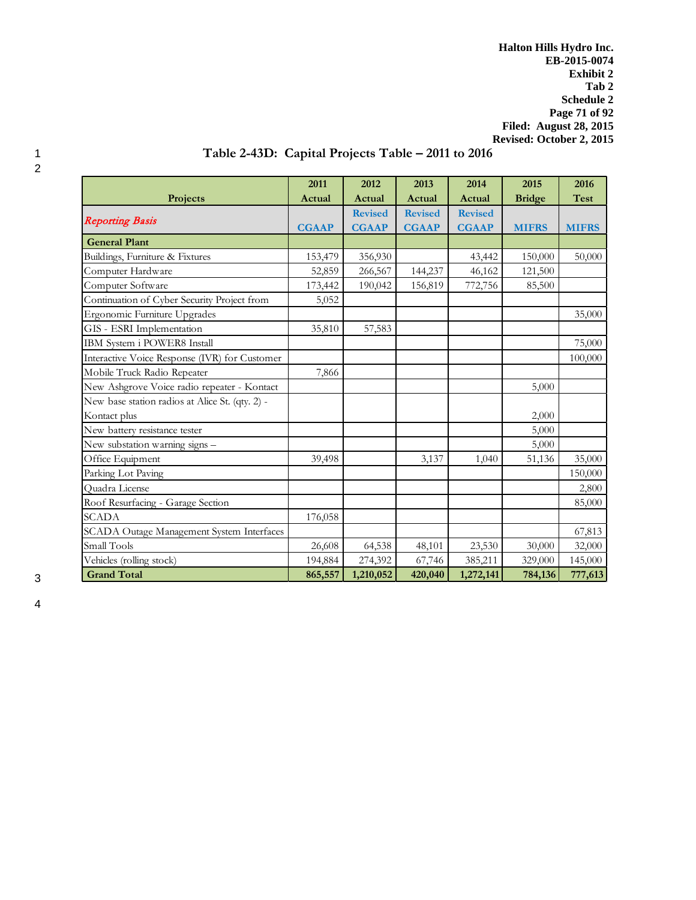**Halton Hills Hydro Inc. EB-2015-0074 Exhibit 2 Tab 2 Schedule 2 Page 71 of 92 Filed: August 28, 2015 Revised: October 2, 2015**

# 1 **Table 2-43D: Capital Projects Table – 2011 to 2016**

|                                                 | 2011         | 2012           | 2013           | 2014           | 2015          | 2016         |
|-------------------------------------------------|--------------|----------------|----------------|----------------|---------------|--------------|
| Projects                                        | Actual       | Actual         | Actual         | Actual         | <b>Bridge</b> | <b>Test</b>  |
|                                                 |              | <b>Revised</b> | <b>Revised</b> | <b>Revised</b> |               |              |
| <b>Reporting Basis</b>                          | <b>CGAAP</b> | <b>CGAAP</b>   | <b>CGAAP</b>   | <b>CGAAP</b>   | <b>MIFRS</b>  | <b>MIFRS</b> |
| <b>General Plant</b>                            |              |                |                |                |               |              |
| Buildings, Furniture & Fixtures                 | 153,479      | 356,930        |                | 43,442         | 150,000       | 50,000       |
| Computer Hardware                               | 52,859       | 266,567        | 144,237        | 46,162         | 121,500       |              |
| Computer Software                               | 173,442      | 190,042        | 156,819        | 772,756        | 85,500        |              |
| Continuation of Cyber Security Project from     | 5,052        |                |                |                |               |              |
| Ergonomic Furniture Upgrades                    |              |                |                |                |               | 35,000       |
| GIS - ESRI Implementation                       | 35,810       | 57,583         |                |                |               |              |
| IBM System i POWER8 Install                     |              |                |                |                |               | 75,000       |
| Interactive Voice Response (IVR) for Customer   |              |                |                |                |               | 100,000      |
| Mobile Truck Radio Repeater                     | 7,866        |                |                |                |               |              |
| New Ashgrove Voice radio repeater - Kontact     |              |                |                |                | 5,000         |              |
| New base station radios at Alice St. (qty. 2) - |              |                |                |                |               |              |
| Kontact plus                                    |              |                |                |                | 2,000         |              |
| New battery resistance tester                   |              |                |                |                | 5,000         |              |
| New substation warning signs -                  |              |                |                |                | 5,000         |              |
| Office Equipment                                | 39,498       |                | 3,137          | 1,040          | 51,136        | 35,000       |
| Parking Lot Paving                              |              |                |                |                |               | 150,000      |
| Quadra License                                  |              |                |                |                |               | 2,800        |
| Roof Resurfacing - Garage Section               |              |                |                |                |               | 85,000       |
| <b>SCADA</b>                                    | 176,058      |                |                |                |               |              |
| SCADA Outage Management System Interfaces       |              |                |                |                |               | 67,813       |
| Small Tools                                     | 26,608       | 64,538         | 48,101         | 23,530         | 30,000        | 32,000       |
| Vehicles (rolling stock)                        | 194,884      | 274,392        | 67,746         | 385,211        | 329,000       | 145,000      |
| <b>Grand Total</b>                              | 865,557      | 1,210,052      | 420,040        | 1,272,141      | 784,136       | 777,613      |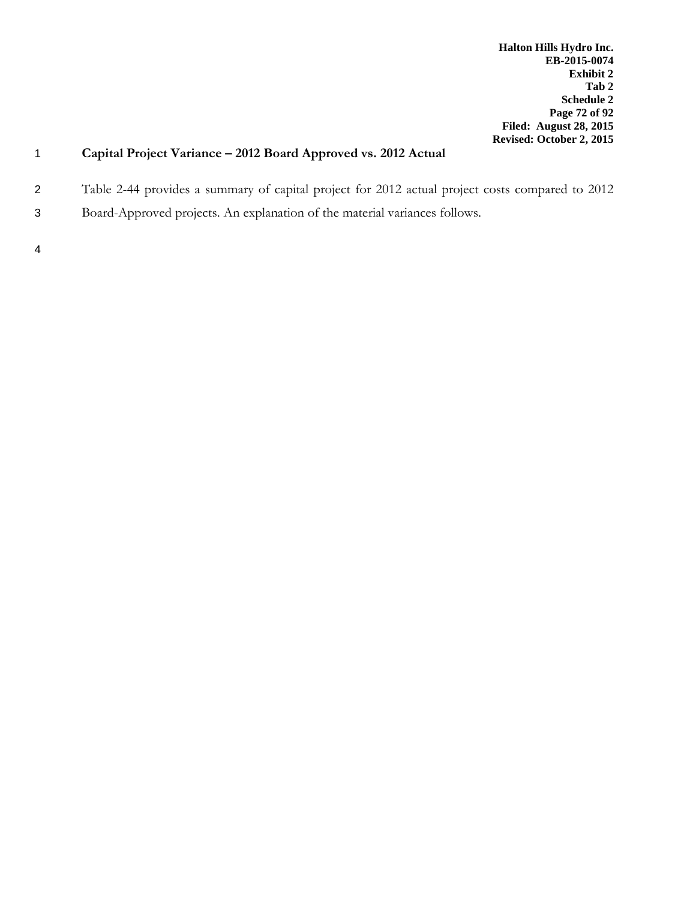# 1 **Capital Project Variance – 2012 Board Approved vs. 2012 Actual**

- 2 Table 2-44 provides a summary of capital project for 2012 actual project costs compared to 2012
- 3 Board-Approved projects. An explanation of the material variances follows.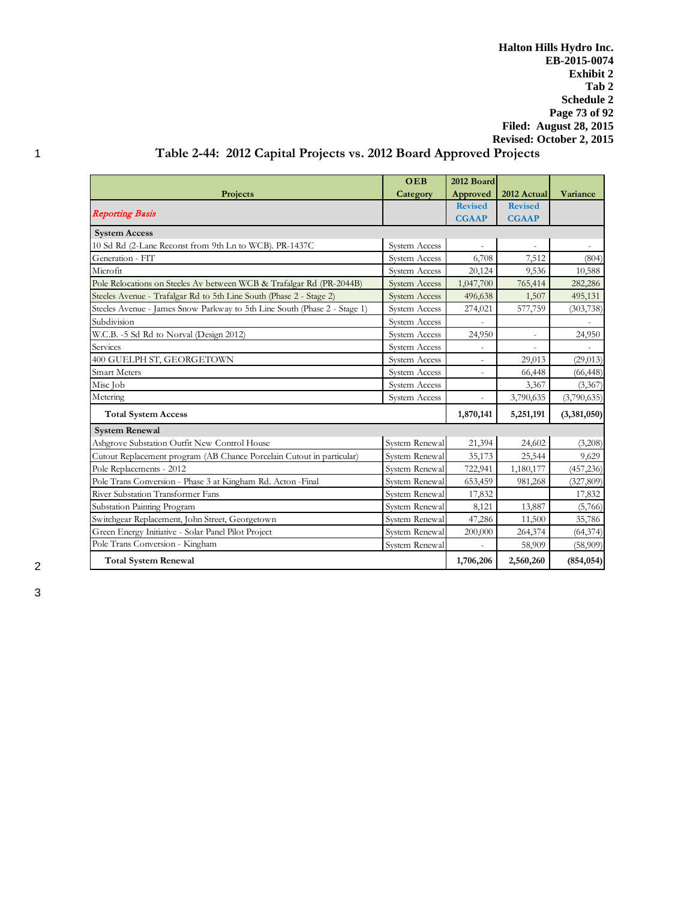**Halton Hills Hydro Inc. EB-2015-0074 Exhibit 2 Tab 2 Schedule 2 Page 73 of 92 Filed: August 28, 2015 Revised: October 2, 2015**

# 1 **Table 2-44: 2012 Capital Projects vs. 2012 Board Approved Projects**

|                                                                           | OEB                  | 2012 Board               |                     |             |
|---------------------------------------------------------------------------|----------------------|--------------------------|---------------------|-------------|
| Projects                                                                  | Category             | Approved                 | 2012 Actual         | Variance    |
|                                                                           |                      | <b>Revised</b>           | <b>Revised</b>      |             |
| <b>Reporting Basis</b>                                                    |                      | <b>CGAAP</b>             | <b>CGAAP</b>        |             |
| <b>System Access</b>                                                      |                      |                          |                     |             |
| 10 Sd Rd (2-Lane Reconst from 9th Ln to WCB). PR-1437C                    | System Access        |                          |                     |             |
| Generation - FIT                                                          | System Access        | 6,708                    | 7,512               | (804)       |
| Microfit                                                                  | System Access        | 20,124                   | 9,536               | 10,588      |
| Pole Relocations on Steeles Av between WCB & Trafalgar Rd (PR-2044B)      | System Access        | 1,047,700                | 765,414             | 282,286     |
| Steeles Avenue - Trafalgar Rd to 5th Line South (Phase 2 - Stage 2)       | <b>System Access</b> | 496,638                  | 1,507               | 495,131     |
| Steeles Avenue - James Snow Parkway to 5th Line South (Phase 2 - Stage 1) | System Access        | 274,021                  | 577,759             | (303, 738)  |
| Subdivision                                                               | System Access        |                          |                     |             |
| W.C.B. -5 Sd Rd to Norval (Design 2012)                                   | System Access        | 24,950                   | $\bar{\phantom{a}}$ | 24,950      |
| Services                                                                  | System Access        |                          |                     |             |
| 400 GUELPH ST, GEORGETOWN                                                 | System Access        | $\overline{\phantom{a}}$ | 29,013              | (29, 013)   |
| <b>Smart Meters</b>                                                       | System Access        |                          | 66,448              | (66, 448)   |
| Misc Job                                                                  | System Access        |                          | 3,367               | (3,367)     |
| Metering                                                                  | System Access        | $\bar{a}$                | 3,790,635           | (3,790,635) |
| <b>Total System Access</b>                                                |                      | 1,870,141                | 5,251,191           | (3,381,050) |
| <b>System Renewal</b>                                                     |                      |                          |                     |             |
| Ashgrove Substation Outfit New Control House                              | System Renewal       | 21,394                   | 24,602              | (3,208)     |
| Cutout Replacement program (AB Chance Porcelain Cutout in particular)     | System Renewal       | 35,173                   | 25,544              | 9,629       |
| Pole Replacements - 2012                                                  | System Renewal       | 722,941                  | 1,180,177           | (457, 236)  |
| Pole Trans Conversion - Phase 3 at Kingham Rd. Acton - Final              | System Renewal       | 653,459                  | 981,268             | (327, 809)  |
| River Substation Transformer Fans                                         | System Renewal       | 17,832                   |                     | 17,832      |
| Substation Painting Program                                               | System Renewal       | 8,121                    | 13,887              | (5,766)     |
| Switchgear Replacement, John Street, Georgetown                           | System Renewal       | 47,286                   | 11,500              | 35,786      |
| Green Energy Initiative - Solar Panel Pilot Project                       | System Renewal       | 200,000                  | 264,374             | (64, 374)   |
| Pole Trans Conversion - Kingham                                           | System Renewal       |                          | 58,909              | (58,909)    |
| <b>Total System Renewal</b>                                               | 1,706,206            | 2,560,260                | (854, 054)          |             |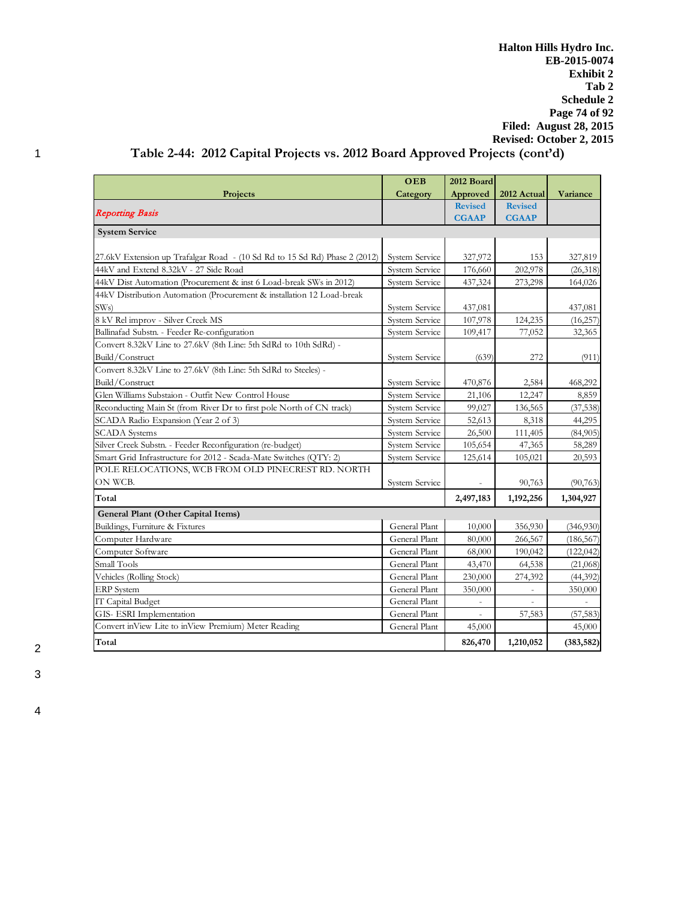**Halton Hills Hydro Inc. EB-2015-0074 Exhibit 2 Tab 2 Schedule 2 Page 74 of 92 Filed: August 28, 2015 Revised: October 2, 2015**

# 1 **Table 2-44: 2012 Capital Projects vs. 2012 Board Approved Projects (cont'd)**

|                                                                            | OEB                   | 2012 Board     |                          |            |
|----------------------------------------------------------------------------|-----------------------|----------------|--------------------------|------------|
| Projects                                                                   | Category              | Approved       | 2012 Actual              | Variance   |
|                                                                            |                       | <b>Revised</b> | <b>Revised</b>           |            |
| <b>Reporting Basis</b>                                                     |                       | <b>CGAAP</b>   | <b>CGAAP</b>             |            |
| <b>System Service</b>                                                      |                       |                |                          |            |
|                                                                            |                       |                |                          |            |
| 27.6kV Extension up Trafalgar Road - (10 Sd Rd to 15 Sd Rd) Phase 2 (2012) | System Service        | 327,972        | 153                      | 327,819    |
| 44kV and Extend 8.32kV - 27 Side Road                                      | System Service        | 176,660        | 202,978                  | (26,318)   |
| 44kV Dist Automation (Procurement & inst 6 Load-break SWs in 2012)         | <b>System Service</b> | 437,324        | 273,298                  | 164,026    |
| 44kV Distribution Automation (Procurement & installation 12 Load-break     |                       |                |                          |            |
| SWs                                                                        | System Service        | 437,081        |                          | 437,081    |
| 8 kV Rel improv - Silver Creek MS                                          | <b>System Service</b> | 107,978        | 124,235                  | (16, 257)  |
| Ballinafad Substn. - Feeder Re-configuration                               | System Service        | 109,417        | 77,052                   | 32,365     |
| Convert 8.32kV Line to 27.6kV (8th Line: 5th SdRd to 10th SdRd) -          |                       |                |                          |            |
| Build/Construct                                                            | System Service        | (639)          | 272                      | (911)      |
| Convert 8.32kV Line to 27.6kV (8th Line: 5th SdRd to Steeles) -            |                       |                |                          |            |
| Build/Construct                                                            | System Service        | 470,876        | 2,584                    | 468,292    |
| Glen Williams Substaion - Outfit New Control House                         | System Service        | 21,106         | 12,247                   | 8,859      |
| Reconducting Main St (from River Dr to first pole North of CN track)       | System Service        | 99,027         | 136,565                  | (37, 538)  |
| SCADA Radio Expansion (Year 2 of 3)                                        | System Service        | 52,613         | 8,318                    | 44,295     |
| <b>SCADA</b> Systems                                                       | System Service        | 26,500         | 111,405                  | (84,905)   |
| Silver Creek Substn. - Feeder Reconfiguration (re-budget)                  | System Service        | 105,654        | 47,365                   | 58,289     |
| Smart Grid Infrastructure for 2012 - Scada-Mate Switches (QTY: 2)          | System Service        | 125,614        | 105,021                  | 20,593     |
| POLE RELOCATIONS, WCB FROM OLD PINECREST RD. NORTH                         |                       |                |                          |            |
| ON WCB.                                                                    | System Service        |                | 90,763                   | (90, 763)  |
| Total                                                                      |                       | 2,497,183      | 1,192,256                | 1,304,927  |
| General Plant (Other Capital Items)                                        |                       |                |                          |            |
| Buildings, Furniture & Fixtures                                            | General Plant         | 10,000         | 356,930                  | (346,930)  |
| Computer Hardware                                                          | General Plant         | 80,000         | 266,567                  | (186, 567) |
| Computer Software                                                          | General Plant         | 68,000         | 190,042                  | (122, 042) |
| Small Tools                                                                | General Plant         | 43,470         | 64,538                   | (21,068)   |
| Vehicles (Rolling Stock)                                                   | General Plant         | 230,000        | 274,392                  | (44, 392)  |
| <b>ERP</b> System                                                          | General Plant         | 350,000        | $\overline{\phantom{0}}$ | 350,000    |
| IT Capital Budget                                                          | General Plant         |                |                          |            |
| GIS- ESRI Implementation                                                   | General Plant         |                | 57,583                   | (57, 583)  |
| Convert inView Lite to inView Premium) Meter Reading                       | General Plant         | 45,000         |                          | 45,000     |
| Total                                                                      |                       | 826,470        | 1,210,052                | (383, 582) |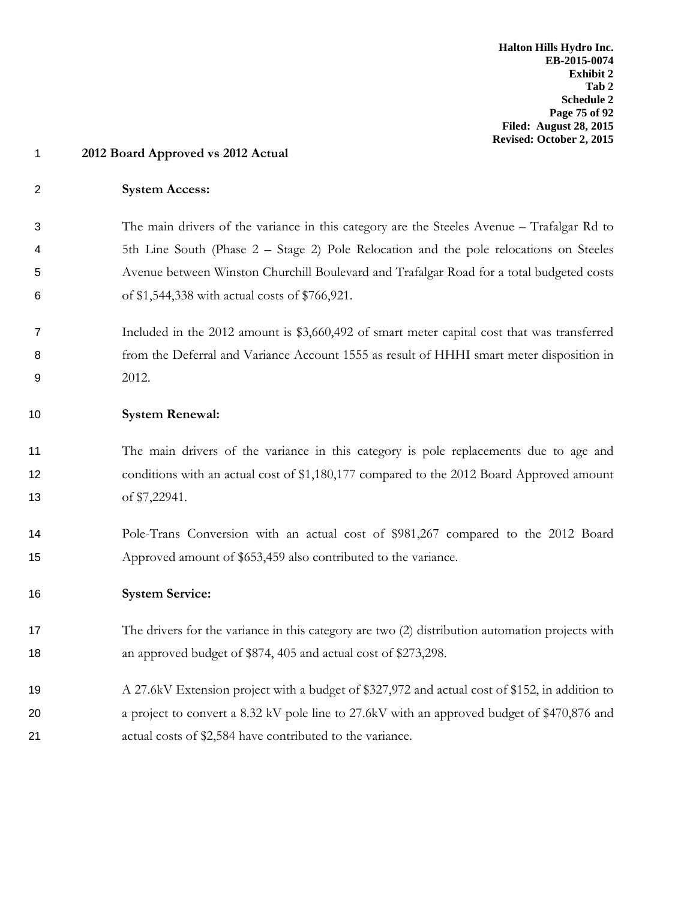### **System Access:**

 The main drivers of the variance in this category are the Steeles Avenue – Trafalgar Rd to 5th Line South (Phase 2 – Stage 2) Pole Relocation and the pole relocations on Steeles Avenue between Winston Churchill Boulevard and Trafalgar Road for a total budgeted costs of \$1,544,338 with actual costs of \$766,921.

 Included in the 2012 amount is \$3,660,492 of smart meter capital cost that was transferred from the Deferral and Variance Account 1555 as result of HHHI smart meter disposition in 2012.

### **System Renewal:**

 The main drivers of the variance in this category is pole replacements due to age and 12 conditions with an actual cost of \$1,180,177 compared to the 2012 Board Approved amount of \$7,22941.

 Pole-Trans Conversion with an actual cost of \$981,267 compared to the 2012 Board Approved amount of \$653,459 also contributed to the variance.

### **System Service:**

- The drivers for the variance in this category are two (2) distribution automation projects with 18 an approved budget of \$874, 405 and actual cost of \$273,298.
- A 27.6kV Extension project with a budget of \$327,972 and actual cost of \$152, in addition to 20 a project to convert a 8.32 kV pole line to 27.6kV with an approved budget of \$470,876 and actual costs of \$2,584 have contributed to the variance.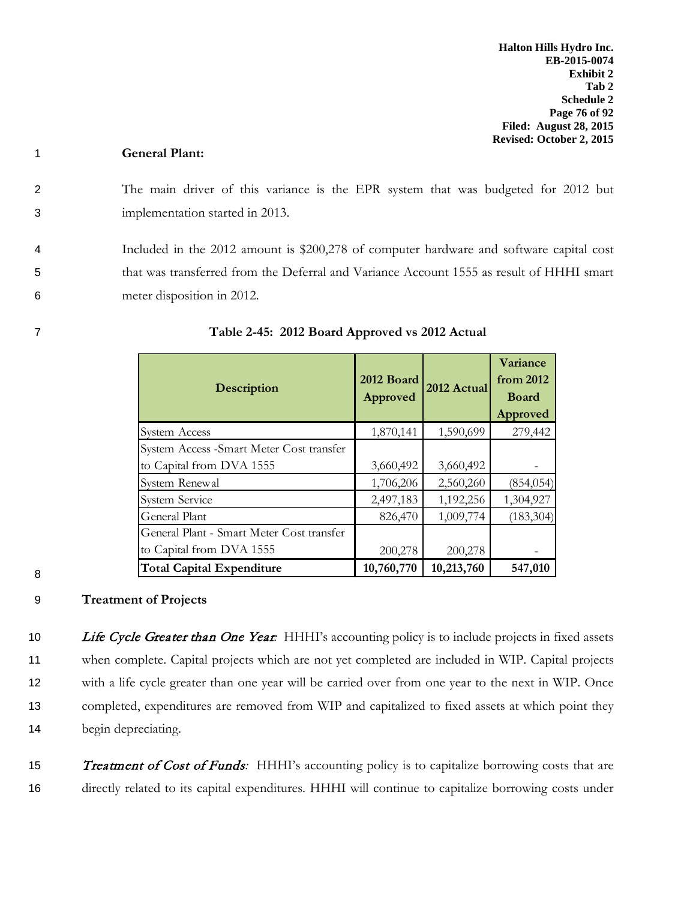## 1 **General Plant:**

2 The main driver of this variance is the EPR system that was budgeted for 2012 but 3 implementation started in 2013.

4 Included in the 2012 amount is \$200,278 of computer hardware and software capital cost 5 that was transferred from the Deferral and Variance Account 1555 as result of HHHI smart 6 meter disposition in 2012.

| Description                               | 2012 Board<br>Approved | 2012 Actual | Variance<br>from 2012<br><b>Board</b><br>Approved |
|-------------------------------------------|------------------------|-------------|---------------------------------------------------|
| <b>System Access</b>                      | 1,870,141              | 1,590,699   | 279,442                                           |
| System Access - Smart Meter Cost transfer |                        |             |                                                   |
| to Capital from DVA 1555                  | 3,660,492              | 3,660,492   |                                                   |
| System Renewal                            | 1,706,206              | 2,560,260   | (854, 054)                                        |
| <b>System Service</b>                     | 2,497,183              | 1,192,256   | 1,304,927                                         |
| General Plant                             | 826,470                | 1,009,774   | (183, 304)                                        |
| General Plant - Smart Meter Cost transfer |                        |             |                                                   |
| to Capital from DVA 1555                  | 200,278                | 200,278     |                                                   |
| <b>Total Capital Expenditure</b>          | 10,760,770             | 10,213,760  | 547,010                                           |

7 **Table 2-45: 2012 Board Approved vs 2012 Actual**

#### 8

## 9 **Treatment of Projects**

10 Life Cycle Greater than One Year: HHHI's accounting policy is to include projects in fixed assets when complete. Capital projects which are not yet completed are included in WIP. Capital projects with a life cycle greater than one year will be carried over from one year to the next in WIP. Once completed, expenditures are removed from WIP and capitalized to fixed assets at which point they begin depreciating.

15 **Treatment of Cost of Funds**: HHHI's accounting policy is to capitalize borrowing costs that are 16 directly related to its capital expenditures. HHHI will continue to capitalize borrowing costs under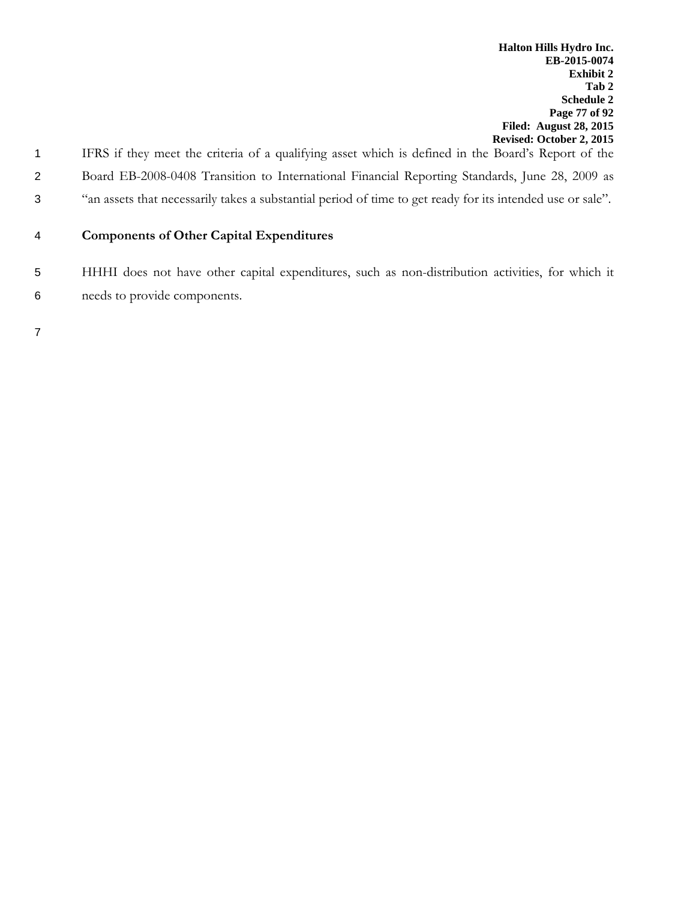1 IFRS if they meet the criteria of a qualifying asset which is defined in the Board's Report of the 2 Board EB-2008-0408 Transition to International Financial Reporting Standards, June 28, 2009 as 3 "an assets that necessarily takes a substantial period of time to get ready for its intended use or sale".

## 4 **Components of Other Capital Expenditures**

5 HHHI does not have other capital expenditures, such as non-distribution activities, for which it 6 needs to provide components.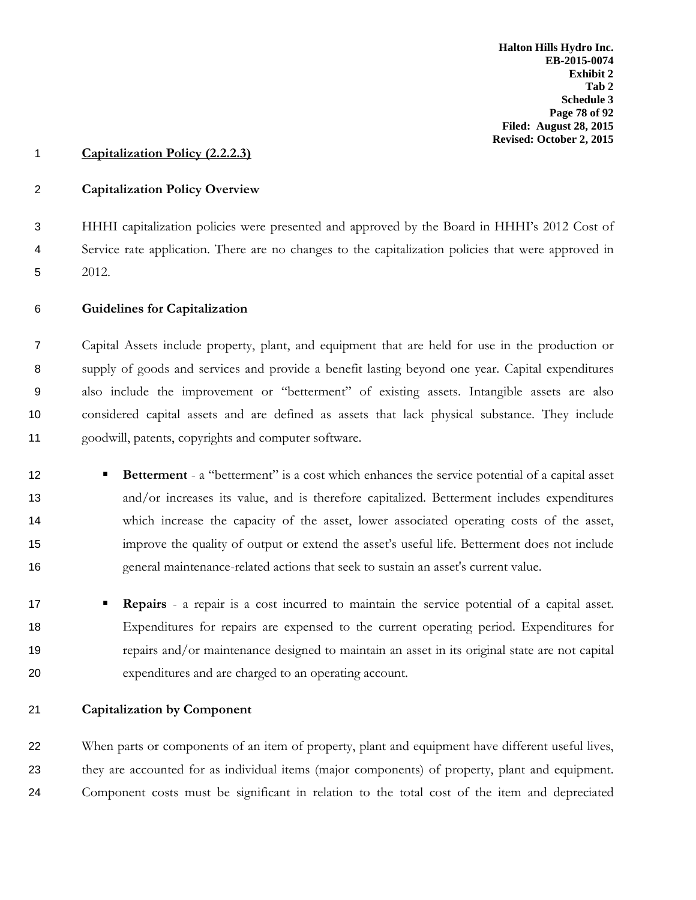### **Capitalization Policy (2.2.2.3)**

### **Capitalization Policy Overview**

 HHHI capitalization policies were presented and approved by the Board in HHHI's 2012 Cost of Service rate application. There are no changes to the capitalization policies that were approved in 2012.

### **Guidelines for Capitalization**

 Capital Assets include property, plant, and equipment that are held for use in the production or supply of goods and services and provide a benefit lasting beyond one year. Capital expenditures also include the improvement or "betterment" of existing assets. Intangible assets are also considered capital assets and are defined as assets that lack physical substance. They include goodwill, patents, copyrights and computer software.

- **Betterment** a "betterment" is a cost which enhances the service potential of a capital asset and/or increases its value, and is therefore capitalized. Betterment includes expenditures which increase the capacity of the asset, lower associated operating costs of the asset, improve the quality of output or extend the asset's useful life. Betterment does not include general maintenance-related actions that seek to sustain an asset's current value.
- **Repairs** a repair is a cost incurred to maintain the service potential of a capital asset. Expenditures for repairs are expensed to the current operating period. Expenditures for repairs and/or maintenance designed to maintain an asset in its original state are not capital expenditures and are charged to an operating account.
- **Capitalization by Component**

22 When parts or components of an item of property, plant and equipment have different useful lives, they are accounted for as individual items (major components) of property, plant and equipment. Component costs must be significant in relation to the total cost of the item and depreciated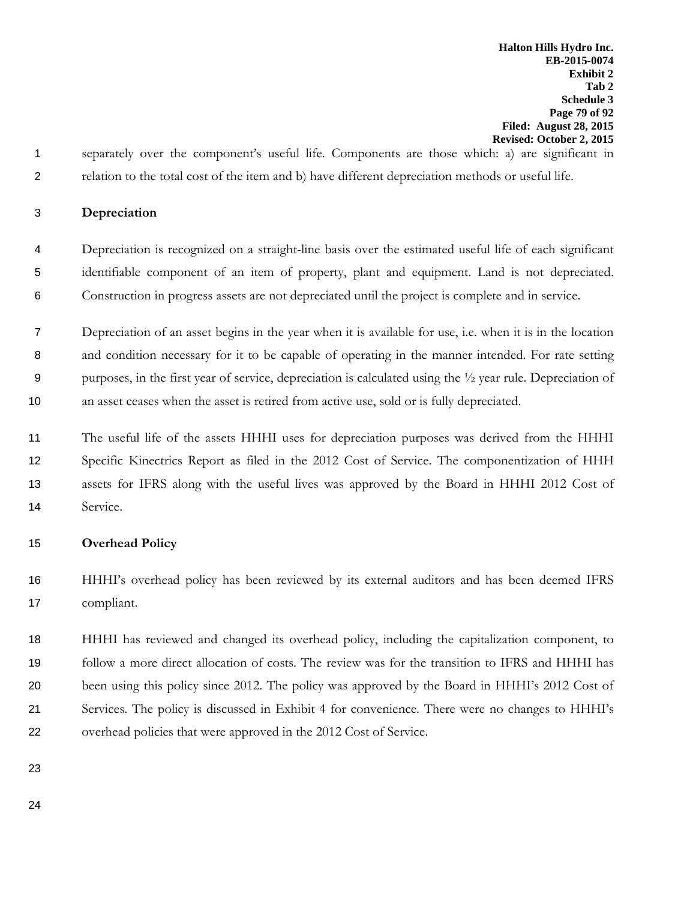separately over the component's useful life. Components are those which: a) are significant in relation to the total cost of the item and b) have different depreciation methods or useful life.

### **Depreciation**

- Depreciation is recognized on a straight-line basis over the estimated useful life of each significant identifiable component of an item of property, plant and equipment. Land is not depreciated. Construction in progress assets are not depreciated until the project is complete and in service.
- Depreciation of an asset begins in the year when it is available for use, i.e. when it is in the location and condition necessary for it to be capable of operating in the manner intended. For rate setting purposes, in the first year of service, depreciation is calculated using the ½ year rule. Depreciation of an asset ceases when the asset is retired from active use, sold or is fully depreciated.
- The useful life of the assets HHHI uses for depreciation purposes was derived from the HHHI Specific Kinectrics Report as filed in the 2012 Cost of Service. The componentization of HHH assets for IFRS along with the useful lives was approved by the Board in HHHI 2012 Cost of Service.

### **Overhead Policy**

 HHHI's overhead policy has been reviewed by its external auditors and has been deemed IFRS compliant.

 HHHI has reviewed and changed its overhead policy, including the capitalization component, to follow a more direct allocation of costs. The review was for the transition to IFRS and HHHI has been using this policy since 2012. The policy was approved by the Board in HHHI's 2012 Cost of Services. The policy is discussed in Exhibit 4 for convenience. There were no changes to HHHI's overhead policies that were approved in the 2012 Cost of Service.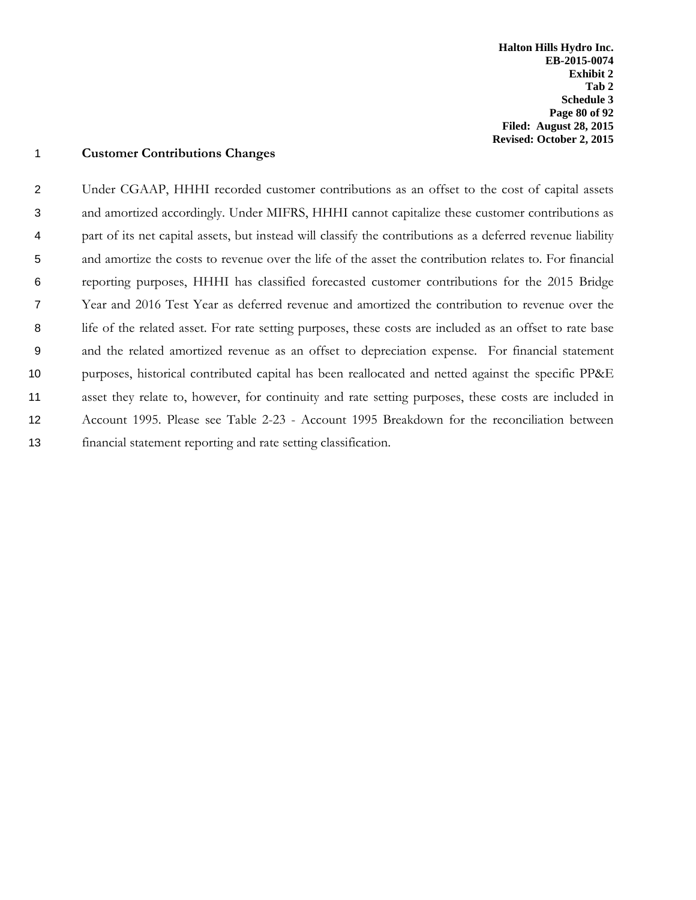**Halton Hills Hydro Inc. EB-2015-0074 Exhibit 2 Tab 2 Schedule 3 Page 80 of 92 Filed: August 28, 2015 Revised: October 2, 2015**

### **Customer Contributions Changes**

 Under CGAAP, HHHI recorded customer contributions as an offset to the cost of capital assets and amortized accordingly. Under MIFRS, HHHI cannot capitalize these customer contributions as part of its net capital assets, but instead will classify the contributions as a deferred revenue liability and amortize the costs to revenue over the life of the asset the contribution relates to. For financial reporting purposes, HHHI has classified forecasted customer contributions for the 2015 Bridge Year and 2016 Test Year as deferred revenue and amortized the contribution to revenue over the life of the related asset. For rate setting purposes, these costs are included as an offset to rate base and the related amortized revenue as an offset to depreciation expense. For financial statement purposes, historical contributed capital has been reallocated and netted against the specific PP&E asset they relate to, however, for continuity and rate setting purposes, these costs are included in Account 1995. Please see Table 2-23 - Account 1995 Breakdown for the reconciliation between financial statement reporting and rate setting classification.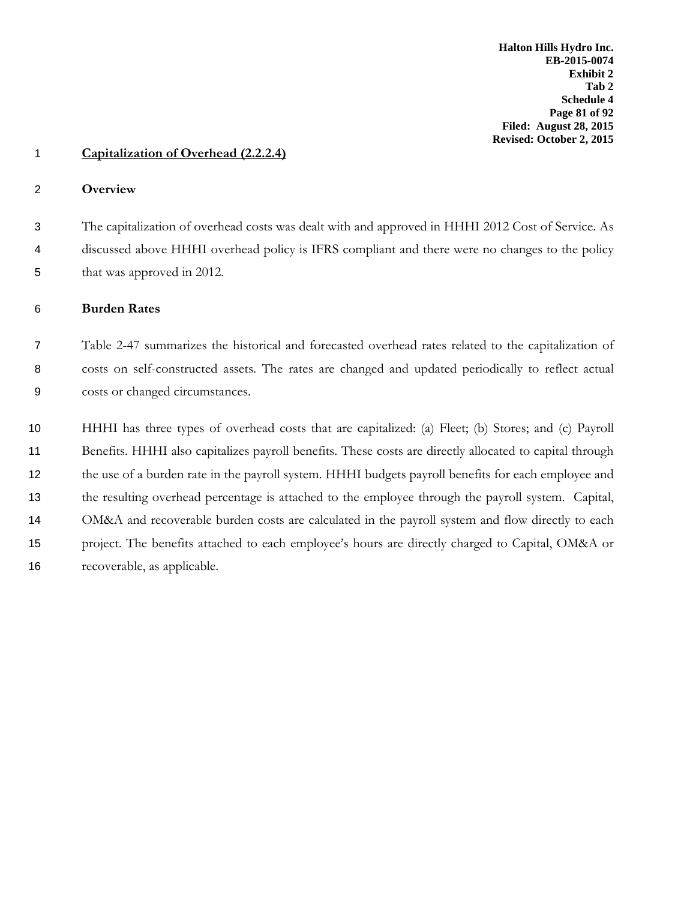### **Capitalization of Overhead (2.2.2.4)**

#### **Overview**

 The capitalization of overhead costs was dealt with and approved in HHHI 2012 Cost of Service. As discussed above HHHI overhead policy is IFRS compliant and there were no changes to the policy that was approved in 2012.

## **Burden Rates**

 Table 2-47 summarizes the historical and forecasted overhead rates related to the capitalization of costs on self-constructed assets. The rates are changed and updated periodically to reflect actual costs or changed circumstances.

 HHHI has three types of overhead costs that are capitalized: (a) Fleet; (b) Stores; and (c) Payroll Benefits. HHHI also capitalizes payroll benefits. These costs are directly allocated to capital through the use of a burden rate in the payroll system. HHHI budgets payroll benefits for each employee and the resulting overhead percentage is attached to the employee through the payroll system. Capital, OM&A and recoverable burden costs are calculated in the payroll system and flow directly to each project. The benefits attached to each employee's hours are directly charged to Capital, OM&A or recoverable, as applicable.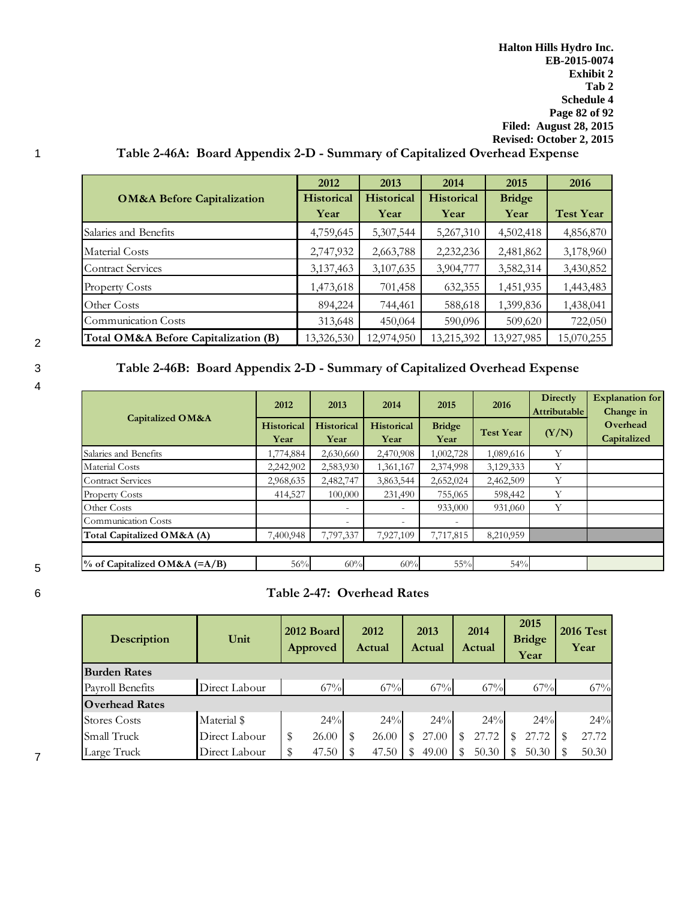# 1 **Table 2-46A: Board Appendix 2-D - Summary of Capitalized Overhead Expense**

|                                       | 2012              | 2013              | 2014              | 2015          | 2016             |
|---------------------------------------|-------------------|-------------------|-------------------|---------------|------------------|
| <b>OM&amp;A Before Capitalization</b> | <b>Historical</b> | <b>Historical</b> | <b>Historical</b> | <b>Bridge</b> |                  |
|                                       | Year              | Year              | Year              | Year          | <b>Test Year</b> |
| Salaries and Benefits                 | 4,759,645         | 5,307,544         | 5,267,310         | 4,502,418     | 4,856,870        |
| Material Costs                        | 2,747,932         | 2,663,788         | 2,232,236         | 2,481,862     | 3,178,960        |
| <b>Contract Services</b>              | 3,137,463         | 3,107,635         | 3,904,777         | 3,582,314     | 3,430,852        |
| <b>Property Costs</b>                 | 1,473,618         | 701,458           | 632,355           | 1,451,935     | 1,443,483        |
| Other Costs                           | 894,224           | 744,461           | 588,618           | 1,399,836     | 1,438,041        |
| Communication Costs                   | 313,648           | 450,064           | 590,096           | 509,620       | 722,050          |
| Total OM&A Before Capitalization (B)  | 13,326,530        | 12,974,950        | 13,215,392        | 13,927,985    | 15,070,255       |

4

# 3 **Table 2-46B: Board Appendix 2-D - Summary of Capitalized Overhead Expense**

|                                 | 2012                      | 2013                      | 2014                      | 2015                  | 2016             | <b>Directly</b><br>Attributable | <b>Explanation for</b><br>Change in |
|---------------------------------|---------------------------|---------------------------|---------------------------|-----------------------|------------------|---------------------------------|-------------------------------------|
| <b>Capitalized OM&amp;A</b>     | <b>Historical</b><br>Year | <b>Historical</b><br>Year | <b>Historical</b><br>Year | <b>Bridge</b><br>Year | <b>Test Year</b> | (Y/N)                           | Overhead<br>Capitalized             |
| Salaries and Benefits           | 1,774,884                 | 2,630,660                 | 2,470,908                 | 1,002,728             | 1,089,616        | Y                               |                                     |
| Material Costs                  | 2,242,902                 | 2,583,930                 | 1,361,167                 | 2,374,998             | 3,129,333        | Y                               |                                     |
| <b>Contract Services</b>        | 2,968,635                 | 2,482,747                 | 3,863,544                 | 2,652,024             | 2,462,509        | Y                               |                                     |
| <b>Property Costs</b>           | 414,527                   | 100,000                   | 231,490                   | 755,065               | 598,442          | Υ                               |                                     |
| Other Costs                     |                           | $\overline{\phantom{0}}$  |                           | 933,000               | 931,060          | Y                               |                                     |
| Communication Costs             |                           | $\overline{\phantom{0}}$  |                           |                       |                  |                                 |                                     |
| Total Capitalized OM&A (A)      | 7,400,948                 | 7,797,337                 | 7,927,109                 | 7,717,815             | 8,210,959        |                                 |                                     |
|                                 |                           |                           |                           |                       |                  |                                 |                                     |
| $\%$ of Capitalized OM&A (=A/B) | 56%                       | 60%                       | 60%                       | 55%                   | 54%              |                                 |                                     |

5

# 6 **Table 2-47: Overhead Rates**

| <b>Description</b>    | Unit          | 2012 Board<br>Approved | 2012<br>Actual | 2013<br>Actual | 2014<br>Actual | 2015<br><b>Bridge</b><br>Year | <b>2016 Test</b><br>Year |  |
|-----------------------|---------------|------------------------|----------------|----------------|----------------|-------------------------------|--------------------------|--|
| <b>Burden Rates</b>   |               |                        |                |                |                |                               |                          |  |
| Payroll Benefits      | Direct Labour | 67%                    | 67%            | 67%            | $67\%$         | 67%                           | 67%                      |  |
| <b>Overhead Rates</b> |               |                        |                |                |                |                               |                          |  |
| Stores Costs          | Material \$   | 24%                    | 24%            | 24%            | $24\%$         | 24%                           | 24%                      |  |
| Small Truck           | Direct Labour | 26.00                  | 26.00<br>S     | 27.00<br>S     | 27.72          | 27.72                         | 27.72<br>S               |  |
| Large Truck           | Direct Labour | 47.50                  | 47.50<br>S     | 49.00          | 50.30          | 50.30                         | 50.30                    |  |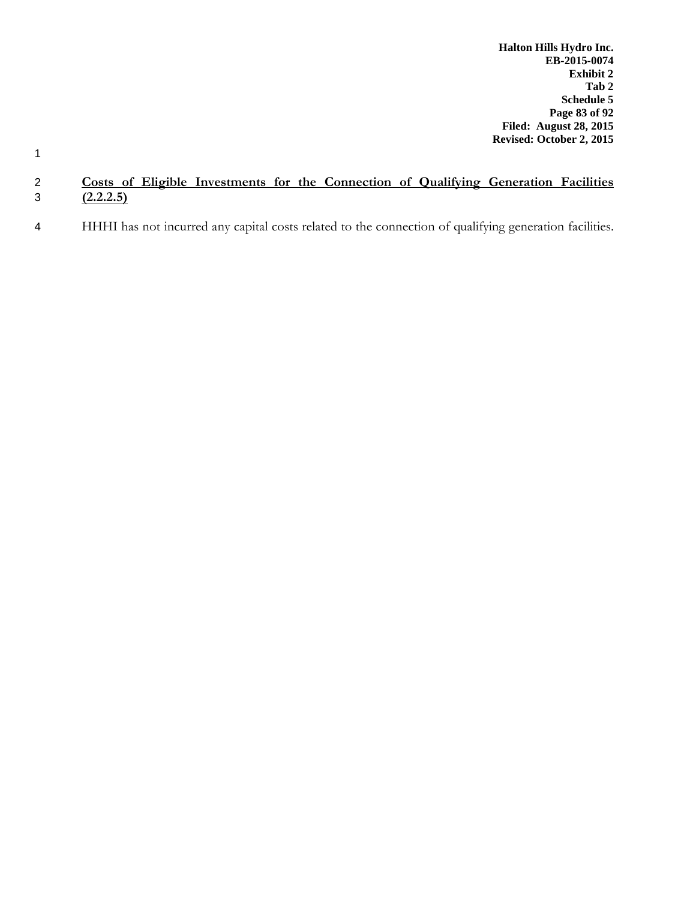1

# 2 **Costs of Eligible Investments for the Connection of Qualifying Generation Facilities**   $\overline{(2.2.2.5)}$

4 HHHI has not incurred any capital costs related to the connection of qualifying generation facilities.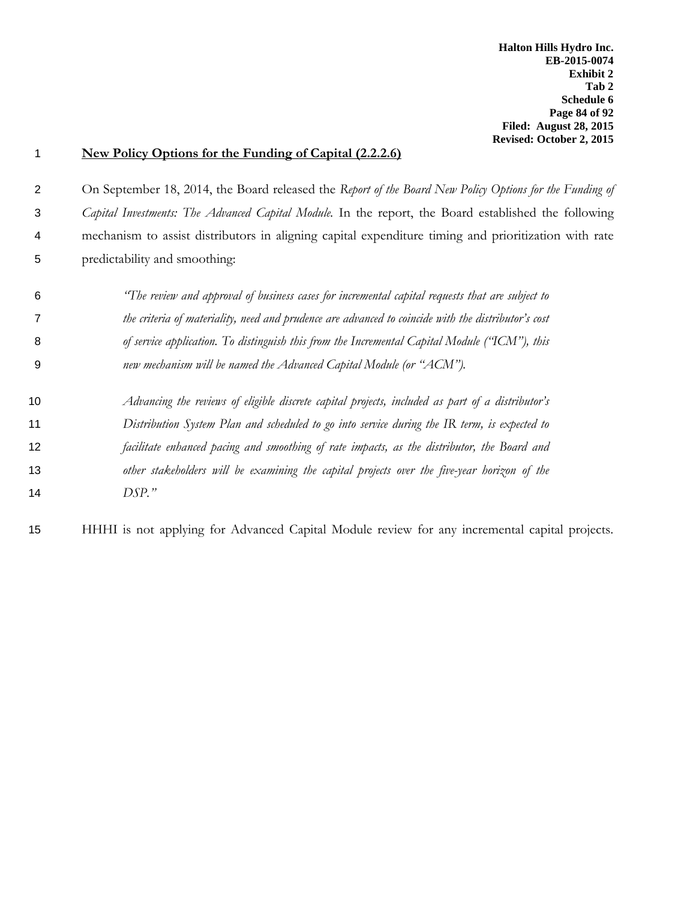**Halton Hills Hydro Inc. EB-2015-0074 Exhibit 2 Tab 2 Schedule 6 Page 84 of 92 Filed: August 28, 2015 Revised: October 2, 2015**

#### **New Policy Options for the Funding of Capital (2.2.2.6)**

2 On September 18, 2014, the Board released the *Report of the Board New Policy Options for the Funding of Capital Investments: The Advanced Capital Module.* In the report, the Board established the following mechanism to assist distributors in aligning capital expenditure timing and prioritization with rate predictability and smoothing:

- *"The review and approval of business cases for incremental capital requests that are subject to the criteria of materiality, need and prudence are advanced to coincide with the distributor's cost of service application. To distinguish this from the Incremental Capital Module ("ICM"), this new mechanism will be named the Advanced Capital Module (or "ACM").*
- *Advancing the reviews of eligible discrete capital projects, included as part of a distributor's Distribution System Plan and scheduled to go into service during the IR term, is expected to facilitate enhanced pacing and smoothing of rate impacts, as the distributor, the Board and other stakeholders will be examining the capital projects over the five-year horizon of the DSP."*

HHHI is not applying for Advanced Capital Module review for any incremental capital projects.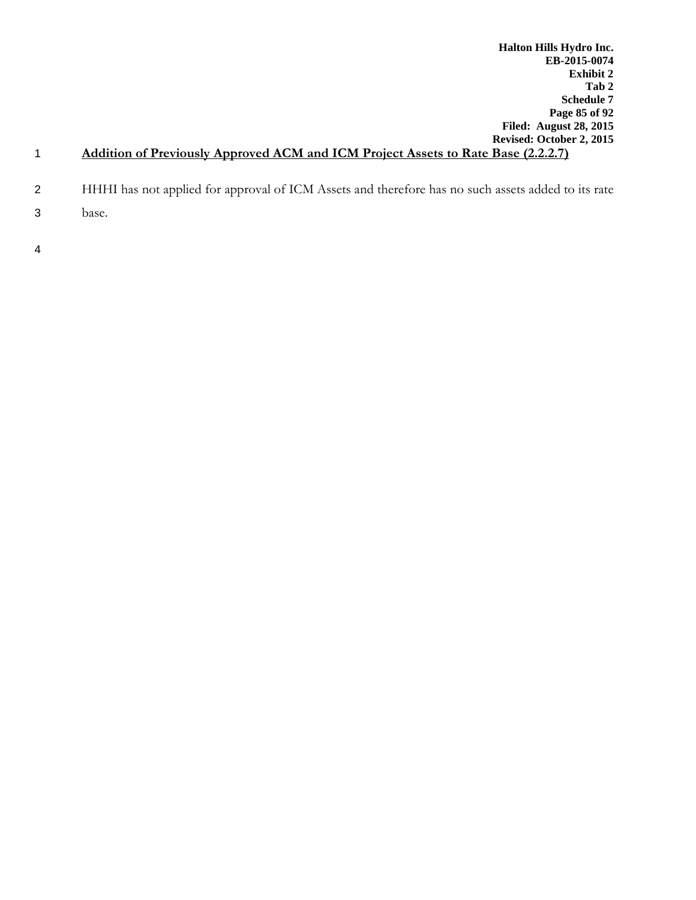- 2 HHHI has not applied for approval of ICM Assets and therefore has no such assets added to its rate
- 3 base.
- 4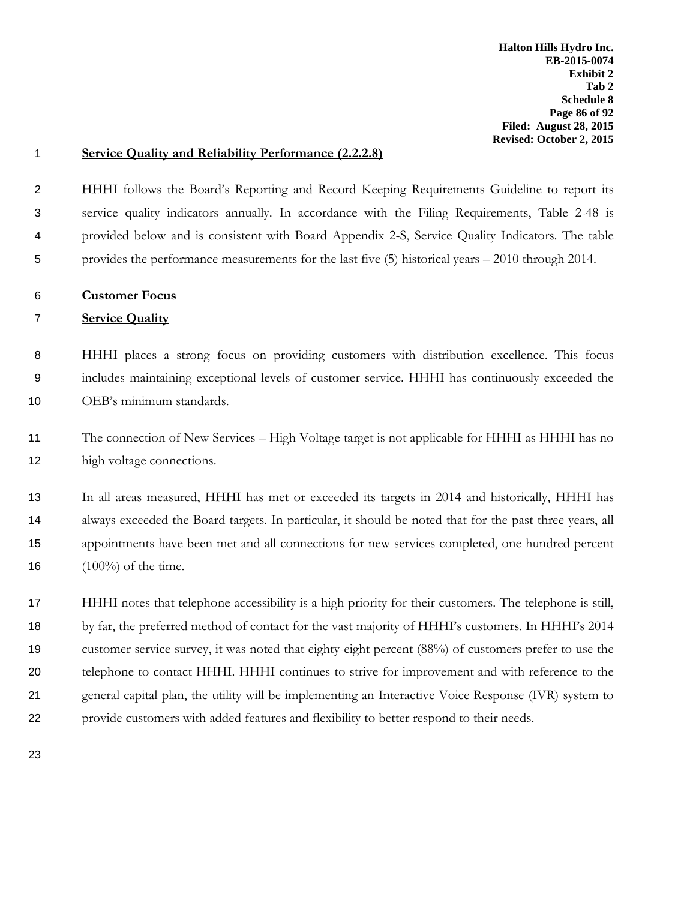### **Service Quality and Reliability Performance (2.2.2.8)**

 HHHI follows the Board's Reporting and Record Keeping Requirements Guideline to report its service quality indicators annually. In accordance with the Filing Requirements, Table 2-48 is provided below and is consistent with Board Appendix 2-S, Service Quality Indicators. The table provides the performance measurements for the last five (5) historical years – 2010 through 2014.

**Customer Focus**

### **Service Quality**

 HHHI places a strong focus on providing customers with distribution excellence. This focus includes maintaining exceptional levels of customer service. HHHI has continuously exceeded the OEB's minimum standards.

 The connection of New Services – High Voltage target is not applicable for HHHI as HHHI has no high voltage connections.

 In all areas measured, HHHI has met or exceeded its targets in 2014 and historically, HHHI has always exceeded the Board targets. In particular, it should be noted that for the past three years, all appointments have been met and all connections for new services completed, one hundred percent  $(100\%)$  of the time.

 HHHI notes that telephone accessibility is a high priority for their customers. The telephone is still, by far, the preferred method of contact for the vast majority of HHHI's customers. In HHHI's 2014 customer service survey, it was noted that eighty-eight percent (88%) of customers prefer to use the telephone to contact HHHI. HHHI continues to strive for improvement and with reference to the general capital plan, the utility will be implementing an Interactive Voice Response (IVR) system to provide customers with added features and flexibility to better respond to their needs.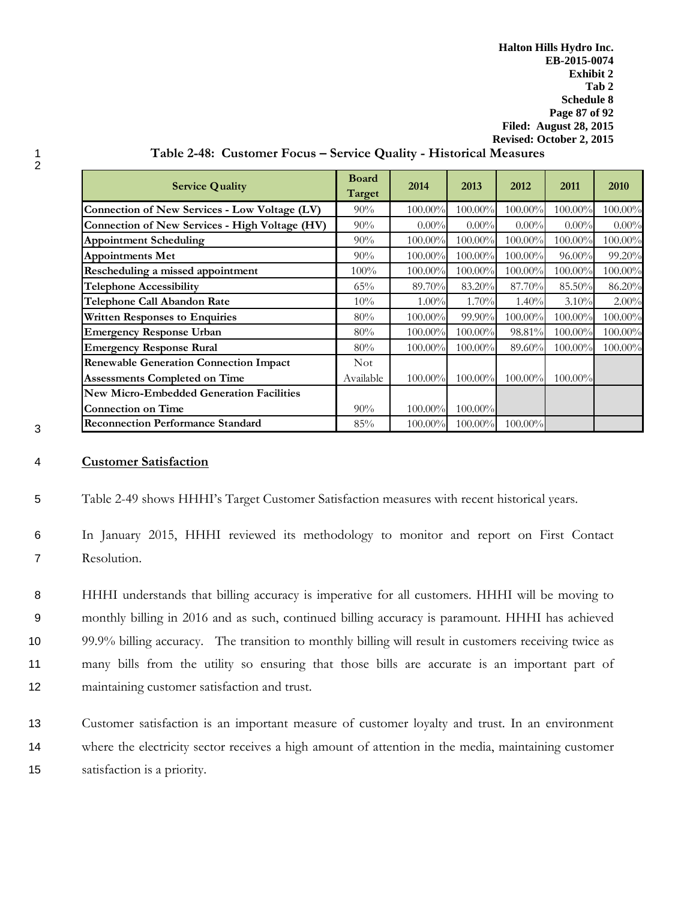**Halton Hills Hydro Inc. EB-2015-0074 Exhibit 2 Tab 2 Schedule 8 Page 87 of 92 Filed: August 28, 2015 Revised: October 2, 2015**

| <b>Service Quality</b>                                | <b>Board</b><br><b>Target</b> | 2014       | 2013       | 2012       | 2011       | 2010       |
|-------------------------------------------------------|-------------------------------|------------|------------|------------|------------|------------|
| Connection of New Services - Low Voltage (LV)         | $90\%$                        | $100.00\%$ | $100.00\%$ | $100.00\%$ | $100.00\%$ | 100.00%    |
| <b>Connection of New Services - High Voltage (HV)</b> | 90%                           | $0.00\%$   | $0.00\%$   | $0.00\%$   | $0.00\%$   | $0.00\%$   |
| <b>Appointment Scheduling</b>                         | 90%                           | 100.00%    | $100.00\%$ | $100.00\%$ | $100.00\%$ | 100.00%    |
| <b>Appointments Met</b>                               | 90%                           | $100.00\%$ | $100.00\%$ | $100.00\%$ | $96.00\%$  | 99.20%     |
| Rescheduling a missed appointment                     | $100\%$                       | $100.00\%$ | 100.00%    | 100.00%    | 100.00%    | 100.00%    |
| <b>Telephone Accessibility</b>                        | 65%                           | 89.70%     | 83.20%     | 87.70%     | 85.50%     | 86.20%     |
| Telephone Call Abandon Rate                           | 10%                           | $1.00\%$   | 1.70%      | 1.40%      | 3.10%      | $2.00\%$   |
| <b>Written Responses to Enquiries</b>                 | 80%                           | $100.00\%$ | $99.90\%$  | 100.00%    | 100.00%    | 100.00%    |
| <b>Emergency Response Urban</b>                       | 80%                           | 100.00%    | 100.00%    | 98.81%     | 100.00%    | 100.00%    |
| <b>Emergency Response Rural</b>                       | 80%                           | $100.00\%$ | $100.00\%$ | 89.60%     | $100.00\%$ | $100.00\%$ |
| <b>Renewable Generation Connection Impact</b>         | Not.                          |            |            |            |            |            |
| <b>Assessments Completed on Time</b>                  | Available                     | $100.00\%$ | $100.00\%$ | $100.00\%$ | $100.00\%$ |            |
| <b>New Micro-Embedded Generation Facilities</b>       |                               |            |            |            |            |            |
| <b>Connection on Time</b>                             | 90%                           | 100.00%    | $100.00\%$ |            |            |            |
| <b>Reconnection Performance Standard</b>              | 85%                           | 100.00%    | $100.00\%$ | 100.00%    |            |            |

## 1 **Table 2-48: Customer Focus – Service Quality - Historical Measures**

3

2

#### 4 **Customer Satisfaction**

- 5 Table 2-49 shows HHHI's Target Customer Satisfaction measures with recent historical years.
- 6 In January 2015, HHHI reviewed its methodology to monitor and report on First Contact 7 Resolution.
- 8 HHHI understands that billing accuracy is imperative for all customers. HHHI will be moving to 9 monthly billing in 2016 and as such, continued billing accuracy is paramount. HHHI has achieved 10 99.9% billing accuracy. The transition to monthly billing will result in customers receiving twice as 11 many bills from the utility so ensuring that those bills are accurate is an important part of 12 maintaining customer satisfaction and trust.
- 13 Customer satisfaction is an important measure of customer loyalty and trust. In an environment 14 where the electricity sector receives a high amount of attention in the media, maintaining customer 15 satisfaction is a priority.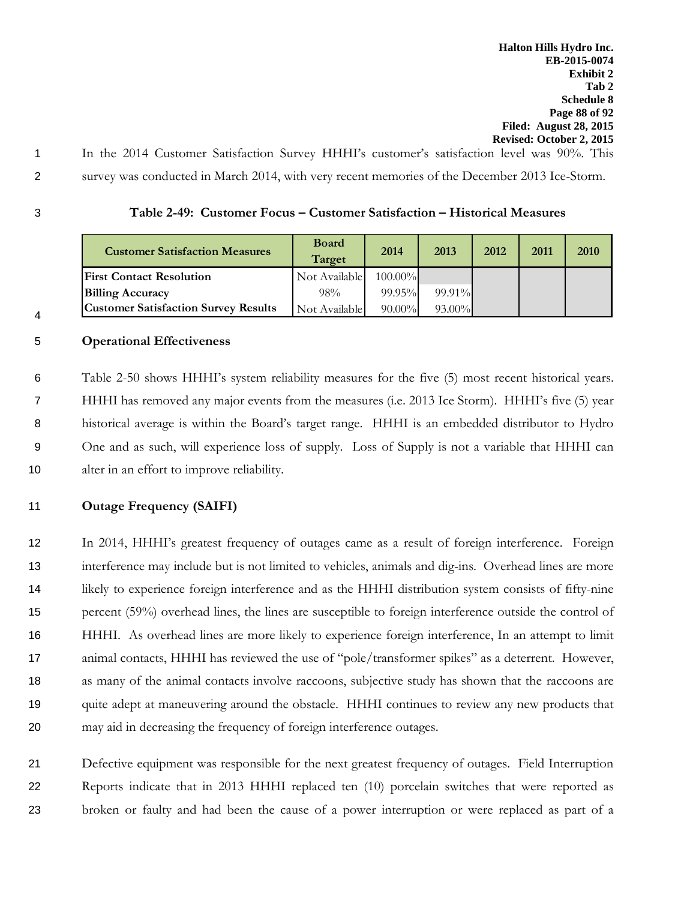- 1 In the 2014 Customer Satisfaction Survey HHHI's customer's satisfaction level was 90%. This 2 survey was conducted in March 2014, with very recent memories of the December 2013 Ice-Storm.
- 

4

## 3 **Table 2-49: Customer Focus – Customer Satisfaction – Historical Measures**

| <b>Customer Satisfaction Measures</b>       | <b>Board</b><br>Target | 2014       | 2013      | 2012 | 2011 | 2010 |
|---------------------------------------------|------------------------|------------|-----------|------|------|------|
| <b>First Contact Resolution</b>             | Not Available          | $100.00\%$ |           |      |      |      |
| <b>Billing Accuracy</b>                     | 98%                    | $99.95\%$  | $99.91\%$ |      |      |      |
| <b>Customer Satisfaction Survey Results</b> | Not Available I        | $90.00\%$  | $93.00\%$ |      |      |      |

## 5 **Operational Effectiveness**

 Table 2-50 shows HHHI's system reliability measures for the five (5) most recent historical years. HHHI has removed any major events from the measures (i.e. 2013 Ice Storm). HHHI's five (5) year historical average is within the Board's target range. HHHI is an embedded distributor to Hydro One and as such, will experience loss of supply. Loss of Supply is not a variable that HHHI can alter in an effort to improve reliability.

### 11 **Outage Frequency (SAIFI)**

 In 2014, HHHI's greatest frequency of outages came as a result of foreign interference. Foreign interference may include but is not limited to vehicles, animals and dig-ins. Overhead lines are more likely to experience foreign interference and as the HHHI distribution system consists of fifty-nine percent (59%) overhead lines, the lines are susceptible to foreign interference outside the control of HHHI. As overhead lines are more likely to experience foreign interference, In an attempt to limit animal contacts, HHHI has reviewed the use of "pole/transformer spikes" as a deterrent. However, 18 as many of the animal contacts involve raccoons, subjective study has shown that the raccoons are 19 quite adept at maneuvering around the obstacle. HHHI continues to review any new products that may aid in decreasing the frequency of foreign interference outages.

21 Defective equipment was responsible for the next greatest frequency of outages. Field Interruption 22 Reports indicate that in 2013 HHHI replaced ten (10) porcelain switches that were reported as 23 broken or faulty and had been the cause of a power interruption or were replaced as part of a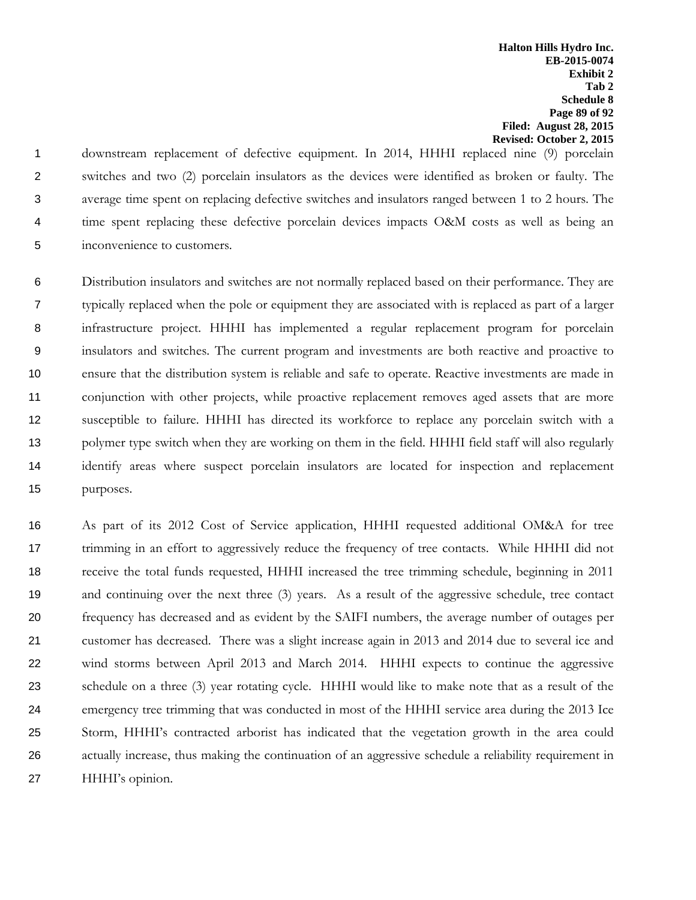**Halton Hills Hydro Inc. EB-2015-0074 Exhibit 2 Tab 2 Schedule 8 Page 89 of 92 Filed: August 28, 2015 Revised: October 2, 2015**

 downstream replacement of defective equipment. In 2014, HHHI replaced nine (9) porcelain switches and two (2) porcelain insulators as the devices were identified as broken or faulty. The average time spent on replacing defective switches and insulators ranged between 1 to 2 hours. The 4 time spent replacing these defective porcelain devices impacts O&M costs as well as being an inconvenience to customers.

 Distribution insulators and switches are not normally replaced based on their performance. They are typically replaced when the pole or equipment they are associated with is replaced as part of a larger infrastructure project. HHHI has implemented a regular replacement program for porcelain insulators and switches. The current program and investments are both reactive and proactive to ensure that the distribution system is reliable and safe to operate. Reactive investments are made in conjunction with other projects, while proactive replacement removes aged assets that are more susceptible to failure. HHHI has directed its workforce to replace any porcelain switch with a polymer type switch when they are working on them in the field. HHHI field staff will also regularly identify areas where suspect porcelain insulators are located for inspection and replacement purposes.

 As part of its 2012 Cost of Service application, HHHI requested additional OM&A for tree trimming in an effort to aggressively reduce the frequency of tree contacts. While HHHI did not receive the total funds requested, HHHI increased the tree trimming schedule, beginning in 2011 and continuing over the next three (3) years. As a result of the aggressive schedule, tree contact frequency has decreased and as evident by the SAIFI numbers, the average number of outages per customer has decreased. There was a slight increase again in 2013 and 2014 due to several ice and wind storms between April 2013 and March 2014. HHHI expects to continue the aggressive schedule on a three (3) year rotating cycle. HHHI would like to make note that as a result of the emergency tree trimming that was conducted in most of the HHHI service area during the 2013 Ice Storm, HHHI's contracted arborist has indicated that the vegetation growth in the area could actually increase, thus making the continuation of an aggressive schedule a reliability requirement in HHHI's opinion.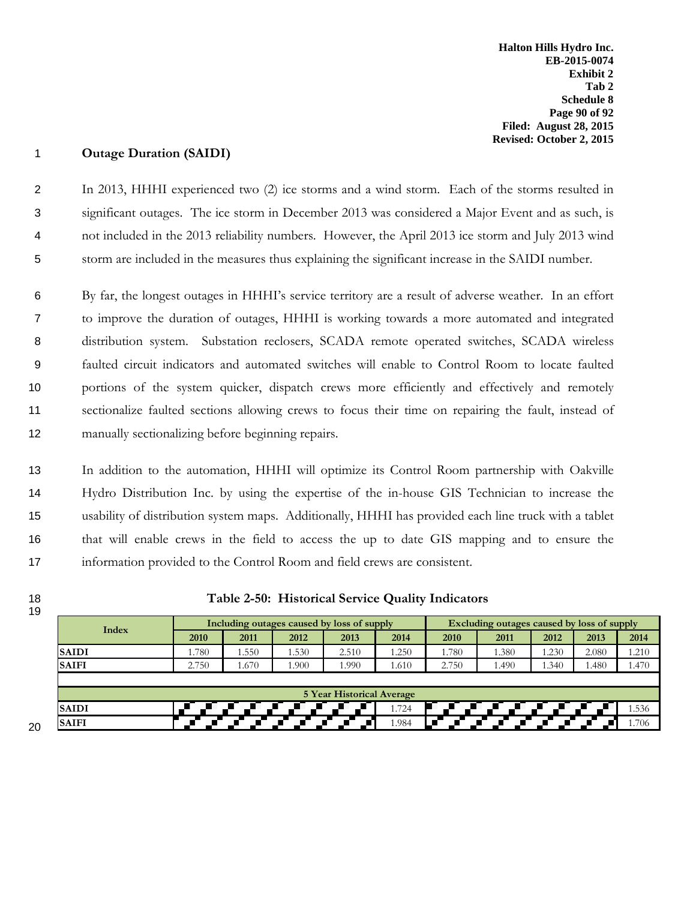## 1 **Outage Duration (SAIDI)**

 In 2013, HHHI experienced two (2) ice storms and a wind storm. Each of the storms resulted in significant outages. The ice storm in December 2013 was considered a Major Event and as such, is not included in the 2013 reliability numbers. However, the April 2013 ice storm and July 2013 wind storm are included in the measures thus explaining the significant increase in the SAIDI number.

 By far, the longest outages in HHHI's service territory are a result of adverse weather. In an effort to improve the duration of outages, HHHI is working towards a more automated and integrated distribution system. Substation reclosers, SCADA remote operated switches, SCADA wireless faulted circuit indicators and automated switches will enable to Control Room to locate faulted portions of the system quicker, dispatch crews more efficiently and effectively and remotely sectionalize faulted sections allowing crews to focus their time on repairing the fault, instead of 12 manually sectionalizing before beginning repairs.

 In addition to the automation, HHHI will optimize its Control Room partnership with Oakville Hydro Distribution Inc. by using the expertise of the in-house GIS Technician to increase the usability of distribution system maps. Additionally, HHHI has provided each line truck with a tablet that will enable crews in the field to access the up to date GIS mapping and to ensure the information provided to the Control Room and field crews are consistent.

19

20

## 18 **Table 2-50: Historical Service Quality Indicators**

| Index        |                                  | Including outages caused by loss of supply |       |       |       |       | Excluding outages caused by loss of supply |      |       |       |  |
|--------------|----------------------------------|--------------------------------------------|-------|-------|-------|-------|--------------------------------------------|------|-------|-------|--|
|              | 2010                             | 2011                                       | 2012  | 2013  | 2014  | 2010  | 2011                                       | 2012 | 2013  | 2014  |  |
| <b>SAIDI</b> | 1.780                            | l.550                                      | 1.530 | 2.510 | 1.250 | 1.780 | 1.380                                      | .230 | 2.080 | 1.210 |  |
| <b>SAIFI</b> | 2.750                            | 1.670                                      | .900  | 1.990 | 1.610 | 2.750 | ۔490                                       | .340 | 1.480 | 1.470 |  |
|              |                                  |                                            |       |       |       |       |                                            |      |       |       |  |
|              | <b>5 Year Historical Average</b> |                                            |       |       |       |       |                                            |      |       |       |  |
| <b>SAIDI</b> |                                  |                                            |       |       | 1.724 |       |                                            |      |       | 1.536 |  |
| <b>SAIFI</b> |                                  |                                            |       |       | 1.984 |       |                                            |      |       | 1.706 |  |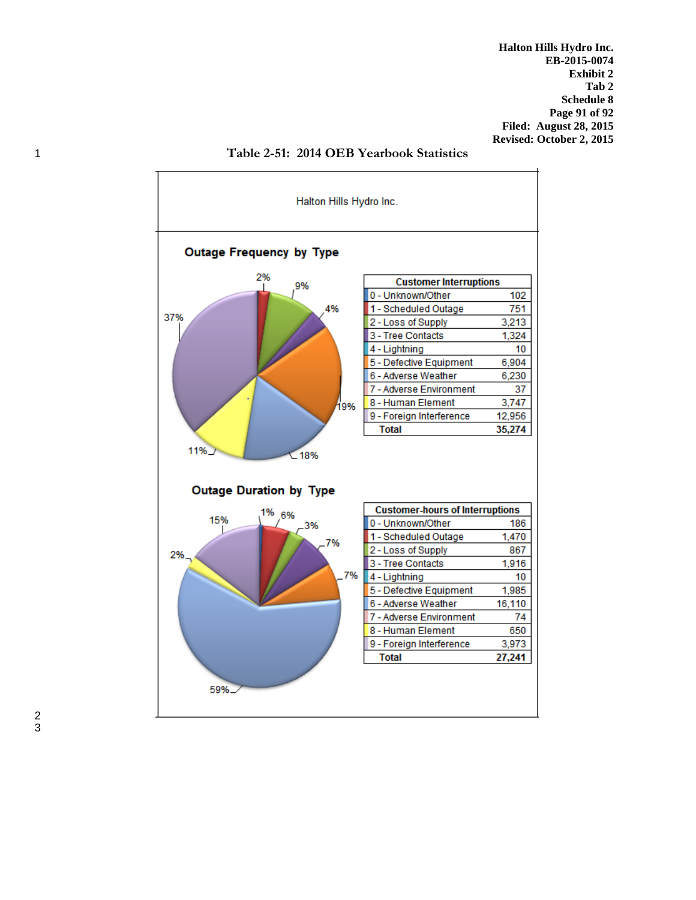**Halton Hills Hydro Inc. EB-2015-0074 Exhibit 2 Tab 2 Schedule 8 Page 91 of 92 Filed: August 28, 2015 Revised: October 2, 2015**



1 **Table 2-51: 2014 OEB Yearbook Statistics**